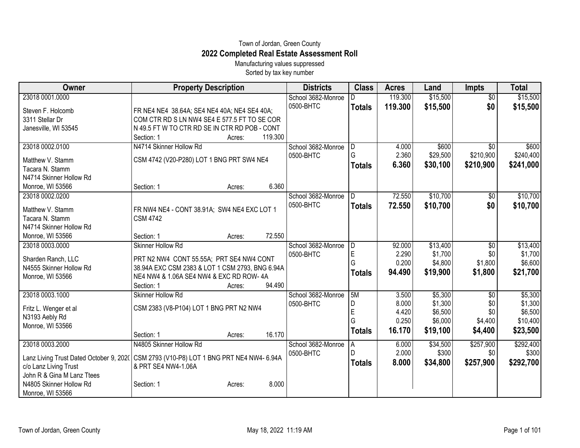## Town of Jordan, Green County **2022 Completed Real Estate Assessment Roll**

Manufacturing values suppressed Sorted by tax key number

| Owner                      | <b>Property Description</b>                                                            | <b>Districts</b>   | <b>Class</b>     | <b>Acres</b>   | Land               | <b>Impts</b>    | <b>Total</b>       |
|----------------------------|----------------------------------------------------------------------------------------|--------------------|------------------|----------------|--------------------|-----------------|--------------------|
| 23018 0001.0000            |                                                                                        | School 3682-Monroe |                  | 119.300        | \$15,500           | $\overline{50}$ | \$15,500           |
| Steven F. Holcomb          | FR NE4 NE4 38.64A; SE4 NE4 40A; NE4 SE4 40A;                                           | 0500-BHTC          | <b>Totals</b>    | 119.300        | \$15,500           | \$0             | \$15,500           |
| 3311 Stellar Dr            | COM CTR RD S LN NW4 SE4 E 577.5 FT TO SE COR                                           |                    |                  |                |                    |                 |                    |
| Janesville, WI 53545       | N 49.5 FT W TO CTR RD SE IN CTR RD POB - CONT                                          |                    |                  |                |                    |                 |                    |
|                            | 119.300<br>Section: 1<br>Acres:                                                        |                    |                  |                |                    |                 |                    |
| 23018 0002.0100            | N4714 Skinner Hollow Rd                                                                | School 3682-Monroe | D                | 4.000          | \$600              | $\overline{30}$ | \$600              |
| Matthew V. Stamm           | CSM 4742 (V20-P280) LOT 1 BNG PRT SW4 NE4                                              | 0500-BHTC          | G                | 2.360          | \$29,500           | \$210,900       | \$240,400          |
| Tacara N. Stamm            |                                                                                        |                    | <b>Totals</b>    | 6.360          | \$30,100           | \$210,900       | \$241,000          |
| N4714 Skinner Hollow Rd    |                                                                                        |                    |                  |                |                    |                 |                    |
| Monroe, WI 53566           | 6.360<br>Section: 1<br>Acres:                                                          |                    |                  |                |                    |                 |                    |
| 23018 0002.0200            |                                                                                        | School 3682-Monroe | D                | 72.550         | \$10,700           | $\sqrt{6}$      | \$10,700           |
| Matthew V. Stamm           | FR NW4 NE4 - CONT 38.91A; SW4 NE4 EXC LOT 1                                            | 0500-BHTC          | Totals           | 72.550         | \$10,700           | \$0             | \$10,700           |
| Tacara N. Stamm            | <b>CSM 4742</b>                                                                        |                    |                  |                |                    |                 |                    |
| N4714 Skinner Hollow Rd    |                                                                                        |                    |                  |                |                    |                 |                    |
| Monroe, WI 53566           | 72.550<br>Section: 1<br>Acres:                                                         |                    |                  |                |                    |                 |                    |
| 23018 0003.0000            | Skinner Hollow Rd                                                                      | School 3682-Monroe | D                | 92.000         | \$13,400           | \$0             | \$13,400           |
|                            |                                                                                        | 0500-BHTC          | $\mathsf E$      | 2.290          | \$1,700            | \$0             | \$1,700            |
| Sharden Ranch, LLC         | PRT N2 NW4 CONT 55.55A; PRT SE4 NW4 CONT                                               |                    | G                | 0.200          | \$4,800            | \$1,800         | \$6,600            |
| N4555 Skinner Hollow Rd    | 38.94A EXC CSM 2383 & LOT 1 CSM 2793, BNG 6.94A                                        |                    | <b>Totals</b>    | 94.490         | \$19,900           | \$1,800         | \$21,700           |
| Monroe, WI 53566           | NE4 NW4 & 1.06A SE4 NW4 & EXC RD ROW-4A                                                |                    |                  |                |                    |                 |                    |
|                            | 94.490<br>Section: 1<br>Acres:                                                         |                    |                  |                |                    |                 |                    |
| 23018 0003.1000            | Skinner Hollow Rd                                                                      | School 3682-Monroe | 5M               | 3.500          | \$5,300            | \$0             | \$5,300            |
| Fritz L. Wenger et al      | CSM 2383 (V8-P104) LOT 1 BNG PRT N2 NW4                                                | 0500-BHTC          | D<br>$\mathsf E$ | 8.000<br>4.420 | \$1,300<br>\$6,500 | \$0<br>\$0      | \$1,300<br>\$6,500 |
| N3193 Aebly Rd             |                                                                                        |                    | G                | 0.250          | \$6,000            | \$4,400         | \$10,400           |
| Monroe, WI 53566           |                                                                                        |                    |                  | 16.170         | \$19,100           | \$4,400         | \$23,500           |
|                            | 16.170<br>Section: 1<br>Acres:                                                         |                    | <b>Totals</b>    |                |                    |                 |                    |
| 23018 0003.2000            | N4805 Skinner Hollow Rd                                                                | School 3682-Monroe | A                | 6.000          | \$34,500           | \$257,900       | \$292,400          |
|                            | Lanz Living Trust Dated October 9, 202( CSM 2793 (V10-P8) LOT 1 BNG PRT NE4 NW4- 6.94A | 0500-BHTC          | D                | 2.000          | \$300              | \$0             | \$300              |
| c/o Lanz Living Trust      | & PRT SE4 NW4-1.06A                                                                    |                    | <b>Totals</b>    | 8.000          | \$34,800           | \$257,900       | \$292,700          |
| John R & Gina M Lanz Ttees |                                                                                        |                    |                  |                |                    |                 |                    |
| N4805 Skinner Hollow Rd    | 8.000<br>Section: 1<br>Acres:                                                          |                    |                  |                |                    |                 |                    |
| Monroe, WI 53566           |                                                                                        |                    |                  |                |                    |                 |                    |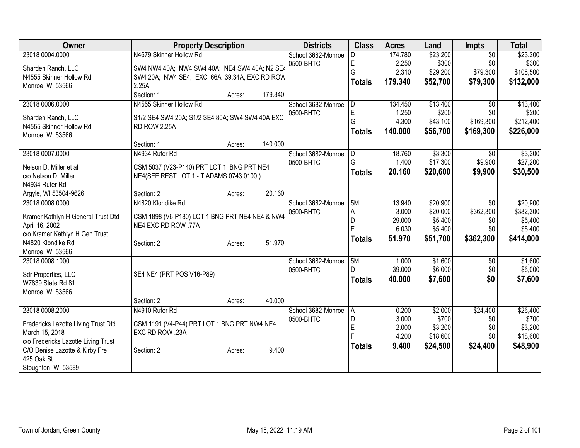| Owner                                            | <b>Property Description</b>                     |        |         | <b>Districts</b>   | <b>Class</b>  | <b>Acres</b>   | Land             | <b>Impts</b>    | <b>Total</b>      |
|--------------------------------------------------|-------------------------------------------------|--------|---------|--------------------|---------------|----------------|------------------|-----------------|-------------------|
| 23018 0004.0000                                  | N4679 Skinner Hollow Rd                         |        |         | School 3682-Monroe | D.            | 174.780        | \$23,200         | $\overline{50}$ | \$23,200          |
| Sharden Ranch, LLC                               | SW4 NW4 40A; NW4 SW4 40A; NE4 SW4 40A; N2 SE4   |        |         | 0500-BHTC          | E             | 2.250          | \$300            | \$0             | \$300             |
| N4555 Skinner Hollow Rd                          | SW4 20A; NW4 SE4; EXC .66A 39.34A, EXC RD ROW   |        |         |                    | G             | 2.310          | \$29,200         | \$79,300        | \$108,500         |
| Monroe, WI 53566                                 | 2.25A                                           |        |         |                    | <b>Totals</b> | 179.340        | \$52,700         | \$79,300        | \$132,000         |
|                                                  | Section: 1                                      | Acres: | 179.340 |                    |               |                |                  |                 |                   |
| 23018 0006.0000                                  | N4555 Skinner Hollow Rd                         |        |         | School 3682-Monroe | D             | 134.450        | \$13,400         | \$0             | \$13,400          |
| Sharden Ranch, LLC                               | S1/2 SE4 SW4 20A; S1/2 SE4 80A; SW4 SW4 40A EXC |        |         | 0500-BHTC          | E             | 1.250          | \$200            | \$0             | \$200             |
| N4555 Skinner Hollow Rd                          | <b>RD ROW 2.25A</b>                             |        |         |                    | G             | 4.300          | \$43,100         | \$169,300       | \$212,400         |
| Monroe, WI 53566                                 |                                                 |        |         |                    | <b>Totals</b> | 140.000        | \$56,700         | \$169,300       | \$226,000         |
|                                                  | Section: 1                                      | Acres: | 140.000 |                    |               |                |                  |                 |                   |
| 23018 0007.0000                                  | N4934 Rufer Rd                                  |        |         | School 3682-Monroe | D             | 18.760         | \$3,300          | \$0             | \$3,300           |
| Nelson D. Miller et al                           | CSM 5037 (V23-P140) PRT LOT 1 BNG PRT NE4       |        |         | 0500-BHTC          | G             | 1.400          | \$17,300         | \$9,900         | \$27,200          |
| c/o Nelson D. Miller                             | NE4(SEE REST LOT 1 - T ADAMS 0743.0100)         |        |         |                    | <b>Totals</b> | 20.160         | \$20,600         | \$9,900         | \$30,500          |
| N4934 Rufer Rd                                   |                                                 |        |         |                    |               |                |                  |                 |                   |
| Argyle, WI 53504-9626                            | Section: 2                                      | Acres: | 20.160  |                    |               |                |                  |                 |                   |
| 23018 0008.0000                                  | N4820 Klondike Rd                               |        |         | School 3682-Monroe | 5M            | 13.940         | \$20,900         | $\overline{30}$ | \$20,900          |
|                                                  |                                                 |        |         | 0500-BHTC          | Α             | 3.000          | \$20,000         | \$362,300       | \$382,300         |
| Kramer Kathlyn H General Trust Dtd               | CSM 1898 (V6-P180) LOT 1 BNG PRT NE4 NE4 & NW4  |        |         |                    | D             | 29.000         | \$5,400          | \$0             | \$5,400           |
| April 16, 2002<br>c/o Kramer Kathlyn H Gen Trust | NE4 EXC RD ROW .77A                             |        |         |                    | E             | 6.030          | \$5,400          | \$0             | \$5,400           |
| N4820 Klondike Rd                                | Section: 2                                      | Acres: | 51.970  |                    | <b>Totals</b> | 51.970         | \$51,700         | \$362,300       | \$414,000         |
| Monroe, WI 53566                                 |                                                 |        |         |                    |               |                |                  |                 |                   |
| 23018 0008.1000                                  |                                                 |        |         | School 3682-Monroe | 5M            | 1.000          | \$1,600          | $\sqrt[6]{}$    | \$1,600           |
|                                                  |                                                 |        |         | 0500-BHTC          | D.            | 39.000         | \$6,000          | \$0             | \$6,000           |
| Sdr Properties, LLC                              | SE4 NE4 (PRT POS V16-P89)                       |        |         |                    | <b>Totals</b> | 40.000         | \$7,600          | \$0             | \$7,600           |
| W7839 State Rd 81                                |                                                 |        |         |                    |               |                |                  |                 |                   |
| Monroe, WI 53566                                 |                                                 |        |         |                    |               |                |                  |                 |                   |
|                                                  | Section: 2                                      | Acres: | 40.000  |                    |               |                |                  |                 |                   |
| 23018 0008.2000                                  | N4910 Rufer Rd                                  |        |         | School 3682-Monroe | ΙA.<br>D      | 0.200<br>3.000 | \$2,000<br>\$700 | \$24,400<br>\$0 | \$26,400<br>\$700 |
| Fredericks Lazotte Living Trust Dtd              | CSM 1191 (V4-P44) PRT LOT 1 BNG PRT NW4 NE4     |        |         | 0500-BHTC          | E             | 2.000          | \$3,200          | \$0             | \$3,200           |
| March 15, 2018                                   | EXC RD ROW .23A                                 |        |         |                    |               | 4.200          | \$18,600         | \$0             | \$18,600          |
| c/o Fredericks Lazotte Living Trust              |                                                 |        |         |                    | Totals        | 9.400          | \$24,500         | \$24,400        | \$48,900          |
| C/O Denise Lazotte & Kirby Fre                   | Section: 2                                      | Acres: | 9.400   |                    |               |                |                  |                 |                   |
| 425 Oak St                                       |                                                 |        |         |                    |               |                |                  |                 |                   |
| Stoughton, WI 53589                              |                                                 |        |         |                    |               |                |                  |                 |                   |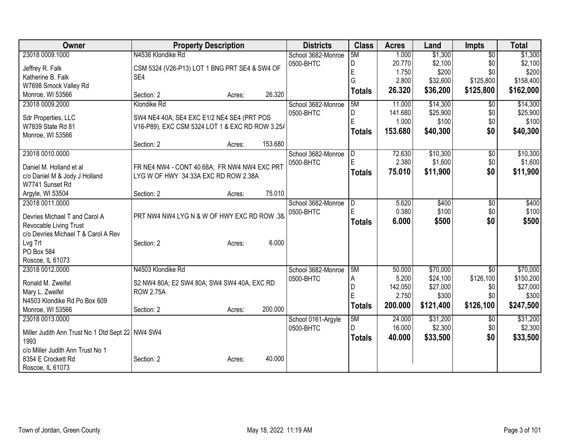| Owner                                                    | <b>Property Description</b>                                                                   |         | <b>Districts</b>   | <b>Class</b>  | <b>Acres</b>   | Land           | <b>Impts</b>    | <b>Total</b>   |
|----------------------------------------------------------|-----------------------------------------------------------------------------------------------|---------|--------------------|---------------|----------------|----------------|-----------------|----------------|
| 23018 0009.1000                                          | N4536 Klondike Rd                                                                             |         | School 3682-Monroe | 5M            | 1.000          | \$1,300        | $\overline{50}$ | \$1,300        |
| Jeffrey R. Falk                                          | CSM 5324 (V26-P13) LOT 1 BNG PRT SE4 & SW4 OF                                                 |         | 0500-BHTC          | D             | 20.770         | \$2,100        | \$0             | \$2,100        |
| Katherine B. Falk                                        | SE4                                                                                           |         |                    | E             | 1.750          | \$200          | \$0             | \$200          |
| W7698 Smock Valley Rd                                    |                                                                                               |         |                    | G             | 2.800          | \$32,600       | \$125,800       | \$158,400      |
| Monroe, WI 53566                                         | Section: 2<br>Acres:                                                                          | 26.320  |                    | <b>Totals</b> | 26.320         | \$36,200       | \$125,800       | \$162,000      |
| 23018 0009.2000                                          | Klondike Rd                                                                                   |         | School 3682-Monroe | 5M            | 11.000         | \$14,300       | $\overline{50}$ | \$14,300       |
|                                                          |                                                                                               |         | 0500-BHTC          | D             | 141.680        | \$25,900       | \$0             | \$25,900       |
| Sdr Properties, LLC<br>W7839 State Rd 81                 | SW4 NE4 40A; SE4 EXC E1/2 NE4 SE4 (PRT POS<br>V16-P89), EXC CSM 5324 LOT 1 & EXC RD ROW 3.25/ |         |                    | E             | 1.000          | \$100          | \$0             | \$100          |
| Monroe, WI 53566                                         |                                                                                               |         |                    | <b>Totals</b> | 153.680        | \$40,300       | \$0             | \$40,300       |
|                                                          | Section: 2<br>Acres:                                                                          | 153.680 |                    |               |                |                |                 |                |
| 23018 0010.0000                                          |                                                                                               |         | School 3682-Monroe | D             | 72.630         | \$10,300       | \$0             | \$10,300       |
|                                                          |                                                                                               |         | 0500-BHTC          | E             | 2.380          | \$1,600        | \$0             | \$1,600        |
| Daniel M. Holland et al                                  | FR NE4 NW4 - CONT 40.68A; FR NW4 NW4 EXC PRT                                                  |         |                    | <b>Totals</b> | 75.010         | \$11,900       | \$0             | \$11,900       |
| c/o Daniel M & Jody J Holland                            | LYG W OF HWY 34.33A EXC RD ROW 2.38A                                                          |         |                    |               |                |                |                 |                |
| W7741 Sunset Rd                                          |                                                                                               |         |                    |               |                |                |                 |                |
| Argyle, WI 53504                                         | Section: 2<br>Acres:                                                                          | 75.010  |                    |               |                |                |                 |                |
| 23018 0011.0000                                          |                                                                                               |         | School 3682-Monroe | D<br>E        | 5.620<br>0.380 | \$400<br>\$100 | \$0             | \$400<br>\$100 |
| Devries Michael T and Carol A                            | PRT NW4 NW4 LYG N & W OF HWY EXC RD ROW .38.                                                  |         | 0500-BHTC          |               |                |                | \$0<br>\$0      |                |
| Revocable Living Trust                                   |                                                                                               |         |                    | <b>Totals</b> | 6.000          | \$500          |                 | \$500          |
| c/o Devries Michael T & Carol A Rev                      |                                                                                               |         |                    |               |                |                |                 |                |
| Lvg Trt                                                  | Section: 2<br>Acres:                                                                          | 6.000   |                    |               |                |                |                 |                |
| PO Box 584                                               |                                                                                               |         |                    |               |                |                |                 |                |
| Roscoe, IL 61073                                         |                                                                                               |         |                    |               |                |                |                 |                |
| 23018 0012.0000                                          | N4503 Klondike Rd                                                                             |         | School 3682-Monroe | 5M            | 50.000         | \$70,000       | $\overline{30}$ | \$70,000       |
| Ronald M. Zweifel                                        | S2 NW4 80A; E2 SW4 80A; SW4 SW4 40A, EXC RD                                                   |         | 0500-BHTC          | Α             | 5.200          | \$24,100       | \$126,100       | \$150,200      |
| Mary L. Zweifel                                          | <b>ROW 2.75A</b>                                                                              |         |                    | D             | 142.050        | \$27,000       | \$0             | \$27,000       |
| N4503 Klondike Rd Po Box 609                             |                                                                                               |         |                    | E             | 2.750          | \$300          | \$0             | \$300          |
| Monroe, WI 53566                                         | Section: 2<br>Acres:                                                                          | 200.000 |                    | <b>Totals</b> | 200.000        | \$121,400      | \$126,100       | \$247,500      |
| 23018 0013.0000                                          |                                                                                               |         | School 0161-Argyle | 5M            | 24.000         | \$31,200       | $\sqrt{6}$      | \$31,200       |
|                                                          |                                                                                               |         | 0500-BHTC          | D.            | 16.000         | \$2,300        | \$0             | \$2,300        |
| Miller Judith Ann Trust No 1 Dtd Sept 22 NW4 SW4<br>1993 |                                                                                               |         |                    | <b>Totals</b> | 40.000         | \$33,500       | \$0             | \$33,500       |
| c/o Miller Judith Ann Trust No 1                         |                                                                                               |         |                    |               |                |                |                 |                |
| 8354 E Crockett Rd                                       | Section: 2<br>Acres:                                                                          | 40.000  |                    |               |                |                |                 |                |
| Roscoe, IL 61073                                         |                                                                                               |         |                    |               |                |                |                 |                |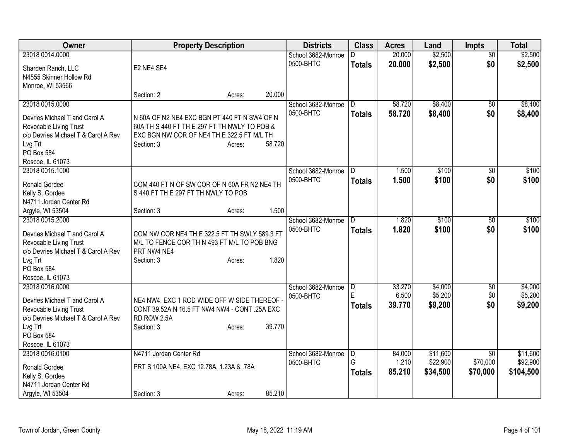| Owner                               | <b>Property Description</b>                   | <b>Districts</b> | <b>Class</b>       | <b>Acres</b>  | Land   | <b>Impts</b> | <b>Total</b>    |           |
|-------------------------------------|-----------------------------------------------|------------------|--------------------|---------------|--------|--------------|-----------------|-----------|
| 23018 0014,0000                     |                                               |                  | School 3682-Monroe |               | 20.000 | \$2,500      | $\overline{50}$ | \$2,500   |
| Sharden Ranch, LLC                  | E2 NE4 SE4                                    |                  | 0500-BHTC          | <b>Totals</b> | 20.000 | \$2,500      | \$0             | \$2,500   |
| N4555 Skinner Hollow Rd             |                                               |                  |                    |               |        |              |                 |           |
| Monroe, WI 53566                    |                                               |                  |                    |               |        |              |                 |           |
|                                     | Section: 2                                    | 20.000<br>Acres: |                    |               |        |              |                 |           |
| 23018 0015.0000                     |                                               |                  | School 3682-Monroe | D.            | 58.720 | \$8,400      | \$0             | \$8,400   |
| Devries Michael T and Carol A       | N 60A OF N2 NE4 EXC BGN PT 440 FT N SW4 OF N  |                  | 0500-BHTC          | <b>Totals</b> | 58.720 | \$8,400      | \$0             | \$8,400   |
| Revocable Living Trust              | 60A TH S 440 FT TH E 297 FT TH NWLY TO POB &  |                  |                    |               |        |              |                 |           |
| c/o Devries Michael T & Carol A Rev | EXC BGN NW COR OF NE4 TH E 322.5 FT M/L TH    |                  |                    |               |        |              |                 |           |
| Lvg Trt                             | Section: 3                                    | 58.720<br>Acres: |                    |               |        |              |                 |           |
| PO Box 584                          |                                               |                  |                    |               |        |              |                 |           |
| Roscoe, IL 61073                    |                                               |                  |                    |               |        |              |                 |           |
| 23018 0015.1000                     |                                               |                  | School 3682-Monroe | D.            | 1.500  | \$100        | \$0             | \$100     |
| Ronald Gordee                       | COM 440 FT N OF SW COR OF N 60A FR N2 NE4 TH  |                  | 0500-BHTC          | <b>Totals</b> | 1.500  | \$100        | \$0             | \$100     |
| Kelly S. Gordee                     | S 440 FT TH E 297 FT TH NWLY TO POB           |                  |                    |               |        |              |                 |           |
| N4711 Jordan Center Rd              |                                               |                  |                    |               |        |              |                 |           |
| Argyle, WI 53504                    | Section: 3                                    | 1.500<br>Acres:  |                    |               |        |              |                 |           |
| 23018 0015.2000                     |                                               |                  | School 3682-Monroe |               | 1.820  | \$100        | $\overline{50}$ | \$100     |
| Devries Michael T and Carol A       | COM NW COR NE4 TH E 322.5 FT TH SWLY 589.3 FT |                  | 0500-BHTC          | <b>Totals</b> | 1.820  | \$100        | \$0             | \$100     |
| Revocable Living Trust              | M/L TO FENCE COR TH N 493 FT M/L TO POB BNG   |                  |                    |               |        |              |                 |           |
| c/o Devries Michael T & Carol A Rev | PRT NW4 NE4                                   |                  |                    |               |        |              |                 |           |
| Lvg Trt                             | Section: 3                                    | 1.820<br>Acres:  |                    |               |        |              |                 |           |
| PO Box 584                          |                                               |                  |                    |               |        |              |                 |           |
| Roscoe, IL 61073                    |                                               |                  |                    |               |        |              |                 |           |
| 23018 0016.0000                     |                                               |                  | School 3682-Monroe | D             | 33.270 | \$4,000      | \$0             | \$4,000   |
| Devries Michael T and Carol A       | NE4 NW4, EXC 1 ROD WIDE OFF W SIDE THEREOF -  |                  | 0500-BHTC          | E             | 6.500  | \$5,200      | \$0             | \$5,200   |
| Revocable Living Trust              | CONT 39.52A N 16.5 FT NW4 NW4 - CONT .25A EXC |                  |                    | Totals        | 39.770 | \$9,200      | \$0             | \$9,200   |
| c/o Devries Michael T & Carol A Rev | RD ROW 2.5A                                   |                  |                    |               |        |              |                 |           |
| Lvg Trt                             | Section: 3                                    | 39.770<br>Acres: |                    |               |        |              |                 |           |
| PO Box 584                          |                                               |                  |                    |               |        |              |                 |           |
| Roscoe, IL 61073                    |                                               |                  |                    |               |        |              |                 |           |
| 23018 0016.0100                     | N4711 Jordan Center Rd                        |                  | School 3682-Monroe | D.            | 84.000 | \$11,600     | \$0             | \$11,600  |
| Ronald Gordee                       | PRT S 100A NE4, EXC 12.78A, 1.23A & .78A      |                  | 0500-BHTC          | G             | 1.210  | \$22,900     | \$70,000        | \$92,900  |
| Kelly S. Gordee                     |                                               |                  |                    | <b>Totals</b> | 85.210 | \$34,500     | \$70,000        | \$104,500 |
| N4711 Jordan Center Rd              |                                               |                  |                    |               |        |              |                 |           |
| Argyle, WI 53504                    | Section: 3                                    | 85.210<br>Acres: |                    |               |        |              |                 |           |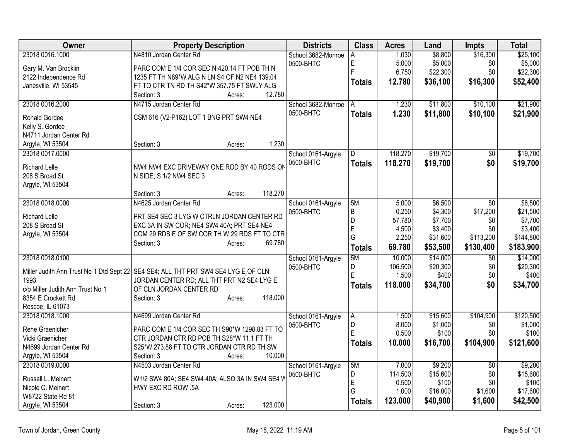| Owner                                                                              | <b>Property Description</b>                     |        |         | <b>Districts</b>   | <b>Class</b>  | <b>Acres</b> | Land     | <b>Impts</b>    | <b>Total</b> |
|------------------------------------------------------------------------------------|-------------------------------------------------|--------|---------|--------------------|---------------|--------------|----------|-----------------|--------------|
| 23018 0016.1000                                                                    | N4810 Jordan Center Rd                          |        |         | School 3682-Monroe | А             | 1.030        | \$8,800  | \$16,300        | \$25,100     |
| Gary M. Van Brocklin                                                               | PARC COM E 1/4 COR SEC N 420.14 FT POB TH N     |        |         | 0500-BHTC          | E             | 5.000        | \$5,000  | \$0             | \$5,000      |
| 2122 Independence Rd                                                               | 1235 FT TH N89*W ALG N LN S4 OF N2 NE4 139.04   |        |         |                    | F             | 6.750        | \$22,300 | \$0             | \$22,300     |
| Janesville, WI 53545                                                               | FT TO CTR TN RD TH S42*W 357.75 FT SWLY ALG     |        |         |                    | <b>Totals</b> | 12.780       | \$36,100 | \$16,300        | \$52,400     |
|                                                                                    | Section: 3                                      | Acres: | 12.780  |                    |               |              |          |                 |              |
| 23018 0016.2000                                                                    | N4715 Jordan Center Rd                          |        |         | School 3682-Monroe | l A           | 1.230        | \$11,800 | \$10,100        | \$21,900     |
|                                                                                    | CSM 616 (V2-P162) LOT 1 BNG PRT SW4 NE4         |        |         | 0500-BHTC          | <b>Totals</b> | 1.230        | \$11,800 | \$10,100        | \$21,900     |
| Ronald Gordee                                                                      |                                                 |        |         |                    |               |              |          |                 |              |
| Kelly S. Gordee                                                                    |                                                 |        |         |                    |               |              |          |                 |              |
| N4711 Jordan Center Rd                                                             |                                                 |        |         |                    |               |              |          |                 |              |
| Argyle, WI 53504                                                                   | Section: 3                                      | Acres: | 1.230   |                    |               |              |          |                 |              |
| 23018 0017.0000                                                                    |                                                 |        |         | School 0161-Argyle | D             | 118.270      | \$19,700 | \$0             | \$19,700     |
| <b>Richard Lelle</b>                                                               | NW4 NW4 EXC DRIVEWAY ONE ROD BY 40 RODS ON      |        |         | 0500-BHTC          | <b>Totals</b> | 118.270      | \$19,700 | \$0             | \$19,700     |
| 208 S Broad St                                                                     | N SIDE; S 1/2 NW4 SEC 3                         |        |         |                    |               |              |          |                 |              |
| Argyle, WI 53504                                                                   |                                                 |        |         |                    |               |              |          |                 |              |
|                                                                                    | Section: 3                                      | Acres: | 118.270 |                    |               |              |          |                 |              |
| 23018 0018.0000                                                                    | N4625 Jordan Center Rd                          |        |         | School 0161-Argyle | 5M            | 5.000        | \$6,500  | $\overline{30}$ | \$6,500      |
|                                                                                    |                                                 |        |         | 0500-BHTC          | $\sf B$       | 0.250        | \$4,300  | \$17,200        | \$21,500     |
| <b>Richard Lelle</b>                                                               | PRT SE4 SEC 3 LYG W CTRLN JORDAN CENTER RD      |        |         |                    | D             | 57.780       | \$7,700  | \$0             | \$7,700      |
| 208 S Broad St                                                                     | EXC 3A IN SW COR; NE4 SW4 40A; PRT SE4 NE4      |        |         |                    | $\mathsf E$   | 4.500        | \$3,400  | \$0             | \$3,400      |
| Argyle, WI 53504                                                                   | COM 29 RDS E OF SW COR TH W 29 RDS FT TO CTR    |        |         |                    | G             | 2.250        | \$31,600 | \$113,200       | \$144,800    |
|                                                                                    | Section: 3                                      | Acres: | 69.780  |                    | Totals        | 69.780       | \$53,500 | \$130,400       | \$183,900    |
|                                                                                    |                                                 |        |         |                    |               |              |          |                 |              |
| 23018 0018.0100                                                                    |                                                 |        |         | School 0161-Argyle | 5M            | 10.000       | \$14,000 | $\overline{50}$ | \$14,000     |
| Miller Judith Ann Trust No 1 Dtd Sept 22 SE4 SE4; ALL THT PRT SW4 SE4 LYG E OF CLN |                                                 |        |         | 0500-BHTC          | D             | 106.500      | \$20,300 | \$0             | \$20,300     |
| 1993                                                                               | JORDAN CENTER RD; ALL THT PRT N2 SE4 LYG E      |        |         |                    | E             | 1.500        | \$400    | \$0             | \$400        |
| c/o Miller Judith Ann Trust No 1                                                   | OF CLN JORDAN CENTER RD                         |        |         |                    | Totals        | 118.000      | \$34,700 | \$0             | \$34,700     |
| 8354 E Crockett Rd                                                                 | Section: 3                                      | Acres: | 118.000 |                    |               |              |          |                 |              |
| Roscoe, IL 61073                                                                   |                                                 |        |         |                    |               |              |          |                 |              |
| 23018 0018.1000                                                                    | N4699 Jordan Center Rd                          |        |         | School 0161-Argyle | A             | 1.500        | \$15,600 | \$104,900       | \$120,500    |
|                                                                                    |                                                 |        |         | 0500-BHTC          | $\mathsf{D}%$ | 8.000        | \$1,000  | \$0             | \$1,000      |
| Rene Graenicher                                                                    | PARC COM E 1/4 COR SEC TH S90*W 1298.83 FT TO   |        |         |                    | E             | 0.500        | \$100    | \$0             | \$100        |
| Vicki Graenicher                                                                   | CTR JORDAN CTR RD POB TH S28*W 11.1 FT TH       |        |         |                    | Totals        | 10.000       | \$16,700 | \$104,900       | \$121,600    |
| N4699 Jordan Center Rd                                                             | S25*W 273.88 FT TO CTR JORDAN CTR RD TH SW      |        |         |                    |               |              |          |                 |              |
| Argyle, WI 53504                                                                   | Section: 3                                      | Acres: | 10.000  |                    |               |              |          |                 |              |
| 23018 0019.0000                                                                    | N4503 Jordan Center Rd                          |        |         | School 0161-Argyle | 5M            | 7.000        | \$9,200  | \$0             | \$9,200      |
| Russell L. Meinert                                                                 | W1/2 SW4 80A; SE4 SW4 40A; ALSO 3A IN SW4 SE4 V |        |         | 0500-BHTC          | D             | 114.500      | \$15,600 | \$0             | \$15,600     |
| Nicole C. Meinert                                                                  | HWY EXC RD ROW .5A                              |        |         |                    | E             | 0.500        | \$100    | \$0             | \$100        |
| W8722 State Rd 81                                                                  |                                                 |        |         |                    | G             | 1.000        | \$16,000 | \$1,600         | \$17,600     |
|                                                                                    |                                                 |        | 123.000 |                    | <b>Totals</b> | 123.000      | \$40,900 | \$1,600         | \$42,500     |
| Argyle, WI 53504                                                                   | Section: 3                                      | Acres: |         |                    |               |              |          |                 |              |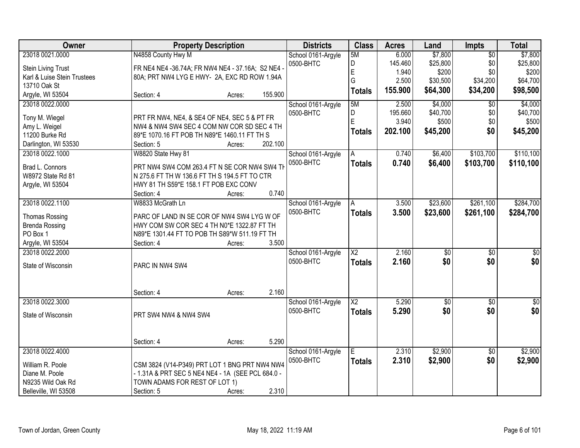| Owner                       | <b>Property Description</b>                       |        |         | <b>Districts</b>   | <b>Class</b>           | <b>Acres</b> | Land        | Impts           | <b>Total</b>     |
|-----------------------------|---------------------------------------------------|--------|---------|--------------------|------------------------|--------------|-------------|-----------------|------------------|
| 23018 0021.0000             | N4858 County Hwy M                                |        |         | School 0161-Argyle | 5M                     | 6.000        | \$7,800     | $\overline{50}$ | \$7,800          |
| <b>Stein Living Trust</b>   | FR NE4 NE4 -36.74A; FR NW4 NE4 - 37.16A; S2 NE4 - |        |         | 0500-BHTC          | D                      | 145.460      | \$25,800    | \$0             | \$25,800         |
| Karl & Luise Stein Trustees | 80A; PRT NW4 LYG E HWY- 2A, EXC RD ROW 1.94A      |        |         |                    | E                      | 1.940        | \$200       | \$0             | \$200            |
| 13710 Oak St                |                                                   |        |         |                    | G                      | 2.500        | \$30,500    | \$34,200        | \$64,700         |
| Argyle, WI 53504            | Section: 4                                        | Acres: | 155.900 |                    | <b>Totals</b>          | 155.900      | \$64,300    | \$34,200        | \$98,500         |
| 23018 0022.0000             |                                                   |        |         | School 0161-Argyle | 5M                     | 2.500        | \$4,000     | $\overline{50}$ | \$4,000          |
|                             |                                                   |        |         | 0500-BHTC          | D                      | 195.660      | \$40,700    | \$0             | \$40,700         |
| Tony M. Wiegel              | PRT FR NW4, NE4, & SE4 OF NE4, SEC 5 & PT FR      |        |         |                    | E                      | 3.940        | \$500       | \$0             | \$500            |
| Amy L. Weigel               | NW4 & NW4 SW4 SEC 4 COM NW COR SD SEC 4 TH        |        |         |                    | <b>Totals</b>          | 202.100      | \$45,200    | \$0             | \$45,200         |
| 11200 Burke Rd              | 89*E 1070.16 FT POB TH N89*E 1460.11 FT TH S      |        |         |                    |                        |              |             |                 |                  |
| Darlington, WI 53530        | Section: 5                                        | Acres: | 202.100 |                    |                        |              |             |                 |                  |
| 23018 0022.1000             | W8820 State Hwy 81                                |        |         | School 0161-Argyle |                        | 0.740        | \$6,400     | \$103,700       | \$110,100        |
| Brad L. Connors             | PRT NW4 SW4 COM 263.4 FT N SE COR NW4 SW4 TH      |        |         | 0500-BHTC          | <b>Totals</b>          | 0.740        | \$6,400     | \$103,700       | \$110,100        |
| W8972 State Rd 81           | N 275.6 FT TH W 136.6 FT TH S 194.5 FT TO CTR     |        |         |                    |                        |              |             |                 |                  |
| Argyle, WI 53504            | HWY 81 TH S59*E 158.1 FT POB EXC CONV             |        |         |                    |                        |              |             |                 |                  |
|                             | Section: 4                                        | Acres: | 0.740   |                    |                        |              |             |                 |                  |
| 23018 0022.1100             | W8833 McGrath Ln                                  |        |         | School 0161-Argyle | A                      | 3.500        | \$23,600    | \$261,100       | \$284,700        |
|                             |                                                   |        |         | 0500-BHTC          | <b>Totals</b>          | 3.500        | \$23,600    | \$261,100       | \$284,700        |
| <b>Thomas Rossing</b>       | PARC OF LAND IN SE COR OF NW4 SW4 LYG W OF        |        |         |                    |                        |              |             |                 |                  |
| <b>Brenda Rossing</b>       | HWY COM SW COR SEC 4 TH N0*E 1322.87 FT TH        |        |         |                    |                        |              |             |                 |                  |
| PO Box 1                    | N89*E 1301.44 FT TO POB TH S89*W 511.19 FT TH     |        |         |                    |                        |              |             |                 |                  |
| Argyle, WI 53504            | Section: 4                                        | Acres: | 3.500   |                    |                        |              |             |                 |                  |
| 23018 0022.2000             |                                                   |        |         | School 0161-Argyle | $\overline{\text{X2}}$ | 2.160        | $\sqrt{50}$ | $\overline{50}$ | $\overline{\$0}$ |
| State of Wisconsin          | PARC IN NW4 SW4                                   |        |         | 0500-BHTC          | <b>Totals</b>          | 2.160        | \$0         | \$0             | \$0              |
|                             |                                                   |        |         |                    |                        |              |             |                 |                  |
|                             |                                                   |        |         |                    |                        |              |             |                 |                  |
|                             | Section: 4                                        | Acres: | 2.160   |                    |                        |              |             |                 |                  |
| 23018 0022.3000             |                                                   |        |         | School 0161-Argyle | $\overline{\text{X2}}$ | 5.290        | $\sqrt{50}$ | $\overline{50}$ | $\overline{50}$  |
|                             |                                                   |        |         | 0500-BHTC          | <b>Totals</b>          | 5.290        | \$0         | \$0             | \$0              |
| State of Wisconsin          | PRT SW4 NW4 & NW4 SW4                             |        |         |                    |                        |              |             |                 |                  |
|                             |                                                   |        |         |                    |                        |              |             |                 |                  |
|                             | Section: 4                                        | Acres: | 5.290   |                    |                        |              |             |                 |                  |
| 23018 0022.4000             |                                                   |        |         | School 0161-Argyle | E.                     | 2.310        | \$2,900     | $\overline{50}$ | \$2,900          |
|                             |                                                   |        |         | 0500-BHTC          |                        | 2.310        | \$2,900     | \$0             | \$2,900          |
| William R. Poole            | CSM 3824 (V14-P349) PRT LOT 1 BNG PRT NW4 NW4     |        |         |                    | <b>Totals</b>          |              |             |                 |                  |
| Diane M. Poole              | - 1.31A & PRT SEC 5 NE4 NE4 - 1A (SEE PCL 684.0 - |        |         |                    |                        |              |             |                 |                  |
| N9235 Wild Oak Rd           | TOWN ADAMS FOR REST OF LOT 1)                     |        |         |                    |                        |              |             |                 |                  |
| Belleville, WI 53508        | Section: 5                                        | Acres: | 2.310   |                    |                        |              |             |                 |                  |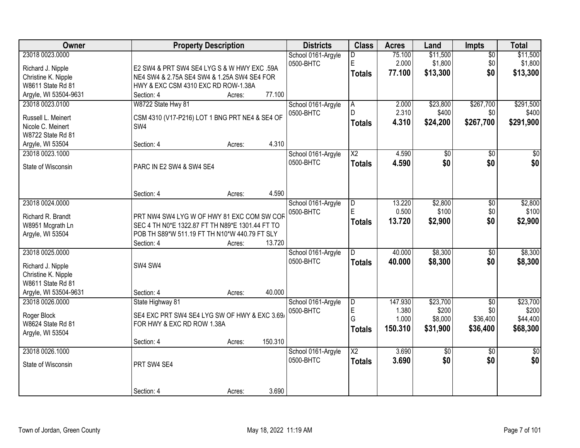| Owner                 | <b>Property Description</b>                     |         | <b>Districts</b>   | <b>Class</b>           | <b>Acres</b> | Land            | <b>Impts</b>    | <b>Total</b>     |
|-----------------------|-------------------------------------------------|---------|--------------------|------------------------|--------------|-----------------|-----------------|------------------|
| 23018 0023.0000       |                                                 |         | School 0161-Argyle | D                      | 75.100       | \$11,500        | $\overline{50}$ | \$11,500         |
| Richard J. Nipple     | E2 SW4 & PRT SW4 SE4 LYG S & W HWY EXC .59A     |         | 0500-BHTC          | E                      | 2.000        | \$1,800         | \$0             | \$1,800          |
| Christine K. Nipple   | NE4 SW4 & 2.75A SE4 SW4 & 1.25A SW4 SE4 FOR     |         |                    | <b>Totals</b>          | 77.100       | \$13,300        | \$0             | \$13,300         |
| W8611 State Rd 81     | HWY & EXC CSM 4310 EXC RD ROW-1.38A             |         |                    |                        |              |                 |                 |                  |
| Argyle, WI 53504-9631 | Section: 4<br>Acres:                            | 77.100  |                    |                        |              |                 |                 |                  |
| 23018 0023.0100       | W8722 State Hwy 81                              |         | School 0161-Argyle | $\overline{A}$         | 2.000        | \$23,800        | \$267,700       | \$291,500        |
|                       |                                                 |         | 0500-BHTC          | D.                     | 2.310        | \$400           | \$0             | \$400            |
| Russell L. Meinert    | CSM 4310 (V17-P216) LOT 1 BNG PRT NE4 & SE4 OF  |         |                    |                        | 4.310        | \$24,200        |                 | \$291,900        |
| Nicole C. Meinert     | SW4                                             |         |                    | <b>Totals</b>          |              |                 | \$267,700       |                  |
| W8722 State Rd 81     |                                                 |         |                    |                        |              |                 |                 |                  |
| Argyle, WI 53504      | Section: 4<br>Acres:                            | 4.310   |                    |                        |              |                 |                 |                  |
| 23018 0023.1000       |                                                 |         | School 0161-Argyle | $\overline{X2}$        | 4.590        | \$0             | $\sqrt[6]{}$    | $\overline{\$0}$ |
| State of Wisconsin    | PARC IN E2 SW4 & SW4 SE4                        |         | 0500-BHTC          | <b>Totals</b>          | 4.590        | \$0             | \$0             | \$0              |
|                       |                                                 |         |                    |                        |              |                 |                 |                  |
|                       |                                                 |         |                    |                        |              |                 |                 |                  |
|                       |                                                 | 4.590   |                    |                        |              |                 |                 |                  |
|                       | Section: 4<br>Acres:                            |         |                    |                        |              |                 |                 |                  |
| 23018 0024.0000       |                                                 |         | School 0161-Argyle | D                      | 13.220       | \$2,800         | $\sqrt[6]{3}$   | \$2,800          |
| Richard R. Brandt     | PRT NW4 SW4 LYG W OF HWY 81 EXC COM SW COF      |         | 0500-BHTC          | E                      | 0.500        | \$100           | \$0             | \$100            |
| W8951 Mcgrath Ln      | SEC 4 TH N0*E 1322.87 FT TH N89*E 1301.44 FT TO |         |                    | <b>Totals</b>          | 13.720       | \$2,900         | \$0             | \$2,900          |
| Argyle, WI 53504      | POB TH S89*W 511.19 FT TH N10*W 440.79 FT SLY   |         |                    |                        |              |                 |                 |                  |
|                       | Section: 4<br>Acres:                            | 13.720  |                    |                        |              |                 |                 |                  |
| 23018 0025.0000       |                                                 |         | School 0161-Argyle | <sub>D</sub>           | 40.000       | \$8,300         | $\overline{50}$ | \$8,300          |
|                       |                                                 |         | 0500-BHTC          | <b>Totals</b>          | 40.000       | \$8,300         | \$0             | \$8,300          |
| Richard J. Nipple     | SW4 SW4                                         |         |                    |                        |              |                 |                 |                  |
| Christine K. Nipple   |                                                 |         |                    |                        |              |                 |                 |                  |
| W8611 State Rd 81     |                                                 |         |                    |                        |              |                 |                 |                  |
| Argyle, WI 53504-9631 | Section: 4<br>Acres:                            | 40.000  |                    |                        |              |                 |                 |                  |
| 23018 0026.0000       | State Highway 81                                |         | School 0161-Argyle | $\overline{D}$         | 147.930      | \$23,700        | $\overline{50}$ | \$23,700         |
| Roger Block           | SE4 EXC PRT SW4 SE4 LYG SW OF HWY & EXC 3.69/   |         | 0500-BHTC          | $\mathsf E$            | 1.380        | \$200           | \$0             | \$200            |
| W8624 State Rd 81     | FOR HWY & EXC RD ROW 1.38A                      |         |                    | G                      | 1.000        | \$8,000         | \$36,400        | \$44,400         |
| Argyle, WI 53504      |                                                 |         |                    | Totals                 | 150.310      | \$31,900        | \$36,400        | \$68,300         |
|                       | Section: 4<br>Acres:                            | 150.310 |                    |                        |              |                 |                 |                  |
| 23018 0026.1000       |                                                 |         | School 0161-Argyle | $\overline{\text{X2}}$ | 3.690        | $\overline{50}$ | $\overline{30}$ | \$0              |
|                       |                                                 |         | 0500-BHTC          | <b>Totals</b>          | 3.690        | \$0             | \$0             | \$0              |
| State of Wisconsin    | PRT SW4 SE4                                     |         |                    |                        |              |                 |                 |                  |
|                       |                                                 |         |                    |                        |              |                 |                 |                  |
|                       |                                                 |         |                    |                        |              |                 |                 |                  |
|                       | Section: 4<br>Acres:                            | 3.690   |                    |                        |              |                 |                 |                  |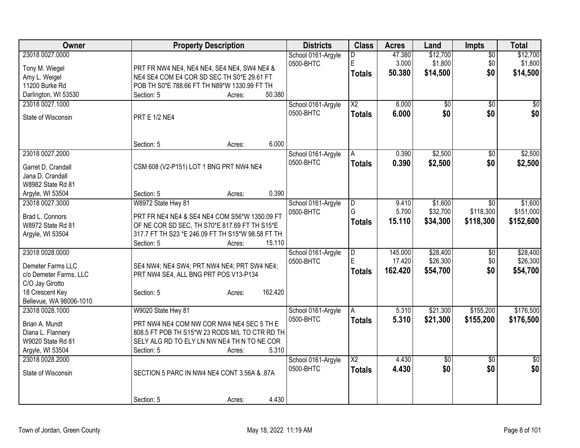| Owner                   | <b>Property Description</b>                                 | <b>Districts</b>   | <b>Class</b>                  | <b>Acres</b> | Land            | <b>Impts</b>        | <b>Total</b>    |
|-------------------------|-------------------------------------------------------------|--------------------|-------------------------------|--------------|-----------------|---------------------|-----------------|
| 23018 0027,0000         |                                                             | School 0161-Argyle | D                             | 47.380       | \$12,700        | $\overline{50}$     | \$12,700        |
| Tony M. Wiegel          | PRT FR NW4 NE4, NE4 NE4, SE4 NE4, SW4 NE4 &                 | 0500-BHTC          | E                             | 3.000        | \$1,800         | \$0                 | \$1,800         |
| Amy L. Weigel           | NE4 SE4 COM E4 COR SD SEC TH S0*E 29.61 FT                  |                    | <b>Totals</b>                 | 50.380       | \$14,500        | \$0                 | \$14,500        |
| 11200 Burke Rd          | POB TH S0*E 788.66 FT TH N89*W 1330.99 FT TH                |                    |                               |              |                 |                     |                 |
| Darlington, WI 53530    | 50.380<br>Section: 5<br>Acres:                              |                    |                               |              |                 |                     |                 |
| 23018 0027.1000         |                                                             | School 0161-Argyle | $\overline{X2}$               | 6.000        | \$0             | \$0                 | \$0             |
|                         |                                                             | 0500-BHTC          | <b>Totals</b>                 | 6.000        | \$0             | \$0                 | \$0             |
| State of Wisconsin      | <b>PRT E 1/2 NE4</b>                                        |                    |                               |              |                 |                     |                 |
|                         |                                                             |                    |                               |              |                 |                     |                 |
|                         |                                                             |                    |                               |              |                 |                     |                 |
|                         | 6.000<br>Section: 5<br>Acres:                               |                    |                               |              |                 |                     |                 |
| 23018 0027.2000         |                                                             | School 0161-Argyle | A                             | 0.390        | \$2,500         | \$0                 | \$2,500         |
| Garret D. Crandall      | CSM 608 (V2-P151) LOT 1 BNG PRT NW4 NE4                     | 0500-BHTC          | <b>Totals</b>                 | 0.390        | \$2,500         | \$0                 | \$2,500         |
| Jana D. Crandall        |                                                             |                    |                               |              |                 |                     |                 |
| W8982 State Rd 81       |                                                             |                    |                               |              |                 |                     |                 |
| Argyle, WI 53504        | 0.390<br>Section: 5<br>Acres:                               |                    |                               |              |                 |                     |                 |
| 23018 0027.3000         | W8972 State Hwy 81                                          | School 0161-Argyle | D                             | 9.410        | \$1,600         | \$0                 | \$1,600         |
|                         |                                                             | 0500-BHTC          | G                             | 5.700        | \$32,700        | \$118,300           | \$151,000       |
| Brad L. Connors         | PRT FR NE4 NE4 & SE4 NE4 COM S56*W 1350.09 FT               |                    | <b>Totals</b>                 | 15.110       | \$34,300        | \$118,300           | \$152,600       |
| W8972 State Rd 81       | OF NE COR SD SEC, TH S70*E 817.69 FT TH S15*E               |                    |                               |              |                 |                     |                 |
| Argyle, WI 53504        | 317.7 FT TH S23 *E 246.09 FT TH S15*W 98.58 FT TH<br>15.110 |                    |                               |              |                 |                     |                 |
| 23018 0028.0000         | Section: 5<br>Acres:                                        |                    |                               | 145.000      | \$28,400        |                     | \$28,400        |
|                         |                                                             | School 0161-Argyle | $\overline{\mathsf{D}}$<br>F. | 17.420       | \$26,300        | $\sqrt[6]{}$<br>\$0 | \$26,300        |
| Demeter Farms LLC       | SE4 NW4; NE4 SW4; PRT NW4 NE4; PRT SW4 NE4;                 | 0500-BHTC          |                               | 162.420      |                 | \$0                 |                 |
| c/o Demeter Farms, LLC  | PRT NW4 SE4, ALL BNG PRT POS V13-P134                       |                    | <b>Totals</b>                 |              | \$54,700        |                     | \$54,700        |
| C/O Jay Girotto         |                                                             |                    |                               |              |                 |                     |                 |
| 18 Crescent Key         | 162.420<br>Section: 5<br>Acres:                             |                    |                               |              |                 |                     |                 |
| Bellevue, WA 98006-1010 |                                                             |                    |                               |              |                 |                     |                 |
| 23018 0028.1000         | W9020 State Hwy 81                                          | School 0161-Argyle | A                             | 5.310        | \$21,300        | \$155,200           | \$176,500       |
| Brian A. Mundt          | PRT NW4 NE4 COM NW COR NW4 NE4 SEC 5 TH E                   | 0500-BHTC          | <b>Totals</b>                 | 5.310        | \$21,300        | \$155,200           | \$176,500       |
| Diana L. Flannery       | 808.5 FT POB TH S15*W 23 RODS M/L TO CTR RD TH              |                    |                               |              |                 |                     |                 |
| W9020 State Rd 81       | SELY ALG RD TO ELY LN NW NE4 TH N TO NE COR                 |                    |                               |              |                 |                     |                 |
| Argyle, WI 53504        | 5.310<br>Section: 5<br>Acres:                               |                    |                               |              |                 |                     |                 |
| 23018 0028.2000         |                                                             | School 0161-Argyle | $\overline{\text{X2}}$        | 4.430        | $\overline{50}$ | $\overline{30}$     | $\overline{50}$ |
|                         |                                                             | 0500-BHTC          | <b>Totals</b>                 | 4.430        | \$0             | \$0                 | \$0             |
| State of Wisconsin      | SECTION 5 PARC IN NW4 NE4 CONT 3.56A & .87A                 |                    |                               |              |                 |                     |                 |
|                         |                                                             |                    |                               |              |                 |                     |                 |
|                         | 4.430                                                       |                    |                               |              |                 |                     |                 |
|                         | Section: 5<br>Acres:                                        |                    |                               |              |                 |                     |                 |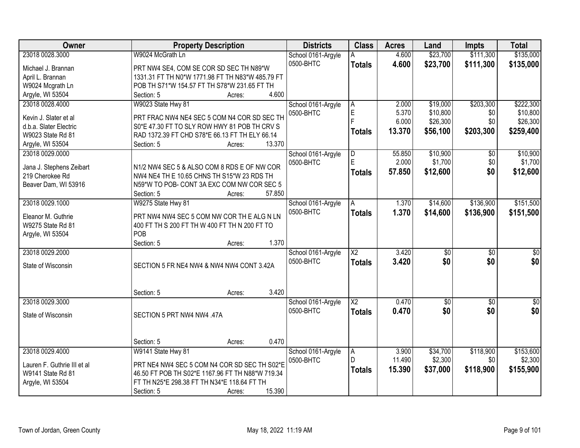| Owner                       | <b>Property Description</b>                      | <b>Districts</b>   | <b>Class</b>           | <b>Acres</b> | Land            | <b>Impts</b>    | <b>Total</b>     |
|-----------------------------|--------------------------------------------------|--------------------|------------------------|--------------|-----------------|-----------------|------------------|
| 23018 0028.3000             | W9024 McGrath Ln                                 | School 0161-Argyle | А                      | 4.600        | \$23,700        | \$111,300       | \$135,000        |
| Michael J. Brannan          | PRT NW4 SE4, COM SE COR SD SEC TH N89*W          | 0500-BHTC          | <b>Totals</b>          | 4.600        | \$23,700        | \$111,300       | \$135,000        |
| April L. Brannan            | 1331.31 FT TH N0*W 1771.98 FT TH N83*W 485.79 FT |                    |                        |              |                 |                 |                  |
| W9024 Mcgrath Ln            | POB TH S71*W 154.57 FT TH S78*W 231.65 FT TH     |                    |                        |              |                 |                 |                  |
| Argyle, WI 53504            | 4.600<br>Section: 5<br>Acres:                    |                    |                        |              |                 |                 |                  |
| 23018 0028.4000             | W9023 State Hwy 81                               | School 0161-Argyle | A                      | 2.000        | \$19,000        | \$203,300       | \$222,300        |
|                             |                                                  | 0500-BHTC          | E                      | 5.370        | \$10,800        | \$0             | \$10,800         |
| Kevin J. Slater et al       | PRT FRAC NW4 NE4 SEC 5 COM N4 COR SD SEC TH      |                    | E                      | 6.000        | \$26,300        | \$0             | \$26,300         |
| d.b.a. Slater Electric      | S0*E 47.30 FT TO SLY ROW HWY 81 POB TH CRV S     |                    | <b>Totals</b>          | 13.370       | \$56,100        | \$203,300       | \$259,400        |
| W9023 State Rd 81           | RAD 1372.39 FT CHD S78*E 66.13 FT TH ELY 66.14   |                    |                        |              |                 |                 |                  |
| Argyle, WI 53504            | 13.370<br>Section: 5<br>Acres:                   |                    |                        |              |                 |                 |                  |
| 23018 0029.0000             |                                                  | School 0161-Argyle | D                      | 55.850       | \$10,900        | \$0             | \$10,900         |
| Jana J. Stephens Zeibart    | N1/2 NW4 SEC 5 & ALSO COM 8 RDS E OF NW COR      | 0500-BHTC          | E                      | 2.000        | \$1,700         | \$0             | \$1,700          |
| 219 Cherokee Rd             | NW4 NE4 TH E 10.65 CHNS TH S15*W 23 RDS TH       |                    | <b>Totals</b>          | 57,850       | \$12,600        | \$0             | \$12,600         |
| Beaver Dam, WI 53916        | N59*W TO POB- CONT 3A EXC COM NW COR SEC 5       |                    |                        |              |                 |                 |                  |
|                             | 57.850<br>Section: 5<br>Acres:                   |                    |                        |              |                 |                 |                  |
| 23018 0029.1000             | W9275 State Hwy 81                               | School 0161-Argyle | A                      | 1.370        | \$14,600        | \$136,900       | \$151,500        |
|                             |                                                  | 0500-BHTC          | <b>Totals</b>          | 1.370        | \$14,600        | \$136,900       | \$151,500        |
| Eleanor M. Guthrie          | PRT NW4 NW4 SEC 5 COM NW COR THE ALG N LN        |                    |                        |              |                 |                 |                  |
| W9275 State Rd 81           | 400 FT TH S 200 FT TH W 400 FT TH N 200 FT TO    |                    |                        |              |                 |                 |                  |
| Argyle, WI 53504            | POB                                              |                    |                        |              |                 |                 |                  |
|                             | 1.370<br>Section: 5<br>Acres:                    |                    |                        |              |                 |                 |                  |
| 23018 0029.2000             |                                                  | School 0161-Argyle | $\overline{\text{X2}}$ | 3.420        | $\overline{30}$ | $\overline{30}$ | $\overline{\$0}$ |
| State of Wisconsin          | SECTION 5 FR NE4 NW4 & NW4 NW4 CONT 3.42A        | 0500-BHTC          | <b>Totals</b>          | 3.420        | \$0             | \$0             | \$0              |
|                             |                                                  |                    |                        |              |                 |                 |                  |
|                             |                                                  |                    |                        |              |                 |                 |                  |
|                             | 3.420<br>Section: 5<br>Acres:                    |                    |                        |              |                 |                 |                  |
| 23018 0029.3000             |                                                  | School 0161-Argyle | $\overline{X2}$        | 0.470        | $\sqrt{$0}$     | $\sqrt{6}$      | $\frac{1}{6}$    |
| State of Wisconsin          | SECTION 5 PRT NW4 NW4 .47A                       | 0500-BHTC          | <b>Totals</b>          | 0.470        | \$0             | \$0             | \$0              |
|                             |                                                  |                    |                        |              |                 |                 |                  |
|                             |                                                  |                    |                        |              |                 |                 |                  |
|                             | 0.470<br>Section: 5<br>Acres:                    |                    |                        |              |                 |                 |                  |
| 23018 0029.4000             | W9141 State Hwy 81                               | School 0161-Argyle | A                      | 3.900        | \$34,700        | \$118,900       | \$153,600        |
|                             |                                                  | 0500-BHTC          | D                      | 11.490       | \$2,300         | \$0             | \$2,300          |
| Lauren F. Guthrie III et al | PRT NE4 NW4 SEC 5 COM N4 COR SD SEC TH S02*E     |                    | <b>Totals</b>          | 15.390       | \$37,000        | \$118,900       | \$155,900        |
| W9141 State Rd 81           | 46.50 FT POB TH S02*E 1167.96 FT TH N88*W 719.34 |                    |                        |              |                 |                 |                  |
| Argyle, WI 53504            | FT TH N25*E 298.38 FT TH N34*E 118.64 FT TH      |                    |                        |              |                 |                 |                  |
|                             | 15.390<br>Section: 5<br>Acres:                   |                    |                        |              |                 |                 |                  |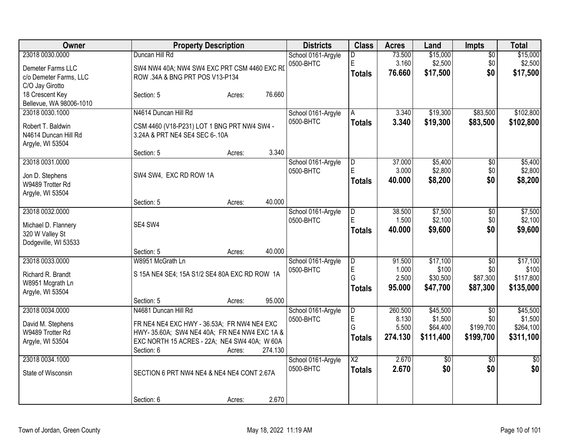| <b>Owner</b>                          |                                                                                             | <b>Property Description</b> |         |                    | <b>Class</b>             | <b>Acres</b> | Land      | Impts           | <b>Total</b>    |
|---------------------------------------|---------------------------------------------------------------------------------------------|-----------------------------|---------|--------------------|--------------------------|--------------|-----------|-----------------|-----------------|
| 23018 0030.0000                       | Duncan Hill Rd                                                                              |                             |         | School 0161-Argyle | D.                       | 73.500       | \$15,000  | $\overline{50}$ | \$15,000        |
| Demeter Farms LLC                     | SW4 NW4 40A; NW4 SW4 EXC PRT CSM 4460 EXC RD                                                |                             |         | 0500-BHTC          | E                        | 3.160        | \$2,500   | \$0             | \$2,500         |
| c/o Demeter Farms, LLC                | ROW .34A & BNG PRT POS V13-P134                                                             |                             |         |                    | <b>Totals</b>            | 76.660       | \$17,500  | \$0             | \$17,500        |
| C/O Jay Girotto                       |                                                                                             |                             |         |                    |                          |              |           |                 |                 |
| 18 Crescent Key                       | Section: 5                                                                                  | Acres:                      | 76.660  |                    |                          |              |           |                 |                 |
| Bellevue, WA 98006-1010               |                                                                                             |                             |         |                    |                          |              |           |                 |                 |
| 23018 0030.1000                       | N4614 Duncan Hill Rd                                                                        |                             |         | School 0161-Argyle | A                        | 3.340        | \$19,300  | \$83,500        | \$102,800       |
| Robert T. Baldwin                     | CSM 4460 (V18-P231) LOT 1 BNG PRT NW4 SW4 -                                                 |                             |         | 0500-BHTC          | <b>Totals</b>            | 3.340        | \$19,300  | \$83,500        | \$102,800       |
| N4614 Duncan Hill Rd                  | 3.24A & PRT NE4 SE4 SEC 6-.10A                                                              |                             |         |                    |                          |              |           |                 |                 |
| Argyle, WI 53504                      |                                                                                             |                             |         |                    |                          |              |           |                 |                 |
|                                       | Section: 5                                                                                  | Acres:                      | 3.340   |                    |                          |              |           |                 |                 |
| 23018 0031.0000                       |                                                                                             |                             |         | School 0161-Argyle | D                        | 37.000       | \$5,400   | $\overline{50}$ | \$5,400         |
| Jon D. Stephens                       | SW4 SW4, EXC RD ROW 1A                                                                      |                             |         | 0500-BHTC          | E                        | 3.000        | \$2,800   | \$0             | \$2,800         |
| W9489 Trotter Rd                      |                                                                                             |                             |         |                    | <b>Totals</b>            | 40.000       | \$8,200   | \$0             | \$8,200         |
| Argyle, WI 53504                      |                                                                                             |                             |         |                    |                          |              |           |                 |                 |
|                                       | Section: 5                                                                                  | Acres:                      | 40.000  |                    |                          |              |           |                 |                 |
| 23018 0032.0000                       |                                                                                             |                             |         | School 0161-Argyle | D                        | 38.500       | \$7,500   | $\overline{50}$ | \$7,500         |
| Michael D. Flannery                   | SE4 SW4                                                                                     |                             |         | 0500-BHTC          | E                        | 1.500        | \$2,100   | \$0             | \$2,100         |
| 320 W Valley St                       |                                                                                             |                             |         |                    | <b>Totals</b>            | 40.000       | \$9,600   | \$0             | \$9,600         |
| Dodgeville, WI 53533                  |                                                                                             |                             |         |                    |                          |              |           |                 |                 |
|                                       | Section: 5                                                                                  | Acres:                      | 40.000  |                    |                          |              |           |                 |                 |
| 23018 0033.0000                       | W8951 McGrath Ln                                                                            |                             |         | School 0161-Argyle | $\overline{\mathsf{D}}$  | 91.500       | \$17,100  | \$0             | \$17,100        |
| Richard R. Brandt                     | S 15A NE4 SE4; 15A S1/2 SE4 80A EXC RD ROW 1A                                               |                             |         | 0500-BHTC          | E                        | 1.000        | \$100     | \$0             | \$100           |
| W8951 Mcgrath Ln                      |                                                                                             |                             |         |                    | G                        | 2.500        | \$30,500  | \$87,300        | \$117,800       |
| Argyle, WI 53504                      |                                                                                             |                             |         |                    | <b>Totals</b>            | 95.000       | \$47,700  | \$87,300        | \$135,000       |
|                                       | Section: 5                                                                                  | Acres:                      | 95.000  |                    |                          |              |           |                 |                 |
| 23018 0034.0000                       | N4681 Duncan Hill Rd                                                                        |                             |         | School 0161-Argyle | D                        | 260.500      | \$45,500  | $\overline{50}$ | \$45,500        |
|                                       |                                                                                             |                             |         | 0500-BHTC          | E                        | 8.130        | \$1,500   | \$0             | \$1,500         |
| David M. Stephens<br>W9489 Trotter Rd | FR NE4 NE4 EXC HWY - 36.53A; FR NW4 NE4 EXC<br>HWY-35.60A; SW4 NE4 40A; FR NE4 NW4 EXC 1A & |                             |         |                    | G                        | 5.500        | \$64,400  | \$199,700       | \$264,100       |
| Argyle, WI 53504                      | EXC NORTH 15 ACRES - 22A; NE4 SW4 40A; W 60A                                                |                             |         |                    | <b>Totals</b>            | 274.130      | \$111,400 | \$199,700       | \$311,100       |
|                                       | Section: 6                                                                                  | Acres:                      | 274.130 |                    |                          |              |           |                 |                 |
| 23018 0034.1000                       |                                                                                             |                             |         | School 0161-Argyle | $\overline{\mathsf{X2}}$ | 2.670        | \$0       | $\overline{50}$ | $\overline{50}$ |
|                                       |                                                                                             |                             |         | 0500-BHTC          | <b>Totals</b>            | 2.670        | \$0       | \$0             | \$0             |
| State of Wisconsin                    | SECTION 6 PRT NW4 NE4 & NE4 NE4 CONT 2.67A                                                  |                             |         |                    |                          |              |           |                 |                 |
|                                       |                                                                                             |                             |         |                    |                          |              |           |                 |                 |
|                                       | Section: 6                                                                                  | Acres:                      | 2.670   |                    |                          |              |           |                 |                 |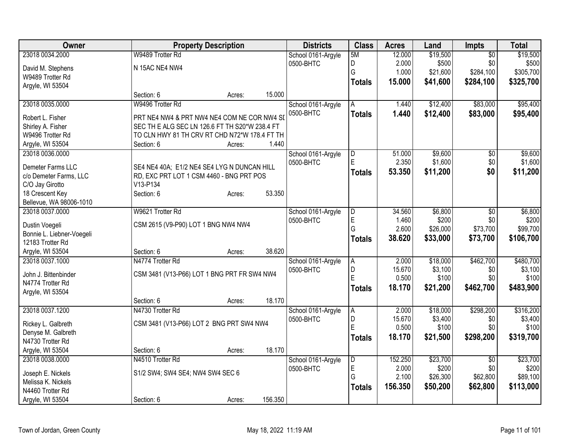| Owner                     |                                                | <b>Property Description</b> |         | <b>Districts</b>   | <b>Class</b>  | <b>Acres</b> | Land     | <b>Impts</b>    | <b>Total</b> |
|---------------------------|------------------------------------------------|-----------------------------|---------|--------------------|---------------|--------------|----------|-----------------|--------------|
| 23018 0034.2000           | W9489 Trotter Rd                               |                             |         | School 0161-Argyle | 5M            | 12.000       | \$19,500 | $\overline{50}$ | \$19,500     |
| David M. Stephens         | N 15AC NE4 NW4                                 |                             |         | 0500-BHTC          | D             | 2.000        | \$500    | \$0             | \$500        |
| W9489 Trotter Rd          |                                                |                             |         |                    | G             | 1.000        | \$21,600 | \$284,100       | \$305,700    |
| Argyle, WI 53504          |                                                |                             |         |                    | <b>Totals</b> | 15.000       | \$41,600 | \$284,100       | \$325,700    |
|                           | Section: 6                                     | Acres:                      | 15.000  |                    |               |              |          |                 |              |
| 23018 0035.0000           | W9496 Trotter Rd                               |                             |         | School 0161-Argyle | A             | 1.440        | \$12,400 | \$83,000        | \$95,400     |
|                           |                                                |                             |         | 0500-BHTC          | <b>Totals</b> | 1.440        | \$12,400 | \$83,000        | \$95,400     |
| Robert L. Fisher          | PRT NE4 NW4 & PRT NW4 NE4 COM NE COR NW4 SI    |                             |         |                    |               |              |          |                 |              |
| Shirley A. Fisher         | SEC TH E ALG SEC LN 126.6 FT TH S20*W 238.4 FT |                             |         |                    |               |              |          |                 |              |
| W9496 Trotter Rd          | TO CLN HWY 81 TH CRV RT CHD N72*W 178.4 FT TH  |                             |         |                    |               |              |          |                 |              |
| Argyle, WI 53504          | Section: 6                                     | Acres:                      | 1.440   |                    |               |              |          |                 |              |
| 23018 0036.0000           |                                                |                             |         | School 0161-Argyle | D             | 51.000       | \$9,600  | \$0             | \$9,600      |
| Demeter Farms LLC         | SE4 NE4 40A; E1/2 NE4 SE4 LYG N DUNCAN HILL    |                             |         | 0500-BHTC          | E             | 2.350        | \$1,600  | \$0             | \$1,600      |
| c/o Demeter Farms, LLC    | RD, EXC PRT LOT 1 CSM 4460 - BNG PRT POS       |                             |         |                    | <b>Totals</b> | 53.350       | \$11,200 | \$0             | \$11,200     |
| C/O Jay Girotto           | V13-P134                                       |                             |         |                    |               |              |          |                 |              |
| 18 Crescent Key           | Section: 6                                     | Acres:                      | 53.350  |                    |               |              |          |                 |              |
| Bellevue, WA 98006-1010   |                                                |                             |         |                    |               |              |          |                 |              |
| 23018 0037.0000           | W9621 Trotter Rd                               |                             |         | School 0161-Argyle | D             | 34.560       | \$6,800  | \$0             | \$6,800      |
|                           |                                                |                             |         | 0500-BHTC          | E             | 1.460        | \$200    | \$0             | \$200        |
| Dustin Voegeli            | CSM 2615 (V9-P90) LOT 1 BNG NW4 NW4            |                             |         |                    | G             | 2.600        | \$26,000 | \$73,700        | \$99,700     |
| Bonnie L. Liebner-Voegeli |                                                |                             |         |                    | <b>Totals</b> | 38.620       | \$33,000 | \$73,700        | \$106,700    |
| 12183 Trotter Rd          |                                                |                             |         |                    |               |              |          |                 |              |
| Argyle, WI 53504          | Section: 6                                     | Acres:                      | 38.620  |                    |               |              |          |                 |              |
| 23018 0037.1000           | N4774 Trotter Rd                               |                             |         | School 0161-Argyle | Α             | 2.000        | \$18,000 | \$462,700       | \$480,700    |
| John J. Bittenbinder      | CSM 3481 (V13-P66) LOT 1 BNG PRT FR SW4 NW4    |                             |         | 0500-BHTC          | D             | 15.670       | \$3,100  | \$0             | \$3,100      |
| N4774 Trotter Rd          |                                                |                             |         |                    | E             | 0.500        | \$100    | \$0             | \$100        |
| Argyle, WI 53504          |                                                |                             |         |                    | <b>Totals</b> | 18.170       | \$21,200 | \$462,700       | \$483,900    |
|                           | Section: 6                                     | Acres:                      | 18.170  |                    |               |              |          |                 |              |
| 23018 0037.1200           | N4730 Trotter Rd                               |                             |         | School 0161-Argyle | А             | 2.000        | \$18,000 | \$298,200       | \$316,200    |
|                           |                                                |                             |         | 0500-BHTC          | D             | 15.670       | \$3,400  | \$0             | \$3,400      |
| Rickey L. Galbreth        | CSM 3481 (V13-P66) LOT 2 BNG PRT SW4 NW4       |                             |         |                    | E             | 0.500        | \$100    | \$0             | \$100        |
| Denyse M. Galbreth        |                                                |                             |         |                    | <b>Totals</b> | 18.170       | \$21,500 | \$298,200       | \$319,700    |
| N4730 Trotter Rd          |                                                |                             |         |                    |               |              |          |                 |              |
| Argyle, WI 53504          | Section: 6                                     | Acres:                      | 18.170  |                    |               |              |          |                 |              |
| 23018 0038,0000           | N4510 Trotter Rd                               |                             |         | School 0161-Argyle | D             | 152.250      | \$23,700 | $\overline{50}$ | \$23,700     |
| Joseph E. Nickels         | S1/2 SW4; SW4 SE4; NW4 SW4 SEC 6               |                             |         | 0500-BHTC          | E             | 2.000        | \$200    | \$0             | \$200        |
| Melissa K. Nickels        |                                                |                             |         |                    | G             | 2.100        | \$26,300 | \$62,800        | \$89,100     |
| N4460 Trotter Rd          |                                                |                             |         |                    | <b>Totals</b> | 156.350      | \$50,200 | \$62,800        | \$113,000    |
| Argyle, WI 53504          | Section: 6                                     | Acres:                      | 156.350 |                    |               |              |          |                 |              |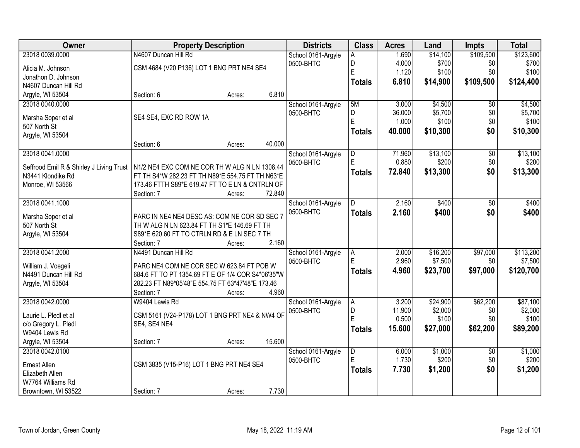| Owner                                    | <b>Property Description</b>                       |        |        | <b>Districts</b>   | <b>Class</b>            | <b>Acres</b> | Land     | <b>Impts</b>           | <b>Total</b> |
|------------------------------------------|---------------------------------------------------|--------|--------|--------------------|-------------------------|--------------|----------|------------------------|--------------|
| 23018 0039.0000                          | N4607 Duncan Hill Rd                              |        |        | School 0161-Argyle | A                       | 1.690        | \$14,100 | \$109,500              | \$123,600    |
| Alicia M. Johnson                        | CSM 4684 (V20 P136) LOT 1 BNG PRT NE4 SE4         |        |        | 0500-BHTC          | D                       | 4.000        | \$700    | \$0                    | \$700        |
| Jonathon D. Johnson                      |                                                   |        |        |                    | E                       | 1.120        | \$100    | \$0                    | \$100        |
| N4607 Duncan Hill Rd                     |                                                   |        |        |                    | <b>Totals</b>           | 6.810        | \$14,900 | \$109,500              | \$124,400    |
| Argyle, WI 53504                         | Section: 6                                        | Acres: | 6.810  |                    |                         |              |          |                        |              |
| 23018 0040.0000                          |                                                   |        |        | School 0161-Argyle | 5M                      | 3.000        | \$4,500  | $\overline{50}$        | \$4,500      |
|                                          |                                                   |        |        | 0500-BHTC          | D                       | 36.000       | \$5,700  | \$0                    | \$5,700      |
| Marsha Soper et al                       | SE4 SE4, EXC RD ROW 1A                            |        |        |                    | E                       | 1.000        | \$100    | \$0                    | \$100        |
| 507 North St                             |                                                   |        |        |                    | <b>Totals</b>           | 40.000       | \$10,300 | \$0                    | \$10,300     |
| Argyle, WI 53504                         |                                                   |        |        |                    |                         |              |          |                        |              |
|                                          | Section: 6                                        | Acres: | 40.000 |                    |                         |              |          |                        |              |
| 23018 0041.0000                          |                                                   |        |        | School 0161-Argyle | $\overline{\mathsf{D}}$ | 71.960       | \$13,100 | $\overline{50}$        | \$13,100     |
| Seffrood Emil R & Shirley J Living Trust | N1/2 NE4 EXC COM NE COR TH W ALG N LN 1308.44     |        |        | 0500-BHTC          | Ē.                      | 0.880        | \$200    | \$0                    | \$200        |
| N3441 Klondike Rd                        | FT TH S4*W 282.23 FT TH N89*E 554.75 FT TH N63*E  |        |        |                    | <b>Totals</b>           | 72.840       | \$13,300 | \$0                    | \$13,300     |
| Monroe, WI 53566                         | 173.46 FTTH S89*E 619.47 FT TO E LN & CNTRLN OF   |        |        |                    |                         |              |          |                        |              |
|                                          | Section: 7                                        | Acres: | 72.840 |                    |                         |              |          |                        |              |
| 23018 0041.1000                          |                                                   |        |        | School 0161-Argyle | D.                      | 2.160        | \$400    | \$0                    | \$400        |
|                                          |                                                   |        |        | 0500-BHTC          | <b>Totals</b>           | 2.160        | \$400    | \$0                    | \$400        |
| Marsha Soper et al                       | PARC IN NE4 NE4 DESC AS: COM NE COR SD SEC 7      |        |        |                    |                         |              |          |                        |              |
| 507 North St                             | TH W ALG N LN 623.84 FT TH S1*E 146.69 FT TH      |        |        |                    |                         |              |          |                        |              |
| Argyle, WI 53504                         | S89*E 620.60 FT TO CTRLN RD & E LN SEC 7 TH       |        |        |                    |                         |              |          |                        |              |
|                                          | Section: 7                                        | Acres: | 2.160  |                    |                         |              |          |                        |              |
| 23018 0041.2000                          | N4491 Duncan Hill Rd                              |        |        | School 0161-Argyle | A                       | 2.000        | \$16,200 | \$97,000               | \$113,200    |
| William J. Voegeli                       | PARC NE4 COM NE COR SEC W 623.84 FT POB W         |        |        | 0500-BHTC          | E                       | 2.960        | \$7,500  | \$0                    | \$7,500      |
| N4491 Duncan Hill Rd                     | 684.6 FT TO PT 1354.69 FT E OF 1/4 COR S4*06'35"W |        |        |                    | <b>Totals</b>           | 4.960        | \$23,700 | \$97,000               | \$120,700    |
| Argyle, WI 53504                         | 282.23 FT N89*05'48"E 554.75 FT 63*47'48"E 173.46 |        |        |                    |                         |              |          |                        |              |
|                                          | Section: 7                                        | Acres: | 4.960  |                    |                         |              |          |                        |              |
| 23018 0042.0000                          | W9404 Lewis Rd                                    |        |        | School 0161-Argyle | A                       | 3.200        | \$24,900 | \$62,200               | \$87,100     |
|                                          |                                                   |        |        | 0500-BHTC          | D                       | 11.900       | \$2,000  | \$0                    | \$2,000      |
| Laurie L. Pledl et al                    | CSM 5161 (V24-P178) LOT 1 BNG PRT NE4 & NW4 OF    |        |        |                    | Ë                       | 0.500        | \$100    | \$0                    | \$100        |
| c/o Gregory L. Pledl<br>W9404 Lewis Rd   | SE4, SE4 NE4                                      |        |        |                    | <b>Totals</b>           | 15,600       | \$27,000 | \$62,200               | \$89,200     |
|                                          |                                                   |        | 15.600 |                    |                         |              |          |                        |              |
| Argyle, WI 53504<br>23018 0042.0100      | Section: 7                                        | Acres: |        |                    |                         | 6.000        | \$1,000  |                        | \$1,000      |
|                                          |                                                   |        |        | School 0161-Argyle | $\overline{D}$<br>E     | 1.730        | \$200    | $\overline{50}$<br>\$0 | \$200        |
| Ernest Allen                             | CSM 3835 (V15-P16) LOT 1 BNG PRT NE4 SE4          |        |        | 0500-BHTC          |                         |              |          |                        |              |
| Elizabeth Allen                          |                                                   |        |        |                    | <b>Totals</b>           | 7.730        | \$1,200  | \$0                    | \$1,200      |
| W7764 Williams Rd                        |                                                   |        |        |                    |                         |              |          |                        |              |
| Browntown, WI 53522                      | Section: 7                                        | Acres: | 7.730  |                    |                         |              |          |                        |              |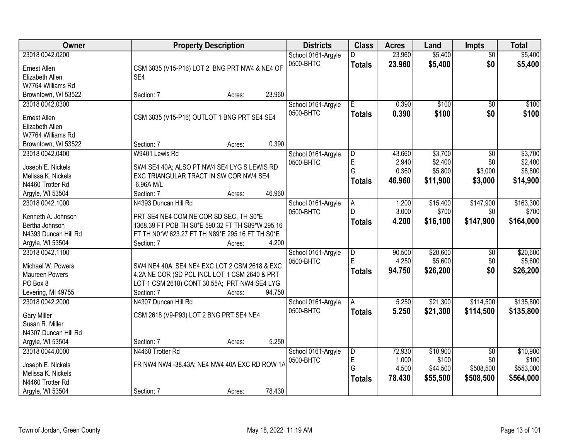| <b>Owner</b>                                                                                         | <b>Property Description</b>                                                                                                                                                                            | <b>Districts</b>                | <b>Class</b>                 | <b>Acres</b>                       | Land                                      | Impts                                            | <b>Total</b>                                |
|------------------------------------------------------------------------------------------------------|--------------------------------------------------------------------------------------------------------------------------------------------------------------------------------------------------------|---------------------------------|------------------------------|------------------------------------|-------------------------------------------|--------------------------------------------------|---------------------------------------------|
| 23018 0042.0200<br>Ernest Allen<br>Elizabeth Allen<br>W7764 Williams Rd                              | CSM 3835 (V15-P16) LOT 2 BNG PRT NW4 & NE4 OF<br>SE4                                                                                                                                                   | School 0161-Argyle<br>0500-BHTC | D.<br><b>Totals</b>          | 23.960<br>23.960                   | \$5,400<br>\$5,400                        | $\overline{50}$<br>\$0                           | \$5,400<br>\$5,400                          |
| Browntown, WI 53522                                                                                  | 23.960<br>Section: 7<br>Acres:                                                                                                                                                                         |                                 |                              |                                    |                                           |                                                  |                                             |
| 23018 0042.0300<br>Ernest Allen<br>Elizabeth Allen<br>W7764 Williams Rd                              | CSM 3835 (V15-P16) OUTLOT 1 BNG PRT SE4 SE4                                                                                                                                                            | School 0161-Argyle<br>0500-BHTC | Ē<br><b>Totals</b>           | 0.390<br>0.390                     | \$100<br>\$100                            | $\overline{50}$<br>\$0                           | \$100<br>\$100                              |
| Browntown, WI 53522                                                                                  | 0.390<br>Section: 7<br>Acres:                                                                                                                                                                          |                                 |                              |                                    |                                           |                                                  |                                             |
| 23018 0042.0400<br>Joseph E. Nickels<br>Melissa K. Nickels<br>N4460 Trotter Rd<br>Argyle, WI 53504   | W9401 Lewis Rd<br>SW4 SE4 40A; ALSO PT NW4 SE4 LYG S LEWIS RD<br>EXC TRIANGULAR TRACT IN SW COR NW4 SE4<br>$-6.96A$ M/L<br>46.960<br>Section: 7<br>Acres:                                              | School 0161-Argyle<br>0500-BHTC | D<br>E<br>G<br><b>Totals</b> | 43.660<br>2.940<br>0.360<br>46.960 | \$3,700<br>\$2,400<br>\$5,800<br>\$11,900 | $\overline{50}$<br>\$0<br>\$3,000<br>\$3,000     | \$3,700<br>\$2,400<br>\$8,800<br>\$14,900   |
| 23018 0042.1000<br>Kenneth A. Johnson<br>Bertha Johnson<br>N4393 Duncan Hill Rd<br>Argyle, WI 53504  | N4393 Duncan Hill Rd<br>PRT SE4 NE4 COM NE COR SD SEC, TH S0*E<br>1368.39 FT POB TH S0*E 590.32 FT TH S89*W 295.16<br>FT TH N0*W 623.27 FT TH N89*E 295.16 FT TH S0*E<br>4.200<br>Section: 7<br>Acres: | School 0161-Argyle<br>0500-BHTC | A<br>D.<br><b>Totals</b>     | 1.200<br>3.000<br>4.200            | \$15,400<br>\$700<br>\$16,100             | \$147,900<br>\$0<br>\$147,900                    | \$163,300<br>\$700<br>\$164,000             |
| 23018 0042.1100<br>Michael W. Powers<br>Maureen Powers<br>PO Box 8<br>Levering, MI 49755             | SW4 NE4 40A; SE4 NE4 EXC LOT 2 CSM 2618 & EXC<br>4.2A NE COR (SD PCL INCL LOT 1 CSM 2640 & PRT<br>LOT 1 CSM 2618) CONT 30.55A; PRT NW4 SE4 LYG<br>94.750<br>Section: 7<br>Acres:                       | School 0161-Argyle<br>0500-BHTC | D<br>E<br><b>Totals</b>      | 90.500<br>4.250<br>94.750          | \$20,600<br>\$5,600<br>\$26,200           | \$0<br>\$0<br>\$0                                | \$20,600<br>\$5,600<br>\$26,200             |
| 23018 0042.2000<br><b>Gary Miller</b><br>Susan R. Miller<br>N4307 Duncan Hill Rd<br>Argyle, WI 53504 | N4307 Duncan Hill Rd<br>CSM 2618 (V9-P93) LOT 2 BNG PRT SE4 NE4<br>5.250<br>Section: 7<br>Acres:                                                                                                       | School 0161-Argyle<br>0500-BHTC | Α<br><b>Totals</b>           | 5.250<br>5.250                     | \$21,300<br>\$21,300                      | \$114,500<br>\$114,500                           | \$135,800<br>\$135,800                      |
| 23018 0044.0000<br>Joseph E. Nickels<br>Melissa K. Nickels<br>N4460 Trotter Rd<br>Argyle, WI 53504   | N4460 Trotter Rd<br>FR NW4 NW4 -38.43A; NE4 NW4 40A EXC RD ROW 1A<br>78.430<br>Section: 7<br>Acres:                                                                                                    | School 0161-Argyle<br>0500-BHTC | D<br>E<br>G<br><b>Totals</b> | 72.930<br>1.000<br>4.500<br>78.430 | \$10,900<br>\$100<br>\$44,500<br>\$55,500 | $\overline{50}$<br>\$0<br>\$508,500<br>\$508,500 | \$10,900<br>\$100<br>\$553,000<br>\$564,000 |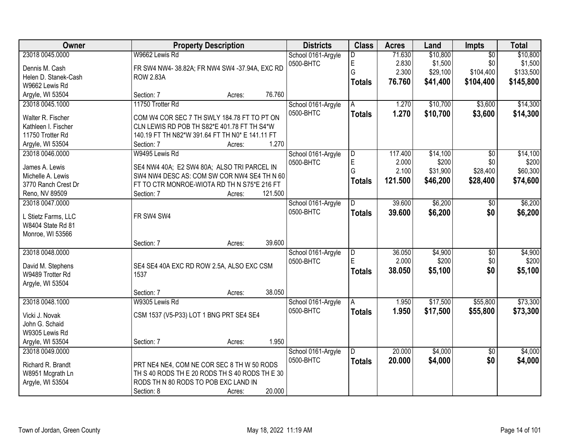| Owner                | <b>Property Description</b>                     | <b>Districts</b>   | <b>Class</b>            | <b>Acres</b>   | Land     | Impts                  | <b>Total</b> |
|----------------------|-------------------------------------------------|--------------------|-------------------------|----------------|----------|------------------------|--------------|
| 23018 0045.0000      | W9662 Lewis Rd                                  | School 0161-Argyle | D                       | 71.630         | \$10,800 | $\overline{50}$        | \$10,800     |
| Dennis M. Cash       | FR SW4 NW4-38.82A; FR NW4 SW4 -37.94A, EXC RD   | 0500-BHTC          | E                       | 2.830          | \$1,500  | \$0                    | \$1,500      |
| Helen D. Stanek-Cash | <b>ROW 2.83A</b>                                |                    | Ġ                       | 2.300          | \$29,100 | \$104,400              | \$133,500    |
| W9662 Lewis Rd       |                                                 |                    | <b>Totals</b>           | 76.760         | \$41,400 | \$104,400              | \$145,800    |
| Argyle, WI 53504     | Section: 7<br>Acres:                            | 76.760             |                         |                |          |                        |              |
| 23018 0045.1000      | 11750 Trotter Rd                                | School 0161-Argyle | A                       | 1.270          | \$10,700 | \$3,600                | \$14,300     |
|                      |                                                 | 0500-BHTC          | <b>Totals</b>           | 1.270          | \$10,700 | \$3,600                | \$14,300     |
| Walter R. Fischer    | COM W4 COR SEC 7 TH SWLY 184.78 FT TO PT ON     |                    |                         |                |          |                        |              |
| Kathleen I. Fischer  | CLN LEWIS RD POB TH S82*E 401.78 FT TH S4*W     |                    |                         |                |          |                        |              |
| 11750 Trotter Rd     | 140.19 FT TH N82*W 391.64 FT TH N0* E 141.11 FT |                    |                         |                |          |                        |              |
| Argyle, WI 53504     | Section: 7<br>Acres:                            | 1.270              |                         |                |          |                        |              |
| 23018 0046.0000      | W9495 Lewis Rd                                  | School 0161-Argyle | D                       | 117.400        | \$14,100 | \$0                    | \$14,100     |
| James A. Lewis       | SE4 NW4 40A; E2 SW4 80A; ALSO TRI PARCEL IN     | 0500-BHTC          | E<br>G                  | 2.000<br>2.100 | \$200    | \$0                    | \$200        |
| Michelle A. Lewis    | SW4 NW4 DESC AS: COM SW COR NW4 SE4 TH N 60     |                    |                         |                | \$31,900 | \$28,400               | \$60,300     |
| 3770 Ranch Crest Dr  | FT TO CTR MONROE-WIOTA RD TH N S75*E 216 FT     |                    | <b>Totals</b>           | 121.500        | \$46,200 | \$28,400               | \$74,600     |
| Reno, NV 89509       | Section: 7<br>Acres:                            | 121.500            |                         |                |          |                        |              |
| 23018 0047.0000      |                                                 | School 0161-Argyle | D.                      | 39.600         | \$6,200  | $\frac{1}{20}$         | \$6,200      |
|                      |                                                 | 0500-BHTC          | <b>Totals</b>           | 39.600         | \$6,200  | \$0                    | \$6,200      |
| L Stietz Farms, LLC  | FR SW4 SW4                                      |                    |                         |                |          |                        |              |
| W8404 State Rd 81    |                                                 |                    |                         |                |          |                        |              |
| Monroe, WI 53566     |                                                 | 39.600             |                         |                |          |                        |              |
| 23018 0048.0000      | Section: 7<br>Acres:                            |                    | $\overline{\mathsf{D}}$ | 36.050         | \$4,900  |                        | \$4,900      |
|                      |                                                 | School 0161-Argyle | Ė                       | 2.000          | \$200    | $\overline{50}$<br>\$0 | \$200        |
| David M. Stephens    | SE4 SE4 40A EXC RD ROW 2.5A, ALSO EXC CSM       | 0500-BHTC          |                         |                |          | \$0                    |              |
| W9489 Trotter Rd     | 1537                                            |                    | <b>Totals</b>           | 38.050         | \$5,100  |                        | \$5,100      |
| Argyle, WI 53504     |                                                 |                    |                         |                |          |                        |              |
|                      | Section: 7<br>Acres:                            | 38.050             |                         |                |          |                        |              |
| 23018 0048.1000      | W9305 Lewis Rd                                  | School 0161-Argyle |                         | 1.950          | \$17,500 | \$55,800               | \$73,300     |
| Vicki J. Novak       | CSM 1537 (V5-P33) LOT 1 BNG PRT SE4 SE4         | 0500-BHTC          | <b>Totals</b>           | 1.950          | \$17,500 | \$55,800               | \$73,300     |
| John G. Schaid       |                                                 |                    |                         |                |          |                        |              |
| W9305 Lewis Rd       |                                                 |                    |                         |                |          |                        |              |
| Argyle, WI 53504     | Section: 7<br>Acres:                            | 1.950              |                         |                |          |                        |              |
| 23018 0049.0000      |                                                 | School 0161-Argyle | D                       | 20.000         | \$4,000  | $\overline{50}$        | \$4,000      |
|                      |                                                 | 0500-BHTC          | <b>Totals</b>           | 20.000         | \$4,000  | \$0                    | \$4,000      |
| Richard R. Brandt    | PRT NE4 NE4, COM NE COR SEC 8 TH W 50 RODS      |                    |                         |                |          |                        |              |
| W8951 Mcgrath Ln     | TH S 40 RODS TH E 20 RODS TH S 40 RODS TH E 30  |                    |                         |                |          |                        |              |
| Argyle, WI 53504     | RODS TH N 80 RODS TO POB EXC LAND IN            |                    |                         |                |          |                        |              |
|                      | Section: 8<br>Acres:                            | 20.000             |                         |                |          |                        |              |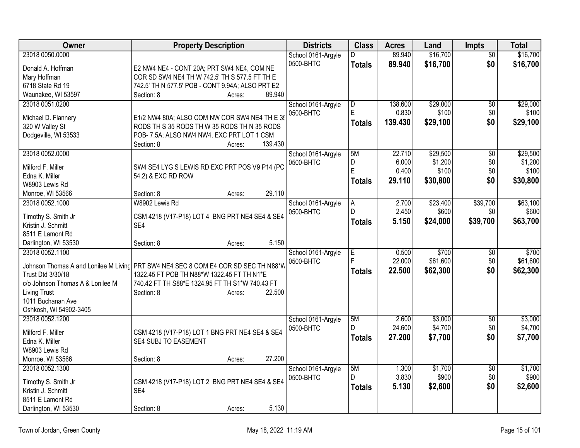| <b>Owner</b>                              | <b>Property Description</b>                                                        | <b>Districts</b>                | <b>Class</b>      | <b>Acres</b> | Land     | <b>Impts</b>    | <b>Total</b> |
|-------------------------------------------|------------------------------------------------------------------------------------|---------------------------------|-------------------|--------------|----------|-----------------|--------------|
| 23018 0050.0000                           |                                                                                    | School 0161-Argyle              | D                 | 89.940       | \$16,700 | $\overline{50}$ | \$16,700     |
| Donald A. Hoffman                         | E2 NW4 NE4 - CONT 20A; PRT SW4 NE4, COM NE                                         | 0500-BHTC                       | <b>Totals</b>     | 89.940       | \$16,700 | \$0             | \$16,700     |
| Mary Hoffman                              | COR SD SW4 NE4 TH W 742.5' TH S 577.5 FT TH E                                      |                                 |                   |              |          |                 |              |
| 6718 State Rd 19                          | 742.5' TH N 577.5' POB - CONT 9.94A; ALSO PRT E2                                   |                                 |                   |              |          |                 |              |
| Waunakee, WI 53597                        | 89.940<br>Section: 8<br>Acres:                                                     |                                 |                   |              |          |                 |              |
| 23018 0051.0200                           |                                                                                    | School 0161-Argyle              | D                 | 138.600      | \$29,000 | $\overline{50}$ | \$29,000     |
| Michael D. Flannery                       | E1/2 NW4 80A; ALSO COM NW COR SW4 NE4 TH E 35                                      | 0500-BHTC                       | E                 | 0.830        | \$100    | \$0             | \$100        |
| 320 W Valley St                           | RODS TH S 35 RODS TH W 35 RODS TH N 35 RODS                                        |                                 | Totals            | 139.430      | \$29,100 | \$0             | \$29,100     |
| Dodgeville, WI 53533                      | POB- 7.5A; ALSO NW4 NW4, EXC PRT LOT 1 CSM                                         |                                 |                   |              |          |                 |              |
|                                           | 139.430<br>Section: 8<br>Acres:                                                    |                                 |                   |              |          |                 |              |
| 23018 0052.0000                           |                                                                                    | School 0161-Argyle              | 5M                | 22.710       | \$29,500 | $\overline{50}$ | \$29,500     |
|                                           |                                                                                    | 0500-BHTC                       | D                 | 6.000        | \$1,200  | \$0             | \$1,200      |
| Milford F. Miller                         | SW4 SE4 LYG S LEWIS RD EXC PRT POS V9 P14 (PC                                      |                                 | E                 | 0.400        | \$100    | \$0             | \$100        |
| Edna K. Miller                            | 54.2) & EXC RD ROW                                                                 |                                 | <b>Totals</b>     | 29.110       | \$30,800 | \$0             | \$30,800     |
| W8903 Lewis Rd                            | 29.110                                                                             |                                 |                   |              |          |                 |              |
| Monroe, WI 53566<br>23018 0052.1000       | Section: 8<br>Acres:<br>W8902 Lewis Rd                                             |                                 |                   | 2.700        | \$23,400 | \$39,700        | \$63,100     |
|                                           |                                                                                    | School 0161-Argyle<br>0500-BHTC | A<br>$\mathsf{D}$ | 2.450        | \$600    | \$0             | \$600        |
| Timothy S. Smith Jr                       | CSM 4218 (V17-P18) LOT 4 BNG PRT NE4 SE4 & SE4                                     |                                 |                   | 5.150        |          |                 |              |
| Kristin J. Schmitt                        | SF <sub>4</sub>                                                                    |                                 | <b>Totals</b>     |              | \$24,000 | \$39,700        | \$63,700     |
| 8511 E Lamont Rd                          |                                                                                    |                                 |                   |              |          |                 |              |
| Darlington, WI 53530                      | 5.150<br>Section: 8<br>Acres:                                                      |                                 |                   |              |          |                 |              |
| 23018 0052.1100                           |                                                                                    | School 0161-Argyle              | E                 | 0.500        | \$700    | \$0             | \$700        |
|                                           | Johnson Thomas A and Lonilee M Living PRT SW4 NE4 SEC 8 COM E4 COR SD SEC TH N88*W | 0500-BHTC                       |                   | 22.000       | \$61,600 | \$0             | \$61,600     |
| Trust Dtd 3/30/18                         | 1322.45 FT POB TH N88*W 1322.45 FT TH N1*E                                         |                                 | Totals            | 22.500       | \$62,300 | \$0             | \$62,300     |
| c/o Johnson Thomas A & Lonilee M          | 740.42 FT TH S88*E 1324.95 FT TH S1*W 740.43 FT                                    |                                 |                   |              |          |                 |              |
| <b>Living Trust</b>                       | 22.500<br>Section: 8<br>Acres:                                                     |                                 |                   |              |          |                 |              |
| 1011 Buchanan Ave                         |                                                                                    |                                 |                   |              |          |                 |              |
| Oshkosh, WI 54902-3405                    |                                                                                    |                                 |                   |              |          |                 |              |
| 23018 0052.1200                           |                                                                                    | School 0161-Argyle              | 5M                | 2.600        | \$3,000  | $\sqrt{6}$      | \$3,000      |
| Milford F. Miller                         | CSM 4218 (V17-P18) LOT 1 BNG PRT NE4 SE4 & SE4                                     | 0500-BHTC                       | D.                | 24.600       | \$4,700  | \$0             | \$4,700      |
| Edna K. Miller                            | SE4 SUBJ TO EASEMENT                                                               |                                 | <b>Totals</b>     | 27.200       | \$7,700  | \$0             | \$7,700      |
| W8903 Lewis Rd                            |                                                                                    |                                 |                   |              |          |                 |              |
| Monroe, WI 53566                          | 27.200<br>Section: 8<br>Acres:                                                     |                                 |                   |              |          |                 |              |
| 23018 0052.1300                           |                                                                                    | School 0161-Argyle              | 5M                | 1.300        | \$1,700  | $\overline{50}$ | \$1,700      |
|                                           |                                                                                    | 0500-BHTC                       | D.                | 3.830        | \$900    | \$0             | \$900        |
| Timothy S. Smith Jr<br>Kristin J. Schmitt | CSM 4218 (V17-P18) LOT 2 BNG PRT NE4 SE4 & SE4<br>SE4                              |                                 | <b>Totals</b>     | 5.130        | \$2,600  | \$0             | \$2,600      |
| 8511 E Lamont Rd                          |                                                                                    |                                 |                   |              |          |                 |              |
|                                           |                                                                                    |                                 |                   |              |          |                 |              |
| Darlington, WI 53530                      | 5.130<br>Section: 8<br>Acres:                                                      |                                 |                   |              |          |                 |              |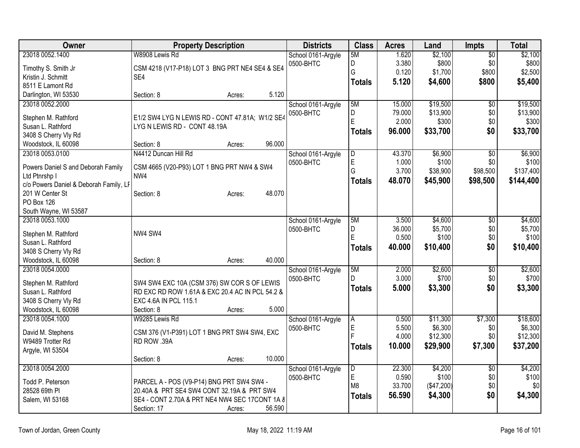| Owner                                  | <b>Property Description</b>                     | <b>Districts</b>                | <b>Class</b>   | <b>Acres</b> | Land       | <b>Impts</b>    | <b>Total</b> |
|----------------------------------------|-------------------------------------------------|---------------------------------|----------------|--------------|------------|-----------------|--------------|
| 23018 0052.1400                        | W8908 Lewis Rd                                  | School 0161-Argyle              | 5M             | 1.620        | \$2,100    | $\overline{50}$ | \$2,100      |
| Timothy S. Smith Jr                    | CSM 4218 (V17-P18) LOT 3 BNG PRT NE4 SE4 & SE4  | 0500-BHTC                       | D              | 3.380        | \$800      | \$0             | \$800        |
| Kristin J. Schmitt                     | SE4                                             |                                 | G              | 0.120        | \$1,700    | \$800           | \$2,500      |
| 8511 E Lamont Rd                       |                                                 |                                 | <b>Totals</b>  | 5.120        | \$4,600    | \$800           | \$5,400      |
| Darlington, WI 53530                   | 5.120<br>Section: 8<br>Acres:                   |                                 |                |              |            |                 |              |
| 23018 0052.2000                        |                                                 | School 0161-Argyle              | 5M             | 15.000       | \$19,500   | \$0             | \$19,500     |
|                                        |                                                 | 0500-BHTC                       | D              | 79.000       | \$13,900   | \$0             | \$13,900     |
| Stephen M. Rathford                    | E1/2 SW4 LYG N LEWIS RD - CONT 47.81A; W1/2 SE4 |                                 | E              | 2.000        | \$300      | \$0             | \$300        |
| Susan L. Rathford                      | LYG N LEWIS RD - CONT 48.19A                    |                                 | <b>Totals</b>  | 96.000       | \$33,700   | \$0             | \$33,700     |
| 3408 S Cherry Vly Rd                   | 96.000<br>Section: 8                            |                                 |                |              |            |                 |              |
| Woodstock, IL 60098<br>23018 0053.0100 | Acres:<br>N4412 Duncan Hill Rd                  |                                 |                | 43.370       | \$6,900    |                 | \$6,900      |
|                                        |                                                 | School 0161-Argyle<br>0500-BHTC | D<br>E         | 1.000        | \$100      | \$0<br>\$0      | \$100        |
| Powers Daniel S and Deborah Family     | CSM 4665 (V20-P93) LOT 1 BNG PRT NW4 & SW4      |                                 | G              | 3.700        | \$38,900   | \$98,500        | \$137,400    |
| Ltd Ptnrshp I                          | NW4                                             |                                 |                | 48.070       | \$45,900   | \$98,500        | \$144,400    |
| c/o Powers Daniel & Deborah Family, LF |                                                 |                                 | <b>Totals</b>  |              |            |                 |              |
| 201 W Center St                        | 48.070<br>Section: 8<br>Acres:                  |                                 |                |              |            |                 |              |
| PO Box 126                             |                                                 |                                 |                |              |            |                 |              |
| South Wayne, WI 53587                  |                                                 |                                 |                |              |            |                 |              |
| 23018 0053.1000                        |                                                 | School 0161-Argyle              | 5M             | 3.500        | \$4,600    | \$0             | \$4,600      |
| Stephen M. Rathford                    | NW4 SW4                                         | 0500-BHTC                       | D              | 36.000       | \$5,700    | \$0             | \$5,700      |
| Susan L. Rathford                      |                                                 |                                 | E              | 0.500        | \$100      | \$0             | \$100        |
| 3408 S Cherry Vly Rd                   |                                                 |                                 | <b>Totals</b>  | 40.000       | \$10,400   | \$0             | \$10,400     |
| Woodstock, IL 60098                    | 40.000<br>Section: 8<br>Acres:                  |                                 |                |              |            |                 |              |
| 23018 0054.0000                        |                                                 | School 0161-Argyle              | 5M             | 2.000        | \$2,600    | $\overline{50}$ | \$2,600      |
|                                        |                                                 | 0500-BHTC                       | D.             | 3.000        | \$700      | \$0             | \$700        |
| Stephen M. Rathford                    | SW4 SW4 EXC 10A (CSM 376) SW COR S OF LEWIS     |                                 | <b>Totals</b>  | 5.000        | \$3,300    | \$0             | \$3,300      |
| Susan L. Rathford                      | RD EXC RD ROW 1.61A & EXC 20.4 AC IN PCL 54.2 & |                                 |                |              |            |                 |              |
| 3408 S Cherry Vly Rd                   | EXC 4.6A IN PCL 115.1                           |                                 |                |              |            |                 |              |
| Woodstock, IL 60098                    | 5.000<br>Section: 8<br>Acres:                   |                                 |                |              |            |                 |              |
| 23018 0054.1000                        | W9285 Lewis Rd                                  | School 0161-Argyle              | A              | 0.500        | \$11,300   | \$7,300         | \$18,600     |
| David M. Stephens                      | CSM 376 (V1-P391) LOT 1 BNG PRT SW4 SW4, EXC    | 0500-BHTC                       | E              | 5.500        | \$6,300    | \$0             | \$6,300      |
| W9489 Trotter Rd                       | RD ROW .39A                                     |                                 |                | 4.000        | \$12,300   | \$0             | \$12,300     |
| Argyle, WI 53504                       |                                                 |                                 | <b>Totals</b>  | 10.000       | \$29,900   | \$7,300         | \$37,200     |
|                                        | 10.000<br>Section: 8<br>Acres:                  |                                 |                |              |            |                 |              |
| 23018 0054.2000                        |                                                 | School 0161-Argyle              | $\overline{D}$ | 22.300       | \$4,200    | $\overline{50}$ | \$4,200      |
|                                        |                                                 | 0500-BHTC                       | $\mathsf E$    | 0.590        | \$100      | \$0             | \$100        |
| Todd P. Peterson                       | PARCEL A - POS (V9-P14) BNG PRT SW4 SW4 -       |                                 | M8             | 33.700       | (\$47,200) | \$0             | \$0          |
| 28528 69th PI                          | 20.40A & PRT SE4 SW4 CONT 32.19A & PRT SW4      |                                 | <b>Totals</b>  | 56.590       | \$4,300    | \$0             | \$4,300      |
| Salem, WI 53168                        | SE4 - CONT 2.70A & PRT NE4 NW4 SEC 17CONT 1A 8  |                                 |                |              |            |                 |              |
|                                        | 56.590<br>Section: 17<br>Acres:                 |                                 |                |              |            |                 |              |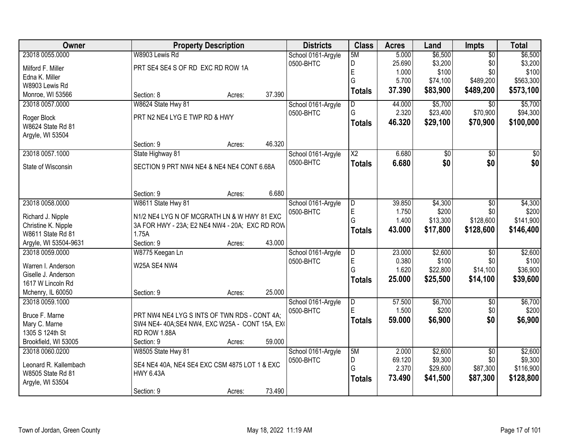| Owner                 | <b>Property Description</b>                    |        |        | <b>Districts</b>   | <b>Class</b>            | <b>Acres</b> | Land     | <b>Impts</b>    | <b>Total</b> |
|-----------------------|------------------------------------------------|--------|--------|--------------------|-------------------------|--------------|----------|-----------------|--------------|
| 23018 0055.0000       | W8903 Lewis Rd                                 |        |        | School 0161-Argyle | 5M                      | 5.000        | \$6,500  | $\overline{50}$ | \$6,500      |
| Milford F. Miller     | PRT SE4 SE4 S OF RD EXC RD ROW 1A              |        |        | 0500-BHTC          | D                       | 25.690       | \$3,200  | \$0             | \$3,200      |
| Edna K. Miller        |                                                |        |        |                    | E                       | 1.000        | \$100    | \$0             | \$100        |
| W8903 Lewis Rd        |                                                |        |        |                    | G                       | 5.700        | \$74,100 | \$489,200       | \$563,300    |
| Monroe, WI 53566      | Section: 8                                     | Acres: | 37.390 |                    | <b>Totals</b>           | 37.390       | \$83,900 | \$489,200       | \$573,100    |
| 23018 0057.0000       | W8624 State Hwy 81                             |        |        | School 0161-Argyle | D                       | 44.000       | \$5,700  | $\overline{50}$ | \$5,700      |
|                       |                                                |        |        | 0500-BHTC          | G                       | 2.320        | \$23,400 | \$70,900        | \$94,300     |
| Roger Block           | PRT N2 NE4 LYG E TWP RD & HWY                  |        |        |                    | <b>Totals</b>           | 46.320       | \$29,100 | \$70,900        | \$100,000    |
| W8624 State Rd 81     |                                                |        |        |                    |                         |              |          |                 |              |
| Argyle, WI 53504      |                                                |        |        |                    |                         |              |          |                 |              |
|                       | Section: 9                                     | Acres: | 46.320 |                    |                         |              |          |                 |              |
| 23018 0057.1000       | State Highway 81                               |        |        | School 0161-Argyle | X2                      | 6.680        | \$0      | \$0             | \$0          |
| State of Wisconsin    | SECTION 9 PRT NW4 NE4 & NE4 NE4 CONT 6.68A     |        |        | 0500-BHTC          | <b>Totals</b>           | 6.680        | \$0      | \$0             | \$0          |
|                       |                                                |        |        |                    |                         |              |          |                 |              |
|                       |                                                |        |        |                    |                         |              |          |                 |              |
|                       | Section: 9                                     | Acres: | 6.680  |                    |                         |              |          |                 |              |
| 23018 0058.0000       | W8611 State Hwy 81                             |        |        | School 0161-Argyle | D                       | 39.850       | \$4,300  | \$0             | \$4,300      |
| Richard J. Nipple     | N1/2 NE4 LYG N OF MCGRATH LN & W HWY 81 EXC    |        |        | 0500-BHTC          | E                       | 1.750        | \$200    | \$0             | \$200        |
| Christine K. Nipple   | 3A FOR HWY - 23A; E2 NE4 NW4 - 20A; EXC RD ROW |        |        |                    | G                       | 1.400        | \$13,300 | \$128,600       | \$141,900    |
| W8611 State Rd 81     | 1.75A                                          |        |        |                    | <b>Totals</b>           | 43.000       | \$17,800 | \$128,600       | \$146,400    |
| Argyle, WI 53504-9631 | Section: 9                                     | Acres: | 43.000 |                    |                         |              |          |                 |              |
| 23018 0059.0000       | W8775 Keegan Ln                                |        |        | School 0161-Argyle | $\overline{\mathsf{D}}$ | 23.000       | \$2,600  | $\overline{50}$ | \$2,600      |
|                       |                                                |        |        | 0500-BHTC          | E                       | 0.380        | \$100    | \$0             | \$100        |
| Warren I. Anderson    | W25A SE4 NW4                                   |        |        |                    | G                       | 1.620        | \$22,800 | \$14,100        | \$36,900     |
| Giselle J. Anderson   |                                                |        |        |                    | <b>Totals</b>           | 25.000       | \$25,500 | \$14,100        | \$39,600     |
| 1617 W Lincoln Rd     |                                                |        |        |                    |                         |              |          |                 |              |
| Mchenry, IL 60050     | Section: 9                                     | Acres: | 25.000 |                    |                         |              |          |                 |              |
| 23018 0059.1000       |                                                |        |        | School 0161-Argyle | $\overline{D}$<br>E     | 57.500       | \$6,700  | $\overline{50}$ | \$6,700      |
| Bruce F. Marne        | PRT NW4 NE4 LYG S INTS OF TWN RDS - CONT 4A;   |        |        | 0500-BHTC          |                         | 1.500        | \$200    | \$0             | \$200        |
| Mary C. Marne         | SW4 NE4-40A; SE4 NW4, EXC W25A - CONT 15A, EXO |        |        |                    | <b>Totals</b>           | 59.000       | \$6,900  | \$0             | \$6,900      |
| 1305 S 124th St       | RD ROW 1.88A                                   |        |        |                    |                         |              |          |                 |              |
| Brookfield, WI 53005  | Section: 9                                     | Acres: | 59.000 |                    |                         |              |          |                 |              |
| 23018 0060.0200       | W8505 State Hwy 81                             |        |        | School 0161-Argyle | 5M                      | 2.000        | \$2,600  | $\overline{50}$ | \$2,600      |
| Leonard R. Kallembach | SE4 NE4 40A, NE4 SE4 EXC CSM 4875 LOT 1 & EXC  |        |        | 0500-BHTC          | D                       | 69.120       | \$9,300  | \$0             | \$9,300      |
| W8505 State Rd 81     | <b>HWY 6.43A</b>                               |        |        |                    | G                       | 2.370        | \$29,600 | \$87,300        | \$116,900    |
| Argyle, WI 53504      |                                                |        |        |                    | <b>Totals</b>           | 73.490       | \$41,500 | \$87,300        | \$128,800    |
|                       | Section: 9                                     | Acres: | 73.490 |                    |                         |              |          |                 |              |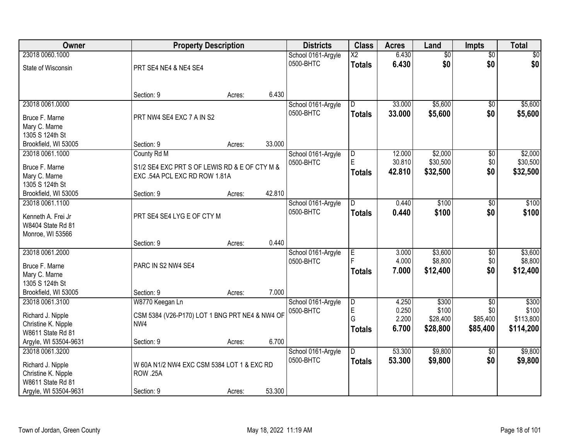| Owner                 |                                                | <b>Property Description</b> |        | <b>Districts</b>   | <b>Class</b>             | <b>Acres</b> | Land            | <b>Impts</b>    | <b>Total</b> |
|-----------------------|------------------------------------------------|-----------------------------|--------|--------------------|--------------------------|--------------|-----------------|-----------------|--------------|
| 23018 0060.1000       |                                                |                             |        | School 0161-Argyle | $\overline{\mathsf{x2}}$ | 6.430        | $\overline{50}$ | $\overline{50}$ | $\sqrt{50}$  |
| State of Wisconsin    | PRT SE4 NE4 & NE4 SE4                          |                             |        | 0500-BHTC          | <b>Totals</b>            | 6.430        | \$0             | \$0             | \$0          |
|                       |                                                |                             |        |                    |                          |              |                 |                 |              |
|                       |                                                |                             |        |                    |                          |              |                 |                 |              |
|                       | Section: 9                                     | Acres:                      | 6.430  |                    |                          |              |                 |                 |              |
| 23018 0061.0000       |                                                |                             |        | School 0161-Argyle | D.                       | 33.000       | \$5,600         | $\overline{50}$ | \$5,600      |
| Bruce F. Marne        | PRT NW4 SE4 EXC 7 A IN S2                      |                             |        | 0500-BHTC          | <b>Totals</b>            | 33.000       | \$5,600         | \$0             | \$5,600      |
| Mary C. Marne         |                                                |                             |        |                    |                          |              |                 |                 |              |
| 1305 S 124th St       |                                                |                             |        |                    |                          |              |                 |                 |              |
| Brookfield, WI 53005  | Section: 9                                     | Acres:                      | 33.000 |                    |                          |              |                 |                 |              |
| 23018 0061.1000       | County Rd M                                    |                             |        | School 0161-Argyle | D                        | 12.000       | \$2,000         | $\overline{50}$ | \$2,000      |
| Bruce F. Marne        | S1/2 SE4 EXC PRT S OF LEWIS RD & E OF CTY M &  |                             |        | 0500-BHTC          | E                        | 30.810       | \$30,500        | \$0             | \$30,500     |
| Mary C. Marne         | EXC .54A PCL EXC RD ROW 1.81A                  |                             |        |                    | <b>Totals</b>            | 42.810       | \$32,500        | \$0             | \$32,500     |
| 1305 S 124th St       |                                                |                             |        |                    |                          |              |                 |                 |              |
| Brookfield, WI 53005  | Section: 9                                     | Acres:                      | 42.810 |                    |                          |              |                 |                 |              |
| 23018 0061.1100       |                                                |                             |        | School 0161-Argyle | D.                       | 0.440        | \$100           | \$0             | \$100        |
|                       |                                                |                             |        | 0500-BHTC          | <b>Totals</b>            | 0.440        | \$100           | \$0             | \$100        |
| Kenneth A. Frei Jr    | PRT SE4 SE4 LYG E OF CTY M                     |                             |        |                    |                          |              |                 |                 |              |
| W8404 State Rd 81     |                                                |                             |        |                    |                          |              |                 |                 |              |
| Monroe, WI 53566      |                                                |                             |        |                    |                          |              |                 |                 |              |
|                       | Section: 9                                     | Acres:                      | 0.440  |                    |                          |              |                 |                 |              |
| 23018 0061.2000       |                                                |                             |        | School 0161-Argyle | E                        | 3.000        | \$3,600         | $\overline{50}$ | \$3,600      |
| Bruce F. Marne        | PARC IN S2 NW4 SE4                             |                             |        | 0500-BHTC          | F                        | 4.000        | \$8,800         | \$0             | \$8,800      |
| Mary C. Marne         |                                                |                             |        |                    | Totals                   | 7.000        | \$12,400        | \$0             | \$12,400     |
| 1305 S 124th St       |                                                |                             |        |                    |                          |              |                 |                 |              |
| Brookfield, WI 53005  | Section: 9                                     | Acres:                      | 7.000  |                    |                          |              |                 |                 |              |
| 23018 0061.3100       | W8770 Keegan Ln                                |                             |        | School 0161-Argyle | $\overline{D}$           | 4.250        | \$300           | $\sqrt{6}$      | \$300        |
|                       |                                                |                             |        | 0500-BHTC          | E                        | 0.250        | \$100           | \$0             | \$100        |
| Richard J. Nipple     | CSM 5384 (V26-P170) LOT 1 BNG PRT NE4 & NW4 OF |                             |        |                    | G                        | 2.200        | \$28,400        | \$85,400        | \$113,800    |
| Christine K. Nipple   | NW4                                            |                             |        |                    | Totals                   | 6.700        | \$28,800        | \$85,400        | \$114,200    |
| W8611 State Rd 81     |                                                |                             | 6.700  |                    |                          |              |                 |                 |              |
| Argyle, WI 53504-9631 | Section: 9                                     | Acres:                      |        |                    |                          |              |                 |                 |              |
| 23018 0061.3200       |                                                |                             |        | School 0161-Argyle | D.                       | 53.300       | \$9,800         | $\overline{30}$ | \$9,800      |
| Richard J. Nipple     | W 60A N1/2 NW4 EXC CSM 5384 LOT 1 & EXC RD     |                             |        | 0500-BHTC          | <b>Totals</b>            | 53.300       | \$9,800         | \$0             | \$9,800      |
| Christine K. Nipple   | <b>ROW .25A</b>                                |                             |        |                    |                          |              |                 |                 |              |
| W8611 State Rd 81     |                                                |                             |        |                    |                          |              |                 |                 |              |
| Argyle, WI 53504-9631 | Section: 9                                     | Acres:                      | 53.300 |                    |                          |              |                 |                 |              |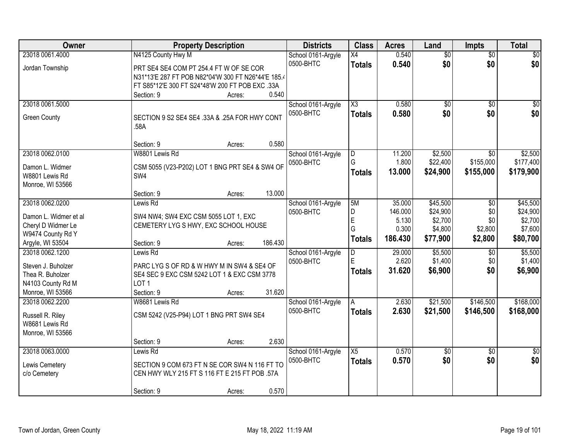| Owner                 |                                                    | <b>Property Description</b> |         | <b>Districts</b>   | <b>Class</b>        | <b>Acres</b>     | Land                | Impts           | <b>Total</b>        |
|-----------------------|----------------------------------------------------|-----------------------------|---------|--------------------|---------------------|------------------|---------------------|-----------------|---------------------|
| 23018 0061.4000       | N4125 County Hwy M                                 |                             |         | School 0161-Argyle | X4                  | 0.540            | $\overline{60}$     | $\overline{50}$ | \$0                 |
| Jordan Township       | PRT SE4 SE4 COM PT 254.4 FT W OF SE COR            |                             |         | 0500-BHTC          | <b>Totals</b>       | 0.540            | \$0                 | \$0             | \$0                 |
|                       | N31*13'E 287 FT POB N82*04'W 300 FT N26*44'E 185.4 |                             |         |                    |                     |                  |                     |                 |                     |
|                       | FT S85*12'E 300 FT S24*48'W 200 FT POB EXC .33A    |                             |         |                    |                     |                  |                     |                 |                     |
|                       | Section: 9                                         | Acres:                      | 0.540   |                    |                     |                  |                     |                 |                     |
| 23018 0061.5000       |                                                    |                             |         | School 0161-Argyle | $\overline{\chi_3}$ | 0.580            | \$0                 | $\overline{50}$ | $\overline{50}$     |
| <b>Green County</b>   | SECTION 9 S2 SE4 SE4 .33A & .25A FOR HWY CONT      |                             |         | 0500-BHTC          | <b>Totals</b>       | 0.580            | \$0                 | \$0             | \$0                 |
|                       | .58A                                               |                             |         |                    |                     |                  |                     |                 |                     |
|                       |                                                    |                             |         |                    |                     |                  |                     |                 |                     |
|                       | Section: 9                                         | Acres:                      | 0.580   |                    |                     |                  |                     |                 |                     |
| 23018 0062.0100       | W8801 Lewis Rd                                     |                             |         | School 0161-Argyle | D                   | 11.200           | \$2,500             | $\overline{30}$ | \$2,500             |
| Damon L. Widmer       | CSM 5055 (V23-P202) LOT 1 BNG PRT SE4 & SW4 OF     |                             |         | 0500-BHTC          | G                   | 1.800            | \$22,400            | \$155,000       | \$177,400           |
| W8801 Lewis Rd        | SW4                                                |                             |         |                    | <b>Totals</b>       | 13.000           | \$24,900            | \$155,000       | \$179,900           |
| Monroe, WI 53566      |                                                    |                             |         |                    |                     |                  |                     |                 |                     |
|                       | Section: 9                                         | Acres:                      | 13.000  |                    |                     |                  |                     |                 |                     |
| 23018 0062.0200       | Lewis Rd                                           |                             |         | School 0161-Argyle | 5M                  | 35.000           | \$45,500            | \$0             | \$45,500            |
| Damon L. Widmer et al | SW4 NW4; SW4 EXC CSM 5055 LOT 1, EXC               |                             |         | 0500-BHTC          | D<br>E              | 146.000<br>5.130 | \$24,900<br>\$2,700 | \$0<br>\$0      | \$24,900<br>\$2,700 |
| Cheryl D Widmer Le    | CEMETERY LYG S HWY, EXC SCHOOL HOUSE               |                             |         |                    | G                   | 0.300            | \$4,800             | \$2,800         | \$7,600             |
| W9474 County Rd Y     |                                                    |                             |         |                    | <b>Totals</b>       | 186.430          | \$77,900            | \$2,800         | \$80,700            |
| Argyle, WI 53504      | Section: 9                                         | Acres:                      | 186.430 |                    |                     |                  |                     |                 |                     |
| 23018 0062.1200       | Lewis Rd                                           |                             |         | School 0161-Argyle | D                   | 29.000           | \$5,500             | \$0             | \$5,500             |
| Steven J. Buholzer    | PARC LYG S OF RD & W HWY M IN SW4 & SE4 OF         |                             |         | 0500-BHTC          | E                   | 2.620            | \$1,400             | \$0             | \$1,400             |
| Thea R. Buholzer      | SE4 SEC 9 EXC CSM 5242 LOT 1 & EXC CSM 3778        |                             |         |                    | <b>Totals</b>       | 31.620           | \$6,900             | \$0             | \$6,900             |
| N4103 County Rd M     | LOT <sub>1</sub>                                   |                             |         |                    |                     |                  |                     |                 |                     |
| Monroe, WI 53566      | Section: 9                                         | Acres:                      | 31.620  |                    |                     |                  |                     |                 |                     |
| 23018 0062.2200       | W8681 Lewis Rd                                     |                             |         | School 0161-Argyle |                     | 2.630            | \$21,500            | \$146,500       | \$168,000           |
| Russell R. Riley      | CSM 5242 (V25-P94) LOT 1 BNG PRT SW4 SE4           |                             |         | 0500-BHTC          | <b>Totals</b>       | 2.630            | \$21,500            | \$146,500       | \$168,000           |
| W8681 Lewis Rd        |                                                    |                             |         |                    |                     |                  |                     |                 |                     |
| Monroe, WI 53566      |                                                    |                             |         |                    |                     |                  |                     |                 |                     |
|                       | Section: 9                                         | Acres:                      | 2.630   |                    |                     |                  |                     |                 |                     |
| 23018 0063.0000       | Lewis Rd                                           |                             |         | School 0161-Argyle | $\overline{X5}$     | 0.570            | \$0                 | $\overline{30}$ | $\overline{50}$     |
| Lewis Cemetery        | SECTION 9 COM 673 FT N SE COR SW4 N 116 FT TO      |                             |         | 0500-BHTC          | <b>Totals</b>       | 0.570            | \$0                 | \$0             | \$0                 |
| c/o Cemetery          | CEN HWY WLY 215 FT S 116 FT E 215 FT POB .57A      |                             |         |                    |                     |                  |                     |                 |                     |
|                       |                                                    |                             |         |                    |                     |                  |                     |                 |                     |
|                       | Section: 9                                         | Acres:                      | 0.570   |                    |                     |                  |                     |                 |                     |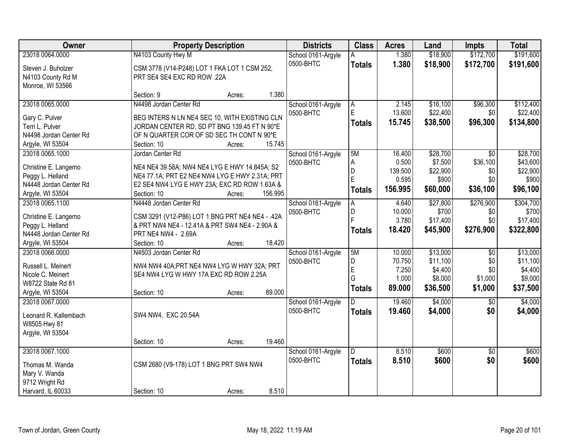| Owner                                    | <b>Property Description</b>                                                                       | <b>Districts</b> | <b>Class</b>       | <b>Acres</b>  | Land    | <b>Impts</b> | <b>Total</b>    |           |
|------------------------------------------|---------------------------------------------------------------------------------------------------|------------------|--------------------|---------------|---------|--------------|-----------------|-----------|
| 23018 0064.0000                          | N4103 County Hwy M                                                                                |                  | School 0161-Argyle | А             | 1.380   | \$18,900     | \$172,700       | \$191,600 |
| Steven J. Buholzer                       | CSM 3778 (V14-P248) LOT 1 FKA LOT 1 CSM 252,                                                      |                  | 0500-BHTC          | <b>Totals</b> | 1.380   | \$18,900     | \$172,700       | \$191,600 |
| N4103 County Rd M                        | PRT SE4 SE4 EXC RD ROW .22A                                                                       |                  |                    |               |         |              |                 |           |
| Monroe, WI 53566                         |                                                                                                   |                  |                    |               |         |              |                 |           |
|                                          | Section: 9<br>Acres:                                                                              | 1.380            |                    |               |         |              |                 |           |
| 23018 0065.0000                          | N4498 Jordan Center Rd                                                                            |                  | School 0161-Argyle | А             | 2.145   | \$16,100     | \$96,300        | \$112,400 |
| Gary C. Pulver                           | BEG INTERS N LN NE4 SEC 10, WITH EXISTING CLN                                                     |                  | 0500-BHTC          | E.            | 13.600  | \$22,400     | \$0             | \$22,400  |
| Terri L. Pulver                          | JORDAN CENTER RD, SD PT BNG 139.45 FT N 90*E                                                      |                  |                    | <b>Totals</b> | 15.745  | \$38,500     | \$96,300        | \$134,800 |
| N4498 Jordan Center Rd                   | OF N QUARTER COR OF SD SEC TH CONT N 90*E                                                         |                  |                    |               |         |              |                 |           |
| Argyle, WI 53504                         | Section: 10<br>Acres:                                                                             | 15.745           |                    |               |         |              |                 |           |
| 23018 0065.1000                          | Jordan Center Rd                                                                                  |                  | School 0161-Argyle | 5M            | 16.400  | \$28,700     | \$0             | \$28,700  |
| Christine E. Langemo                     | NE4 NE4 39.58A; NW4 NE4 LYG E HWY 14.845A; S2                                                     |                  | 0500-BHTC          | A             | 0.500   | \$7,500      | \$36,100        | \$43,600  |
| Peggy L. Helland                         | NE4 77.1A; PRT E2 NE4 NW4 LYG E HWY 2.31A; PRT                                                    |                  |                    | D             | 139.500 | \$22,900     | \$0             | \$22,900  |
| N4448 Jordan Center Rd                   | E2 SE4 NW4 LYG E HWY 23A; EXC RD ROW 1.63A &                                                      |                  |                    | E             | 0.595   | \$900        | \$0             | \$900     |
| Argyle, WI 53504                         | Section: 10<br>Acres:                                                                             | 156.995          |                    | <b>Totals</b> | 156.995 | \$60,000     | \$36,100        | \$96,100  |
| 23018 0065.1100                          | N4448 Jordan Center Rd                                                                            |                  | School 0161-Argyle | A             | 4.640   | \$27,800     | \$276,900       | \$304,700 |
|                                          |                                                                                                   |                  | 0500-BHTC          | D             | 10.000  | \$700        | \$0             | \$700     |
| Christine E. Langemo<br>Peggy L. Helland | CSM 3291 (V12-P86) LOT 1 BNG PRT NE4 NE4 - .42A<br>& PRT NW4 NE4 - 12.41A & PRT SW4 NE4 - 2.90A & |                  |                    | F             | 3.780   | \$17,400     | \$0             | \$17,400  |
| N4448 Jordan Center Rd                   | PRT NE4 NW4 - 2.69A                                                                               |                  |                    | <b>Totals</b> | 18.420  | \$45,900     | \$276,900       | \$322,800 |
| Argyle, WI 53504                         | Section: 10<br>Acres:                                                                             | 18.420           |                    |               |         |              |                 |           |
| 23018 0066.0000                          | N4503 Jordan Center Rd                                                                            |                  | School 0161-Argyle | 5M            | 10.000  | \$13,000     | $\overline{50}$ | \$13,000  |
|                                          |                                                                                                   |                  | 0500-BHTC          | D             | 70.750  | \$11,100     | \$0             | \$11,100  |
| Russell L. Meinert                       | NW4 NW4 40A; PRT NE4 NW4 LYG W HWY 32A; PRT                                                       |                  |                    | E             | 7.250   | \$4,400      | \$0             | \$4,400   |
| Nicole C. Meinert<br>W8722 State Rd 81   | SE4 NW4 LYG W HWY 17A EXC RD ROW 2.25A                                                            |                  |                    | G             | 1.000   | \$8,000      | \$1,000         | \$9,000   |
| Argyle, WI 53504                         | Section: 10<br>Acres:                                                                             | 89.000           |                    | <b>Totals</b> | 89.000  | \$36,500     | \$1,000         | \$37,500  |
| 23018 0067,0000                          |                                                                                                   |                  | School 0161-Argyle | D.            | 19.460  | \$4,000      | \$0             | \$4,000   |
|                                          |                                                                                                   |                  | 0500-BHTC          | <b>Totals</b> | 19.460  | \$4,000      | \$0             | \$4,000   |
| Leonard R. Kallembach                    | SW4 NW4, EXC 20.54A                                                                               |                  |                    |               |         |              |                 |           |
| W8505 Hwy 81                             |                                                                                                   |                  |                    |               |         |              |                 |           |
| Argyle, WI 53504                         | Section: 10                                                                                       | 19.460           |                    |               |         |              |                 |           |
| 23018 0067.1000                          | Acres:                                                                                            |                  | School 0161-Argyle | D.            | 8.510   | \$600        | $\overline{30}$ | \$600     |
|                                          |                                                                                                   |                  | 0500-BHTC          | <b>Totals</b> | 8.510   | \$600        | \$0             | \$600     |
| Thomas M. Wanda                          | CSM 2680 (V9-178) LOT 1 BNG PRT SW4 NW4                                                           |                  |                    |               |         |              |                 |           |
| Mary V. Wanda                            |                                                                                                   |                  |                    |               |         |              |                 |           |
| 9712 Wright Rd                           |                                                                                                   |                  |                    |               |         |              |                 |           |
| Harvard, IL 60033                        | Section: 10<br>Acres:                                                                             | 8.510            |                    |               |         |              |                 |           |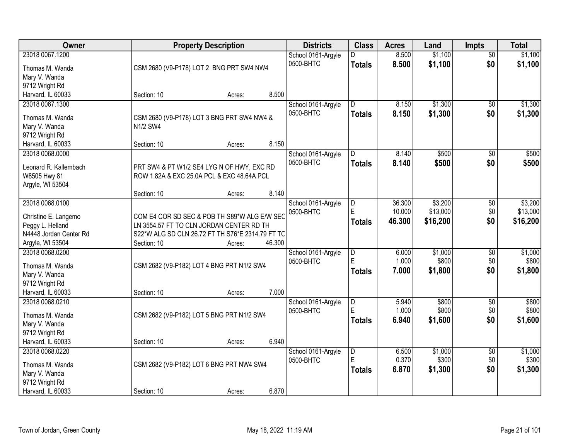| Owner                                                                                                     | <b>Property Description</b>                                                                                                                                 | <b>Districts</b>                | <b>Class</b>                              | <b>Acres</b>                                  | Land                       | <b>Impts</b>                    | <b>Total</b>                  |                                 |
|-----------------------------------------------------------------------------------------------------------|-------------------------------------------------------------------------------------------------------------------------------------------------------------|---------------------------------|-------------------------------------------|-----------------------------------------------|----------------------------|---------------------------------|-------------------------------|---------------------------------|
| 23018 0067.1200<br>Thomas M. Wanda                                                                        | CSM 2680 (V9-P178) LOT 2 BNG PRT SW4 NW4                                                                                                                    | School 0161-Argyle<br>0500-BHTC | <b>Totals</b>                             | 8.500<br>8.500                                | \$1,100<br>\$1,100         | $\overline{50}$<br>\$0          | \$1,100<br>\$1,100            |                                 |
| Mary V. Wanda<br>9712 Wright Rd<br>Harvard, IL 60033                                                      | Section: 10                                                                                                                                                 | Acres:                          | 8.500                                     |                                               |                            |                                 |                               |                                 |
| 23018 0067.1300<br>Thomas M. Wanda<br>Mary V. Wanda<br>9712 Wright Rd                                     | CSM 2680 (V9-P178) LOT 3 BNG PRT SW4 NW4 &<br>N1/2 SW4                                                                                                      |                                 | School 0161-Argyle<br>0500-BHTC           | $\overline{D}$<br><b>Totals</b>               | 8.150<br>8.150             | \$1,300<br>\$1,300              | $\overline{50}$<br>\$0        | \$1,300<br>\$1,300              |
| Harvard, IL 60033<br>23018 0068.0000                                                                      | Section: 10                                                                                                                                                 | Acres:                          | 8.150<br>School 0161-Argyle               | D                                             | 8.140                      | \$500                           | $\overline{50}$               | \$500                           |
| Leonard R. Kallembach<br>W8505 Hwy 81<br>Argyle, WI 53504                                                 | PRT SW4 & PT W1/2 SE4 LYG N OF HWY, EXC RD<br>ROW 1.82A & EXC 25.0A PCL & EXC 48.64A PCL                                                                    |                                 | 0500-BHTC                                 | <b>Totals</b>                                 | 8.140                      | \$500                           | \$0                           | \$500                           |
|                                                                                                           | Section: 10                                                                                                                                                 | Acres:                          | 8.140                                     |                                               |                            |                                 |                               |                                 |
| 23018 0068.0100<br>Christine E. Langemo<br>Peggy L. Helland<br>N4448 Jordan Center Rd<br>Argyle, WI 53504 | COM E4 COR SD SEC & POB TH S89*W ALG E/W SEC<br>LN 3554.57 FT TO CLN JORDAN CENTER RD TH<br>S22*W ALG SD CLN 26.72 FT TH S76*E 2314.79 FT TC<br>Section: 10 | Acres:                          | School 0161-Argyle<br>0500-BHTC<br>46.300 | D<br>F.<br><b>Totals</b>                      | 36.300<br>10.000<br>46,300 | \$3,200<br>\$13,000<br>\$16,200 | \$0<br>\$0<br>\$0             | \$3,200<br>\$13,000<br>\$16,200 |
| 23018 0068.0200<br>Thomas M. Wanda<br>Mary V. Wanda<br>9712 Wright Rd<br>Harvard, IL 60033                | CSM 2682 (V9-P182) LOT 4 BNG PRT N1/2 SW4<br>Section: 10                                                                                                    | Acres:                          | School 0161-Argyle<br>0500-BHTC<br>7.000  | $\overline{\mathsf{D}}$<br>E<br><b>Totals</b> | 6.000<br>1.000<br>7.000    | \$1,000<br>\$800<br>\$1,800     | $\overline{50}$<br>\$0<br>\$0 | \$1,000<br>\$800<br>\$1,800     |
| 23018 0068.0210<br>Thomas M. Wanda<br>Mary V. Wanda<br>9712 Wright Rd                                     | CSM 2682 (V9-P182) LOT 5 BNG PRT N1/2 SW4                                                                                                                   |                                 | School 0161-Argyle<br>0500-BHTC           | $\overline{\mathsf{D}}$<br>E<br><b>Totals</b> | 5.940<br>1.000<br>6.940    | \$800<br>\$800<br>\$1,600       | $\overline{50}$<br>\$0<br>\$0 | \$800<br>\$800<br>\$1,600       |
| Harvard, IL 60033                                                                                         | Section: 10                                                                                                                                                 | Acres:                          | 6.940                                     |                                               |                            |                                 |                               |                                 |
| 23018 0068.0220<br>Thomas M. Wanda<br>Mary V. Wanda<br>9712 Wright Rd                                     | CSM 2682 (V9-P182) LOT 6 BNG PRT NW4 SW4                                                                                                                    |                                 | School 0161-Argyle<br>0500-BHTC           | $\overline{\mathsf{D}}$<br>F<br><b>Totals</b> | 6.500<br>0.370<br>6.870    | \$1,000<br>\$300<br>\$1,300     | $\overline{50}$<br>\$0<br>\$0 | \$1,000<br>\$300<br>\$1,300     |
| Harvard, IL 60033                                                                                         | Section: 10                                                                                                                                                 | Acres:                          | 6.870                                     |                                               |                            |                                 |                               |                                 |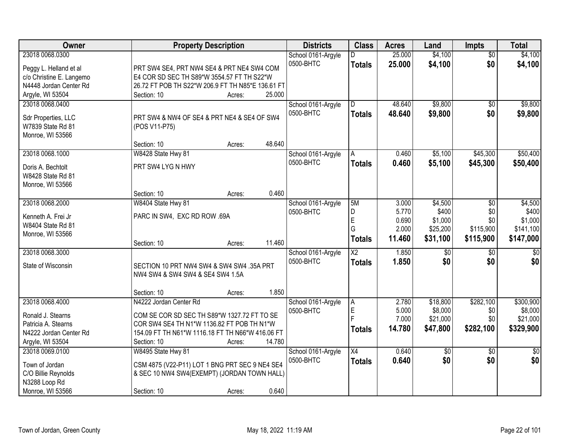| Owner                    | <b>Property Description</b>                       | <b>Districts</b>   | <b>Class</b>           | <b>Acres</b> | Land            | <b>Impts</b>    | <b>Total</b>    |
|--------------------------|---------------------------------------------------|--------------------|------------------------|--------------|-----------------|-----------------|-----------------|
| 23018 0068.0300          |                                                   | School 0161-Argyle | D.                     | 25.000       | \$4,100         | $\overline{50}$ | \$4,100         |
| Peggy L. Helland et al   | PRT SW4 SE4, PRT NW4 SE4 & PRT NE4 SW4 COM        | 0500-BHTC          | <b>Totals</b>          | 25.000       | \$4,100         | \$0             | \$4,100         |
| c/o Christine E. Langemo | E4 COR SD SEC TH S89*W 3554.57 FT TH S22*W        |                    |                        |              |                 |                 |                 |
| N4448 Jordan Center Rd   | 26.72 FT POB TH S22*W 206.9 FT TH N85*E 136.61 FT |                    |                        |              |                 |                 |                 |
| Argyle, WI 53504         | 25.000<br>Section: 10<br>Acres:                   |                    |                        |              |                 |                 |                 |
| 23018 0068,0400          |                                                   | School 0161-Argyle | D.                     | 48.640       | \$9,800         | $\overline{50}$ | \$9,800         |
|                          |                                                   | 0500-BHTC          | <b>Totals</b>          | 48.640       | \$9,800         | \$0             | \$9,800         |
| Sdr Properties, LLC      | PRT SW4 & NW4 OF SE4 & PRT NE4 & SE4 OF SW4       |                    |                        |              |                 |                 |                 |
| W7839 State Rd 81        | (POS V11-P75)                                     |                    |                        |              |                 |                 |                 |
| Monroe, WI 53566         |                                                   |                    |                        |              |                 |                 |                 |
|                          | 48.640<br>Section: 10<br>Acres:                   |                    |                        |              |                 |                 |                 |
| 23018 0068.1000          | W8428 State Hwy 81                                | School 0161-Argyle | A                      | 0.460        | \$5,100         | \$45,300        | \$50,400        |
| Doris A. Bechtolt        | PRT SW4 LYG N HWY                                 | 0500-BHTC          | <b>Totals</b>          | 0.460        | \$5,100         | \$45,300        | \$50,400        |
| W8428 State Rd 81        |                                                   |                    |                        |              |                 |                 |                 |
| Monroe, WI 53566         |                                                   |                    |                        |              |                 |                 |                 |
|                          | 0.460<br>Section: 10<br>Acres:                    |                    |                        |              |                 |                 |                 |
| 23018 0068.2000          | W8404 State Hwy 81                                | School 0161-Argyle | 5M                     | 3.000        | \$4,500         | $\overline{50}$ | \$4,500         |
|                          |                                                   | 0500-BHTC          | D                      | 5.770        | \$400           | \$0             | \$400           |
| Kenneth A. Frei Jr       | PARC IN SW4, EXC RD ROW .69A                      |                    | E                      | 0.690        | \$1,000         | \$0             | \$1,000         |
| W8404 State Rd 81        |                                                   |                    | G                      | 2.000        | \$25,200        | \$115,900       | \$141,100       |
| Monroe, WI 53566         |                                                   |                    | <b>Totals</b>          | 11.460       | \$31,100        | \$115,900       | \$147,000       |
|                          | 11.460<br>Section: 10<br>Acres:                   |                    |                        |              |                 |                 |                 |
| 23018 0068.3000          |                                                   | School 0161-Argyle | $\overline{\text{X2}}$ | 1.850        | \$0             | $\overline{30}$ | $\overline{30}$ |
| State of Wisconsin       | SECTION 10 PRT NW4 SW4 & SW4 SW4 .35A PRT         | 0500-BHTC          | <b>Totals</b>          | 1.850        | \$0             | \$0             | \$0             |
|                          | NW4 SW4 & SW4 SW4 & SE4 SW4 1.5A                  |                    |                        |              |                 |                 |                 |
|                          |                                                   |                    |                        |              |                 |                 |                 |
|                          | 1.850<br>Section: 10<br>Acres:                    |                    |                        |              |                 |                 |                 |
| 23018 0068,4000          | N4222 Jordan Center Rd                            | School 0161-Argyle | Α                      | 2.780        | \$18,800        | \$282,100       | \$300,900       |
| Ronald J. Stearns        | COM SE COR SD SEC TH S89*W 1327.72 FT TO SE       | 0500-BHTC          | $\mathsf E$            | 5.000        | \$8,000         | \$0             | \$8,000         |
| Patricia A. Stearns      | COR SW4 SE4 TH N1*W 1136.82 FT POB TH N1*W        |                    | E                      | 7.000        | \$21,000        | \$0             | \$21,000        |
| N4222 Jordan Center Rd   | 154.09 FT TH N61*W 1116.18 FT TH N66*W 416.06 FT  |                    | Totals                 | 14.780       | \$47,800        | \$282,100       | \$329,900       |
| Argyle, WI 53504         | Section: 10<br>14.780<br>Acres:                   |                    |                        |              |                 |                 |                 |
| 23018 0069.0100          | W8495 State Hwy 81                                | School 0161-Argyle | $\overline{X4}$        | 0.640        | $\overline{50}$ | $\overline{30}$ | $\overline{50}$ |
|                          |                                                   | 0500-BHTC          | <b>Totals</b>          | 0.640        | \$0             | \$0             | \$0             |
| Town of Jordan           | CSM 4875 (V22-P11) LOT 1 BNG PRT SEC 9 NE4 SE4    |                    |                        |              |                 |                 |                 |
| C/O Billie Reynolds      | & SEC 10 NW4 SW4(EXEMPT) (JORDAN TOWN HALL)       |                    |                        |              |                 |                 |                 |
| N3288 Loop Rd            |                                                   |                    |                        |              |                 |                 |                 |
| Monroe, WI 53566         | 0.640<br>Section: 10<br>Acres:                    |                    |                        |              |                 |                 |                 |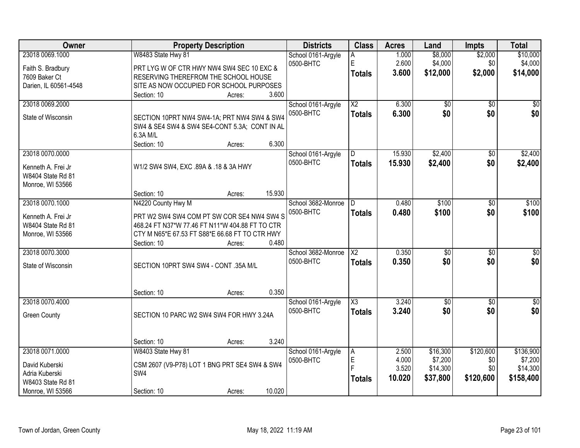| <b>Owner</b>          |                                                 | <b>Property Description</b> |        |                    | <b>Class</b>    | <b>Acres</b> | Land            | <b>Impts</b>    | <b>Total</b>     |
|-----------------------|-------------------------------------------------|-----------------------------|--------|--------------------|-----------------|--------------|-----------------|-----------------|------------------|
| 23018 0069.1000       | W8483 State Hwy 81                              |                             |        | School 0161-Argyle |                 | 1.000        | \$8,000         | \$2,000         | \$10,000         |
| Faith S. Bradbury     | PRT LYG W OF CTR HWY NW4 SW4 SEC 10 EXC &       |                             |        | 0500-BHTC          | E               | 2.600        | \$4,000         | \$0             | \$4,000          |
| 7609 Baker Ct         | RESERVING THEREFROM THE SCHOOL HOUSE            |                             |        |                    | <b>Totals</b>   | 3.600        | \$12,000        | \$2,000         | \$14,000         |
| Darien, IL 60561-4548 | SITE AS NOW OCCUPIED FOR SCHOOL PURPOSES        |                             |        |                    |                 |              |                 |                 |                  |
|                       | Section: 10                                     | Acres:                      | 3.600  |                    |                 |              |                 |                 |                  |
| 23018 0069.2000       |                                                 |                             |        | School 0161-Argyle | $\overline{X2}$ | 6.300        | $\overline{60}$ | \$0             | \$0              |
|                       |                                                 |                             |        | 0500-BHTC          | <b>Totals</b>   | 6.300        | \$0             | \$0             | \$0              |
| State of Wisconsin    | SECTION 10PRT NW4 SW4-1A; PRT NW4 SW4 & SW4     |                             |        |                    |                 |              |                 |                 |                  |
|                       | SW4 & SE4 SW4 & SW4 SE4-CONT 5.3A; CONT IN AL   |                             |        |                    |                 |              |                 |                 |                  |
|                       | 6.3A M/L                                        |                             | 6.300  |                    |                 |              |                 |                 |                  |
|                       | Section: 10                                     | Acres:                      |        |                    |                 |              |                 |                 |                  |
| 23018 0070.0000       |                                                 |                             |        | School 0161-Argyle | D               | 15.930       | \$2,400         | $\overline{50}$ | \$2,400          |
| Kenneth A. Frei Jr    | W1/2 SW4 SW4, EXC .89A & .18 & 3A HWY           |                             |        | 0500-BHTC          | <b>Totals</b>   | 15.930       | \$2,400         | \$0             | \$2,400          |
| W8404 State Rd 81     |                                                 |                             |        |                    |                 |              |                 |                 |                  |
| Monroe, WI 53566      |                                                 |                             |        |                    |                 |              |                 |                 |                  |
|                       | Section: 10                                     | Acres:                      | 15.930 |                    |                 |              |                 |                 |                  |
| 23018 0070.1000       | N4220 County Hwy M                              |                             |        | School 3682-Monroe | D               | 0.480        | \$100           | \$0             | \$100            |
| Kenneth A. Frei Jr    | PRT W2 SW4 SW4 COM PT SW COR SE4 NW4 SW4 S      |                             |        | 0500-BHTC          | <b>Totals</b>   | 0.480        | \$100           | \$0             | \$100            |
| W8404 State Rd 81     | 468.24 FT N37*W 77.46 FT N11*W 404.88 FT TO CTR |                             |        |                    |                 |              |                 |                 |                  |
| Monroe, WI 53566      | CTY M N65*E 67.53 FT S88*E 66.68 FT TO CTR HWY  |                             |        |                    |                 |              |                 |                 |                  |
|                       | Section: 10                                     | Acres:                      | 0.480  |                    |                 |              |                 |                 |                  |
| 23018 0070.3000       |                                                 |                             |        | School 3682-Monroe | $\overline{X2}$ | 0.350        | $\overline{50}$ | $\overline{50}$ | $\overline{\$0}$ |
|                       |                                                 |                             |        | 0500-BHTC          |                 | 0.350        | \$0             | \$0             | \$0              |
| State of Wisconsin    | SECTION 10PRT SW4 SW4 - CONT .35A M/L           |                             |        |                    | <b>Totals</b>   |              |                 |                 |                  |
|                       |                                                 |                             |        |                    |                 |              |                 |                 |                  |
|                       |                                                 |                             |        |                    |                 |              |                 |                 |                  |
|                       | Section: 10                                     | Acres:                      | 0.350  |                    |                 |              |                 |                 |                  |
| 23018 0070.4000       |                                                 |                             |        | School 0161-Argyle | X3              | 3.240        | $\sqrt{$0}$     | $\sqrt{6}$      | $\frac{6}{3}$    |
| <b>Green County</b>   | SECTION 10 PARC W2 SW4 SW4 FOR HWY 3.24A        |                             |        | 0500-BHTC          | <b>Totals</b>   | 3.240        | \$0             | \$0             | \$0              |
|                       |                                                 |                             |        |                    |                 |              |                 |                 |                  |
|                       |                                                 |                             |        |                    |                 |              |                 |                 |                  |
|                       | Section: 10                                     | Acres:                      | 3.240  |                    |                 |              |                 |                 |                  |
| 23018 0071.0000       | W8403 State Hwy 81                              |                             |        | School 0161-Argyle | A               | 2.500        | \$16,300        | \$120,600       | \$136,900        |
| David Kuberski        | CSM 2607 (V9-P78) LOT 1 BNG PRT SE4 SW4 & SW4   |                             |        | 0500-BHTC          | E               | 4.000        | \$7,200         | \$0             | \$7,200          |
| Adria Kuberski        | SW <sub>4</sub>                                 |                             |        |                    |                 | 3.520        | \$14,300        | \$0             | \$14,300         |
| W8403 State Rd 81     |                                                 |                             |        |                    | <b>Totals</b>   | 10.020       | \$37,800        | \$120,600       | \$158,400        |
| Monroe, WI 53566      | Section: 10                                     | Acres:                      | 10.020 |                    |                 |              |                 |                 |                  |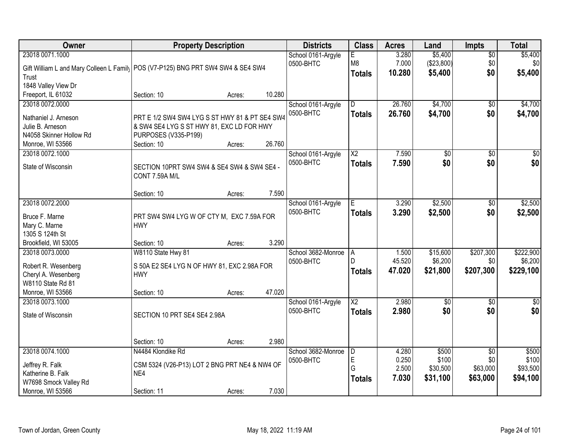| Owner                                                                              | <b>Property Description</b>                    |        |        | <b>Districts</b>   | <b>Class</b>           | <b>Acres</b> | Land       | <b>Impts</b>    | <b>Total</b> |
|------------------------------------------------------------------------------------|------------------------------------------------|--------|--------|--------------------|------------------------|--------------|------------|-----------------|--------------|
| 23018 0071.1000                                                                    |                                                |        |        | School 0161-Argyle | E.                     | 3.280        | \$5,400    | $\overline{50}$ | \$5,400      |
| Gift William L and Mary Colleen L Family   POS (V7-P125) BNG PRT SW4 SW4 & SE4 SW4 |                                                |        |        | 0500-BHTC          | M <sub>8</sub>         | 7.000        | (\$23,800) | \$0             | \$0          |
| Trust                                                                              |                                                |        |        |                    | <b>Totals</b>          | 10.280       | \$5,400    | \$0             | \$5,400      |
| 1848 Valley View Dr                                                                |                                                |        |        |                    |                        |              |            |                 |              |
| Freeport, IL 61032                                                                 | Section: 10                                    | Acres: | 10.280 |                    |                        |              |            |                 |              |
| 23018 0072.0000                                                                    |                                                |        |        | School 0161-Argyle | D.                     | 26.760       | \$4,700    | \$0             | \$4,700      |
| Nathaniel J. Arneson                                                               | PRT E 1/2 SW4 SW4 LYG S ST HWY 81 & PT SE4 SW4 |        |        | 0500-BHTC          | <b>Totals</b>          | 26.760       | \$4,700    | \$0             | \$4,700      |
| Julie B. Arneson                                                                   | & SW4 SE4 LYG S ST HWY 81, EXC LD FOR HWY      |        |        |                    |                        |              |            |                 |              |
| N4058 Skinner Hollow Rd                                                            | PURPOSES (V335-P199)                           |        |        |                    |                        |              |            |                 |              |
| Monroe, WI 53566                                                                   | Section: 10                                    | Acres: | 26.760 |                    |                        |              |            |                 |              |
| 23018 0072.1000                                                                    |                                                |        |        | School 0161-Argyle | $\overline{\text{X2}}$ | 7.590        | \$0        | $\overline{50}$ | $\sqrt{50}$  |
| State of Wisconsin                                                                 | SECTION 10PRT SW4 SW4 & SE4 SW4 & SW4 SE4 -    |        |        | 0500-BHTC          | <b>Totals</b>          | 7.590        | \$0        | \$0             | \$0          |
|                                                                                    | CONT 7.59A M/L                                 |        |        |                    |                        |              |            |                 |              |
|                                                                                    |                                                |        |        |                    |                        |              |            |                 |              |
|                                                                                    | Section: 10                                    | Acres: | 7.590  |                    |                        |              |            |                 |              |
| 23018 0072.2000                                                                    |                                                |        |        | School 0161-Argyle | F.                     | 3.290        | \$2,500    | \$0             | \$2,500      |
| Bruce F. Marne                                                                     | PRT SW4 SW4 LYG W OF CTY M, EXC 7.59A FOR      |        |        | 0500-BHTC          | <b>Totals</b>          | 3.290        | \$2,500    | \$0             | \$2,500      |
| Mary C. Marne                                                                      | <b>HWY</b>                                     |        |        |                    |                        |              |            |                 |              |
| 1305 S 124th St                                                                    |                                                |        |        |                    |                        |              |            |                 |              |
| Brookfield, WI 53005                                                               | Section: 10                                    | Acres: | 3.290  |                    |                        |              |            |                 |              |
| 23018 0073.0000                                                                    | W8110 State Hwy 81                             |        |        | School 3682-Monroe | A                      | 1.500        | \$15,600   | \$207,300       | \$222,900    |
| Robert R. Wesenberg                                                                | S 50A E2 SE4 LYG N OF HWY 81, EXC 2.98A FOR    |        |        | 0500-BHTC          | D.                     | 45.520       | \$6,200    | \$0             | \$6,200      |
| Cheryl A. Wesenberg                                                                | <b>HWY</b>                                     |        |        |                    | <b>Totals</b>          | 47.020       | \$21,800   | \$207,300       | \$229,100    |
| W8110 State Rd 81                                                                  |                                                |        |        |                    |                        |              |            |                 |              |
| Monroe, WI 53566                                                                   | Section: 10                                    | Acres: | 47.020 |                    |                        |              |            |                 |              |
| 23018 0073.1000                                                                    |                                                |        |        | School 0161-Argyle | $\overline{\text{X2}}$ | 2.980        | \$0        | $\overline{50}$ | \$0          |
| State of Wisconsin                                                                 | SECTION 10 PRT SE4 SE4 2.98A                   |        |        | 0500-BHTC          | <b>Totals</b>          | 2.980        | \$0        | \$0             | \$0          |
|                                                                                    |                                                |        |        |                    |                        |              |            |                 |              |
|                                                                                    |                                                |        |        |                    |                        |              |            |                 |              |
|                                                                                    | Section: 10                                    | Acres: | 2.980  |                    |                        |              |            |                 |              |
| 23018 0074.1000                                                                    | N4484 Klondike Rd                              |        |        | School 3682-Monroe | D                      | 4.280        | \$500      | $\overline{50}$ | \$500        |
| Jeffrey R. Falk                                                                    | CSM 5324 (V26-P13) LOT 2 BNG PRT NE4 & NW4 OF  |        |        | 0500-BHTC          | E                      | 0.250        | \$100      | \$0             | \$100        |
| Katherine B. Falk                                                                  | NE4                                            |        |        |                    | G                      | 2.500        | \$30,500   | \$63,000        | \$93,500     |
| W7698 Smock Valley Rd                                                              |                                                |        |        |                    | <b>Totals</b>          | 7.030        | \$31,100   | \$63,000        | \$94,100     |
| Monroe, WI 53566                                                                   | Section: 11                                    | Acres: | 7.030  |                    |                        |              |            |                 |              |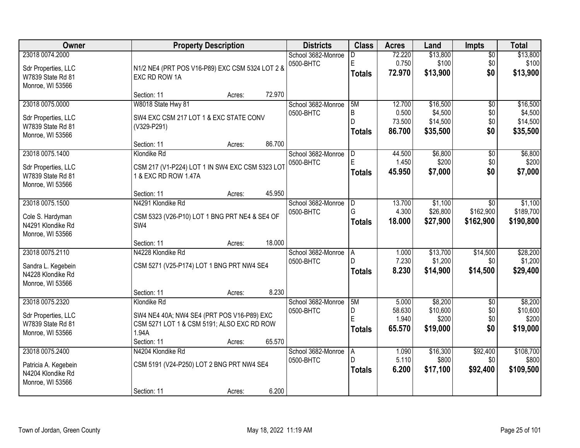| Owner                                                                            | <b>Property Description</b>                                                                                                                         | <b>Districts</b>                | <b>Class</b>                        | <b>Acres</b>                        | Land                                        | <b>Impts</b>                              | <b>Total</b>                                |
|----------------------------------------------------------------------------------|-----------------------------------------------------------------------------------------------------------------------------------------------------|---------------------------------|-------------------------------------|-------------------------------------|---------------------------------------------|-------------------------------------------|---------------------------------------------|
| 23018 0074.2000<br>Sdr Properties, LLC<br>W7839 State Rd 81<br>Monroe, WI 53566  | N1/2 NE4 (PRT POS V16-P89) EXC CSM 5324 LOT 2 &<br>EXC RD ROW 1A                                                                                    | School 3682-Monroe<br>0500-BHTC | E<br><b>Totals</b>                  | 72.220<br>0.750<br>72.970           | \$13,800<br>\$100<br>\$13,900               | $\overline{50}$<br>\$0<br>\$0             | \$13,800<br>\$100<br>\$13,900               |
|                                                                                  | 72.970<br>Section: 11<br>Acres:                                                                                                                     |                                 |                                     |                                     |                                             |                                           |                                             |
| 23018 0075.0000<br>Sdr Properties, LLC<br>W7839 State Rd 81<br>Monroe, WI 53566  | W8018 State Hwy 81<br>SW4 EXC CSM 217 LOT 1 & EXC STATE CONV<br>(V329-P291)<br>86.700<br>Section: 11<br>Acres:                                      | School 3682-Monroe<br>0500-BHTC | 5M<br>$\sf B$<br>D<br><b>Totals</b> | 12.700<br>0.500<br>73.500<br>86.700 | \$16,500<br>\$4,500<br>\$14,500<br>\$35,500 | $\overline{50}$<br>\$0<br>\$0<br>\$0      | \$16,500<br>\$4,500<br>\$14,500<br>\$35,500 |
| 23018 0075.1400<br>Sdr Properties, LLC<br>W7839 State Rd 81<br>Monroe, WI 53566  | Klondike Rd<br>CSM 217 (V1-P224) LOT 1 IN SW4 EXC CSM 5323 LOT<br>1 & EXC RD ROW 1.47A<br>45.950<br>Section: 11<br>Acres:                           | School 3682-Monroe<br>0500-BHTC | D<br><b>Totals</b>                  | 44.500<br>1.450<br>45.950           | \$6,800<br>\$200<br>\$7,000                 | \$0<br>\$0<br>\$0                         | \$6,800<br>\$200<br>\$7,000                 |
| 23018 0075.1500<br>Cole S. Hardyman<br>N4291 Klondike Rd<br>Monroe, WI 53566     | N4291 Klondike Rd<br>CSM 5323 (V26-P10) LOT 1 BNG PRT NE4 & SE4 OF<br>SW4                                                                           | School 3682-Monroe<br>0500-BHTC | D<br>G<br>Totals                    | 13.700<br>4.300<br>18.000           | \$1,100<br>\$26,800<br>\$27,900             | $\overline{30}$<br>\$162,900<br>\$162,900 | \$1,100<br>\$189,700<br>\$190,800           |
| 23018 0075.2110<br>Sandra L. Kegebein<br>N4228 Klondike Rd<br>Monroe, WI 53566   | 18.000<br>Section: 11<br>Acres:<br>N4228 Klondike Rd<br>CSM 5271 (V25-P174) LOT 1 BNG PRT NW4 SE4<br>8.230<br>Section: 11<br>Acres:                 | School 3682-Monroe<br>0500-BHTC | A<br>D.<br>Totals                   | 1.000<br>7.230<br>8.230             | \$13,700<br>\$1,200<br>\$14,900             | \$14,500<br>\$0<br>\$14,500               | \$28,200<br>\$1,200<br>\$29,400             |
| 23018 0075.2320<br>Sdr Properties, LLC<br>W7839 State Rd 81<br>Monroe, WI 53566  | Klondike Rd<br>SW4 NE4 40A; NW4 SE4 (PRT POS V16-P89) EXC<br>CSM 5271 LOT 1 & CSM 5191; ALSO EXC RD ROW<br>1.94A<br>65.570<br>Section: 11<br>Acres: | School 3682-Monroe<br>0500-BHTC | 5M<br>D<br>E<br><b>Totals</b>       | 5.000<br>58.630<br>1.940<br>65.570  | \$8,200<br>\$10,600<br>\$200<br>\$19,000    | \$0<br>\$0<br>\$0<br>\$0                  | \$8,200<br>\$10,600<br>\$200<br>\$19,000    |
| 23018 0075.2400<br>Patricia A. Kegebein<br>N4204 Klondike Rd<br>Monroe, WI 53566 | N4204 Klondike Rd<br>CSM 5191 (V24-P250) LOT 2 BNG PRT NW4 SE4<br>6.200<br>Section: 11<br>Acres:                                                    | School 3682-Monroe<br>0500-BHTC | A<br>D<br><b>Totals</b>             | 1.090<br>5.110<br>6.200             | \$16,300<br>\$800<br>\$17,100               | \$92,400<br>\$0<br>\$92,400               | \$108,700<br>\$800<br>\$109,500             |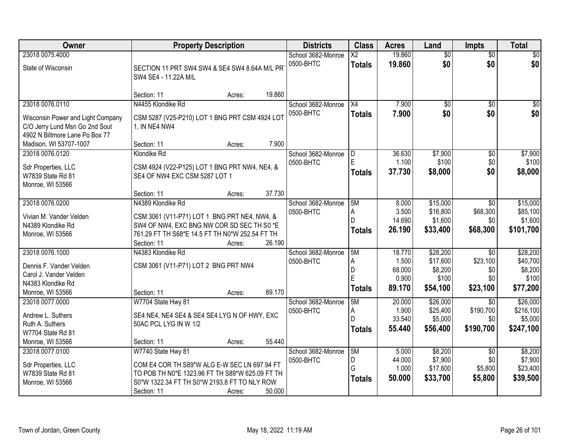| Owner                                                                                                                    | <b>Property Description</b>                                                                                                                                                                              | <b>Districts</b>                | <b>Class</b>                             | <b>Acres</b>                                 | Land                                                 | Impts                                                 | <b>Total</b>                                         |
|--------------------------------------------------------------------------------------------------------------------------|----------------------------------------------------------------------------------------------------------------------------------------------------------------------------------------------------------|---------------------------------|------------------------------------------|----------------------------------------------|------------------------------------------------------|-------------------------------------------------------|------------------------------------------------------|
| 23018 0075.4000<br>State of Wisconsin                                                                                    | SECTION 11 PRT SW4 SW4 & SE4 SW4 8.64A M/L PR<br>SW4 SE4 - 11.22A M/L                                                                                                                                    | School 3682-Monroe<br>0500-BHTC | $\overline{\text{X2}}$<br><b>Totals</b>  | 19.860<br>19.860                             | $\overline{50}$<br>\$0                               | $\overline{50}$<br>\$0                                | \$0<br>\$0                                           |
|                                                                                                                          | 19.860<br>Section: 11<br>Acres:                                                                                                                                                                          |                                 |                                          |                                              |                                                      |                                                       |                                                      |
| 23018 0076.0110<br>Wisconsin Power and Light Company<br>C/O Jerry Lund Msn Go 2nd Sout<br>4902 N Biltmore Lane Po Box 77 | N4455 Klondike Rd<br>CSM 5287 (V25-P210) LOT 1 BNG PRT CSM 4924 LOT<br>1, IN NE4 NW4                                                                                                                     | School 3682-Monroe<br>0500-BHTC | X4<br><b>Totals</b>                      | 7.900<br>7.900                               | \$0<br>\$0                                           | \$0<br>\$0                                            | \$0<br>\$0                                           |
| Madison, WI 53707-1007                                                                                                   | 7.900<br>Section: 11<br>Acres:                                                                                                                                                                           |                                 |                                          |                                              |                                                      |                                                       |                                                      |
| 23018 0076.0120<br>Sdr Properties, LLC<br>W7839 State Rd 81<br>Monroe, WI 53566                                          | Klondike Rd<br>CSM 4924 (V22-P125) LOT 1 BNG PRT NW4, NE4, &<br>SE4 OF NW4 EXC CSM 5287 LOT 1                                                                                                            | School 3682-Monroe<br>0500-BHTC | D<br>E<br><b>Totals</b>                  | 36.630<br>1.100<br>37.730                    | \$7,900<br>\$100<br>\$8,000                          | \$0<br>\$0<br>\$0                                     | \$7,900<br>\$100<br>\$8,000                          |
|                                                                                                                          | 37.730<br>Section: 11<br>Acres:                                                                                                                                                                          |                                 |                                          |                                              |                                                      |                                                       |                                                      |
| 23018 0076.0200<br>Vivian M. Vander Velden<br>N4389 Klondike Rd<br>Monroe, WI 53566                                      | N4389 Klondike Rd<br>CSM 3061 (V11-P71) LOT 1 BNG PRT NE4, NW4, &<br>SW4 OF NW4, EXC BNG NW COR SD SEC TH S0 *E<br>761.29 FT TH S68*E 14.5 FT TH N0*W 252.54 FT TH<br>Section: 11<br>26.190<br>Acres:    | School 3682-Monroe<br>0500-BHTC | 5M<br>A<br><b>Totals</b>                 | 8.000<br>3.500<br>14.690<br>26.190           | \$15,000<br>\$16,800<br>\$1,600<br>\$33,400          | $\overline{50}$<br>\$68,300<br>\$0<br>\$68,300        | \$15,000<br>\$85,100<br>\$1,600<br>\$101,700         |
| 23018 0076.1000<br>Dennis F. Vander Velden<br>Carol J. Vander Velden<br>N4383 Klondike Rd<br>Monroe, WI 53566            | N4383 Klondike Rd<br>CSM 3061 (V11-P71) LOT 2 BNG PRT NW4<br>89.170<br>Section: 11<br>Acres:                                                                                                             | School 3682-Monroe<br>0500-BHTC | 5M<br>A<br>D<br>E<br><b>Totals</b>       | 18.770<br>1.500<br>68.000<br>0.900<br>89.170 | \$28,200<br>\$17,600<br>\$8,200<br>\$100<br>\$54,100 | $\overline{30}$<br>\$23,100<br>\$0<br>\$0<br>\$23,100 | \$28,200<br>\$40,700<br>\$8,200<br>\$100<br>\$77,200 |
| 23018 0077.0000<br>Andrew L. Suthers<br>Ruth A. Suthers<br>W7704 State Rd 81<br>Monroe, WI 53566                         | W7704 State Hwy 81<br>SE4 NE4, NE4 SE4 & SE4 SE4 LYG N OF HWY, EXC<br>50AC PCL LYG IN W 1/2<br>55.440<br>Section: 11<br>Acres:                                                                           | School 3682-Monroe<br>0500-BHTC | 5M<br>A<br>$\mathsf{D}$<br><b>Totals</b> | 20.000<br>1.900<br>33.540<br>55.440          | \$26,000<br>\$25,400<br>\$5,000<br>\$56,400          | $\overline{50}$<br>\$190,700<br>\$0<br>\$190,700      | \$26,000<br>\$216,100<br>\$5,000<br>\$247,100        |
| 23018 0077.0100<br>Sdr Properties, LLC<br>W7839 State Rd 81<br>Monroe, WI 53566                                          | W7740 State Hwy 81<br>COM E4 COR TH S89*W ALG E-W SEC LN 697.94 FT<br>TO POB TH N0*E 1323.96 FT TH S89*W 625.09 FT TH<br>S0*W 1322.34 FT TH S0*W 2193.8 FT TO NLY ROW<br>50.000<br>Section: 11<br>Acres: | School 3682-Monroe<br>0500-BHTC | 5M<br>D<br>G<br><b>Totals</b>            | 5.000<br>44.000<br>1.000<br>50.000           | \$8,200<br>\$7,900<br>\$17,600<br>\$33,700           | $\overline{50}$<br>\$0<br>\$5,800<br>\$5,800          | \$8,200<br>\$7,900<br>\$23,400<br>\$39,500           |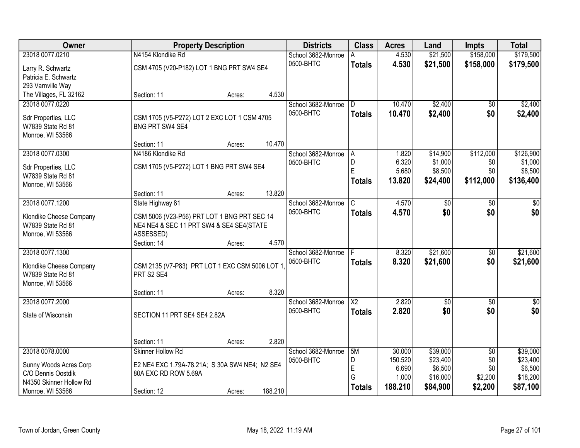| Owner                   |                                                | <b>Property Description</b> |         |                                 | <b>Class</b>    | <b>Acres</b>   | Land                | <b>Impts</b>    | <b>Total</b>       |
|-------------------------|------------------------------------------------|-----------------------------|---------|---------------------------------|-----------------|----------------|---------------------|-----------------|--------------------|
| 23018 0077.0210         | N4154 Klondike Rd                              |                             |         | School 3682-Monroe              |                 | 4.530          | \$21,500            | \$158,000       | \$179,500          |
| Larry R. Schwartz       | CSM 4705 (V20-P182) LOT 1 BNG PRT SW4 SE4      |                             |         | 0500-BHTC                       | <b>Totals</b>   | 4.530          | \$21,500            | \$158,000       | \$179,500          |
| Patricia E. Schwartz    |                                                |                             |         |                                 |                 |                |                     |                 |                    |
| 293 Varnville Way       |                                                |                             |         |                                 |                 |                |                     |                 |                    |
| The Villages, FL 32162  | Section: 11                                    | Acres:                      | 4.530   |                                 |                 |                |                     |                 |                    |
| 23018 0077.0220         |                                                |                             |         | School 3682-Monroe              | D.              | 10.470         | \$2,400             | $\overline{50}$ | \$2,400            |
|                         |                                                |                             |         | 0500-BHTC                       | <b>Totals</b>   | 10.470         | \$2,400             | \$0             | \$2,400            |
| Sdr Properties, LLC     | CSM 1705 (V5-P272) LOT 2 EXC LOT 1 CSM 4705    |                             |         |                                 |                 |                |                     |                 |                    |
| W7839 State Rd 81       | <b>BNG PRT SW4 SE4</b>                         |                             |         |                                 |                 |                |                     |                 |                    |
| Monroe, WI 53566        |                                                |                             |         |                                 |                 |                |                     |                 |                    |
|                         | Section: 11                                    | Acres:                      | 10.470  |                                 |                 |                |                     |                 |                    |
| 23018 0077.0300         | N4186 Klondike Rd                              |                             |         | School 3682-Monroe              | IA.             | 1.820          | \$14,900<br>\$1,000 | \$112,000       | \$126,900          |
| Sdr Properties, LLC     | CSM 1705 (V5-P272) LOT 1 BNG PRT SW4 SE4       |                             |         | 0500-BHTC                       | D<br>E          | 6.320<br>5.680 | \$8,500             | \$0<br>\$0      | \$1,000<br>\$8,500 |
| W7839 State Rd 81       |                                                |                             |         |                                 |                 | 13.820         |                     |                 |                    |
| Monroe, WI 53566        |                                                |                             |         |                                 | Totals          |                | \$24,400            | \$112,000       | \$136,400          |
|                         | Section: 11                                    | Acres:                      | 13.820  |                                 |                 |                |                     |                 |                    |
| 23018 0077.1200         | State Highway 81                               |                             |         | School 3682-Monroe              | C.              | 4.570          | \$0                 | $\sqrt{6}$      | \$0                |
| Klondike Cheese Company | CSM 5006 (V23-P56) PRT LOT 1 BNG PRT SEC 14    |                             |         | 0500-BHTC                       | <b>Totals</b>   | 4.570          | \$0                 | \$0             | \$0                |
| W7839 State Rd 81       | NE4 NE4 & SEC 11 PRT SW4 & SE4 SE4(STATE       |                             |         |                                 |                 |                |                     |                 |                    |
| Monroe, WI 53566        | ASSESSED)                                      |                             |         |                                 |                 |                |                     |                 |                    |
|                         | Section: 14                                    | Acres:                      | 4.570   |                                 |                 |                |                     |                 |                    |
| 23018 0077.1300         |                                                |                             |         | School 3682-Monroe              |                 | 8.320          | \$21,600            | \$0             | \$21,600           |
|                         |                                                |                             |         | 0500-BHTC                       | <b>Totals</b>   | 8.320          | \$21,600            | \$0             | \$21,600           |
| Klondike Cheese Company | CSM 2135 (V7-P83) PRT LOT 1 EXC CSM 5006 LOT 1 |                             |         |                                 |                 |                |                     |                 |                    |
| W7839 State Rd 81       | PRT S2 SE4                                     |                             |         |                                 |                 |                |                     |                 |                    |
| Monroe, WI 53566        |                                                |                             | 8.320   |                                 |                 |                |                     |                 |                    |
| 23018 0077.2000         | Section: 11                                    | Acres:                      |         |                                 | $\overline{X2}$ | 2.820          |                     |                 |                    |
|                         |                                                |                             |         | School 3682-Monroe<br>0500-BHTC |                 |                | $\overline{60}$     | $\overline{60}$ | $\sqrt{50}$        |
| State of Wisconsin      | SECTION 11 PRT SE4 SE4 2.82A                   |                             |         |                                 | <b>Totals</b>   | 2.820          | \$0                 | \$0             | \$0                |
|                         |                                                |                             |         |                                 |                 |                |                     |                 |                    |
|                         |                                                |                             |         |                                 |                 |                |                     |                 |                    |
|                         | Section: 11                                    | Acres:                      | 2.820   |                                 |                 |                |                     |                 |                    |
| 23018 0078.0000         | <b>Skinner Hollow Rd</b>                       |                             |         | School 3682-Monroe              | 5M              | 30.000         | \$39,000            | $\overline{50}$ | \$39,000           |
| Sunny Woods Acres Corp  | E2 NE4 EXC 1.79A-78.21A; S 30A SW4 NE4; N2 SE4 |                             |         | 0500-BHTC                       | D               | 150.520        | \$23,400            | \$0             | \$23,400           |
| C/O Dennis Oostdik      | 80A EXC RD ROW 5.69A                           |                             |         |                                 | E               | 6.690          | \$6,500             | \$0             | \$6,500            |
| N4350 Skinner Hollow Rd |                                                |                             |         |                                 | G               | 1.000          | \$16,000            | \$2,200         | \$18,200           |
| Monroe, WI 53566        | Section: 12                                    | Acres:                      | 188.210 |                                 | <b>Totals</b>   | 188.210        | \$84,900            | \$2,200         | \$87,100           |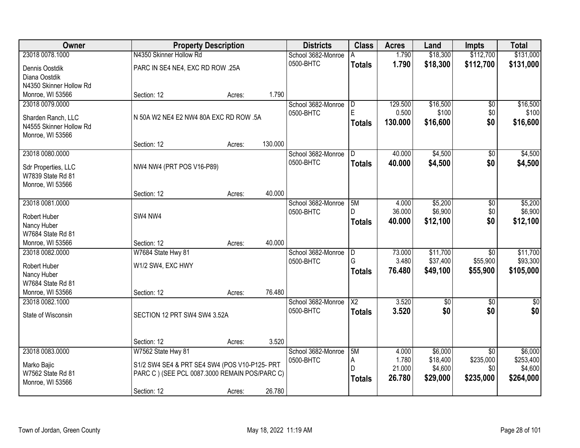| Owner                   |                                                | <b>Property Description</b>                                |         | <b>Districts</b>   | <b>Class</b>           | <b>Acres</b> | Land            | <b>Impts</b>    | <b>Total</b>    |
|-------------------------|------------------------------------------------|------------------------------------------------------------|---------|--------------------|------------------------|--------------|-----------------|-----------------|-----------------|
| 23018 0078.1000         | N4350 Skinner Hollow Rd                        |                                                            |         | School 3682-Monroe |                        | 1.790        | \$18,300        | \$112,700       | \$131,000       |
| Dennis Oostdik          | PARC IN SE4 NE4, EXC RD ROW .25A               |                                                            |         | 0500-BHTC          | <b>Totals</b>          | 1.790        | \$18,300        | \$112,700       | \$131,000       |
| Diana Oostdik           |                                                |                                                            |         |                    |                        |              |                 |                 |                 |
| N4350 Skinner Hollow Rd |                                                |                                                            |         |                    |                        |              |                 |                 |                 |
| Monroe, WI 53566        | Section: 12                                    | Acres:                                                     | 1.790   |                    |                        |              |                 |                 |                 |
| 23018 0079.0000         |                                                |                                                            |         | School 3682-Monroe | D                      | 129.500      | \$16,500        | $\overline{50}$ | \$16,500        |
| Sharden Ranch, LLC      | N 50A W2 NE4 E2 NW4 80A EXC RD ROW .5A         |                                                            |         | 0500-BHTC          | E.                     | 0.500        | \$100           | \$0             | \$100           |
| N4555 Skinner Hollow Rd |                                                |                                                            |         |                    | <b>Totals</b>          | 130,000      | \$16,600        | \$0             | \$16,600        |
| Monroe, WI 53566        |                                                |                                                            |         |                    |                        |              |                 |                 |                 |
|                         | Section: 12                                    | Acres:                                                     | 130.000 |                    |                        |              |                 |                 |                 |
| 23018 0080.0000         |                                                |                                                            |         | School 3682-Monroe | D                      | 40.000       | \$4,500         | \$0             | \$4,500         |
| Sdr Properties, LLC     | NW4 NW4 (PRT POS V16-P89)                      |                                                            |         | 0500-BHTC          | <b>Totals</b>          | 40.000       | \$4,500         | \$0             | \$4,500         |
| W7839 State Rd 81       |                                                |                                                            |         |                    |                        |              |                 |                 |                 |
| Monroe, WI 53566        |                                                |                                                            |         |                    |                        |              |                 |                 |                 |
|                         | Section: 12                                    | Acres:                                                     | 40.000  |                    |                        |              |                 |                 |                 |
| 23018 0081.0000         |                                                |                                                            |         | School 3682-Monroe | 5M                     | 4.000        | \$5,200         | \$0             | \$5,200         |
| Robert Huber            | SW4 NW4                                        |                                                            |         | 0500-BHTC          | D.                     | 36.000       | \$6,900         | \$0             | \$6,900         |
| Nancy Huber             |                                                |                                                            |         |                    | <b>Totals</b>          | 40.000       | \$12,100        | \$0             | \$12,100        |
| W7684 State Rd 81       |                                                |                                                            |         |                    |                        |              |                 |                 |                 |
| Monroe, WI 53566        | Section: 12                                    | Acres:                                                     | 40.000  |                    |                        |              |                 |                 |                 |
| 23018 0082.0000         | W7684 State Hwy 81                             |                                                            |         | School 3682-Monroe | D                      | 73.000       | \$11,700        | $\overline{30}$ | \$11,700        |
| Robert Huber            | W1/2 SW4, EXC HWY                              |                                                            |         | 0500-BHTC          | G                      | 3.480        | \$37,400        | \$55,900        | \$93,300        |
| Nancy Huber             |                                                |                                                            |         |                    | <b>Totals</b>          | 76.480       | \$49,100        | \$55,900        | \$105,000       |
| W7684 State Rd 81       |                                                |                                                            |         |                    |                        |              |                 |                 |                 |
| Monroe, WI 53566        | Section: 12                                    | Acres:                                                     | 76.480  |                    |                        |              |                 |                 |                 |
| 23018 0082.1000         |                                                |                                                            |         | School 3682-Monroe | $\overline{\text{X2}}$ | 3.520        | $\overline{50}$ | $\overline{50}$ | $\overline{50}$ |
| State of Wisconsin      | SECTION 12 PRT SW4 SW4 3.52A                   |                                                            |         | 0500-BHTC          | <b>Totals</b>          | 3.520        | \$0             | \$0             | \$0             |
|                         |                                                |                                                            |         |                    |                        |              |                 |                 |                 |
|                         |                                                |                                                            |         |                    |                        |              |                 |                 |                 |
|                         | Section: 12                                    | Acres:                                                     | 3.520   |                    |                        |              |                 |                 |                 |
| 23018 0083,0000         | W7562 State Hwy 81                             |                                                            |         | School 3682-Monroe | 5M                     | 4.000        | \$6,000         | $\overline{30}$ | \$6,000         |
| Marko Bajic             |                                                | 0500-BHTC<br>S1/2 SW4 SE4 & PRT SE4 SW4 (POS V10-P125- PRT |         |                    | А                      | 1.780        | \$18,400        | \$235,000       | \$253,400       |
| W7562 State Rd 81       | PARC C ) (SEE PCL 0087.3000 REMAIN POS/PARC C) |                                                            |         |                    | D                      | 21.000       | \$4,600         | \$0             | \$4,600         |
| Monroe, WI 53566        |                                                |                                                            |         |                    | <b>Totals</b>          | 26.780       | \$29,000        | \$235,000       | \$264,000       |
|                         | Section: 12                                    | Acres:                                                     | 26.780  |                    |                        |              |                 |                 |                 |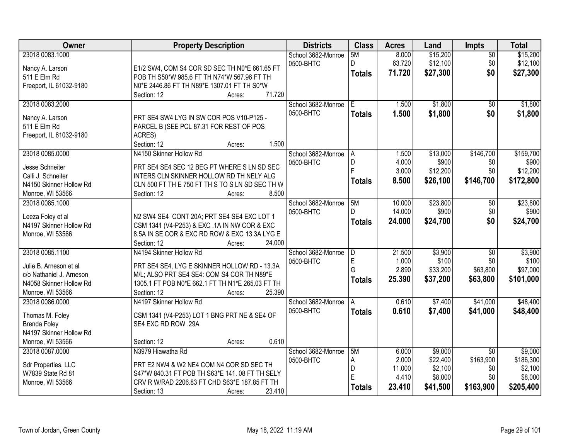| Owner                           | <b>Property Description</b>                      | <b>Districts</b>   | <b>Class</b>  | <b>Acres</b> | Land     | <b>Impts</b>    | <b>Total</b> |
|---------------------------------|--------------------------------------------------|--------------------|---------------|--------------|----------|-----------------|--------------|
| 23018 0083.1000                 |                                                  | School 3682-Monroe | 5M            | 8.000        | \$15,200 | $\overline{50}$ | \$15,200     |
| Nancy A. Larson                 | E1/2 SW4, COM S4 COR SD SEC TH N0*E 661.65 FT    | 0500-BHTC          | D             | 63.720       | \$12,100 | \$0             | \$12,100     |
| 511 E Elm Rd                    | POB TH S50*W 985.6 FT TH N74*W 567.96 FT TH      |                    | <b>Totals</b> | 71.720       | \$27,300 | \$0             | \$27,300     |
| Freeport, IL 61032-9180         | N0*E 2446.86 FT TH N89*E 1307.01 FT TH S0*W      |                    |               |              |          |                 |              |
|                                 | 71.720<br>Section: 12<br>Acres:                  |                    |               |              |          |                 |              |
| 23018 0083.2000                 |                                                  | School 3682-Monroe | E.            | 1.500        | \$1,800  | $\overline{50}$ | \$1,800      |
|                                 | PRT SE4 SW4 LYG IN SW COR POS V10-P125 -         | 0500-BHTC          | <b>Totals</b> | 1.500        | \$1,800  | \$0             | \$1,800      |
| Nancy A. Larson<br>511 E Elm Rd | PARCEL B (SEE PCL 87.31 FOR REST OF POS          |                    |               |              |          |                 |              |
| Freeport, IL 61032-9180         | ACRES)                                           |                    |               |              |          |                 |              |
|                                 | Section: 12<br>1.500<br>Acres:                   |                    |               |              |          |                 |              |
| 23018 0085.0000                 | N4150 Skinner Hollow Rd                          | School 3682-Monroe | ΙA            | 1.500        | \$13,000 | \$146,700       | \$159,700    |
|                                 |                                                  | 0500-BHTC          | D             | 4.000        | \$900    | \$0             | \$900        |
| Jesse Schneiter                 | PRT SE4 SE4 SEC 12 BEG PT WHERE S LN SD SEC      |                    |               | 3.000        | \$12,200 | \$0             | \$12,200     |
| Calli J. Schneiter              | INTERS CLN SKINNER HOLLOW RD TH NELY ALG         |                    | <b>Totals</b> | 8.500        | \$26,100 | \$146,700       | \$172,800    |
| N4150 Skinner Hollow Rd         | CLN 500 FT TH E 750 FT TH S TO S LN SD SEC TH W  |                    |               |              |          |                 |              |
| Monroe, WI 53566                | 8.500<br>Section: 12<br>Acres:                   |                    |               |              |          |                 |              |
| 23018 0085.1000                 |                                                  | School 3682-Monroe | 5M            | 10.000       | \$23,800 | $\sqrt{6}$      | \$23,800     |
| Leeza Foley et al               | N2 SW4 SE4 CONT 20A; PRT SE4 SE4 EXC LOT 1       | 0500-BHTC          | D.            | 14.000       | \$900    | \$0             | \$900        |
| N4197 Skinner Hollow Rd         | CSM 1341 (V4-P253) & EXC .1A IN NW COR & EXC     |                    | <b>Totals</b> | 24.000       | \$24,700 | \$0             | \$24,700     |
| Monroe, WI 53566                | 8.5A IN SE COR & EXC RD ROW & EXC 13.3A LYG E    |                    |               |              |          |                 |              |
|                                 | 24.000<br>Section: 12<br>Acres:                  |                    |               |              |          |                 |              |
| 23018 0085.1100                 | N4194 Skinner Hollow Rd                          | School 3682-Monroe | D             | 21.500       | \$3,900  | $\overline{50}$ | \$3,900      |
|                                 |                                                  | 0500-BHTC          | E             | 1.000        | \$100    | \$0             | \$100        |
| Julie B. Arneson et al          | PRT SE4 SE4, LYG E SKINNER HOLLOW RD - 13.3A     |                    | G             | 2.890        | \$33,200 | \$63,800        | \$97,000     |
| c/o Nathaniel J. Arneson        | M/L; ALSO PRT SE4 SE4: COM S4 COR TH N89*E       |                    | <b>Totals</b> | 25.390       | \$37,200 | \$63,800        | \$101,000    |
| N4058 Skinner Hollow Rd         | 1305.1 FT POB N0*E 662.1 FT TH N1*E 265.03 FT TH |                    |               |              |          |                 |              |
| Monroe, WI 53566                | 25.390<br>Section: 12<br>Acres:                  |                    |               |              |          |                 |              |
| 23018 0086.0000                 | N4197 Skinner Hollow Rd                          | School 3682-Monroe | A             | 0.610        | \$7,400  | \$41,000        | \$48,400     |
| Thomas M. Foley                 | CSM 1341 (V4-P253) LOT 1 BNG PRT NE & SE4 OF     | 0500-BHTC          | <b>Totals</b> | 0.610        | \$7,400  | \$41,000        | \$48,400     |
| <b>Brenda Foley</b>             | SE4 EXC RD ROW .29A                              |                    |               |              |          |                 |              |
| N4197 Skinner Hollow Rd         |                                                  |                    |               |              |          |                 |              |
| Monroe, WI 53566                | 0.610<br>Section: 12<br>Acres:                   |                    |               |              |          |                 |              |
| 23018 0087,0000                 | N3979 Hiawatha Rd                                | School 3682-Monroe | 5M            | 6.000        | \$9,000  | $\overline{30}$ | \$9,000      |
|                                 |                                                  | 0500-BHTC          | A             | 2.000        | \$22,400 | \$163,900       | \$186,300    |
| Sdr Properties, LLC             | PRT E2 NW4 & W2 NE4 COM N4 COR SD SEC TH         |                    | D             | 11.000       | \$2,100  | \$0             | \$2,100      |
| W7839 State Rd 81               | S47*W 840.31 FT POB TH S63*E 141.08 FT TH SELY   |                    | E             | 4.410        | \$8,000  | \$0             | \$8,000      |
| Monroe, WI 53566                | CRV R W/RAD 2206.83 FT CHD S63*E 187.85 FT TH    |                    | Totals        | 23.410       | \$41,500 | \$163,900       | \$205,400    |
|                                 | Section: 13<br>23.410<br>Acres:                  |                    |               |              |          |                 |              |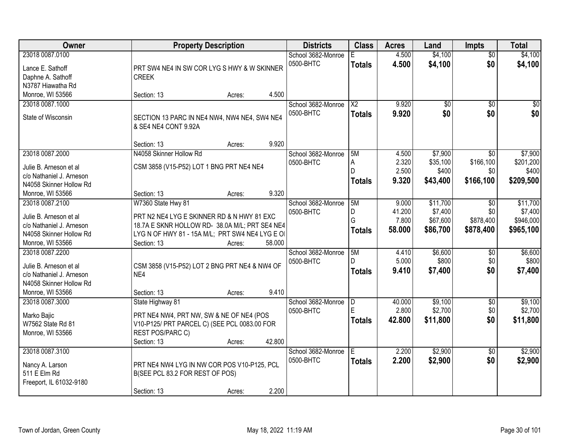| Owner                    | <b>Property Description</b>                                          |                  | <b>Districts</b>   | <b>Class</b>    | <b>Acres</b>    | Land                | Impts           | <b>Total</b>        |
|--------------------------|----------------------------------------------------------------------|------------------|--------------------|-----------------|-----------------|---------------------|-----------------|---------------------|
| 23018 0087.0100          |                                                                      |                  | School 3682-Monroe |                 | 4.500           | \$4,100             | $\overline{50}$ | \$4,100             |
| Lance E. Sathoff         | PRT SW4 NE4 IN SW COR LYG S HWY & W SKINNER                          |                  | 0500-BHTC          | <b>Totals</b>   | 4.500           | \$4,100             | \$0             | \$4,100             |
| Daphne A. Sathoff        | <b>CREEK</b>                                                         |                  |                    |                 |                 |                     |                 |                     |
| N3787 Hiawatha Rd        |                                                                      |                  |                    |                 |                 |                     |                 |                     |
| Monroe, WI 53566         | Section: 13                                                          | 4.500<br>Acres:  |                    |                 |                 |                     |                 |                     |
| 23018 0087.1000          |                                                                      |                  | School 3682-Monroe | $\overline{X2}$ | 9.920           | $\overline{50}$     | $\overline{50}$ | $\sqrt{50}$         |
|                          |                                                                      |                  | 0500-BHTC          | <b>Totals</b>   | 9.920           | \$0                 | \$0             | \$0                 |
| State of Wisconsin       | SECTION 13 PARC IN NE4 NW4, NW4 NE4, SW4 NE4<br>& SE4 NE4 CONT 9.92A |                  |                    |                 |                 |                     |                 |                     |
|                          |                                                                      |                  |                    |                 |                 |                     |                 |                     |
|                          | Section: 13                                                          | 9.920<br>Acres:  |                    |                 |                 |                     |                 |                     |
| 23018 0087.2000          | N4058 Skinner Hollow Rd                                              |                  | School 3682-Monroe | 5M              | 4.500           | \$7,900             | \$0             | \$7,900             |
|                          |                                                                      |                  | 0500-BHTC          | A               | 2.320           | \$35,100            | \$166,100       | \$201,200           |
| Julie B. Arneson et al   | CSM 3858 (V15-P52) LOT 1 BNG PRT NE4 NE4                             |                  |                    | D               | 2.500           | \$400               | \$0             | \$400               |
| c/o Nathaniel J. Arneson |                                                                      |                  |                    | <b>Totals</b>   | 9.320           | \$43,400            | \$166,100       | \$209,500           |
| N4058 Skinner Hollow Rd  |                                                                      | 9.320            |                    |                 |                 |                     |                 |                     |
| Monroe, WI 53566         | Section: 13                                                          | Acres:           |                    |                 |                 |                     |                 |                     |
| 23018 0087.2100          | W7360 State Hwy 81                                                   |                  | School 3682-Monroe | 5M              | 9.000<br>41.200 | \$11,700            | \$0<br>\$0      | \$11,700<br>\$7,400 |
| Julie B. Arneson et al   | PRT N2 NE4 LYG E SKINNER RD & N HWY 81 EXC                           |                  | 0500-BHTC          | D<br>G          | 7.800           | \$7,400<br>\$67,600 | \$878,400       | \$946,000           |
| c/o Nathaniel J. Arneson | 18.7A E SKNR HOLLOW RD- 38.0A M/L; PRT SE4 NE4                       |                  |                    |                 |                 |                     |                 |                     |
| N4058 Skinner Hollow Rd  | LYG N OF HWY 81 - 15A M/L; PRT SW4 NE4 LYG E OI                      |                  |                    | <b>Totals</b>   | 58.000          | \$86,700            | \$878,400       | \$965,100           |
| Monroe, WI 53566         | Section: 13                                                          | 58.000<br>Acres: |                    |                 |                 |                     |                 |                     |
| 23018 0087.2200          |                                                                      |                  | School 3682-Monroe | 5M              | 4.410           | \$6,600             | $\overline{50}$ | \$6,600             |
| Julie B. Arneson et al   | CSM 3858 (V15-P52) LOT 2 BNG PRT NE4 & NW4 OF                        |                  | 0500-BHTC          | D.              | 5.000           | \$800               | \$0             | \$800               |
| c/o Nathaniel J. Arneson | NE4                                                                  |                  |                    | <b>Totals</b>   | 9.410           | \$7,400             | \$0             | \$7,400             |
| N4058 Skinner Hollow Rd  |                                                                      |                  |                    |                 |                 |                     |                 |                     |
| Monroe, WI 53566         | Section: 13                                                          | 9.410<br>Acres:  |                    |                 |                 |                     |                 |                     |
| 23018 0087.3000          | State Highway 81                                                     |                  | School 3682-Monroe | D               | 40.000          | \$9,100             | $\overline{50}$ | \$9,100             |
|                          |                                                                      |                  | 0500-BHTC          | F.              | 2.800           | \$2,700             | \$0             | \$2,700             |
| Marko Bajic              | PRT NE4 NW4, PRT NW, SW & NE OF NE4 (POS                             |                  |                    | <b>Totals</b>   | 42.800          | \$11,800            | \$0             | \$11,800            |
| W7562 State Rd 81        | V10-P125/ PRT PARCEL C) (SEE PCL 0083.00 FOR                         |                  |                    |                 |                 |                     |                 |                     |
| Monroe, WI 53566         | REST POS/PARC C)                                                     |                  |                    |                 |                 |                     |                 |                     |
|                          | Section: 13                                                          | 42.800<br>Acres: |                    |                 |                 |                     |                 |                     |
| 23018 0087.3100          |                                                                      |                  | School 3682-Monroe | E.              | 2.200           | \$2,900             | $\overline{50}$ | \$2,900             |
| Nancy A. Larson          | PRT NE4 NW4 LYG IN NW COR POS V10-P125, PCL                          |                  | 0500-BHTC          | <b>Totals</b>   | 2.200           | \$2,900             | \$0             | \$2,900             |
| 511 E Elm Rd             | B(SEE PCL 83.2 FOR REST OF POS)                                      |                  |                    |                 |                 |                     |                 |                     |
| Freeport, IL 61032-9180  |                                                                      |                  |                    |                 |                 |                     |                 |                     |
|                          | Section: 13                                                          | 2.200<br>Acres:  |                    |                 |                 |                     |                 |                     |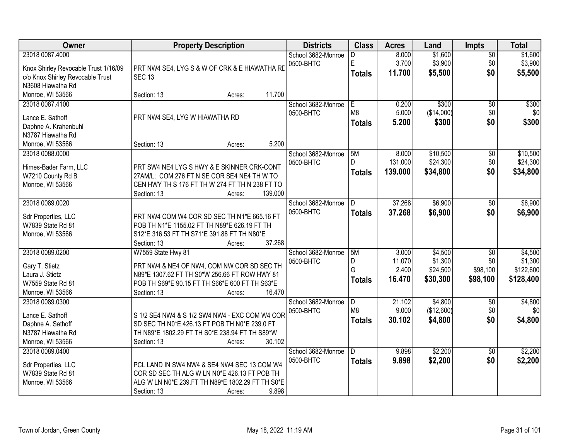| Owner                                                                                                            | <b>Property Description</b>                                                                                                                                                                            | <b>Districts</b>                | <b>Class</b>                         | <b>Acres</b>                       | Land                                       | Impts                                          | <b>Total</b>                                 |
|------------------------------------------------------------------------------------------------------------------|--------------------------------------------------------------------------------------------------------------------------------------------------------------------------------------------------------|---------------------------------|--------------------------------------|------------------------------------|--------------------------------------------|------------------------------------------------|----------------------------------------------|
| 23018 0087.4000<br>Knox Shirley Revocable Trust 1/16/09<br>c/o Knox Shirley Revocable Trust<br>N3608 Hiawatha Rd | PRT NW4 SE4, LYG S & W OF CRK & E HIAWATHA RD<br><b>SEC 13</b>                                                                                                                                         | School 3682-Monroe<br>0500-BHTC | D<br>E<br><b>Totals</b>              | 8.000<br>3.700<br>11.700           | \$1,600<br>\$3,900<br>\$5,500              | $\overline{50}$<br>\$0<br>\$0                  | \$1,600<br>\$3,900<br>\$5,500                |
| Monroe, WI 53566                                                                                                 | 11.700<br>Section: 13<br>Acres:                                                                                                                                                                        |                                 |                                      |                                    |                                            |                                                |                                              |
| 23018 0087.4100<br>Lance E. Sathoff<br>Daphne A. Krahenbuhl<br>N3787 Hiawatha Rd                                 | PRT NW4 SE4, LYG W HIAWATHA RD                                                                                                                                                                         | School 3682-Monroe<br>0500-BHTC | E<br>M <sub>8</sub><br><b>Totals</b> | 0.200<br>5.000<br>5.200            | \$300<br>(\$14,000)<br>\$300               | $\overline{50}$<br>\$0<br>\$0                  | \$300<br>\$0<br>\$300                        |
| Monroe, WI 53566                                                                                                 | 5.200<br>Section: 13<br>Acres:                                                                                                                                                                         |                                 | 5M                                   | 8.000                              | \$10,500                                   |                                                |                                              |
| 23018 0088.0000<br>Himes-Bader Farm, LLC<br>W7210 County Rd B<br>Monroe, WI 53566                                | PRT SW4 NE4 LYG S HWY & E SKINNER CRK-CONT<br>27AM/L; COM 276 FT N SE COR SE4 NE4 TH W TO<br>CEN HWY TH S 176 FT TH W 274 FT TH N 238 FT TO<br>Section: 13<br>139.000<br>Acres:                        | School 3682-Monroe<br>0500-BHTC | D.<br><b>Totals</b>                  | 131.000<br>139.000                 | \$24,300<br>\$34,800                       | $\overline{50}$<br>\$0<br>\$0                  | \$10,500<br>\$24,300<br>\$34,800             |
| 23018 0089.0020                                                                                                  |                                                                                                                                                                                                        | School 3682-Monroe              | D                                    | 37.268                             | \$6,900                                    | \$0                                            | \$6,900                                      |
| Sdr Properties, LLC<br>W7839 State Rd 81<br>Monroe, WI 53566                                                     | PRT NW4 COM W4 COR SD SEC TH N1*E 665.16 FT<br>POB TH N1*E 1155.02 FT TH N89*E 626.19 FT TH<br>S12*E 316.53 FT TH S71*E 391.88 FT TH N80*E<br>37.268<br>Section: 13<br>Acres:                          | 0500-BHTC                       | <b>Totals</b>                        | 37.268                             | \$6,900                                    | \$0                                            | \$6,900                                      |
| 23018 0089.0200<br>Gary T. Stietz<br>Laura J. Stietz<br>W7559 State Rd 81<br>Monroe, WI 53566                    | W7559 State Hwy 81<br>PRT NW4 & NE4 OF NW4, COM NW COR SD SEC TH<br>N89*E 1307.62 FT TH S0*W 256.66 FT ROW HWY 81<br>POB TH S69*E 90.15 FT TH S66*E 600 FT TH S63*E<br>16.470<br>Section: 13<br>Acres: | School 3682-Monroe<br>0500-BHTC | 5M<br>D<br>G<br><b>Totals</b>        | 3.000<br>11.070<br>2.400<br>16.470 | \$4,500<br>\$1,300<br>\$24,500<br>\$30,300 | $\overline{50}$<br>\$0<br>\$98,100<br>\$98,100 | \$4,500<br>\$1,300<br>\$122,600<br>\$128,400 |
| 23018 0089.0300<br>Lance E. Sathoff<br>Daphne A. Sathoff<br>N3787 Hiawatha Rd<br>Monroe, WI 53566                | S 1/2 SE4 NW4 & S 1/2 SW4 NW4 - EXC COM W4 COR<br>SD SEC TH N0*E 426.13 FT POB TH N0*E 239.0 FT<br>TH N89*E 1802.29 FT TH S0*E 238.94 FT TH S89*W<br>30.102<br>Section: 13<br>Acres:                   | School 3682-Monroe<br>0500-BHTC | D<br>M <sub>8</sub><br><b>Totals</b> | 21.102<br>9.000<br>30.102          | \$4,800<br>(\$12,600)<br>\$4,800           | $\overline{50}$<br>\$0<br>\$0                  | \$4,800<br>\$0<br>\$4,800                    |
| 23018 0089.0400<br>Sdr Properties, LLC<br>W7839 State Rd 81<br>Monroe, WI 53566                                  | PCL LAND IN SW4 NW4 & SE4 NW4 SEC 13 COM W4<br>COR SD SEC TH ALG W LN N0*E 426.13 FT POB TH<br>ALG W LN N0*E 239.FT TH N89*E 1802.29 FT TH S0*E<br>9.898<br>Section: 13<br>Acres:                      | School 3682-Monroe<br>0500-BHTC | D<br><b>Totals</b>                   | 9.898<br>9.898                     | \$2,200<br>\$2,200                         | $\overline{50}$<br>\$0                         | \$2,200<br>\$2,200                           |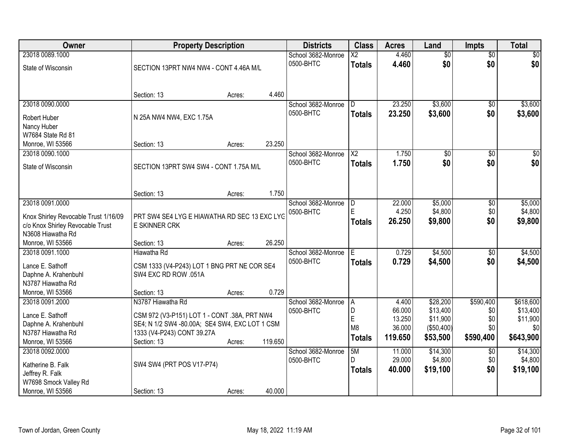| <b>Owner</b>                                          | <b>Property Description</b>                                   |        |         | <b>Districts</b>   | <b>Class</b>             | <b>Acres</b>     | Land                   | <b>Impts</b>    | <b>Total</b>    |
|-------------------------------------------------------|---------------------------------------------------------------|--------|---------|--------------------|--------------------------|------------------|------------------------|-----------------|-----------------|
| 23018 0089.1000                                       |                                                               |        |         | School 3682-Monroe | $\overline{\mathsf{x2}}$ | 4.460            | $\overline{50}$        | $\overline{50}$ | \$0             |
| State of Wisconsin                                    | SECTION 13PRT NW4 NW4 - CONT 4.46A M/L                        |        |         | 0500-BHTC          | <b>Totals</b>            | 4.460            | \$0                    | \$0             | \$0             |
|                                                       |                                                               |        |         |                    |                          |                  |                        |                 |                 |
|                                                       |                                                               |        |         |                    |                          |                  |                        |                 |                 |
|                                                       | Section: 13                                                   | Acres: | 4.460   |                    |                          |                  |                        |                 |                 |
| 23018 0090.0000                                       |                                                               |        |         | School 3682-Monroe | D.                       | 23.250           | \$3,600                | $\overline{50}$ | \$3,600         |
| Robert Huber                                          | N 25A NW4 NW4, EXC 1.75A                                      |        |         | 0500-BHTC          | <b>Totals</b>            | 23.250           | \$3,600                | \$0             | \$3,600         |
| Nancy Huber                                           |                                                               |        |         |                    |                          |                  |                        |                 |                 |
| W7684 State Rd 81                                     |                                                               |        |         |                    |                          |                  |                        |                 |                 |
| Monroe, WI 53566                                      | Section: 13                                                   | Acres: | 23.250  |                    |                          |                  |                        |                 |                 |
| 23018 0090.1000                                       |                                                               |        |         | School 3682-Monroe | $\overline{X2}$          | 1.750            | $\overline{50}$        | \$0             | $\overline{50}$ |
| State of Wisconsin                                    | SECTION 13PRT SW4 SW4 - CONT 1.75A M/L                        |        |         | 0500-BHTC          | <b>Totals</b>            | 1.750            | \$0                    | \$0             | \$0             |
|                                                       |                                                               |        |         |                    |                          |                  |                        |                 |                 |
|                                                       |                                                               |        |         |                    |                          |                  |                        |                 |                 |
|                                                       | Section: 13                                                   | Acres: | 1.750   |                    |                          |                  |                        |                 |                 |
| 23018 0091.0000                                       |                                                               |        |         | School 3682-Monroe | D                        | 22.000           | \$5,000                | \$0             | \$5,000         |
|                                                       |                                                               |        |         | 0500-BHTC          | E                        | 4.250            | \$4,800                | \$0             | \$4,800         |
| Knox Shirley Revocable Trust 1/16/09                  | PRT SW4 SE4 LYG E HIAWATHA RD SEC 13 EXC LYC<br>E SKINNER CRK |        |         |                    | <b>Totals</b>            | 26.250           | \$9,800                | \$0             | \$9,800         |
| c/o Knox Shirley Revocable Trust<br>N3608 Hiawatha Rd |                                                               |        |         |                    |                          |                  |                        |                 |                 |
| Monroe, WI 53566                                      | Section: 13                                                   | Acres: | 26.250  |                    |                          |                  |                        |                 |                 |
| 23018 0091.1000                                       | Hiawatha Rd                                                   |        |         | School 3682-Monroe | E                        | 0.729            | \$4,500                | \$0             | \$4,500         |
|                                                       |                                                               |        |         | 0500-BHTC          | <b>Totals</b>            | 0.729            | \$4,500                | \$0             | \$4,500         |
| Lance E. Sathoff                                      | CSM 1333 (V4-P243) LOT 1 BNG PRT NE COR SE4                   |        |         |                    |                          |                  |                        |                 |                 |
| Daphne A. Krahenbuhl                                  | SW4 EXC RD ROW .051A                                          |        |         |                    |                          |                  |                        |                 |                 |
| N3787 Hiawatha Rd                                     |                                                               |        |         |                    |                          |                  |                        |                 |                 |
| Monroe, WI 53566                                      | Section: 13                                                   | Acres: | 0.729   |                    |                          |                  |                        |                 |                 |
| 23018 0091.2000                                       | N3787 Hiawatha Rd                                             |        |         | School 3682-Monroe | l A                      | 4.400            | \$28,200               | \$590,400       | \$618,600       |
| Lance E. Sathoff                                      | CSM 972 (V3-P151) LOT 1 - CONT .38A, PRT NW4                  |        |         | 0500-BHTC          | D                        | 66.000           | \$13,400               | \$0             | \$13,400        |
| Daphne A. Krahenbuhl                                  | SE4; N 1/2 SW4 -80.00A; SE4 SW4, EXC LOT 1 CSM                |        |         |                    | $\mathsf E$<br>M8        | 13.250<br>36.000 | \$11,900<br>(\$50,400) | \$0<br>\$0      | \$11,900<br>\$0 |
| N3787 Hiawatha Rd                                     | 1333 (V4-P243) CONT 39.27A                                    |        |         |                    |                          |                  |                        |                 |                 |
| Monroe, WI 53566                                      | Section: 13                                                   | Acres: | 119.650 |                    | <b>Totals</b>            | 119.650          | \$53,500               | \$590,400       | \$643,900       |
| 23018 0092.0000                                       |                                                               |        |         | School 3682-Monroe | 5M                       | 11.000           | \$14,300               | $\overline{50}$ | \$14,300        |
| Katherine B. Falk                                     | SW4 SW4 (PRT POS V17-P74)                                     |        |         | 0500-BHTC          | D.                       | 29.000           | \$4,800                | \$0             | \$4,800         |
| Jeffrey R. Falk                                       |                                                               |        |         |                    | <b>Totals</b>            | 40.000           | \$19,100               | \$0             | \$19,100        |
| W7698 Smock Valley Rd                                 |                                                               |        |         |                    |                          |                  |                        |                 |                 |
| Monroe, WI 53566                                      | Section: 13                                                   | Acres: | 40.000  |                    |                          |                  |                        |                 |                 |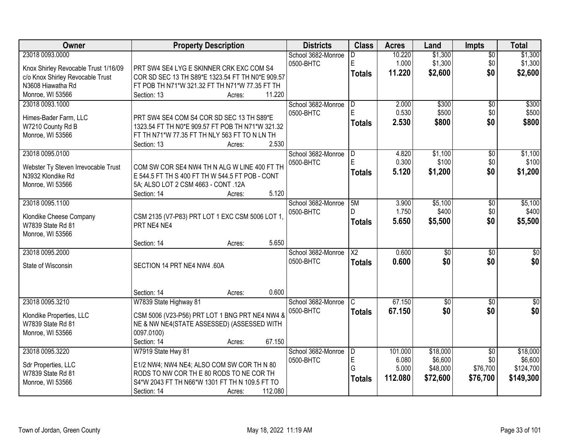| Owner                                | <b>Property Description</b>                      | <b>Districts</b>   | <b>Class</b>           | <b>Acres</b> | Land            | <b>Impts</b>    | <b>Total</b>    |
|--------------------------------------|--------------------------------------------------|--------------------|------------------------|--------------|-----------------|-----------------|-----------------|
| 23018 0093.0000                      |                                                  | School 3682-Monroe | D                      | 10.220       | \$1,300         | $\overline{50}$ | \$1,300         |
| Knox Shirley Revocable Trust 1/16/09 | PRT SW4 SE4 LYG E SKINNER CRK EXC COM S4         | 0500-BHTC          | E                      | 1.000        | \$1,300         | \$0             | \$1,300         |
| c/o Knox Shirley Revocable Trust     | COR SD SEC 13 TH S89*E 1323.54 FT TH N0*E 909.57 |                    | <b>Totals</b>          | 11.220       | \$2,600         | \$0             | \$2,600         |
| N3608 Hiawatha Rd                    | FT POB TH N71*W 321.32 FT TH N71*W 77.35 FT TH   |                    |                        |              |                 |                 |                 |
| Monroe, WI 53566                     | 11.220<br>Section: 13<br>Acres:                  |                    |                        |              |                 |                 |                 |
| 23018 0093.1000                      |                                                  | School 3682-Monroe | D.                     | 2.000        | \$300           | \$0             | \$300           |
|                                      |                                                  | 0500-BHTC          | E                      | 0.530        | \$500           | \$0             | \$500           |
| Himes-Bader Farm, LLC                | PRT SW4 SE4 COM S4 COR SD SEC 13 TH S89*E        |                    |                        | 2.530        | \$800           | \$0             | \$800           |
| W7210 County Rd B                    | 1323.54 FT TH N0*E 909.57 FT POB TH N71*W 321.32 |                    | <b>Totals</b>          |              |                 |                 |                 |
| Monroe, WI 53566                     | FT TH N71*W 77.35 FT TH NLY 563 FT TO N LN TH    |                    |                        |              |                 |                 |                 |
|                                      | 2.530<br>Section: 13<br>Acres:                   |                    |                        |              |                 |                 |                 |
| 23018 0095.0100                      |                                                  | School 3682-Monroe | D                      | 4.820        | \$1,100         | \$0             | \$1,100         |
| Webster Ty Steven Irrevocable Trust  | COM SW COR SE4 NW4 TH N ALG W LINE 400 FT TH     | 0500-BHTC          | E                      | 0.300        | \$100           | \$0             | \$100           |
| N3932 Klondike Rd                    | E 544.5 FT TH S 400 FT TH W 544.5 FT POB - CONT  |                    | <b>Totals</b>          | 5.120        | \$1,200         | \$0             | \$1,200         |
| Monroe, WI 53566                     | 5A; ALSO LOT 2 CSM 4663 - CONT .12A              |                    |                        |              |                 |                 |                 |
|                                      | 5.120<br>Section: 14<br>Acres:                   |                    |                        |              |                 |                 |                 |
| 23018 0095.1100                      |                                                  | School 3682-Monroe | 5M                     | 3.900        | \$5,100         | \$0             | \$5,100         |
|                                      |                                                  | 0500-BHTC          | D                      | 1.750        | \$400           | \$0             | \$400           |
| Klondike Cheese Company              | CSM 2135 (V7-P83) PRT LOT 1 EXC CSM 5006 LOT 1,  |                    |                        | 5.650        | \$5,500         | \$0             | \$5,500         |
| W7839 State Rd 81                    | PRT NE4 NE4                                      |                    | <b>Totals</b>          |              |                 |                 |                 |
| Monroe, WI 53566                     |                                                  |                    |                        |              |                 |                 |                 |
|                                      | 5.650<br>Section: 14<br>Acres:                   |                    |                        |              |                 |                 |                 |
| 23018 0095.2000                      |                                                  | School 3682-Monroe | $\overline{\text{X2}}$ | 0.600        | $\overline{30}$ | $\overline{30}$ | $\overline{30}$ |
| State of Wisconsin                   | SECTION 14 PRT NE4 NW4 .60A                      | 0500-BHTC          | <b>Totals</b>          | 0.600        | \$0             | \$0             | \$0             |
|                                      |                                                  |                    |                        |              |                 |                 |                 |
|                                      |                                                  |                    |                        |              |                 |                 |                 |
|                                      | 0.600<br>Section: 14<br>Acres:                   |                    |                        |              |                 |                 |                 |
| 23018 0095.3210                      | W7839 State Highway 81                           | School 3682-Monroe | C                      | 67.150       | $\overline{50}$ | $\sqrt{6}$      | $\frac{1}{30}$  |
| Klondike Properties, LLC             | CSM 5006 (V23-P56) PRT LOT 1 BNG PRT NE4 NW4 &   | 0500-BHTC          | <b>Totals</b>          | 67.150       | \$0             | \$0             | \$0             |
| W7839 State Rd 81                    | NE & NW NE4(STATE ASSESSED) (ASSESSED WITH       |                    |                        |              |                 |                 |                 |
| Monroe, WI 53566                     | 0097.0100)                                       |                    |                        |              |                 |                 |                 |
|                                      | Section: 14<br>67.150<br>Acres:                  |                    |                        |              |                 |                 |                 |
| 23018 0095.3220                      | W7919 State Hwy 81                               | School 3682-Monroe | D                      | 101.000      | \$18,000        | $\overline{30}$ | \$18,000        |
|                                      |                                                  | 0500-BHTC          | E                      | 6.080        | \$6,600         | \$0             | \$6,600         |
| Sdr Properties, LLC                  | E1/2 NW4; NW4 NE4; ALSO COM SW COR TH N 80       |                    | G                      | 5.000        | \$48,000        | \$76,700        | \$124,700       |
| W7839 State Rd 81                    | RODS TO NW COR THE 80 RODS TO NE COR TH          |                    |                        | 112.080      | \$72,600        | \$76,700        | \$149,300       |
| Monroe, WI 53566                     | S4*W 2043 FT TH N66*W 1301 FT TH N 109.5 FT TO   |                    | <b>Totals</b>          |              |                 |                 |                 |
|                                      | 112.080<br>Section: 14<br>Acres:                 |                    |                        |              |                 |                 |                 |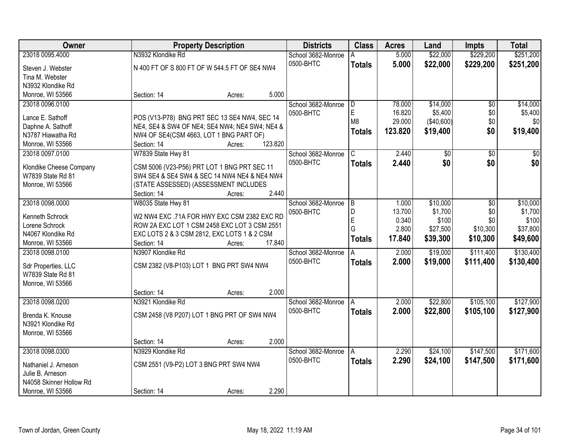| Owner                   |                                                | <b>Property Description</b> |         |                    | <b>Class</b>  | <b>Acres</b> | Land       | <b>Impts</b>    | <b>Total</b> |
|-------------------------|------------------------------------------------|-----------------------------|---------|--------------------|---------------|--------------|------------|-----------------|--------------|
| 23018 0095.4000         | N3932 Klondike Rd                              |                             |         | School 3682-Monroe |               | 5.000        | \$22,000   | \$229,200       | \$251,200    |
| Steven J. Webster       | N 400 FT OF S 800 FT OF W 544.5 FT OF SE4 NW4  |                             |         | 0500-BHTC          | <b>Totals</b> | 5.000        | \$22,000   | \$229,200       | \$251,200    |
| Tina M. Webster         |                                                |                             |         |                    |               |              |            |                 |              |
| N3932 Klondike Rd       |                                                |                             |         |                    |               |              |            |                 |              |
| Monroe, WI 53566        | Section: 14                                    | Acres:                      | 5.000   |                    |               |              |            |                 |              |
| 23018 0096.0100         |                                                |                             |         | School 3682-Monroe | D             | 78.000       | \$14,000   | $\overline{50}$ | \$14,000     |
|                         |                                                |                             |         | 0500-BHTC          | $\mathsf E$   | 16.820       | \$5,400    | \$0             | \$5,400      |
| Lance E. Sathoff        | POS (V13-P78) BNG PRT SEC 13 SE4 NW4, SEC 14   |                             |         |                    | M8            | 29.000       | (\$40,600) | \$0             | \$0          |
| Daphne A. Sathoff       | NE4, SE4 & SW4 OF NE4; SE4 NW4; NE4 SW4; NE4 & |                             |         |                    | <b>Totals</b> | 123.820      | \$19,400   | \$0             | \$19,400     |
| N3787 Hiawatha Rd       | NW4 OF SE4(CSM 4663, LOT 1 BNG PART OF)        |                             |         |                    |               |              |            |                 |              |
| Monroe, WI 53566        | Section: 14                                    | Acres:                      | 123.820 |                    |               |              |            |                 |              |
| 23018 0097.0100         | W7839 State Hwy 81                             |                             |         | School 3682-Monroe | C.            | 2.440        | \$0        | \$0             | \$0          |
| Klondike Cheese Company | CSM 5006 (V23-P56) PRT LOT 1 BNG PRT SEC 11    |                             |         | 0500-BHTC          | <b>Totals</b> | 2.440        | \$0        | \$0             | \$0          |
| W7839 State Rd 81       | SW4 SE4 & SE4 SW4 & SEC 14 NW4 NE4 & NE4 NW4   |                             |         |                    |               |              |            |                 |              |
| Monroe, WI 53566        | (STATE ASSESSED) (ASSESSMENT INCLUDES          |                             |         |                    |               |              |            |                 |              |
|                         | Section: 14                                    | Acres:                      | 2.440   |                    |               |              |            |                 |              |
| 23018 0098.0000         | W8035 State Hwy 81                             |                             |         | School 3682-Monroe | l B           | 1.000        | \$10,000   | \$0             | \$10,000     |
|                         |                                                |                             |         | 0500-BHTC          | D             | 13.700       | \$1,700    | \$0             | \$1,700      |
| Kenneth Schrock         | W2 NW4 EXC .71A FOR HWY EXC CSM 2382 EXC RD    |                             |         |                    | E             | 0.340        | \$100      | \$0             | \$100        |
| Lorene Schrock          | ROW 2A EXC LOT 1 CSM 2458 EXC LOT 3 CSM 2551   |                             |         |                    | G             | 2.800        | \$27,500   | \$10,300        | \$37,800     |
| N4067 Klondike Rd       | EXC LOTS 2 & 3 CSM 2812, EXC LOTS 1 & 2 CSM    |                             |         |                    | <b>Totals</b> | 17.840       | \$39,300   | \$10,300        | \$49,600     |
| Monroe, WI 53566        | Section: 14                                    | Acres:                      | 17.840  |                    |               |              |            |                 |              |
| 23018 0098.0100         | N3907 Klondike Rd                              |                             |         | School 3682-Monroe |               | 2.000        | \$19,000   | \$111,400       | \$130,400    |
| Sdr Properties, LLC     | CSM 2382 (V8-P103) LOT 1 BNG PRT SW4 NW4       |                             |         | 0500-BHTC          | <b>Totals</b> | 2.000        | \$19,000   | \$111,400       | \$130,400    |
| W7839 State Rd 81       |                                                |                             |         |                    |               |              |            |                 |              |
| Monroe, WI 53566        |                                                |                             |         |                    |               |              |            |                 |              |
|                         | Section: 14                                    | Acres:                      | 2.000   |                    |               |              |            |                 |              |
| 23018 0098.0200         | N3921 Klondike Rd                              |                             |         | School 3682-Monroe | A             | 2.000        | \$22,800   | \$105,100       | \$127,900    |
|                         |                                                |                             |         | 0500-BHTC          | <b>Totals</b> | 2.000        | \$22,800   | \$105,100       | \$127,900    |
| Brenda K. Knouse        | CSM 2458 (V8 P207) LOT 1 BNG PRT OF SW4 NW4    |                             |         |                    |               |              |            |                 |              |
| N3921 Klondike Rd       |                                                |                             |         |                    |               |              |            |                 |              |
| Monroe, WI 53566        |                                                |                             |         |                    |               |              |            |                 |              |
|                         | Section: 14                                    | Acres:                      | 2.000   |                    |               |              |            |                 |              |
| 23018 0098.0300         | N3929 Klondike Rd                              |                             |         | School 3682-Monroe | A             | 2.290        | \$24,100   | \$147,500       | \$171,600    |
| Nathaniel J. Arneson    | CSM 2551 (V9-P2) LOT 3 BNG PRT SW4 NW4         |                             |         | 0500-BHTC          | <b>Totals</b> | 2.290        | \$24,100   | \$147,500       | \$171,600    |
| Julie B. Arneson        |                                                |                             |         |                    |               |              |            |                 |              |
| N4058 Skinner Hollow Rd |                                                |                             |         |                    |               |              |            |                 |              |
| Monroe, WI 53566        | Section: 14                                    | Acres:                      | 2.290   |                    |               |              |            |                 |              |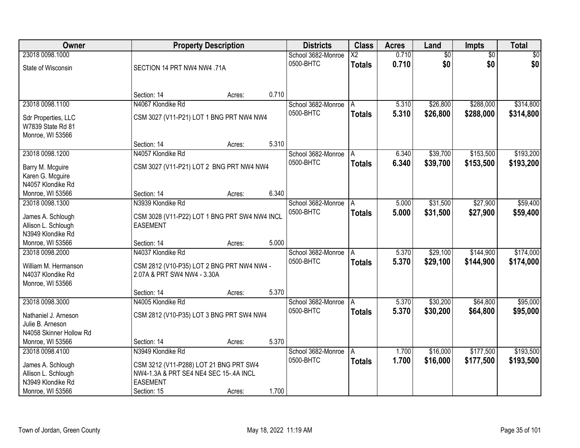| Owner                                    | <b>Property Description</b>                                                      |        |       | <b>Districts</b>   | <b>Class</b>  | <b>Acres</b> | Land            | Impts           | <b>Total</b> |
|------------------------------------------|----------------------------------------------------------------------------------|--------|-------|--------------------|---------------|--------------|-----------------|-----------------|--------------|
| 23018 0098.1000                          |                                                                                  |        |       | School 3682-Monroe | X2            | 0.710        | $\overline{60}$ | $\overline{50}$ | \$0          |
| State of Wisconsin                       | SECTION 14 PRT NW4 NW4 .71A                                                      |        |       | 0500-BHTC          | <b>Totals</b> | 0.710        | \$0             | \$0             | \$0          |
|                                          |                                                                                  |        |       |                    |               |              |                 |                 |              |
|                                          |                                                                                  |        |       |                    |               |              |                 |                 |              |
|                                          | Section: 14                                                                      | Acres: | 0.710 |                    |               |              |                 |                 |              |
| 23018 0098.1100                          | N4067 Klondike Rd                                                                |        |       | School 3682-Monroe | A             | 5.310        | \$26,800        | \$288,000       | \$314,800    |
| Sdr Properties, LLC                      | CSM 3027 (V11-P21) LOT 1 BNG PRT NW4 NW4                                         |        |       | 0500-BHTC          | <b>Totals</b> | 5.310        | \$26,800        | \$288,000       | \$314,800    |
| W7839 State Rd 81                        |                                                                                  |        |       |                    |               |              |                 |                 |              |
| Monroe, WI 53566                         |                                                                                  |        |       |                    |               |              |                 |                 |              |
|                                          | Section: 14                                                                      | Acres: | 5.310 |                    |               |              |                 |                 |              |
| 23018 0098.1200                          | N4057 Klondike Rd                                                                |        |       | School 3682-Monroe | A             | 6.340        | \$39,700        | \$153,500       | \$193,200    |
| Barry M. Mcguire                         | CSM 3027 (V11-P21) LOT 2 BNG PRT NW4 NW4                                         |        |       | 0500-BHTC          | <b>Totals</b> | 6.340        | \$39,700        | \$153,500       | \$193,200    |
| Karen G. Mcguire                         |                                                                                  |        |       |                    |               |              |                 |                 |              |
| N4057 Klondike Rd                        |                                                                                  |        |       |                    |               |              |                 |                 |              |
| Monroe, WI 53566                         | Section: 14                                                                      | Acres: | 6.340 |                    |               |              |                 |                 |              |
| 23018 0098.1300                          | N3939 Klondike Rd                                                                |        |       | School 3682-Monroe | A             | 5.000        | \$31,500        | \$27,900        | \$59,400     |
| James A. Schlough                        | CSM 3028 (V11-P22) LOT 1 BNG PRT SW4 NW4 INCL                                    |        |       | 0500-BHTC          | <b>Totals</b> | 5.000        | \$31,500        | \$27,900        | \$59,400     |
| Allison L. Schlough                      | <b>EASEMENT</b>                                                                  |        |       |                    |               |              |                 |                 |              |
| N3949 Klondike Rd                        |                                                                                  |        |       |                    |               |              |                 |                 |              |
| Monroe, WI 53566                         | Section: 14                                                                      | Acres: | 5.000 |                    |               |              |                 |                 |              |
| 23018 0098.2000                          | N4037 Klondike Rd                                                                |        |       | School 3682-Monroe |               | 5.370        | \$29,100        | \$144,900       | \$174,000    |
| William M. Hermanson                     | CSM 2812 (V10-P35) LOT 2 BNG PRT NW4 NW4 -                                       |        |       | 0500-BHTC          | <b>Totals</b> | 5.370        | \$29,100        | \$144,900       | \$174,000    |
| N4037 Klondike Rd                        | 2.07A & PRT SW4 NW4 - 3.30A                                                      |        |       |                    |               |              |                 |                 |              |
| Monroe, WI 53566                         |                                                                                  |        |       |                    |               |              |                 |                 |              |
|                                          | Section: 14                                                                      | Acres: | 5.370 |                    |               |              |                 |                 |              |
| 23018 0098.3000                          | N4005 Klondike Rd                                                                |        |       | School 3682-Monroe | l A           | 5.370        | \$30,200        | \$64,800        | \$95,000     |
| Nathaniel J. Arneson                     | CSM 2812 (V10-P35) LOT 3 BNG PRT SW4 NW4                                         |        |       | 0500-BHTC          | <b>Totals</b> | 5.370        | \$30,200        | \$64,800        | \$95,000     |
| Julie B. Arneson                         |                                                                                  |        |       |                    |               |              |                 |                 |              |
| N4058 Skinner Hollow Rd                  |                                                                                  |        |       |                    |               |              |                 |                 |              |
| Monroe, WI 53566                         | Section: 14                                                                      | Acres: | 5.370 |                    |               |              |                 |                 |              |
| 23018 0098.4100                          | N3949 Klondike Rd                                                                |        |       | School 3682-Monroe | A             | 1.700        | \$16,000        | \$177,500       | \$193,500    |
|                                          |                                                                                  |        |       | 0500-BHTC          | <b>Totals</b> | 1.700        | \$16,000        | \$177,500       | \$193,500    |
| James A. Schlough<br>Allison L. Schlough | CSM 3212 (V11-P288) LOT 21 BNG PRT SW4<br>NW4-1.3A & PRT SE4 NE4 SEC 15-.4A INCL |        |       |                    |               |              |                 |                 |              |
| N3949 Klondike Rd                        | <b>EASEMENT</b>                                                                  |        |       |                    |               |              |                 |                 |              |
| Monroe, WI 53566                         | Section: 15                                                                      | Acres: | 1.700 |                    |               |              |                 |                 |              |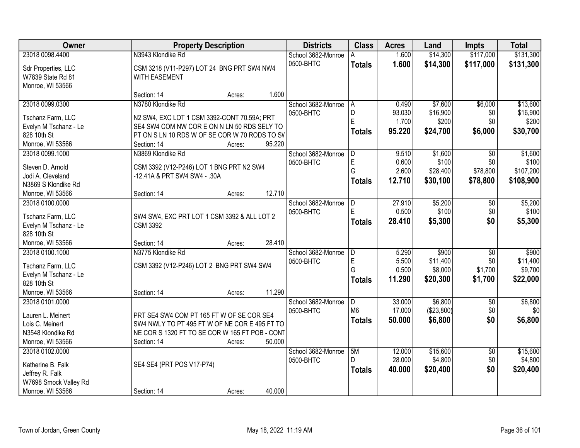| Owner                                | <b>Property Description</b>                                                                |        |        | <b>Districts</b>   | <b>Class</b>   | <b>Acres</b> | Land       | <b>Impts</b>    | <b>Total</b> |
|--------------------------------------|--------------------------------------------------------------------------------------------|--------|--------|--------------------|----------------|--------------|------------|-----------------|--------------|
| 23018 0098.4400                      | N3943 Klondike Rd                                                                          |        |        | School 3682-Monroe |                | 1.600        | \$14,300   | \$117,000       | \$131,300    |
| Sdr Properties, LLC                  | CSM 3218 (V11-P297) LOT 24 BNG PRT SW4 NW4                                                 |        |        | 0500-BHTC          | <b>Totals</b>  | 1.600        | \$14,300   | \$117,000       | \$131,300    |
| W7839 State Rd 81                    | <b>WITH EASEMENT</b>                                                                       |        |        |                    |                |              |            |                 |              |
| Monroe, WI 53566                     |                                                                                            |        |        |                    |                |              |            |                 |              |
|                                      | Section: 14                                                                                | Acres: | 1.600  |                    |                |              |            |                 |              |
| 23018 0099.0300                      | N3780 Klondike Rd                                                                          |        |        | School 3682-Monroe | A              | 0.490        | \$7,600    | \$6,000         | \$13,600     |
|                                      |                                                                                            |        |        | 0500-BHTC          | D              | 93.030       | \$16,900   | \$0             | \$16,900     |
| Tschanz Farm, LLC                    | N2 SW4, EXC LOT 1 CSM 3392-CONT 70.59A; PRT<br>SE4 SW4 COM NW COR E ON N LN 50 RDS SELY TO |        |        |                    | E              | 1.700        | \$200      | \$0             | \$200        |
| Evelyn M Tschanz - Le<br>828 10th St | PT ON S LN 10 RDS W OF SE COR W 70 RODS TO SV                                              |        |        |                    | <b>Totals</b>  | 95.220       | \$24,700   | \$6,000         | \$30,700     |
| Monroe, WI 53566                     | Section: 14                                                                                | Acres: | 95.220 |                    |                |              |            |                 |              |
| 23018 0099.1000                      | N3869 Klondike Rd                                                                          |        |        | School 3682-Monroe | D              | 9.510        | \$1,600    | \$0             | \$1,600      |
|                                      |                                                                                            |        |        | 0500-BHTC          | E              | 0.600        | \$100      | \$0             | \$100        |
| Steven D. Arnold                     | CSM 3392 (V12-P246) LOT 1 BNG PRT N2 SW4                                                   |        |        |                    | G              | 2.600        | \$28,400   | \$78,800        | \$107,200    |
| Jodi A. Cleveland                    | -12.41A & PRT SW4 SW4 - .30A                                                               |        |        |                    |                | 12.710       |            |                 |              |
| N3869 S Klondike Rd                  |                                                                                            |        |        |                    | Totals         |              | \$30,100   | \$78,800        | \$108,900    |
| Monroe, WI 53566                     | Section: 14                                                                                | Acres: | 12.710 |                    |                |              |            |                 |              |
| 23018 0100.0000                      |                                                                                            |        |        | School 3682-Monroe | D              | 27.910       | \$5,200    | \$0             | \$5,200      |
| Tschanz Farm, LLC                    | SW4 SW4, EXC PRT LOT 1 CSM 3392 & ALL LOT 2                                                |        |        | 0500-BHTC          | F              | 0.500        | \$100      | \$0             | \$100        |
| Evelyn M Tschanz - Le                | <b>CSM 3392</b>                                                                            |        |        |                    | <b>Totals</b>  | 28.410       | \$5,300    | \$0             | \$5,300      |
| 828 10th St                          |                                                                                            |        |        |                    |                |              |            |                 |              |
| Monroe, WI 53566                     | Section: 14                                                                                | Acres: | 28.410 |                    |                |              |            |                 |              |
| 23018 0100.1000                      | N3775 Klondike Rd                                                                          |        |        | School 3682-Monroe | D              | 5.290        | \$900      | \$0             | \$900        |
|                                      |                                                                                            |        |        | 0500-BHTC          | E              | 5.500        | \$11,400   | \$0             | \$11,400     |
| Tschanz Farm, LLC                    | CSM 3392 (V12-P246) LOT 2 BNG PRT SW4 SW4                                                  |        |        |                    | G              | 0.500        | \$8,000    | \$1,700         | \$9,700      |
| Evelyn M Tschanz - Le                |                                                                                            |        |        |                    | <b>Totals</b>  | 11.290       | \$20,300   | \$1,700         | \$22,000     |
| 828 10th St                          |                                                                                            |        |        |                    |                |              |            |                 |              |
| Monroe, WI 53566                     | Section: 14                                                                                | Acres: | 11.290 |                    |                |              |            |                 |              |
| 23018 0101.0000                      |                                                                                            |        |        | School 3682-Monroe | D              | 33.000       | \$6,800    | $\overline{50}$ | \$6,800      |
| Lauren L. Meinert                    | PRT SE4 SW4 COM PT 165 FT W OF SE COR SE4                                                  |        |        | 0500-BHTC          | M <sub>6</sub> | 17.000       | (\$23,800) | \$0             | \$0          |
| Lois C. Meinert                      | SW4 NWLY TO PT 495 FT W OF NE COR E 495 FT TO                                              |        |        |                    | <b>Totals</b>  | 50.000       | \$6,800    | \$0             | \$6,800      |
| N3548 Klondike Rd                    | NE COR S 1320 FT TO SE COR W 165 FT POB - CONT                                             |        |        |                    |                |              |            |                 |              |
| Monroe, WI 53566                     | Section: 14                                                                                | Acres: | 50.000 |                    |                |              |            |                 |              |
| 23018 0102.0000                      |                                                                                            |        |        | School 3682-Monroe | 5M             | 12.000       | \$15,600   | $\overline{50}$ | \$15,600     |
|                                      |                                                                                            |        |        | 0500-BHTC          | D.             | 28.000       | \$4,800    | \$0             | \$4,800      |
| Katherine B. Falk                    | SE4 SE4 (PRT POS V17-P74)                                                                  |        |        |                    |                | 40.000       | \$20,400   | \$0             | \$20,400     |
| Jeffrey R. Falk                      |                                                                                            |        |        |                    | <b>Totals</b>  |              |            |                 |              |
| W7698 Smock Valley Rd                |                                                                                            |        |        |                    |                |              |            |                 |              |
| Monroe, WI 53566                     | Section: 14                                                                                | Acres: | 40.000 |                    |                |              |            |                 |              |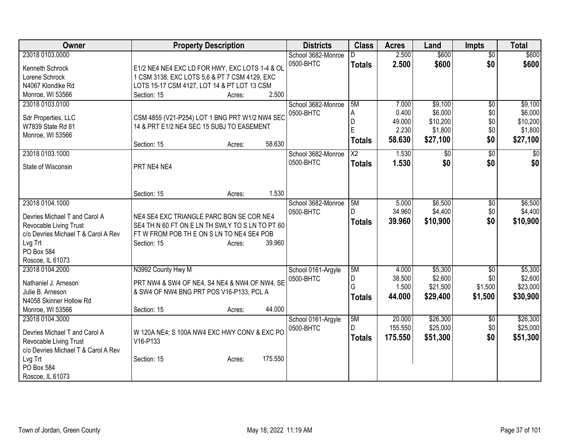| Owner                               |                                                          | <b>Property Description</b> |         | <b>Districts</b>   | <b>Class</b>           | <b>Acres</b> | Land     | <b>Impts</b>    | <b>Total</b>    |
|-------------------------------------|----------------------------------------------------------|-----------------------------|---------|--------------------|------------------------|--------------|----------|-----------------|-----------------|
| 23018 0103,0000                     |                                                          |                             |         | School 3682-Monroe |                        | 2.500        | \$600    | $\overline{50}$ | \$600           |
| Kenneth Schrock                     | E1/2 NE4 NE4 EXC LD FOR HWY, EXC LOTS 1-4 & OL           |                             |         | 0500-BHTC          | <b>Totals</b>          | 2.500        | \$600    | \$0             | \$600           |
| Lorene Schrock                      | 1 CSM 3138, EXC LOTS 5,6 & PT 7 CSM 4129, EXC            |                             |         |                    |                        |              |          |                 |                 |
| N4067 Klondike Rd                   | LOTS 15-17 CSM 4127, LOT 14 & PT LOT 13 CSM              |                             |         |                    |                        |              |          |                 |                 |
| Monroe, WI 53566                    | Section: 15                                              | Acres:                      | 2.500   |                    |                        |              |          |                 |                 |
| 23018 0103.0100                     |                                                          |                             |         | School 3682-Monroe | 5M                     | 7.000        | \$9,100  | $\overline{50}$ | \$9,100         |
| Sdr Properties, LLC                 | CSM 4855 (V21-P254) LOT 1 BNG PRT W1/2 NW4 SEC           |                             |         | 0500-BHTC          | A                      | 0.400        | \$6,000  | \$0             | \$6,000         |
| W7839 State Rd 81                   | 14 & PRT E1/2 NE4 SEC 15 SUBJ TO EASEMENT                |                             |         |                    | D                      | 49.000       | \$10,200 | \$0             | \$10,200        |
| Monroe, WI 53566                    |                                                          |                             |         |                    | E                      | 2.230        | \$1,800  | \$0             | \$1,800         |
|                                     | Section: 15                                              | Acres:                      | 58.630  |                    | <b>Totals</b>          | 58.630       | \$27,100 | \$0             | \$27,100        |
| 23018 0103.1000                     |                                                          |                             |         | School 3682-Monroe | $\overline{\text{X2}}$ | 1.530        | \$0      | $\overline{50}$ | $\overline{30}$ |
| State of Wisconsin                  | PRT NE4 NE4                                              |                             |         | 0500-BHTC          | <b>Totals</b>          | 1.530        | \$0      | \$0             | \$0             |
|                                     |                                                          |                             |         |                    |                        |              |          |                 |                 |
|                                     |                                                          |                             |         |                    |                        |              |          |                 |                 |
|                                     | Section: 15                                              | Acres:                      | 1.530   |                    |                        |              |          |                 |                 |
| 23018 0104.1000                     |                                                          |                             |         | School 3682-Monroe | 5M                     | 5.000        | \$6,500  | \$0             | \$6,500         |
| Devries Michael T and Carol A       | NE4 SE4 EXC TRIANGLE PARC BGN SE COR NE4                 |                             |         | 0500-BHTC          | D.                     | 34.960       | \$4,400  | \$0             | \$4,400         |
| Revocable Living Trust              | SE4 TH N 60 FT ON E LN TH SWLY TO S LN TO PT 60          |                             |         |                    | <b>Totals</b>          | 39.960       | \$10,900 | \$0             | \$10,900        |
| c/o Devries Michael T & Carol A Rev | FT W FROM POB TH E ON S LN TO NE4 SE4 POB                |                             |         |                    |                        |              |          |                 |                 |
| Lvg Trt                             | Section: 15                                              | Acres:                      | 39.960  |                    |                        |              |          |                 |                 |
| PO Box 584                          |                                                          |                             |         |                    |                        |              |          |                 |                 |
| Roscoe, IL 61073                    |                                                          |                             |         |                    |                        |              |          |                 |                 |
| 23018 0104.2000                     | N3992 County Hwy M                                       |                             |         | School 0161-Argyle | 5M                     | 4.000        | \$5,300  | \$0             | \$5,300         |
| Nathaniel J. Arneson                | PRT NW4 & SW4 OF NE4, S4 NE4 & NW4 OF NW4, SE            |                             |         | 0500-BHTC          | l D                    | 38.500       | \$2,600  | \$0             | \$2,600         |
| Julie B. Arneson                    | & SW4 OF NW4 BNG PRT POS V16-P133, PCL A                 |                             |         |                    | G                      | 1.500        | \$21,500 | \$1,500         | \$23,000        |
| N4058 Skinner Hollow Rd             |                                                          |                             |         |                    | <b>Totals</b>          | 44.000       | \$29,400 | \$1,500         | \$30,900        |
| Monroe, WI 53566                    | Section: 15                                              | Acres:                      | 44.000  |                    |                        |              |          |                 |                 |
| 23018 0104.3000                     |                                                          |                             |         | School 0161-Argyle | 5M                     | 20.000       | \$26,300 | $\sqrt[6]{}$    | \$26,300        |
| Devries Michael T and Carol A       |                                                          |                             |         | 0500-BHTC          | D.                     | 155.550      | \$25,000 | \$0             | \$25,000        |
| Revocable Living Trust              | W 120A NE4; S 100A NW4 EXC HWY CONV & EXC PO<br>V16-P133 |                             |         |                    | <b>Totals</b>          | 175.550      | \$51,300 | \$0             | \$51,300        |
| c/o Devries Michael T & Carol A Rev |                                                          |                             |         |                    |                        |              |          |                 |                 |
| Lvg Trt                             | Section: 15                                              | Acres:                      | 175.550 |                    |                        |              |          |                 |                 |
| PO Box 584                          |                                                          |                             |         |                    |                        |              |          |                 |                 |
| Roscoe, IL 61073                    |                                                          |                             |         |                    |                        |              |          |                 |                 |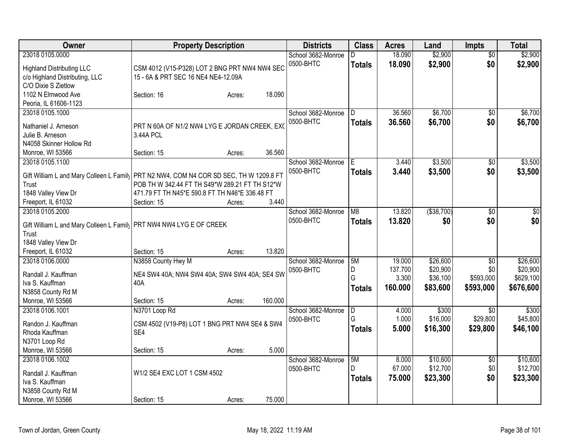| Owner                                                                                                                                        | <b>Property Description</b>                                                                                                                                                                                         |         | <b>Districts</b>                | <b>Class</b>                  | <b>Acres</b>                          | Land                                         | <b>Impts</b>                            | <b>Total</b>                                   |
|----------------------------------------------------------------------------------------------------------------------------------------------|---------------------------------------------------------------------------------------------------------------------------------------------------------------------------------------------------------------------|---------|---------------------------------|-------------------------------|---------------------------------------|----------------------------------------------|-----------------------------------------|------------------------------------------------|
| 23018 0105.0000<br><b>Highland Distributing LLC</b><br>c/o Highland Distributing, LLC                                                        | CSM 4012 (V15-P328) LOT 2 BNG PRT NW4 NW4 SEC<br>15 - 6A & PRT SEC 16 NE4 NE4-12.09A                                                                                                                                |         | School 3682-Monroe<br>0500-BHTC | D.<br><b>Totals</b>           | 18.090<br>18.090                      | \$2,900<br>\$2,900                           | $\overline{50}$<br>\$0                  | \$2,900<br>\$2,900                             |
| C/O Dixie S Zietlow<br>1102 N Elmwood Ave<br>Peoria, IL 61606-1123                                                                           | Section: 16<br>Acres:                                                                                                                                                                                               | 18.090  |                                 |                               |                                       |                                              |                                         |                                                |
| 23018 0105.1000<br>Nathaniel J. Arneson<br>Julie B. Arneson<br>N4058 Skinner Hollow Rd<br>Monroe, WI 53566                                   | PRT N 60A OF N1/2 NW4 LYG E JORDAN CREEK, EXO<br>3.44A PCL<br>Section: 15<br>Acres:                                                                                                                                 | 36.560  | School 3682-Monroe<br>0500-BHTC | D<br><b>Totals</b>            | 36.560<br>36.560                      | \$6,700<br>\$6,700                           | \$0<br>\$0                              | \$6,700<br>\$6,700                             |
| 23018 0105.1100<br>Trust<br>1848 Valley View Dr<br>Freeport, IL 61032                                                                        | Gift William L and Mary Colleen L Family PRT N2 NW4, COM N4 COR SD SEC, TH W 1209.8 FT<br>POB TH W 342.44 FT TH S49*W 289.21 FT TH S12*W<br>471.79 FT TH N45*E 590.8 FT TH N46*E 336.48 FT<br>Section: 15<br>Acres: | 3.440   | School 3682-Monroe<br>0500-BHTC | E<br><b>Totals</b>            | 3.440<br>3.440                        | \$3,500<br>\$3,500                           | $\sqrt{6}$<br>\$0                       | \$3,500<br>\$3,500                             |
| 23018 0105.2000<br>Gift William L and Mary Colleen L Family PRT NW4 NW4 LYG E OF CREEK<br>Trust<br>1848 Valley View Dr<br>Freeport, IL 61032 | Section: 15<br>Acres:                                                                                                                                                                                               | 13.820  | School 3682-Monroe<br>0500-BHTC | M8<br><b>Totals</b>           | 13.820<br>13.820                      | ( \$38,700)<br>\$0                           | \$0<br>\$0                              | $\sqrt{50}$<br>\$0                             |
| 23018 0106.0000<br>Randall J. Kauffman<br>Iva S. Kauffman<br>N3858 County Rd M<br>Monroe, WI 53566                                           | N3858 County Hwy M<br>NE4 SW4 40A; NW4 SW4 40A; SW4 SW4 40A; SE4 SW<br>40A<br>Section: 15<br>Acres:                                                                                                                 | 160.000 | School 3682-Monroe<br>0500-BHTC | 5M<br>D<br>G<br><b>Totals</b> | 19.000<br>137.700<br>3.300<br>160.000 | \$26,600<br>\$20,900<br>\$36,100<br>\$83,600 | \$0<br>\$0<br>\$593,000<br>\$593,000    | \$26,600<br>\$20,900<br>\$629,100<br>\$676,600 |
| 23018 0106.1001<br>Randon J. Kauffman<br>Rhoda Kauffman<br>N3701 Loop Rd<br>Monroe, WI 53566                                                 | N3701 Loop Rd<br>CSM 4502 (V19-P8) LOT 1 BNG PRT NW4 SE4 & SW4<br>SE4<br>Section: 15<br>Acres:                                                                                                                      | 5.000   | School 3682-Monroe<br>0500-BHTC | D<br>G<br><b>Totals</b>       | 4.000<br>1.000<br>5.000               | \$300<br>\$16,000<br>\$16,300                | $\overline{50}$<br>\$29,800<br>\$29,800 | \$300<br>\$45,800<br>\$46,100                  |
| 23018 0106.1002<br>Randall J. Kauffman<br>Iva S. Kauffman<br>N3858 County Rd M<br>Monroe, WI 53566                                           | W1/2 SE4 EXC LOT 1 CSM 4502<br>Section: 15<br>Acres:                                                                                                                                                                | 75.000  | School 3682-Monroe<br>0500-BHTC | 5M<br>D.<br><b>Totals</b>     | 8.000<br>67.000<br>75.000             | \$10,600<br>\$12,700<br>\$23,300             | $\overline{50}$<br>\$0<br>\$0           | \$10,600<br>\$12,700<br>\$23,300               |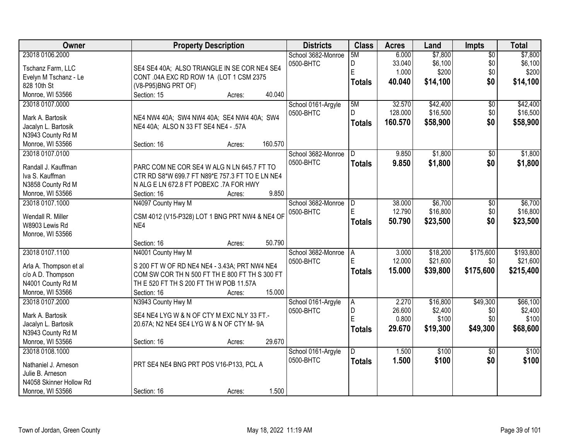| Owner                   | <b>Property Description</b>                     | <b>Districts</b>   | <b>Class</b>            | <b>Acres</b> | Land     | Impts           | <b>Total</b> |
|-------------------------|-------------------------------------------------|--------------------|-------------------------|--------------|----------|-----------------|--------------|
| 23018 0106.2000         |                                                 | School 3682-Monroe | 5M                      | 6.000        | \$7,800  | $\overline{50}$ | \$7,800      |
| Tschanz Farm, LLC       | SE4 SE4 40A; ALSO TRIANGLE IN SE COR NE4 SE4    | 0500-BHTC          | D                       | 33.040       | \$6,100  | \$0             | \$6,100      |
| Evelyn M Tschanz - Le   | CONT .04A EXC RD ROW 1A (LOT 1 CSM 2375         |                    | E                       | 1.000        | \$200    | \$0             | \$200        |
| 828 10th St             | (V8-P95)BNG PRT OF)                             |                    | <b>Totals</b>           | 40.040       | \$14,100 | \$0             | \$14,100     |
| Monroe, WI 53566        | 40.040<br>Section: 15<br>Acres:                 |                    |                         |              |          |                 |              |
| 23018 0107.0000         |                                                 | School 0161-Argyle | 5M                      | 32.570       | \$42,400 | $\overline{30}$ | \$42,400     |
|                         |                                                 | 0500-BHTC          | D.                      | 128.000      | \$16,500 | \$0             | \$16,500     |
| Mark A. Bartosik        | NE4 NW4 40A; SW4 NW4 40A; SE4 NW4 40A; SW4      |                    | <b>Totals</b>           | 160.570      | \$58,900 | \$0             | \$58,900     |
| Jacalyn L. Bartosik     | NE4 40A; ALSO N 33 FT SE4 NE4 - .57A            |                    |                         |              |          |                 |              |
| N3943 County Rd M       |                                                 |                    |                         |              |          |                 |              |
| Monroe, WI 53566        | 160.570<br>Section: 16<br>Acres:                |                    |                         |              |          |                 |              |
| 23018 0107.0100         |                                                 | School 3682-Monroe | D                       | 9.850        | \$1,800  | $\overline{50}$ | \$1,800      |
| Randall J. Kauffman     | PARC COM NE COR SE4 W ALG N LN 645.7 FT TO      | 0500-BHTC          | <b>Totals</b>           | 9.850        | \$1,800  | \$0             | \$1,800      |
| Iva S. Kauffman         | CTR RD S8*W 699.7 FT N89*E 757.3 FT TO E LN NE4 |                    |                         |              |          |                 |              |
| N3858 County Rd M       | N ALG E LN 672.8 FT POBEXC .7A FOR HWY          |                    |                         |              |          |                 |              |
| Monroe, WI 53566        | 9.850<br>Section: 16<br>Acres:                  |                    |                         |              |          |                 |              |
| 23018 0107.1000         | N4097 County Hwy M                              | School 3682-Monroe | D                       | 38.000       | \$6,700  | \$0             | \$6,700      |
|                         |                                                 | 0500-BHTC          | E                       | 12.790       | \$16,800 | \$0             | \$16,800     |
| Wendall R. Miller       | CSM 4012 (V15-P328) LOT 1 BNG PRT NW4 & NE4 OF  |                    | <b>Totals</b>           | 50.790       | \$23,500 | \$0             | \$23,500     |
| W8903 Lewis Rd          | NE4                                             |                    |                         |              |          |                 |              |
| Monroe, WI 53566        |                                                 |                    |                         |              |          |                 |              |
|                         | 50.790<br>Section: 16<br>Acres:                 |                    |                         |              |          |                 |              |
| 23018 0107.1100         | N4001 County Hwy M                              | School 3682-Monroe | A                       | 3.000        | \$18,200 | \$175,600       | \$193,800    |
| Arla A. Thompson et al  | S 200 FT W OF RD NE4 NE4 - 3.43A; PRT NW4 NE4   | 0500-BHTC          | E                       | 12.000       | \$21,600 | \$0             | \$21,600     |
| c/o A D. Thompson       | COM SW COR TH N 500 FT TH E 800 FT TH S 300 FT  |                    | <b>Totals</b>           | 15.000       | \$39,800 | \$175,600       | \$215,400    |
| N4001 County Rd M       | TH E 520 FT TH S 200 FT TH W POB 11.57A         |                    |                         |              |          |                 |              |
| Monroe, WI 53566        | 15.000<br>Section: 16<br>Acres:                 |                    |                         |              |          |                 |              |
| 23018 0107.2000         | N3943 County Hwy M                              | School 0161-Argyle | A                       | 2.270        | \$16,800 | \$49,300        | \$66,100     |
|                         |                                                 | 0500-BHTC          | D                       | 26.600       | \$2,400  | \$0             | \$2,400      |
| Mark A. Bartosik        | SE4 NE4 LYG W & N OF CTY M EXC NLY 33 FT.-      |                    | Ë                       | 0.800        | \$100    | \$0             | \$100        |
| Jacalyn L. Bartosik     | 20.67A; N2 NE4 SE4 LYG W & N OF CTY M- 9A       |                    | <b>Totals</b>           | 29.670       | \$19,300 | \$49,300        | \$68,600     |
| N3943 County Rd M       |                                                 |                    |                         |              |          |                 |              |
| Monroe, WI 53566        | 29.670<br>Section: 16<br>Acres:                 |                    |                         |              |          |                 |              |
| 23018 0108.1000         |                                                 | School 0161-Argyle | $\overline{\mathsf{D}}$ | 1.500        | \$100    | $\overline{50}$ | \$100        |
| Nathaniel J. Arneson    | PRT SE4 NE4 BNG PRT POS V16-P133, PCL A         | 0500-BHTC          | <b>Totals</b>           | 1.500        | \$100    | \$0             | \$100        |
| Julie B. Arneson        |                                                 |                    |                         |              |          |                 |              |
| N4058 Skinner Hollow Rd |                                                 |                    |                         |              |          |                 |              |
| Monroe, WI 53566        | 1.500<br>Section: 16<br>Acres:                  |                    |                         |              |          |                 |              |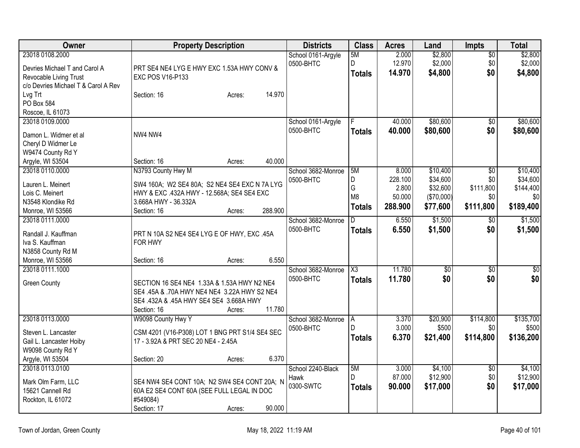| Owner                               | <b>Property Description</b>                    | <b>Districts</b>   | <b>Class</b>           | <b>Acres</b> | Land            | <b>Impts</b>    | <b>Total</b>    |
|-------------------------------------|------------------------------------------------|--------------------|------------------------|--------------|-----------------|-----------------|-----------------|
| 23018 0108.2000                     |                                                | School 0161-Argyle | 5M                     | 2.000        | \$2,800         | $\overline{50}$ | \$2,800         |
| Devries Michael T and Carol A       | PRT SE4 NE4 LYG E HWY EXC 1.53A HWY CONV &     | 0500-BHTC          | D.                     | 12.970       | \$2,000         | \$0             | \$2,000         |
| Revocable Living Trust              | EXC POS V16-P133                               |                    | <b>Totals</b>          | 14.970       | \$4,800         | \$0             | \$4,800         |
| c/o Devries Michael T & Carol A Rev |                                                |                    |                        |              |                 |                 |                 |
| Lvg Trt                             | 14.970<br>Section: 16<br>Acres:                |                    |                        |              |                 |                 |                 |
| PO Box 584                          |                                                |                    |                        |              |                 |                 |                 |
| Roscoe, IL 61073                    |                                                |                    |                        |              |                 |                 |                 |
| 23018 0109.0000                     |                                                | School 0161-Argyle |                        | 40.000       | \$80,600        | $\overline{50}$ | \$80,600        |
| Damon L. Widmer et al               | NW4 NW4                                        | 0500-BHTC          | <b>Totals</b>          | 40.000       | \$80,600        | \$0             | \$80,600        |
| Cheryl D Widmer Le                  |                                                |                    |                        |              |                 |                 |                 |
| W9474 County Rd Y                   |                                                |                    |                        |              |                 |                 |                 |
| Argyle, WI 53504                    | 40.000<br>Section: 16<br>Acres:                |                    |                        |              |                 |                 |                 |
| 23018 0110.0000                     | N3793 County Hwy M                             | School 3682-Monroe | 5M                     | 8.000        | \$10,400        | \$0             | \$10,400        |
|                                     |                                                | 0500-BHTC          | D                      | 228.100      | \$34,600        | \$0             | \$34,600        |
| Lauren L. Meinert                   | SW4 160A; W2 SE4 80A; S2 NE4 SE4 EXC N 7A LYG  |                    | G                      | 2.800        | \$32,600        | \$111,800       | \$144,400       |
| Lois C. Meinert                     | HWY & EXC .432A HWY - 12.568A; SE4 SE4 EXC     |                    | M <sub>8</sub>         | 50.000       | (\$70,000)      | \$0             | \$0             |
| N3548 Klondike Rd                   | 3.668A HWY - 36.332A                           |                    | <b>Totals</b>          | 288.900      | \$77,600        | \$111,800       | \$189,400       |
| Monroe, WI 53566                    | 288.900<br>Section: 16<br>Acres:               |                    |                        |              |                 |                 |                 |
| 23018 0111.0000                     |                                                | School 3682-Monroe | D                      | 6.550        | \$1,500         | \$0             | \$1,500         |
| Randall J. Kauffman                 | PRT N 10A S2 NE4 SE4 LYG E OF HWY, EXC .45A    | 0500-BHTC          | <b>Totals</b>          | 6.550        | \$1,500         | \$0             | \$1,500         |
| Iva S. Kauffman                     | FOR HWY                                        |                    |                        |              |                 |                 |                 |
| N3858 County Rd M                   |                                                |                    |                        |              |                 |                 |                 |
| Monroe, WI 53566                    | 6.550<br>Section: 16<br>Acres:                 |                    |                        |              |                 |                 |                 |
| 23018 0111.1000                     |                                                | School 3682-Monroe | $\overline{\text{X3}}$ | 11.780       | $\overline{50}$ | $\overline{50}$ | $\overline{30}$ |
| <b>Green County</b>                 | SECTION 16 SE4 NE4 1.33A & 1.53A HWY N2 NE4    | 0500-BHTC          | <b>Totals</b>          | 11.780       | \$0             | \$0             | \$0             |
|                                     | SE4 .45A & .70A HWY NE4 NE4 3.22A HWY S2 NE4   |                    |                        |              |                 |                 |                 |
|                                     | SE4 .432A & .45A HWY SE4 SE4 3.668A HWY        |                    |                        |              |                 |                 |                 |
|                                     | 11.780<br>Section: 16<br>Acres:                |                    |                        |              |                 |                 |                 |
| 23018 0113.0000                     | W9098 County Hwy Y                             | School 3682-Monroe | l A                    | 3.370        | \$20,900        | \$114,800       | \$135,700       |
|                                     |                                                | 0500-BHTC          | D.                     | 3.000        | \$500           | \$0             | \$500           |
| Steven L. Lancaster                 | CSM 4201 (V16-P308) LOT 1 BNG PRT S1/4 SE4 SEC |                    | <b>Totals</b>          | 6.370        | \$21,400        | \$114,800       | \$136,200       |
| Gail L. Lancaster Hoiby             | 17 - 3.92A & PRT SEC 20 NE4 - 2.45A            |                    |                        |              |                 |                 |                 |
| W9098 County Rd Y                   |                                                |                    |                        |              |                 |                 |                 |
| Argyle, WI 53504                    | 6.370<br>Section: 20<br>Acres:                 |                    |                        |              |                 |                 |                 |
| 23018 0113.0100                     |                                                | School 2240-Black  | 5M<br>D.               | 3.000        | \$4,100         | $\sqrt{6}$      | \$4,100         |
| Mark Olm Farm, LLC                  | SE4 NW4 SE4 CONT 10A; N2 SW4 SE4 CONT 20A; N   | Hawk               |                        | 87.000       | \$12,900        | \$0             | \$12,900        |
| 15621 Cannell Rd                    | 60A E2 SE4 CONT 60A (SEE FULL LEGAL IN DOC     | 0300-SWTC          | <b>Totals</b>          | 90.000       | \$17,000        | \$0             | \$17,000        |
| Rockton, IL 61072                   | #549084)                                       |                    |                        |              |                 |                 |                 |
|                                     | 90.000<br>Section: 17<br>Acres:                |                    |                        |              |                 |                 |                 |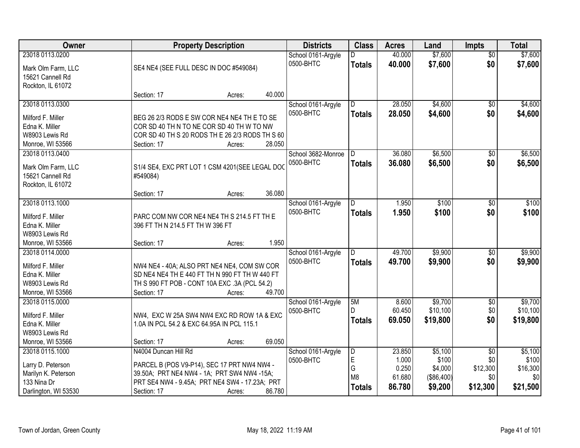| Owner                                                                                              | <b>Property Description</b>                                                                                                                                                                             | <b>Districts</b>                | <b>Class</b>                                    | <b>Acres</b>                                 | Land                                                 | <b>Impts</b>                                          | <b>Total</b>                                    |
|----------------------------------------------------------------------------------------------------|---------------------------------------------------------------------------------------------------------------------------------------------------------------------------------------------------------|---------------------------------|-------------------------------------------------|----------------------------------------------|------------------------------------------------------|-------------------------------------------------------|-------------------------------------------------|
| 23018 0113.0200<br>Mark Olm Farm, LLC<br>15621 Cannell Rd                                          | SE4 NE4 (SEE FULL DESC IN DOC #549084)                                                                                                                                                                  | School 0161-Argyle<br>0500-BHTC | D.<br><b>Totals</b>                             | 40.000<br>40.000                             | \$7,600<br>\$7,600                                   | $\overline{50}$<br>\$0                                | \$7,600<br>\$7,600                              |
| Rockton, IL 61072                                                                                  | 40.000<br>Section: 17<br>Acres:                                                                                                                                                                         |                                 |                                                 |                                              |                                                      |                                                       |                                                 |
| 23018 0113.0300<br>Milford F. Miller<br>Edna K. Miller<br>W8903 Lewis Rd<br>Monroe, WI 53566       | BEG 26 2/3 RODS E SW COR NE4 NE4 TH E TO SE<br>COR SD 40 TH N TO NE COR SD 40 TH W TO NW<br>COR SD 40 TH S 20 RODS TH E 26 2/3 RODS TH S 60<br>28.050<br>Section: 17<br>Acres:                          | School 0161-Argyle<br>0500-BHTC | $\overline{D}$<br><b>Totals</b>                 | 28.050<br>28.050                             | \$4,600<br>\$4,600                                   | $\overline{50}$<br>\$0                                | \$4,600<br>\$4,600                              |
| 23018 0113.0400<br>Mark Olm Farm, LLC<br>15621 Cannell Rd<br>Rockton, IL 61072                     | S1/4 SE4, EXC PRT LOT 1 CSM 4201(SEE LEGAL DOC<br>#549084)<br>36.080<br>Section: 17                                                                                                                     | School 3682-Monroe<br>0500-BHTC | <b>Totals</b>                                   | 36.080<br>36.080                             | \$6,500<br>\$6,500                                   | \$0<br>\$0                                            | \$6,500<br>\$6,500                              |
| 23018 0113.1000<br>Milford F. Miller<br>Edna K. Miller<br>W8903 Lewis Rd<br>Monroe, WI 53566       | Acres:<br>PARC COM NW COR NE4 NE4 TH S 214.5 FT TH E<br>396 FT TH N 214.5 FT TH W 396 FT<br>1.950<br>Section: 17<br>Acres:                                                                              | School 0161-Argyle<br>0500-BHTC | D<br><b>Totals</b>                              | 1.950<br>1.950                               | \$100<br>\$100                                       | \$0<br>\$0                                            | \$100<br>\$100                                  |
| 23018 0114.0000<br>Milford F. Miller<br>Edna K. Miller<br>W8903 Lewis Rd<br>Monroe, WI 53566       | NW4 NE4 - 40A; ALSO PRT NE4 NE4, COM SW COR<br>SD NE4 NE4 TH E 440 FT TH N 990 FT TH W 440 FT<br>TH S 990 FT POB - CONT 10A EXC .3A (PCL 54.2)<br>49.700<br>Section: 17<br>Acres:                       | School 0161-Argyle<br>0500-BHTC | $\overline{D}$<br><b>Totals</b>                 | 49.700<br>49.700                             | \$9,900<br>\$9,900                                   | \$0<br>\$0                                            | \$9,900<br>\$9,900                              |
| 23018 0115.0000<br>Milford F. Miller<br>Edna K. Miller<br>W8903 Lewis Rd<br>Monroe, WI 53566       | NW4, EXC W 25A SW4 NW4 EXC RD ROW 1A & EXC<br>1.0A IN PCL 54.2 & EXC 64.95A IN PCL 115.1<br>69.050<br>Section: 17<br>Acres:                                                                             | School 0161-Argyle<br>0500-BHTC | 5M<br>D.<br><b>Totals</b>                       | 8.600<br>60.450<br>69.050                    | \$9,700<br>\$10,100<br>\$19,800                      | $\sqrt{6}$<br>\$0<br>\$0                              | \$9,700<br>\$10,100<br>\$19,800                 |
| 23018 0115.1000<br>Larry D. Peterson<br>Marilyn K. Peterson<br>133 Nina Dr<br>Darlington, WI 53530 | N4004 Duncan Hill Rd<br>PARCEL B (POS V9-P14), SEC 17 PRT NW4 NW4 -<br>39.50A; PRT NE4 NW4 - 1A; PRT SW4 NW4 -15A;<br>PRT SE4 NW4 - 9.45A; PRT NE4 SW4 - 17.23A; PRT<br>86.780<br>Section: 17<br>Acres: | School 0161-Argyle<br>0500-BHTC | $\overline{D}$<br>E<br>G<br>M8<br><b>Totals</b> | 23.850<br>1.000<br>0.250<br>61.680<br>86.780 | \$5,100<br>\$100<br>\$4,000<br>(\$86,400)<br>\$9,200 | $\overline{50}$<br>\$0<br>\$12,300<br>\$0<br>\$12,300 | \$5,100<br>\$100<br>\$16,300<br>\$0<br>\$21,500 |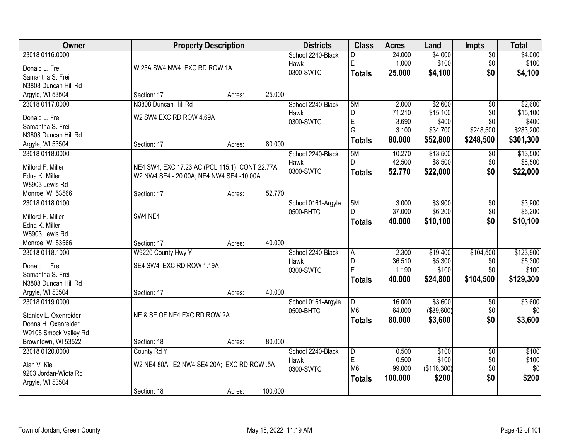| <b>Owner</b>                        | <b>Property Description</b>                                                                |        |         | <b>Districts</b>          | <b>Class</b>        | <b>Acres</b> | Land                | <b>Impts</b>    | <b>Total</b> |
|-------------------------------------|--------------------------------------------------------------------------------------------|--------|---------|---------------------------|---------------------|--------------|---------------------|-----------------|--------------|
| 23018 0116.0000                     |                                                                                            |        |         | School 2240-Black         | D                   | 24.000       | \$4,000             | \$0             | \$4,000      |
| Donald L. Frei                      | W 25A SW4 NW4 EXC RD ROW 1A                                                                |        |         | Hawk                      | $\mathsf E$         | 1.000        | \$100               | \$0             | \$100        |
| Samantha S. Frei                    |                                                                                            |        |         | 0300-SWTC                 | <b>Totals</b>       | 25.000       | \$4,100             | \$0             | \$4,100      |
| N3808 Duncan Hill Rd                |                                                                                            |        |         |                           |                     |              |                     |                 |              |
| Argyle, WI 53504                    | Section: 17                                                                                | Acres: | 25.000  |                           |                     |              |                     |                 |              |
| 23018 0117.0000                     | N3808 Duncan Hill Rd                                                                       |        |         | School 2240-Black         | 5M                  | 2.000        | \$2,600             | $\overline{50}$ | \$2,600      |
| Donald L. Frei                      | W2 SW4 EXC RD ROW 4.69A                                                                    |        |         | Hawk                      | D                   | 71.210       | \$15,100            | \$0             | \$15,100     |
| Samantha S. Frei                    |                                                                                            |        |         | 0300-SWTC                 | $\mathsf E$         | 3.690        | \$400               | \$0             | \$400        |
| N3808 Duncan Hill Rd                |                                                                                            |        |         |                           | G                   | 3.100        | \$34,700            | \$248,500       | \$283,200    |
| Argyle, WI 53504                    | Section: 17                                                                                | Acres: | 80.000  |                           | Totals              | 80.000       | \$52,800            | \$248,500       | \$301,300    |
| 23018 0118.0000                     |                                                                                            |        |         | School 2240-Black         | 5M                  | 10.270       | \$13,500            | \$0             | \$13,500     |
| Milford F. Miller                   |                                                                                            |        |         | Hawk                      | D.                  | 42.500       | \$8,500             | \$0             | \$8,500      |
| Edna K. Miller                      | NE4 SW4, EXC 17.23 AC (PCL 115.1) CONT 22.77A;<br>W2 NW4 SE4 - 20.00A; NE4 NW4 SE4 -10.00A |        |         | 0300-SWTC                 | Totals              | 52.770       | \$22,000            | \$0             | \$22,000     |
| W8903 Lewis Rd                      |                                                                                            |        |         |                           |                     |              |                     |                 |              |
| Monroe, WI 53566                    | Section: 17                                                                                | Acres: | 52.770  |                           |                     |              |                     |                 |              |
| 23018 0118.0100                     |                                                                                            |        |         | School 0161-Argyle        | 5M                  | 3.000        | \$3,900             | \$0             | \$3,900      |
|                                     |                                                                                            |        |         | 0500-BHTC                 | D.                  | 37.000       | \$6,200             | \$0             | \$6,200      |
| Milford F. Miller                   | SW4 NE4                                                                                    |        |         |                           | <b>Totals</b>       | 40.000       | \$10,100            | \$0             | \$10,100     |
| Edna K. Miller                      |                                                                                            |        |         |                           |                     |              |                     |                 |              |
| W8903 Lewis Rd                      |                                                                                            |        | 40.000  |                           |                     |              |                     |                 |              |
| Monroe, WI 53566<br>23018 0118.1000 | Section: 17                                                                                | Acres: |         |                           |                     | 2.300        |                     | \$104,500       | \$123,900    |
|                                     | W9220 County Hwy Y                                                                         |        |         | School 2240-Black<br>Hawk | $\overline{A}$<br>D | 36.510       | \$19,400<br>\$5,300 | \$0             | \$5,300      |
| Donald L. Frei                      | SE4 SW4 EXC RD ROW 1.19A                                                                   |        |         | 0300-SWTC                 | E                   | 1.190        | \$100               | \$0             | \$100        |
| Samantha S. Frei                    |                                                                                            |        |         |                           | <b>Totals</b>       | 40.000       | \$24,800            | \$104,500       | \$129,300    |
| N3808 Duncan Hill Rd                |                                                                                            |        |         |                           |                     |              |                     |                 |              |
| Argyle, WI 53504                    | Section: 17                                                                                | Acres: | 40.000  |                           |                     |              |                     |                 |              |
| 23018 0119.0000                     |                                                                                            |        |         | School 0161-Argyle        | $\overline{D}$      | 16.000       | \$3,600             | $\overline{50}$ | \$3,600      |
| Stanley L. Oxenreider               | NE & SE OF NE4 EXC RD ROW 2A                                                               |        |         | 0500-BHTC                 | M <sub>6</sub>      | 64.000       | (\$89,600)          | \$0             | \$0          |
| Donna H. Oxenreider                 |                                                                                            |        |         |                           | <b>Totals</b>       | 80,000       | \$3,600             | \$0             | \$3,600      |
| W9105 Smock Valley Rd               |                                                                                            |        |         |                           |                     |              |                     |                 |              |
| Browntown, WI 53522                 | Section: 18                                                                                | Acres: | 80.000  |                           |                     |              |                     |                 |              |
| 23018 0120.0000                     | County Rd Y                                                                                |        |         | School 2240-Black         | $\overline{D}$      | 0.500        | \$100               | $\overline{60}$ | \$100        |
| Alan V. Kiel                        | W2 NE4 80A; E2 NW4 SE4 20A; EXC RD ROW .5A                                                 |        |         | Hawk                      | $\mathsf E$         | 0.500        | \$100               | \$0             | \$100        |
| 9203 Jordan-Wiota Rd                |                                                                                            |        |         | 0300-SWTC                 | M <sub>6</sub>      | 99.000       | (\$116,300)         | \$0             | \$0          |
| Argyle, WI 53504                    |                                                                                            |        |         |                           | Totals              | 100.000      | \$200               | \$0             | \$200        |
|                                     | Section: 18                                                                                | Acres: | 100.000 |                           |                     |              |                     |                 |              |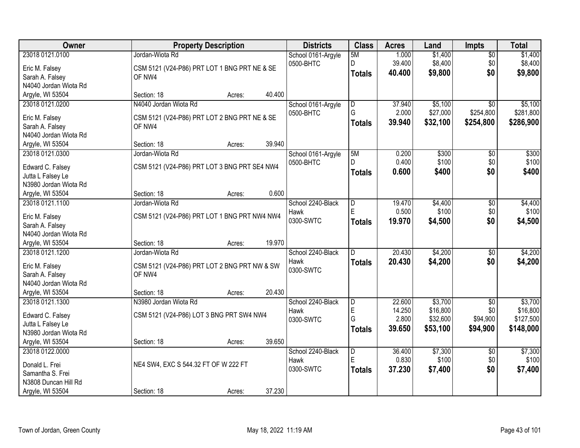| Owner                 | <b>Property Description</b>                  |        | <b>Districts</b>   | <b>Class</b>   | <b>Acres</b> | Land     | <b>Impts</b>    | <b>Total</b> |
|-----------------------|----------------------------------------------|--------|--------------------|----------------|--------------|----------|-----------------|--------------|
| 23018 0121.0100       | Jordan-Wiota Rd                              |        | School 0161-Argyle | 5M             | 1.000        | \$1,400  | $\overline{50}$ | \$1,400      |
| Eric M. Falsey        | CSM 5121 (V24-P86) PRT LOT 1 BNG PRT NE & SE |        | 0500-BHTC          | D.             | 39.400       | \$8,400  | \$0             | \$8,400      |
| Sarah A. Falsey       | OF NW4                                       |        |                    | <b>Totals</b>  | 40.400       | \$9,800  | \$0             | \$9,800      |
| N4040 Jordan Wiota Rd |                                              |        |                    |                |              |          |                 |              |
| Argyle, WI 53504      | Section: 18<br>Acres:                        | 40.400 |                    |                |              |          |                 |              |
| 23018 0121.0200       | N4040 Jordan Wiota Rd                        |        | School 0161-Argyle | $\overline{D}$ | 37.940       | \$5,100  | $\overline{30}$ | \$5,100      |
|                       |                                              |        | 0500-BHTC          | G              | 2.000        | \$27,000 | \$254,800       | \$281,800    |
| Eric M. Falsey        | CSM 5121 (V24-P86) PRT LOT 2 BNG PRT NE & SE |        |                    | <b>Totals</b>  | 39.940       | \$32,100 | \$254,800       | \$286,900    |
| Sarah A. Falsey       | OF NW4                                       |        |                    |                |              |          |                 |              |
| N4040 Jordan Wiota Rd |                                              |        |                    |                |              |          |                 |              |
| Argyle, WI 53504      | Section: 18<br>Acres:                        | 39.940 |                    |                |              |          |                 |              |
| 23018 0121.0300       | Jordan-Wiota Rd                              |        | School 0161-Argyle | 5M             | 0.200        | \$300    | \$0             | \$300        |
| Edward C. Falsey      | CSM 5121 (V24-P86) PRT LOT 3 BNG PRT SE4 NW4 |        | 0500-BHTC          | D.             | 0.400        | \$100    | \$0             | \$100        |
| Jutta L Falsey Le     |                                              |        |                    | <b>Totals</b>  | 0.600        | \$400    | \$0             | \$400        |
| N3980 Jordan Wiota Rd |                                              |        |                    |                |              |          |                 |              |
| Argyle, WI 53504      | Section: 18<br>Acres:                        | 0.600  |                    |                |              |          |                 |              |
| 23018 0121.1100       | Jordan-Wiota Rd                              |        | School 2240-Black  | D              | 19.470       | \$4,400  | \$0             | \$4,400      |
|                       |                                              |        | Hawk               | E              | 0.500        | \$100    | \$0             | \$100        |
| Eric M. Falsey        | CSM 5121 (V24-P86) PRT LOT 1 BNG PRT NW4 NW4 |        | 0300-SWTC          | <b>Totals</b>  | 19.970       | \$4,500  | \$0             | \$4,500      |
| Sarah A. Falsey       |                                              |        |                    |                |              |          |                 |              |
| N4040 Jordan Wiota Rd |                                              |        |                    |                |              |          |                 |              |
| Argyle, WI 53504      | Section: 18<br>Acres:                        | 19.970 |                    |                |              |          |                 |              |
| 23018 0121.1200       | Jordan-Wiota Rd                              |        | School 2240-Black  | $\overline{D}$ | 20.430       | \$4,200  | $\overline{50}$ | \$4,200      |
| Eric M. Falsey        | CSM 5121 (V24-P86) PRT LOT 2 BNG PRT NW & SW |        | Hawk               | Totals         | 20.430       | \$4,200  | \$0             | \$4,200      |
| Sarah A. Falsey       | OF NW4                                       |        | 0300-SWTC          |                |              |          |                 |              |
| N4040 Jordan Wiota Rd |                                              |        |                    |                |              |          |                 |              |
| Argyle, WI 53504      | Section: 18<br>Acres:                        | 20.430 |                    |                |              |          |                 |              |
| 23018 0121.1300       | N3980 Jordan Wiota Rd                        |        | School 2240-Black  | $\overline{D}$ | 22.600       | \$3,700  | $\overline{50}$ | \$3,700      |
|                       |                                              |        | Hawk               | $\mathsf E$    | 14.250       | \$16,800 | \$0             | \$16,800     |
| Edward C. Falsey      | CSM 5121 (V24-P86) LOT 3 BNG PRT SW4 NW4     |        | 0300-SWTC          | G              | 2.800        | \$32,600 | \$94,900        | \$127,500    |
| Jutta L Falsey Le     |                                              |        |                    | <b>Totals</b>  | 39.650       | \$53,100 | \$94,900        | \$148,000    |
| N3980 Jordan Wiota Rd |                                              |        |                    |                |              |          |                 |              |
| Argyle, WI 53504      | Section: 18<br>Acres:                        | 39.650 |                    |                |              |          |                 |              |
| 23018 0122.0000       |                                              |        | School 2240-Black  | D              | 36.400       | \$7,300  | $\overline{30}$ | \$7,300      |
| Donald L. Frei        | NE4 SW4, EXC S 544.32 FT OF W 222 FT         |        | Hawk               | E              | 0.830        | \$100    | \$0             | \$100        |
| Samantha S. Frei      |                                              |        | 0300-SWTC          | <b>Totals</b>  | 37.230       | \$7,400  | \$0             | \$7,400      |
| N3808 Duncan Hill Rd  |                                              |        |                    |                |              |          |                 |              |
| Argyle, WI 53504      | Section: 18<br>Acres:                        | 37.230 |                    |                |              |          |                 |              |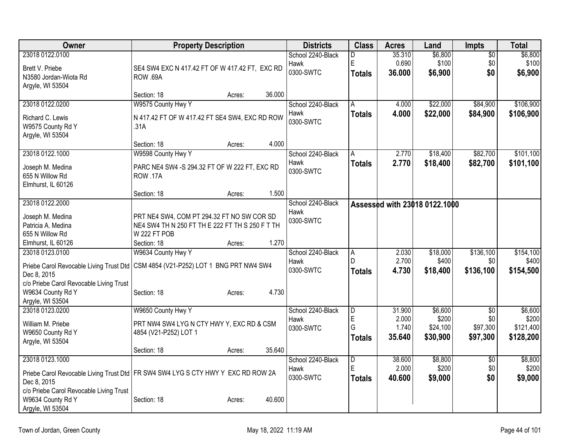| Owner                                                        | <b>Property Description</b>                                                         | <b>Districts</b>           | <b>Class</b>            | <b>Acres</b> | Land                          | <b>Impts</b>    | <b>Total</b> |
|--------------------------------------------------------------|-------------------------------------------------------------------------------------|----------------------------|-------------------------|--------------|-------------------------------|-----------------|--------------|
| 23018 0122.0100                                              |                                                                                     | School 2240-Black          | D                       | 35.310       | \$6,800                       | $\overline{50}$ | \$6,800      |
| Brett V. Priebe                                              | SE4 SW4 EXC N 417.42 FT OF W 417.42 FT, EXC RD                                      | Hawk                       | $\mathsf E$             | 0.690        | \$100                         | \$0             | \$100        |
| N3580 Jordan-Wiota Rd                                        | ROW .69A                                                                            | 0300-SWTC                  | Totals                  | 36.000       | \$6,900                       | \$0             | \$6,900      |
| Argyle, WI 53504                                             |                                                                                     |                            |                         |              |                               |                 |              |
|                                                              | 36.000<br>Section: 18<br>Acres:                                                     |                            |                         |              |                               |                 |              |
| 23018 0122.0200                                              | W9575 County Hwy Y                                                                  | School 2240-Black          | Α                       | 4.000        | \$22,000                      | \$84,900        | \$106,900    |
| Richard C. Lewis                                             | N 417.42 FT OF W 417.42 FT SE4 SW4, EXC RD ROW                                      | Hawk<br>0300-SWTC          | <b>Totals</b>           | 4.000        | \$22,000                      | \$84,900        | \$106,900    |
| W9575 County Rd Y                                            | .31A                                                                                |                            |                         |              |                               |                 |              |
| Argyle, WI 53504                                             |                                                                                     |                            |                         |              |                               |                 |              |
|                                                              | Section: 18<br>Acres:                                                               | 4.000                      |                         |              |                               |                 |              |
| 23018 0122.1000                                              | W9598 County Hwy Y                                                                  | School 2240-Black<br>Hawk  | A                       | 2.770        | \$18,400                      | \$82,700        | \$101,100    |
| Joseph M. Medina                                             | PARC NE4 SW4 -S 294.32 FT OF W 222 FT, EXC RD                                       | 0300-SWTC                  | <b>Totals</b>           | 2.770        | \$18,400                      | \$82,700        | \$101,100    |
| 655 N Willow Rd                                              | <b>ROW .17A</b>                                                                     |                            |                         |              |                               |                 |              |
| Elmhurst, IL 60126                                           |                                                                                     |                            |                         |              |                               |                 |              |
| 23018 0122.2000                                              | Section: 18<br>Acres:                                                               | 1.500<br>School 2240-Black |                         |              |                               |                 |              |
|                                                              |                                                                                     | Hawk                       |                         |              | Assessed with 23018 0122.1000 |                 |              |
| Joseph M. Medina                                             | PRT NE4 SW4, COM PT 294.32 FT NO SW COR SD                                          | 0300-SWTC                  |                         |              |                               |                 |              |
| Patricia A. Medina                                           | NE4 SW4 TH N 250 FT TH E 222 FT TH S 250 F T TH                                     |                            |                         |              |                               |                 |              |
| 655 N Willow Rd                                              | <b>W 222 FT POB</b><br>Section: 18                                                  | 1.270                      |                         |              |                               |                 |              |
| Elmhurst, IL 60126<br>23018 0123.0100                        | Acres:<br>W9634 County Hwy Y                                                        | School 2240-Black          | $\overline{A}$          | 2.030        | \$18,000                      | \$136,100       | \$154,100    |
|                                                              |                                                                                     | Hawk                       | D                       | 2.700        | \$400                         | \$0             | \$400        |
|                                                              | Priebe Carol Revocable Living Trust Dtd   CSM 4854 (V21-P252) LOT 1 BNG PRT NW4 SW4 | 0300-SWTC                  | <b>Totals</b>           | 4.730        | \$18,400                      | \$136,100       | \$154,500    |
| Dec 8, 2015                                                  |                                                                                     |                            |                         |              |                               |                 |              |
| c/o Priebe Carol Revocable Living Trust<br>W9634 County Rd Y | Section: 18<br>Acres:                                                               | 4.730                      |                         |              |                               |                 |              |
| Argyle, WI 53504                                             |                                                                                     |                            |                         |              |                               |                 |              |
| 23018 0123.0200                                              | W9650 County Hwy Y                                                                  | School 2240-Black          | $\overline{\mathsf{D}}$ | 31.900       | \$6,600                       | $\overline{50}$ | \$6,600      |
| William M. Priebe                                            | PRT NW4 SW4 LYG N CTY HWY Y, EXC RD & CSM                                           | Hawk                       | E                       | 2.000        | \$200                         | \$0             | \$200        |
| W9650 County Rd Y                                            | 4854 (V21-P252) LOT 1                                                               | 0300-SWTC                  | G                       | 1.740        | \$24,100                      | \$97,300        | \$121,400    |
| Argyle, WI 53504                                             |                                                                                     |                            | <b>Totals</b>           | 35.640       | \$30,900                      | \$97,300        | \$128,200    |
|                                                              | 35.640<br>Section: 18<br>Acres:                                                     |                            |                         |              |                               |                 |              |
| 23018 0123.1000                                              |                                                                                     | School 2240-Black          | $\overline{D}$          | 38.600       | \$8,800                       | \$0             | \$8,800      |
|                                                              | Priebe Carol Revocable Living Trust Dtd   FR SW4 SW4 LYG S CTY HWY Y EXC RD ROW 2A  | Hawk                       | E                       | 2.000        | \$200                         | \$0             | \$200        |
| Dec 8, 2015                                                  |                                                                                     | 0300-SWTC                  | Totals                  | 40.600       | \$9,000                       | \$0             | \$9,000      |
| c/o Priebe Carol Revocable Living Trust                      |                                                                                     |                            |                         |              |                               |                 |              |
| W9634 County Rd Y                                            | 40.600<br>Section: 18<br>Acres:                                                     |                            |                         |              |                               |                 |              |
| Argyle, WI 53504                                             |                                                                                     |                            |                         |              |                               |                 |              |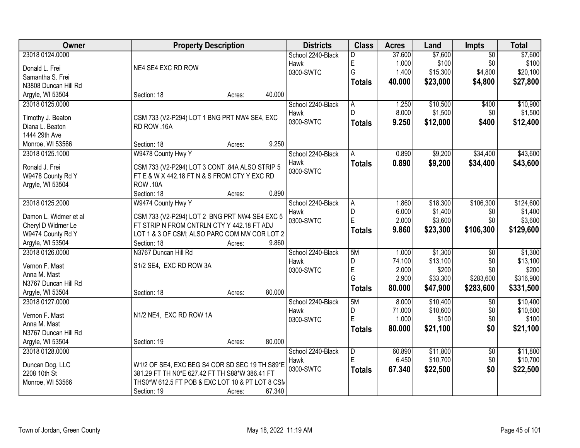| 23018 0124.0000<br>\$7,600<br>$\overline{50}$<br>\$7,600<br>School 2240-Black<br>37.600<br>D<br>E<br>\$100<br>\$0<br>\$100<br>1.000<br>Hawk<br>NE4 SE4 EXC RD ROW<br>Donald L. Frei<br>G<br>1.400<br>\$4,800<br>\$15,300<br>\$20,100<br>0300-SWTC<br>Samantha S. Frei<br>\$23,000<br>\$4,800<br>\$27,800<br>40.000<br><b>Totals</b><br>N3808 Duncan Hill Rd<br>40.000<br>Argyle, WI 53504<br>Section: 18<br>Acres:<br>\$10,900<br>23018 0125.0000<br>\$10,500<br>\$400<br>School 2240-Black<br>1.250<br>A<br>D.<br>8.000<br>\$1,500<br>\$0<br><b>Hawk</b><br>Timothy J. Beaton<br>CSM 733 (V2-P294) LOT 1 BNG PRT NW4 SE4, EXC<br>0300-SWTC<br>9.250<br>\$12,000<br>\$400<br><b>Totals</b><br>Diana L. Beaton<br>RD ROW .16A<br>1444 29th Ave<br>9.250<br>Section: 18<br>Monroe, WI 53566<br>Acres:<br>\$9,200<br>\$34,400<br>23018 0125.1000<br>W9478 County Hwy Y<br>School 2240-Black<br>0.890<br>A<br>Hawk<br>0.890<br>\$9,200<br>\$34,400<br><b>Totals</b><br>Ronald J. Frei<br>CSM 733 (V2-P294) LOT 3 CONT .84A ALSO STRIP 5<br>0300-SWTC<br>FT E & W X 442.18 FT N & S FROM CTY Y EXC RD<br>W9478 County Rd Y<br><b>ROW .10A</b><br>Argyle, WI 53504<br>0.890<br>Section: 18<br>Acres:<br>23018 0125.2000<br>W9474 County Hwy Y<br>School 2240-Black<br>\$18,300<br>\$106,300<br>\$124,600<br>$\overline{A}$<br>1.860<br>D<br>6.000<br>\$1,400<br>\$0<br>Hawk<br>Damon L. Widmer et al<br>CSM 733 (V2-P294) LOT 2 BNG PRT NW4 SE4 EXC 5<br>E<br>2.000<br>\$3,600<br>\$0<br>0300-SWTC<br>Cheryl D Widmer Le<br>FT STRIP N FROM CNTRLN CTY Y 442.18 FT ADJ<br>\$106,300<br>9.860<br>\$23,300<br><b>Totals</b><br>W9474 County Rd Y<br>LOT 1 & 3 OF CSM; ALSO PARC COM NW COR LOT 2<br>9.860<br>Argyle, WI 53504<br>Section: 18<br>Acres:<br>N3767 Duncan Hill Rd<br>5M<br>\$1,300<br>$\overline{50}$<br>\$1,300<br>23018 0126.0000<br>School 2240-Black<br>1.000<br>D<br>\$13,100<br>74.100<br>\$0<br><b>Hawk</b><br>S1/2 SE4, EXC RD ROW 3A<br>Vernon F. Mast<br>E<br>2.000<br>\$0<br>\$200<br>\$200<br>0300-SWTC<br>Anna M. Mast<br>G<br>2.900<br>\$283,600<br>\$33,300<br>N3767 Duncan Hill Rd<br>80.000<br>\$47,900<br>\$283,600<br><b>Totals</b><br>80.000<br>Argyle, WI 53504<br>Section: 18<br>Acres:<br>\$10,400<br>23018 0127.0000<br>School 2240-Black<br>5M<br>8.000<br>$\overline{50}$<br>\$10,600<br>\$0<br>D<br>71.000<br>Hawk<br>Vernon F. Mast<br>N1/2 NE4, EXC RD ROW 1A<br>E<br>\$100<br>\$0<br>1.000<br>0300-SWTC | <b>Owner</b> | <b>Property Description</b> | <b>Districts</b> | <b>Class</b> | <b>Acres</b> | Land | <b>Impts</b> | <b>Total</b> |
|--------------------------------------------------------------------------------------------------------------------------------------------------------------------------------------------------------------------------------------------------------------------------------------------------------------------------------------------------------------------------------------------------------------------------------------------------------------------------------------------------------------------------------------------------------------------------------------------------------------------------------------------------------------------------------------------------------------------------------------------------------------------------------------------------------------------------------------------------------------------------------------------------------------------------------------------------------------------------------------------------------------------------------------------------------------------------------------------------------------------------------------------------------------------------------------------------------------------------------------------------------------------------------------------------------------------------------------------------------------------------------------------------------------------------------------------------------------------------------------------------------------------------------------------------------------------------------------------------------------------------------------------------------------------------------------------------------------------------------------------------------------------------------------------------------------------------------------------------------------------------------------------------------------------------------------------------------------------------------------------------------------------------------------------------------------------------------------------------------------------------------------------------------------------------------------------------------------------------------------------------------------------------------------------------------------------------------------------------------------------------------------------------------------------------------------------|--------------|-----------------------------|------------------|--------------|--------------|------|--------------|--------------|
|                                                                                                                                                                                                                                                                                                                                                                                                                                                                                                                                                                                                                                                                                                                                                                                                                                                                                                                                                                                                                                                                                                                                                                                                                                                                                                                                                                                                                                                                                                                                                                                                                                                                                                                                                                                                                                                                                                                                                                                                                                                                                                                                                                                                                                                                                                                                                                                                                                            |              |                             |                  |              |              |      |              |              |
|                                                                                                                                                                                                                                                                                                                                                                                                                                                                                                                                                                                                                                                                                                                                                                                                                                                                                                                                                                                                                                                                                                                                                                                                                                                                                                                                                                                                                                                                                                                                                                                                                                                                                                                                                                                                                                                                                                                                                                                                                                                                                                                                                                                                                                                                                                                                                                                                                                            |              |                             |                  |              |              |      |              |              |
|                                                                                                                                                                                                                                                                                                                                                                                                                                                                                                                                                                                                                                                                                                                                                                                                                                                                                                                                                                                                                                                                                                                                                                                                                                                                                                                                                                                                                                                                                                                                                                                                                                                                                                                                                                                                                                                                                                                                                                                                                                                                                                                                                                                                                                                                                                                                                                                                                                            |              |                             |                  |              |              |      |              |              |
|                                                                                                                                                                                                                                                                                                                                                                                                                                                                                                                                                                                                                                                                                                                                                                                                                                                                                                                                                                                                                                                                                                                                                                                                                                                                                                                                                                                                                                                                                                                                                                                                                                                                                                                                                                                                                                                                                                                                                                                                                                                                                                                                                                                                                                                                                                                                                                                                                                            |              |                             |                  |              |              |      |              |              |
|                                                                                                                                                                                                                                                                                                                                                                                                                                                                                                                                                                                                                                                                                                                                                                                                                                                                                                                                                                                                                                                                                                                                                                                                                                                                                                                                                                                                                                                                                                                                                                                                                                                                                                                                                                                                                                                                                                                                                                                                                                                                                                                                                                                                                                                                                                                                                                                                                                            |              |                             |                  |              |              |      |              |              |
| \$1,500<br>\$12,400<br>\$43,600<br>\$43,600                                                                                                                                                                                                                                                                                                                                                                                                                                                                                                                                                                                                                                                                                                                                                                                                                                                                                                                                                                                                                                                                                                                                                                                                                                                                                                                                                                                                                                                                                                                                                                                                                                                                                                                                                                                                                                                                                                                                                                                                                                                                                                                                                                                                                                                                                                                                                                                                |              |                             |                  |              |              |      |              |              |
|                                                                                                                                                                                                                                                                                                                                                                                                                                                                                                                                                                                                                                                                                                                                                                                                                                                                                                                                                                                                                                                                                                                                                                                                                                                                                                                                                                                                                                                                                                                                                                                                                                                                                                                                                                                                                                                                                                                                                                                                                                                                                                                                                                                                                                                                                                                                                                                                                                            |              |                             |                  |              |              |      |              |              |
|                                                                                                                                                                                                                                                                                                                                                                                                                                                                                                                                                                                                                                                                                                                                                                                                                                                                                                                                                                                                                                                                                                                                                                                                                                                                                                                                                                                                                                                                                                                                                                                                                                                                                                                                                                                                                                                                                                                                                                                                                                                                                                                                                                                                                                                                                                                                                                                                                                            |              |                             |                  |              |              |      |              |              |
|                                                                                                                                                                                                                                                                                                                                                                                                                                                                                                                                                                                                                                                                                                                                                                                                                                                                                                                                                                                                                                                                                                                                                                                                                                                                                                                                                                                                                                                                                                                                                                                                                                                                                                                                                                                                                                                                                                                                                                                                                                                                                                                                                                                                                                                                                                                                                                                                                                            |              |                             |                  |              |              |      |              |              |
|                                                                                                                                                                                                                                                                                                                                                                                                                                                                                                                                                                                                                                                                                                                                                                                                                                                                                                                                                                                                                                                                                                                                                                                                                                                                                                                                                                                                                                                                                                                                                                                                                                                                                                                                                                                                                                                                                                                                                                                                                                                                                                                                                                                                                                                                                                                                                                                                                                            |              |                             |                  |              |              |      |              |              |
|                                                                                                                                                                                                                                                                                                                                                                                                                                                                                                                                                                                                                                                                                                                                                                                                                                                                                                                                                                                                                                                                                                                                                                                                                                                                                                                                                                                                                                                                                                                                                                                                                                                                                                                                                                                                                                                                                                                                                                                                                                                                                                                                                                                                                                                                                                                                                                                                                                            |              |                             |                  |              |              |      |              |              |
|                                                                                                                                                                                                                                                                                                                                                                                                                                                                                                                                                                                                                                                                                                                                                                                                                                                                                                                                                                                                                                                                                                                                                                                                                                                                                                                                                                                                                                                                                                                                                                                                                                                                                                                                                                                                                                                                                                                                                                                                                                                                                                                                                                                                                                                                                                                                                                                                                                            |              |                             |                  |              |              |      |              |              |
|                                                                                                                                                                                                                                                                                                                                                                                                                                                                                                                                                                                                                                                                                                                                                                                                                                                                                                                                                                                                                                                                                                                                                                                                                                                                                                                                                                                                                                                                                                                                                                                                                                                                                                                                                                                                                                                                                                                                                                                                                                                                                                                                                                                                                                                                                                                                                                                                                                            |              |                             |                  |              |              |      |              |              |
|                                                                                                                                                                                                                                                                                                                                                                                                                                                                                                                                                                                                                                                                                                                                                                                                                                                                                                                                                                                                                                                                                                                                                                                                                                                                                                                                                                                                                                                                                                                                                                                                                                                                                                                                                                                                                                                                                                                                                                                                                                                                                                                                                                                                                                                                                                                                                                                                                                            |              |                             |                  |              |              |      |              |              |
|                                                                                                                                                                                                                                                                                                                                                                                                                                                                                                                                                                                                                                                                                                                                                                                                                                                                                                                                                                                                                                                                                                                                                                                                                                                                                                                                                                                                                                                                                                                                                                                                                                                                                                                                                                                                                                                                                                                                                                                                                                                                                                                                                                                                                                                                                                                                                                                                                                            |              |                             |                  |              |              |      |              |              |
| \$1,400<br>\$3,600<br>\$129,600<br>\$13,100<br>\$316,900<br>\$331,500<br>\$10,400<br>\$10,600<br>\$100                                                                                                                                                                                                                                                                                                                                                                                                                                                                                                                                                                                                                                                                                                                                                                                                                                                                                                                                                                                                                                                                                                                                                                                                                                                                                                                                                                                                                                                                                                                                                                                                                                                                                                                                                                                                                                                                                                                                                                                                                                                                                                                                                                                                                                                                                                                                     |              |                             |                  |              |              |      |              |              |
|                                                                                                                                                                                                                                                                                                                                                                                                                                                                                                                                                                                                                                                                                                                                                                                                                                                                                                                                                                                                                                                                                                                                                                                                                                                                                                                                                                                                                                                                                                                                                                                                                                                                                                                                                                                                                                                                                                                                                                                                                                                                                                                                                                                                                                                                                                                                                                                                                                            |              |                             |                  |              |              |      |              |              |
|                                                                                                                                                                                                                                                                                                                                                                                                                                                                                                                                                                                                                                                                                                                                                                                                                                                                                                                                                                                                                                                                                                                                                                                                                                                                                                                                                                                                                                                                                                                                                                                                                                                                                                                                                                                                                                                                                                                                                                                                                                                                                                                                                                                                                                                                                                                                                                                                                                            |              |                             |                  |              |              |      |              |              |
|                                                                                                                                                                                                                                                                                                                                                                                                                                                                                                                                                                                                                                                                                                                                                                                                                                                                                                                                                                                                                                                                                                                                                                                                                                                                                                                                                                                                                                                                                                                                                                                                                                                                                                                                                                                                                                                                                                                                                                                                                                                                                                                                                                                                                                                                                                                                                                                                                                            |              |                             |                  |              |              |      |              |              |
|                                                                                                                                                                                                                                                                                                                                                                                                                                                                                                                                                                                                                                                                                                                                                                                                                                                                                                                                                                                                                                                                                                                                                                                                                                                                                                                                                                                                                                                                                                                                                                                                                                                                                                                                                                                                                                                                                                                                                                                                                                                                                                                                                                                                                                                                                                                                                                                                                                            |              |                             |                  |              |              |      |              |              |
|                                                                                                                                                                                                                                                                                                                                                                                                                                                                                                                                                                                                                                                                                                                                                                                                                                                                                                                                                                                                                                                                                                                                                                                                                                                                                                                                                                                                                                                                                                                                                                                                                                                                                                                                                                                                                                                                                                                                                                                                                                                                                                                                                                                                                                                                                                                                                                                                                                            |              |                             |                  |              |              |      |              |              |
|                                                                                                                                                                                                                                                                                                                                                                                                                                                                                                                                                                                                                                                                                                                                                                                                                                                                                                                                                                                                                                                                                                                                                                                                                                                                                                                                                                                                                                                                                                                                                                                                                                                                                                                                                                                                                                                                                                                                                                                                                                                                                                                                                                                                                                                                                                                                                                                                                                            |              |                             |                  |              |              |      |              |              |
|                                                                                                                                                                                                                                                                                                                                                                                                                                                                                                                                                                                                                                                                                                                                                                                                                                                                                                                                                                                                                                                                                                                                                                                                                                                                                                                                                                                                                                                                                                                                                                                                                                                                                                                                                                                                                                                                                                                                                                                                                                                                                                                                                                                                                                                                                                                                                                                                                                            |              |                             |                  |              |              |      |              |              |
|                                                                                                                                                                                                                                                                                                                                                                                                                                                                                                                                                                                                                                                                                                                                                                                                                                                                                                                                                                                                                                                                                                                                                                                                                                                                                                                                                                                                                                                                                                                                                                                                                                                                                                                                                                                                                                                                                                                                                                                                                                                                                                                                                                                                                                                                                                                                                                                                                                            |              |                             |                  |              |              |      |              |              |
|                                                                                                                                                                                                                                                                                                                                                                                                                                                                                                                                                                                                                                                                                                                                                                                                                                                                                                                                                                                                                                                                                                                                                                                                                                                                                                                                                                                                                                                                                                                                                                                                                                                                                                                                                                                                                                                                                                                                                                                                                                                                                                                                                                                                                                                                                                                                                                                                                                            |              |                             |                  |              |              |      |              |              |
|                                                                                                                                                                                                                                                                                                                                                                                                                                                                                                                                                                                                                                                                                                                                                                                                                                                                                                                                                                                                                                                                                                                                                                                                                                                                                                                                                                                                                                                                                                                                                                                                                                                                                                                                                                                                                                                                                                                                                                                                                                                                                                                                                                                                                                                                                                                                                                                                                                            |              |                             |                  |              |              |      |              |              |
|                                                                                                                                                                                                                                                                                                                                                                                                                                                                                                                                                                                                                                                                                                                                                                                                                                                                                                                                                                                                                                                                                                                                                                                                                                                                                                                                                                                                                                                                                                                                                                                                                                                                                                                                                                                                                                                                                                                                                                                                                                                                                                                                                                                                                                                                                                                                                                                                                                            |              |                             |                  |              |              |      |              |              |
|                                                                                                                                                                                                                                                                                                                                                                                                                                                                                                                                                                                                                                                                                                                                                                                                                                                                                                                                                                                                                                                                                                                                                                                                                                                                                                                                                                                                                                                                                                                                                                                                                                                                                                                                                                                                                                                                                                                                                                                                                                                                                                                                                                                                                                                                                                                                                                                                                                            |              |                             |                  |              |              |      |              |              |
|                                                                                                                                                                                                                                                                                                                                                                                                                                                                                                                                                                                                                                                                                                                                                                                                                                                                                                                                                                                                                                                                                                                                                                                                                                                                                                                                                                                                                                                                                                                                                                                                                                                                                                                                                                                                                                                                                                                                                                                                                                                                                                                                                                                                                                                                                                                                                                                                                                            |              |                             |                  |              |              |      |              |              |
|                                                                                                                                                                                                                                                                                                                                                                                                                                                                                                                                                                                                                                                                                                                                                                                                                                                                                                                                                                                                                                                                                                                                                                                                                                                                                                                                                                                                                                                                                                                                                                                                                                                                                                                                                                                                                                                                                                                                                                                                                                                                                                                                                                                                                                                                                                                                                                                                                                            | Anna M. Mast |                             |                  |              |              |      |              |              |
| \$21,100<br>\$0<br>\$21,100<br>80.000<br><b>Totals</b><br>N3767 Duncan Hill Rd                                                                                                                                                                                                                                                                                                                                                                                                                                                                                                                                                                                                                                                                                                                                                                                                                                                                                                                                                                                                                                                                                                                                                                                                                                                                                                                                                                                                                                                                                                                                                                                                                                                                                                                                                                                                                                                                                                                                                                                                                                                                                                                                                                                                                                                                                                                                                             |              |                             |                  |              |              |      |              |              |
| 80.000<br>Argyle, WI 53504<br>Section: 19<br>Acres:                                                                                                                                                                                                                                                                                                                                                                                                                                                                                                                                                                                                                                                                                                                                                                                                                                                                                                                                                                                                                                                                                                                                                                                                                                                                                                                                                                                                                                                                                                                                                                                                                                                                                                                                                                                                                                                                                                                                                                                                                                                                                                                                                                                                                                                                                                                                                                                        |              |                             |                  |              |              |      |              |              |
| 23018 0128.0000<br>School 2240-Black<br>\$11,800<br>\$11,800<br>$\overline{D}$<br>60.890<br>$\overline{50}$                                                                                                                                                                                                                                                                                                                                                                                                                                                                                                                                                                                                                                                                                                                                                                                                                                                                                                                                                                                                                                                                                                                                                                                                                                                                                                                                                                                                                                                                                                                                                                                                                                                                                                                                                                                                                                                                                                                                                                                                                                                                                                                                                                                                                                                                                                                                |              |                             |                  |              |              |      |              |              |
| E<br>\$10,700<br>\$0<br>\$10,700<br>6.450<br>Hawk<br>Duncan Dog, LLC<br>W1/2 OF SE4, EXC BEG S4 COR SD SEC 19 TH S89*E                                                                                                                                                                                                                                                                                                                                                                                                                                                                                                                                                                                                                                                                                                                                                                                                                                                                                                                                                                                                                                                                                                                                                                                                                                                                                                                                                                                                                                                                                                                                                                                                                                                                                                                                                                                                                                                                                                                                                                                                                                                                                                                                                                                                                                                                                                                     |              |                             |                  |              |              |      |              |              |
| 0300-SWTC<br>\$0<br>67.340<br>\$22,500<br>\$22,500<br><b>Totals</b><br>2208 10th St<br>381.29 FT TH N0*E 627.42 FT TH S88*W 386.41 FT                                                                                                                                                                                                                                                                                                                                                                                                                                                                                                                                                                                                                                                                                                                                                                                                                                                                                                                                                                                                                                                                                                                                                                                                                                                                                                                                                                                                                                                                                                                                                                                                                                                                                                                                                                                                                                                                                                                                                                                                                                                                                                                                                                                                                                                                                                      |              |                             |                  |              |              |      |              |              |
| THS0*W 612.5 FT POB & EXC LOT 10 & PT LOT 8 CSN<br>Monroe, WI 53566                                                                                                                                                                                                                                                                                                                                                                                                                                                                                                                                                                                                                                                                                                                                                                                                                                                                                                                                                                                                                                                                                                                                                                                                                                                                                                                                                                                                                                                                                                                                                                                                                                                                                                                                                                                                                                                                                                                                                                                                                                                                                                                                                                                                                                                                                                                                                                        |              |                             |                  |              |              |      |              |              |
| 67.340<br>Section: 19<br>Acres:                                                                                                                                                                                                                                                                                                                                                                                                                                                                                                                                                                                                                                                                                                                                                                                                                                                                                                                                                                                                                                                                                                                                                                                                                                                                                                                                                                                                                                                                                                                                                                                                                                                                                                                                                                                                                                                                                                                                                                                                                                                                                                                                                                                                                                                                                                                                                                                                            |              |                             |                  |              |              |      |              |              |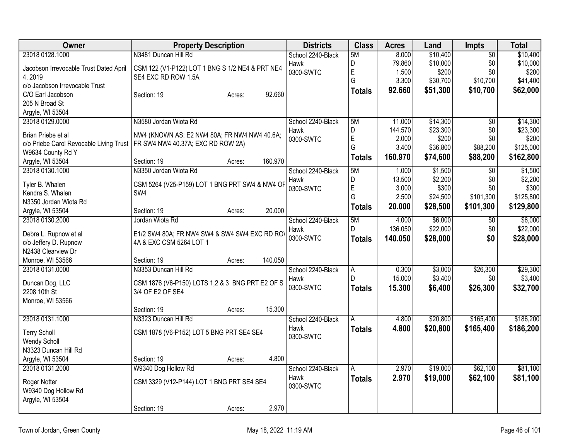| Owner                                       | <b>Property Description</b>                     |                   | <b>Districts</b>  | <b>Class</b>  | <b>Acres</b> | Land     | <b>Impts</b>    | <b>Total</b> |
|---------------------------------------------|-------------------------------------------------|-------------------|-------------------|---------------|--------------|----------|-----------------|--------------|
| 23018 0128.1000                             | N3481 Duncan Hill Rd                            |                   | School 2240-Black | 5M            | 8.000        | \$10,400 | $\overline{50}$ | \$10,400     |
| Jacobson Irrevocable Trust Dated April      | CSM 122 (V1-P122) LOT 1 BNG S 1/2 NE4 & PRT NE4 |                   | Hawk              | D             | 79.860       | \$10,000 | \$0             | \$10,000     |
| 4,2019                                      | SE4 EXC RD ROW 1.5A                             |                   | 0300-SWTC         | $\mathsf E$   | 1.500        | \$200    | \$0             | \$200        |
| c/o Jacobson Irrevocable Trust              |                                                 |                   |                   | G             | 3.300        | \$30,700 | \$10,700        | \$41,400     |
| C/O Earl Jacobson                           | Section: 19                                     | 92.660<br>Acres:  |                   | <b>Totals</b> | 92.660       | \$51,300 | \$10,700        | \$62,000     |
| 205 N Broad St                              |                                                 |                   |                   |               |              |          |                 |              |
| Argyle, WI 53504                            |                                                 |                   |                   |               |              |          |                 |              |
| 23018 0129.0000                             | N3580 Jordan Wiota Rd                           |                   | School 2240-Black | 5M            | 11.000       | \$14,300 | $\overline{30}$ | \$14,300     |
| Brian Priebe et al                          | NW4 (KNOWN AS: E2 NW4 80A; FR NW4 NW4 40.6A;    |                   | Hawk              | D             | 144.570      | \$23,300 | \$0             | \$23,300     |
| c/o Priebe Carol Revocable Living Trust     | FR SW4 NW4 40.37A; EXC RD ROW 2A)               |                   | 0300-SWTC         | E             | 2.000        | \$200    | \$0             | \$200        |
| W9634 County Rd Y                           |                                                 |                   |                   | G             | 3.400        | \$36,800 | \$88,200        | \$125,000    |
| Argyle, WI 53504                            | Section: 19                                     | 160.970<br>Acres: |                   | <b>Totals</b> | 160.970      | \$74,600 | \$88,200        | \$162,800    |
| 23018 0130.1000                             | N3350 Jordan Wiota Rd                           |                   | School 2240-Black | 5M            | 1.000        | \$1,500  | $\overline{50}$ | \$1,500      |
|                                             |                                                 |                   | Hawk              | D             | 13.500       | \$2,200  | \$0             | \$2,200      |
| Tyler B. Whalen                             | CSM 5264 (V25-P159) LOT 1 BNG PRT SW4 & NW4 OF  |                   | 0300-SWTC         | $\mathsf E$   | 3.000        | \$300    | \$0             | \$300        |
| Kendra S. Whalen                            | SW4                                             |                   |                   | G             | 2.500        | \$24,500 | \$101,300       | \$125,800    |
| N3350 Jordan Wiota Rd                       |                                                 |                   |                   | <b>Totals</b> | 20.000       | \$28,500 | \$101,300       | \$129,800    |
| Argyle, WI 53504                            | Section: 19                                     | 20.000<br>Acres:  |                   |               |              |          |                 |              |
| 23018 0130.2000                             | Jordan Wiota Rd                                 |                   | School 2240-Black | 5M            | 4.000        | \$6,000  | \$0             | \$6,000      |
| Debra L. Rupnow et al                       | E1/2 SW4 80A; FR NW4 SW4 & SW4 SW4 EXC RD RO    |                   | Hawk<br>0300-SWTC | D.            | 136.050      | \$22,000 | \$0             | \$22,000     |
| c/o Jeffery D. Rupnow                       | 4A & EXC CSM 5264 LOT 1                         |                   |                   | <b>Totals</b> | 140.050      | \$28,000 | \$0             | \$28,000     |
| N2438 Clearview Dr                          |                                                 |                   |                   |               |              |          |                 |              |
| Monroe, WI 53566                            | Section: 19                                     | 140.050<br>Acres: |                   |               |              |          |                 |              |
| 23018 0131.0000                             | N3353 Duncan Hill Rd                            |                   | School 2240-Black | l A           | 0.300        | \$3,000  | \$26,300        | \$29,300     |
| Duncan Dog, LLC                             | CSM 1876 (V6-P150) LOTS 1,2 & 3 BNG PRT E2 OF S |                   | Hawk              | D             | 15.000       | \$3,400  | \$0             | \$3,400      |
| 2208 10th St                                | 3/4 OF E2 OF SE4                                |                   | 0300-SWTC         | <b>Totals</b> | 15.300       | \$6,400  | \$26,300        | \$32,700     |
| Monroe, WI 53566                            |                                                 |                   |                   |               |              |          |                 |              |
|                                             | Section: 19                                     | 15.300<br>Acres:  |                   |               |              |          |                 |              |
| 23018 0131.1000                             | N3323 Duncan Hill Rd                            |                   | School 2240-Black | A             | 4.800        | \$20,800 | \$165,400       | \$186,200    |
|                                             |                                                 |                   | Hawk              | <b>Totals</b> | 4.800        | \$20,800 | \$165,400       | \$186,200    |
| <b>Terry Scholl</b>                         | CSM 1878 (V6-P152) LOT 5 BNG PRT SE4 SE4        |                   | 0300-SWTC         |               |              |          |                 |              |
| <b>Wendy Scholl</b><br>N3323 Duncan Hill Rd |                                                 |                   |                   |               |              |          |                 |              |
| Argyle, WI 53504                            | Section: 19                                     | 4.800             |                   |               |              |          |                 |              |
| 23018 0131.2000                             | W9340 Dog Hollow Rd                             | Acres:            | School 2240-Black |               | 2.970        | \$19,000 | \$62,100        | \$81,100     |
|                                             |                                                 |                   | Hawk              | A             | 2.970        | \$19,000 |                 |              |
| Roger Notter                                | CSM 3329 (V12-P144) LOT 1 BNG PRT SE4 SE4       |                   | 0300-SWTC         | <b>Totals</b> |              |          | \$62,100        | \$81,100     |
| W9340 Dog Hollow Rd                         |                                                 |                   |                   |               |              |          |                 |              |
| Argyle, WI 53504                            |                                                 |                   |                   |               |              |          |                 |              |
|                                             | Section: 19                                     | 2.970<br>Acres:   |                   |               |              |          |                 |              |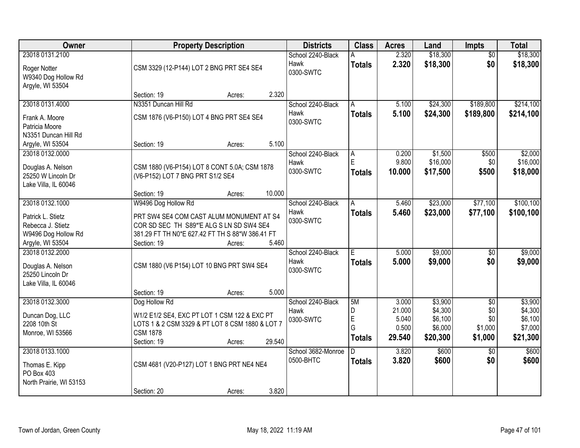| Owner                                                                                                | <b>Property Description</b>                                                                                                                                                             |        | <b>Districts</b>                              | <b>Class</b>                       | <b>Acres</b>                                | Land                                                 | Impts                                               | <b>Total</b>                                         |
|------------------------------------------------------------------------------------------------------|-----------------------------------------------------------------------------------------------------------------------------------------------------------------------------------------|--------|-----------------------------------------------|------------------------------------|---------------------------------------------|------------------------------------------------------|-----------------------------------------------------|------------------------------------------------------|
| 23018 0131.2100<br>Roger Notter<br>W9340 Dog Hollow Rd<br>Argyle, WI 53504                           | CSM 3329 (12-P144) LOT 2 BNG PRT SE4 SE4                                                                                                                                                |        | School 2240-Black<br>Hawk<br>0300-SWTC        | <b>Totals</b>                      | 2.320<br>2.320                              | \$18,300<br>\$18,300                                 | $\overline{50}$<br>\$0                              | \$18,300<br>\$18,300                                 |
|                                                                                                      | Section: 19<br>Acres:                                                                                                                                                                   | 2.320  |                                               |                                    |                                             |                                                      |                                                     |                                                      |
| 23018 0131.4000<br>Frank A. Moore<br>Patricia Moore                                                  | N3351 Duncan Hill Rd<br>CSM 1876 (V6-P150) LOT 4 BNG PRT SE4 SE4                                                                                                                        |        | School 2240-Black<br>Hawk<br>0300-SWTC        | A<br><b>Totals</b>                 | 5.100<br>5.100                              | \$24,300<br>\$24,300                                 | \$189,800<br>\$189,800                              | \$214,100<br>\$214,100                               |
| N3351 Duncan Hill Rd<br>Argyle, WI 53504                                                             | Section: 19<br>Acres:                                                                                                                                                                   | 5.100  |                                               |                                    |                                             |                                                      |                                                     |                                                      |
| 23018 0132.0000<br>Douglas A. Nelson<br>25250 W Lincoln Dr<br>Lake Villa, IL 60046                   | CSM 1880 (V6-P154) LOT 8 CONT 5.0A; CSM 1878<br>(V6-P152) LOT 7 BNG PRT S1/2 SE4                                                                                                        |        | School 2240-Black<br>Hawk<br>0300-SWTC        | A<br>E<br><b>Totals</b>            | 0.200<br>9.800<br>10.000                    | \$1,500<br>\$16,000<br>\$17,500                      | \$500<br>\$0<br>\$500                               | \$2,000<br>\$16,000<br>\$18,000                      |
|                                                                                                      | Section: 19<br>Acres:                                                                                                                                                                   | 10.000 |                                               |                                    |                                             |                                                      |                                                     |                                                      |
| 23018 0132.1000<br>Patrick L. Stietz<br>Rebecca J. Stietz<br>W9496 Dog Hollow Rd<br>Argyle, WI 53504 | W9496 Dog Hollow Rd<br>PRT SW4 SE4 COM CAST ALUM MONUMENT AT S4<br>COR SD SEC TH S89*'E ALG S LN SD SW4 SE4<br>381.29 FT TH N0*E 627.42 FT TH S 88*W 386.41 FT<br>Section: 19<br>Acres: | 5.460  | School 2240-Black<br>Hawk<br>0300-SWTC        | Α<br><b>Totals</b>                 | 5.460<br>5.460                              | \$23,000<br>\$23,000                                 | \$77,100<br>\$77,100                                | \$100,100<br>\$100,100                               |
| 23018 0132.2000<br>Douglas A. Nelson<br>25250 Lincoln Dr<br>Lake Villa, IL 60046                     | CSM 1880 (V6 P154) LOT 10 BNG PRT SW4 SE4<br>Section: 19                                                                                                                                | 5.000  | School 2240-Black<br><b>Hawk</b><br>0300-SWTC | Ē<br><b>Totals</b>                 | 5.000<br>5.000                              | \$9,000<br>\$9,000                                   | $\overline{50}$<br>\$0                              | \$9,000<br>\$9,000                                   |
| 23018 0132.3000<br>Duncan Dog, LLC<br>2208 10th St<br>Monroe, WI 53566                               | Acres:<br>Dog Hollow Rd<br>W1/2 E1/2 SE4, EXC PT LOT 1 CSM 122 & EXC PT<br>LOTS 1 & 2 CSM 3329 & PT LOT 8 CSM 1880 & LOT 7<br><b>CSM 1878</b><br>Section: 19<br>Acres:                  | 29.540 | School 2240-Black<br>Hawk<br>0300-SWTC        | 5M<br>D<br>E<br>G<br><b>Totals</b> | 3.000<br>21.000<br>5.040<br>0.500<br>29.540 | \$3,900<br>\$4,300<br>\$6,100<br>\$6,000<br>\$20,300 | $\overline{50}$<br>\$0<br>\$0<br>\$1,000<br>\$1,000 | \$3,900<br>\$4,300<br>\$6,100<br>\$7,000<br>\$21,300 |
| 23018 0133.1000<br>Thomas E. Kipp<br>PO Box 403<br>North Prairie, WI 53153                           | CSM 4681 (V20-P127) LOT 1 BNG PRT NE4 NE4<br>Section: 20<br>Acres:                                                                                                                      | 3.820  | School 3682-Monroe<br>0500-BHTC               | D<br><b>Totals</b>                 | 3.820<br>3.820                              | \$600<br>\$600                                       | $\overline{50}$<br>\$0                              | \$600<br>\$600                                       |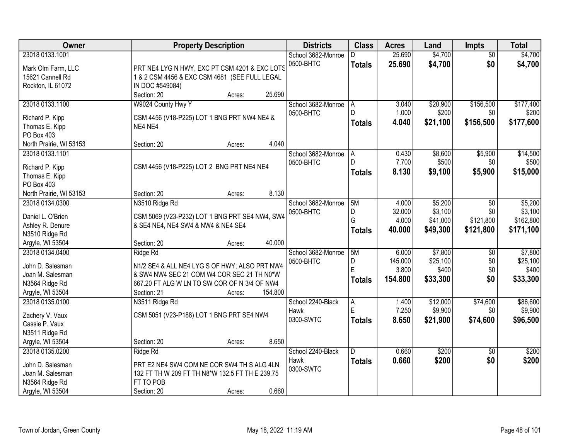| <b>Owner</b>                       | <b>Property Description</b>                     | <b>Districts</b>   | <b>Class</b>  | <b>Acres</b> | Land     | <b>Impts</b>    | <b>Total</b> |
|------------------------------------|-------------------------------------------------|--------------------|---------------|--------------|----------|-----------------|--------------|
| 23018 0133.1001                    |                                                 | School 3682-Monroe | D.            | 25.690       | \$4,700  | $\overline{30}$ | \$4,700      |
| Mark Olm Farm, LLC                 | PRT NE4 LYG N HWY, EXC PT CSM 4201 & EXC LOTS   | 0500-BHTC          | <b>Totals</b> | 25.690       | \$4,700  | \$0             | \$4,700      |
| 15621 Cannell Rd                   | 1 & 2 CSM 4456 & EXC CSM 4681 (SEE FULL LEGAL   |                    |               |              |          |                 |              |
| Rockton, IL 61072                  | IN DOC #549084)                                 |                    |               |              |          |                 |              |
|                                    | Section: 20<br>25.690<br>Acres:                 |                    |               |              |          |                 |              |
| 23018 0133.1100                    | W9024 County Hwy Y                              | School 3682-Monroe | A             | 3.040        | \$20,900 | \$156,500       | \$177,400    |
|                                    |                                                 | 0500-BHTC          | D.            | 1.000        | \$200    | \$0             | \$200        |
| Richard P. Kipp                    | CSM 4456 (V18-P225) LOT 1 BNG PRT NW4 NE4 &     |                    | <b>Totals</b> | 4.040        | \$21,100 | \$156,500       | \$177,600    |
| Thomas E. Kipp<br>PO Box 403       | NE4 NE4                                         |                    |               |              |          |                 |              |
| North Prairie, WI 53153            | 4.040<br>Section: 20                            |                    |               |              |          |                 |              |
| 23018 0133.1101                    | Acres:                                          | School 3682-Monroe |               | 0.430        | \$8,600  | \$5,900         | \$14,500     |
|                                    |                                                 | 0500-BHTC          | l A           | 7.700        | \$500    | \$0             | \$500        |
| Richard P. Kipp                    | CSM 4456 (V18-P225) LOT 2 BNG PRT NE4 NE4       |                    |               |              |          |                 |              |
| Thomas E. Kipp                     |                                                 |                    | <b>Totals</b> | 8.130        | \$9,100  | \$5,900         | \$15,000     |
| PO Box 403                         |                                                 |                    |               |              |          |                 |              |
| North Prairie, WI 53153            | 8.130<br>Section: 20<br>Acres:                  |                    |               |              |          |                 |              |
| 23018 0134.0300                    | N3510 Ridge Rd                                  | School 3682-Monroe | 5M            | 4.000        | \$5,200  | $\overline{50}$ | \$5,200      |
|                                    |                                                 | 0500-BHTC          | D             | 32.000       | \$3,100  | \$0             | \$3,100      |
| Daniel L. O'Brien                  | CSM 5069 (V23-P232) LOT 1 BNG PRT SE4 NW4, SW4  |                    | G             | 4.000        | \$41,000 | \$121,800       | \$162,800    |
| Ashley R. Denure<br>N3510 Ridge Rd | & SE4 NE4, NE4 SW4 & NW4 & NE4 SE4              |                    | <b>Totals</b> | 40.000       | \$49,300 | \$121,800       | \$171,100    |
| Argyle, WI 53504                   | 40.000<br>Section: 20                           |                    |               |              |          |                 |              |
| 23018 0134.0400                    | Acres:                                          |                    | 5M            | 6.000        | \$7,800  |                 | \$7,800      |
|                                    | Ridge Rd                                        | School 3682-Monroe | D             | 145.000      | \$25,100 | \$0<br>\$0      | \$25,100     |
| John D. Salesman                   | N1/2 SE4 & ALL NE4 LYG S OF HWY; ALSO PRT NW4   | 0500-BHTC          | Ė             | 3.800        | \$400    | \$0             | \$400        |
| Joan M. Salesman                   | & SW4 NW4 SEC 21 COM W4 COR SEC 21 TH N0*W      |                    |               |              |          |                 |              |
| N3564 Ridge Rd                     | 667.20 FT ALG W LN TO SW COR OF N 3/4 OF NW4    |                    | <b>Totals</b> | 154.800      | \$33,300 | \$0             | \$33,300     |
| Argyle, WI 53504                   | 154.800<br>Section: 21<br>Acres:                |                    |               |              |          |                 |              |
| 23018 0135.0100                    | N3511 Ridge Rd                                  | School 2240-Black  | A             | 1.400        | \$12,000 | \$74,600        | \$86,600     |
| Zachery V. Vaux                    | CSM 5051 (V23-P188) LOT 1 BNG PRT SE4 NW4       | Hawk               | E             | 7.250        | \$9,900  | \$0             | \$9,900      |
| Cassie P. Vaux                     |                                                 | 0300-SWTC          | <b>Totals</b> | 8.650        | \$21,900 | \$74,600        | \$96,500     |
| N3511 Ridge Rd                     |                                                 |                    |               |              |          |                 |              |
| Argyle, WI 53504                   | 8.650<br>Section: 20<br>Acres:                  |                    |               |              |          |                 |              |
| 23018 0135.0200                    | Ridge Rd                                        | School 2240-Black  | D             | 0.660        | \$200    | $\overline{30}$ | \$200        |
|                                    |                                                 | <b>Hawk</b>        |               | 0.660        | \$200    | \$0             | \$200        |
| John D. Salesman                   | PRT E2 NE4 SW4 COM NE COR SW4 TH S ALG 4LN      | 0300-SWTC          | <b>Totals</b> |              |          |                 |              |
| Joan M. Salesman                   | 132 FT TH W 209 FT TH N8*W 132.5 FT TH E 239.75 |                    |               |              |          |                 |              |
| N3564 Ridge Rd                     | FT TO POB                                       |                    |               |              |          |                 |              |
| Argyle, WI 53504                   | 0.660<br>Section: 20<br>Acres:                  |                    |               |              |          |                 |              |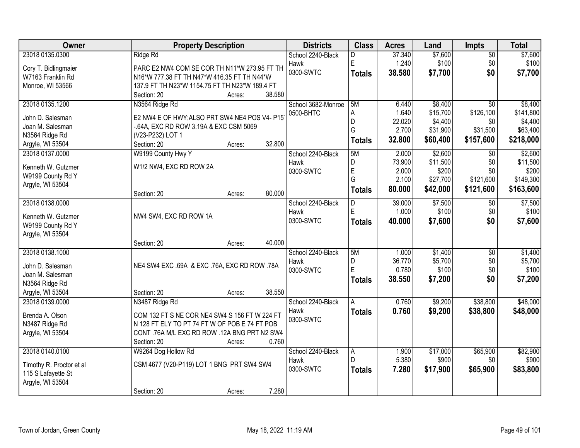| <b>Owner</b>             | <b>Property Description</b>                    | <b>Districts</b>   | <b>Class</b>  | <b>Acres</b> | Land     | <b>Impts</b>    | <b>Total</b> |
|--------------------------|------------------------------------------------|--------------------|---------------|--------------|----------|-----------------|--------------|
| 23018 0135.0300          | Ridge Rd                                       | School 2240-Black  | D             | 37.340       | \$7,600  | $\sqrt{$0}$     | \$7,600      |
| Cory T. Bidlingmaier     | PARC E2 NW4 COM SE COR TH N11*W 273.95 FT TH   | Hawk               | E             | 1.240        | \$100    | \$0             | \$100        |
| W7163 Franklin Rd        | N16*W 777.38 FT TH N47*W 416.35 FT TH N44*W    | 0300-SWTC          | <b>Totals</b> | 38.580       | \$7,700  | \$0             | \$7,700      |
| Monroe, WI 53566         | 137.9 FT TH N23*W 1154.75 FT TH N23*W 189.4 FT |                    |               |              |          |                 |              |
|                          | 38.580<br>Section: 20<br>Acres:                |                    |               |              |          |                 |              |
| 23018 0135.1200          | N3564 Ridge Rd                                 | School 3682-Monroe | 5M            | 6.440        | \$8,400  | $\overline{50}$ | \$8,400      |
| John D. Salesman         | E2 NW4 E OF HWY; ALSO PRT SW4 NE4 POS V4- P15  | 0500-BHTC          | A             | 1.640        | \$15,700 | \$126,100       | \$141,800    |
| Joan M. Salesman         | -.64A, EXC RD ROW 3.19A & EXC CSM 5069         |                    | D             | 22.020       | \$4,400  | \$0             | \$4,400      |
| N3564 Ridge Rd           | (V23-P232) LOT 1                               |                    | G             | 2.700        | \$31,900 | \$31,500        | \$63,400     |
| Argyle, WI 53504         | 32.800<br>Section: 20<br>Acres:                |                    | <b>Totals</b> | 32.800       | \$60,400 | \$157,600       | \$218,000    |
| 23018 0137.0000          | W9199 County Hwy Y                             | School 2240-Black  | 5M            | 2.000        | \$2,600  | $\sqrt{6}$      | \$2,600      |
|                          |                                                | Hawk               | D             | 73.900       | \$11,500 | \$0             | \$11,500     |
| Kenneth W. Gutzmer       | W1/2 NW4, EXC RD ROW 2A                        | 0300-SWTC          | $\mathsf E$   | 2.000        | \$200    | \$0             | \$200        |
| W9199 County Rd Y        |                                                |                    | G             | 2.100        | \$27,700 | \$121,600       | \$149,300    |
| Argyle, WI 53504         | 80.000<br>Section: 20<br>Acres:                |                    | Totals        | 80.000       | \$42,000 | \$121,600       | \$163,600    |
| 23018 0138.0000          |                                                | School 2240-Black  | D             | 39.000       | \$7,500  | $\sqrt[6]{3}$   | \$7,500      |
|                          |                                                | Hawk               | E             | 1.000        | \$100    | \$0             | \$100        |
| Kenneth W. Gutzmer       | NW4 SW4, EXC RD ROW 1A                         | 0300-SWTC          | <b>Totals</b> | 40.000       | \$7,600  | \$0             | \$7,600      |
| W9199 County Rd Y        |                                                |                    |               |              |          |                 |              |
| Argyle, WI 53504         | 40.000<br>Section: 20<br>Acres:                |                    |               |              |          |                 |              |
| 23018 0138.1000          |                                                | School 2240-Black  | 5M            | 1.000        | \$1,400  | $\overline{50}$ | \$1,400      |
|                          |                                                | Hawk               | D             | 36.770       | \$5,700  | \$0             | \$5,700      |
| John D. Salesman         | NE4 SW4 EXC .69A & EXC .76A, EXC RD ROW .78A   | 0300-SWTC          | E             | 0.780        | \$100    | \$0             | \$100        |
| Joan M. Salesman         |                                                |                    | <b>Totals</b> | 38.550       | \$7,200  | \$0             | \$7,200      |
| N3564 Ridge Rd           |                                                |                    |               |              |          |                 |              |
| Argyle, WI 53504         | 38.550<br>Section: 20<br>Acres:                |                    |               |              |          |                 |              |
| 23018 0139.0000          | N3487 Ridge Rd                                 | School 2240-Black  | A             | 0.760        | \$9,200  | \$38,800        | \$48,000     |
| Brenda A. Olson          | COM 132 FT S NE COR NE4 SW4 S 156 FT W 224 FT  | Hawk               | <b>Totals</b> | 0.760        | \$9,200  | \$38,800        | \$48,000     |
| N3487 Ridge Rd           | N 128 FT ELY TO PT 74 FT W OF POB E 74 FT POB  | 0300-SWTC          |               |              |          |                 |              |
| Argyle, WI 53504         | CONT .76A M/L EXC RD ROW .12A BNG PRT N2 SW4   |                    |               |              |          |                 |              |
|                          | Section: 20<br>0.760<br>Acres:                 |                    |               |              |          |                 |              |
| 23018 0140.0100          | W9264 Dog Hollow Rd                            | School 2240-Black  | A             | 1.900        | \$17,000 | \$65,900        | \$82,900     |
| Timothy R. Proctor et al | CSM 4677 (V20-P119) LOT 1 BNG PRT SW4 SW4      | Hawk               | D             | 5.380        | \$900    | \$0             | \$900        |
| 115 S Lafayette St       |                                                | 0300-SWTC          | <b>Totals</b> | 7.280        | \$17,900 | \$65,900        | \$83,800     |
| Argyle, WI 53504         |                                                |                    |               |              |          |                 |              |
|                          | 7.280<br>Section: 20<br>Acres:                 |                    |               |              |          |                 |              |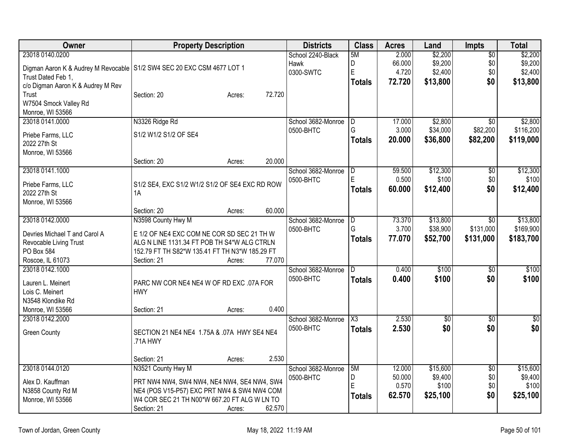| 23018 0140.0200<br>\$2,200<br>\$2,200<br>School 2240-Black<br>2.000<br>$\overline{50}$<br>5M<br>66.000<br>\$9,200<br>\$0<br>\$9,200<br>D<br>Hawk<br>Digman Aaron K & Audrey M Revocable   S1/2 SW4 SEC 20 EXC CSM 4677 LOT 1<br>E<br>4.720<br>\$2,400<br>\$0<br>\$2,400<br>0300-SWTC<br>Trust Dated Feb 1.<br>72.720<br>\$13,800<br>\$0<br>\$13,800<br><b>Totals</b><br>c/o Digman Aaron K & Audrey M Rev<br>72.720<br>Trust<br>Section: 20<br>Acres:<br>W7504 Smock Valley Rd<br>Monroe, WI 53566<br>23018 0141.0000<br>N3326 Ridge Rd<br>17.000<br>\$2,800<br>School 3682-Monroe<br>D.<br>$\overline{50}$<br>3.000<br>\$34,000<br>\$82,200<br>G<br>0500-BHTC<br>S1/2 W1/2 S1/2 OF SE4<br>Priebe Farms, LLC<br>\$36,800<br>\$82,200<br>20.000<br><b>Totals</b><br>2022 27th St<br>Monroe, WI 53566<br>20.000<br>Section: 20<br>Acres:<br>23018 0141.1000<br>\$12,300<br>School 3682-Monroe<br>59.500<br>\$0<br>D<br>E<br>0.500<br>\$100<br>\$0<br>0500-BHTC<br>Priebe Farms, LLC<br>S1/2 SE4, EXC S1/2 W1/2 S1/2 OF SE4 EXC RD ROW<br>\$0<br>60.000<br>\$12,400<br><b>Totals</b><br>2022 27th St<br>1A<br>Monroe, WI 53566<br>60.000<br>Section: 20<br>Acres:<br>23018 0142.0000<br>N3598 County Hwy M<br>73.370<br>\$13,800<br>School 3682-Monroe<br>D<br>\$0<br>3.700<br>\$131,000<br>\$38,900<br>0500-BHTC<br>G<br>Devries Michael T and Carol A<br>E 1/2 OF NE4 EXC COM NE COR SD SEC 21 TH W |
|----------------------------------------------------------------------------------------------------------------------------------------------------------------------------------------------------------------------------------------------------------------------------------------------------------------------------------------------------------------------------------------------------------------------------------------------------------------------------------------------------------------------------------------------------------------------------------------------------------------------------------------------------------------------------------------------------------------------------------------------------------------------------------------------------------------------------------------------------------------------------------------------------------------------------------------------------------------------------------------------------------------------------------------------------------------------------------------------------------------------------------------------------------------------------------------------------------------------------------------------------------------------------------------------------------------------------------------------------------------------------------------------------|
|                                                                                                                                                                                                                                                                                                                                                                                                                                                                                                                                                                                                                                                                                                                                                                                                                                                                                                                                                                                                                                                                                                                                                                                                                                                                                                                                                                                                    |
|                                                                                                                                                                                                                                                                                                                                                                                                                                                                                                                                                                                                                                                                                                                                                                                                                                                                                                                                                                                                                                                                                                                                                                                                                                                                                                                                                                                                    |
|                                                                                                                                                                                                                                                                                                                                                                                                                                                                                                                                                                                                                                                                                                                                                                                                                                                                                                                                                                                                                                                                                                                                                                                                                                                                                                                                                                                                    |
|                                                                                                                                                                                                                                                                                                                                                                                                                                                                                                                                                                                                                                                                                                                                                                                                                                                                                                                                                                                                                                                                                                                                                                                                                                                                                                                                                                                                    |
|                                                                                                                                                                                                                                                                                                                                                                                                                                                                                                                                                                                                                                                                                                                                                                                                                                                                                                                                                                                                                                                                                                                                                                                                                                                                                                                                                                                                    |
| \$2,800<br>\$116,200<br>\$119,000<br>\$12,300<br>\$100<br>\$12,400<br>\$13,800<br>\$169,900                                                                                                                                                                                                                                                                                                                                                                                                                                                                                                                                                                                                                                                                                                                                                                                                                                                                                                                                                                                                                                                                                                                                                                                                                                                                                                        |
|                                                                                                                                                                                                                                                                                                                                                                                                                                                                                                                                                                                                                                                                                                                                                                                                                                                                                                                                                                                                                                                                                                                                                                                                                                                                                                                                                                                                    |
|                                                                                                                                                                                                                                                                                                                                                                                                                                                                                                                                                                                                                                                                                                                                                                                                                                                                                                                                                                                                                                                                                                                                                                                                                                                                                                                                                                                                    |
|                                                                                                                                                                                                                                                                                                                                                                                                                                                                                                                                                                                                                                                                                                                                                                                                                                                                                                                                                                                                                                                                                                                                                                                                                                                                                                                                                                                                    |
|                                                                                                                                                                                                                                                                                                                                                                                                                                                                                                                                                                                                                                                                                                                                                                                                                                                                                                                                                                                                                                                                                                                                                                                                                                                                                                                                                                                                    |
|                                                                                                                                                                                                                                                                                                                                                                                                                                                                                                                                                                                                                                                                                                                                                                                                                                                                                                                                                                                                                                                                                                                                                                                                                                                                                                                                                                                                    |
|                                                                                                                                                                                                                                                                                                                                                                                                                                                                                                                                                                                                                                                                                                                                                                                                                                                                                                                                                                                                                                                                                                                                                                                                                                                                                                                                                                                                    |
|                                                                                                                                                                                                                                                                                                                                                                                                                                                                                                                                                                                                                                                                                                                                                                                                                                                                                                                                                                                                                                                                                                                                                                                                                                                                                                                                                                                                    |
|                                                                                                                                                                                                                                                                                                                                                                                                                                                                                                                                                                                                                                                                                                                                                                                                                                                                                                                                                                                                                                                                                                                                                                                                                                                                                                                                                                                                    |
|                                                                                                                                                                                                                                                                                                                                                                                                                                                                                                                                                                                                                                                                                                                                                                                                                                                                                                                                                                                                                                                                                                                                                                                                                                                                                                                                                                                                    |
|                                                                                                                                                                                                                                                                                                                                                                                                                                                                                                                                                                                                                                                                                                                                                                                                                                                                                                                                                                                                                                                                                                                                                                                                                                                                                                                                                                                                    |
|                                                                                                                                                                                                                                                                                                                                                                                                                                                                                                                                                                                                                                                                                                                                                                                                                                                                                                                                                                                                                                                                                                                                                                                                                                                                                                                                                                                                    |
|                                                                                                                                                                                                                                                                                                                                                                                                                                                                                                                                                                                                                                                                                                                                                                                                                                                                                                                                                                                                                                                                                                                                                                                                                                                                                                                                                                                                    |
|                                                                                                                                                                                                                                                                                                                                                                                                                                                                                                                                                                                                                                                                                                                                                                                                                                                                                                                                                                                                                                                                                                                                                                                                                                                                                                                                                                                                    |
|                                                                                                                                                                                                                                                                                                                                                                                                                                                                                                                                                                                                                                                                                                                                                                                                                                                                                                                                                                                                                                                                                                                                                                                                                                                                                                                                                                                                    |
| 77.070<br>\$52,700<br>\$131,000<br>\$183,700<br><b>Totals</b><br>ALG N LINE 1131.34 FT POB TH S4*W ALG CTRLN<br>Revocable Living Trust                                                                                                                                                                                                                                                                                                                                                                                                                                                                                                                                                                                                                                                                                                                                                                                                                                                                                                                                                                                                                                                                                                                                                                                                                                                             |
| PO Box 584<br>152.79 FT TH S82*W 135.41 FT TH N3*W 185.29 FT                                                                                                                                                                                                                                                                                                                                                                                                                                                                                                                                                                                                                                                                                                                                                                                                                                                                                                                                                                                                                                                                                                                                                                                                                                                                                                                                       |
| Roscoe, IL 61073<br>77.070<br>Section: 21<br>Acres:                                                                                                                                                                                                                                                                                                                                                                                                                                                                                                                                                                                                                                                                                                                                                                                                                                                                                                                                                                                                                                                                                                                                                                                                                                                                                                                                                |
| \$100<br>\$100<br>23018 0142.1000<br>School 3682-Monroe<br>0.400<br>$\overline{50}$<br>D                                                                                                                                                                                                                                                                                                                                                                                                                                                                                                                                                                                                                                                                                                                                                                                                                                                                                                                                                                                                                                                                                                                                                                                                                                                                                                           |
| 0500-BHTC<br>\$100<br>\$0<br>\$100<br>0.400<br><b>Totals</b>                                                                                                                                                                                                                                                                                                                                                                                                                                                                                                                                                                                                                                                                                                                                                                                                                                                                                                                                                                                                                                                                                                                                                                                                                                                                                                                                       |
| PARC NW COR NE4 NE4 W OF RD EXC .07A FOR<br>Lauren L. Meinert                                                                                                                                                                                                                                                                                                                                                                                                                                                                                                                                                                                                                                                                                                                                                                                                                                                                                                                                                                                                                                                                                                                                                                                                                                                                                                                                      |
| Lois C. Meinert<br><b>HWY</b>                                                                                                                                                                                                                                                                                                                                                                                                                                                                                                                                                                                                                                                                                                                                                                                                                                                                                                                                                                                                                                                                                                                                                                                                                                                                                                                                                                      |
| N3548 Klondike Rd                                                                                                                                                                                                                                                                                                                                                                                                                                                                                                                                                                                                                                                                                                                                                                                                                                                                                                                                                                                                                                                                                                                                                                                                                                                                                                                                                                                  |
| 0.400<br>Monroe, WI 53566<br>Section: 21<br>Acres:                                                                                                                                                                                                                                                                                                                                                                                                                                                                                                                                                                                                                                                                                                                                                                                                                                                                                                                                                                                                                                                                                                                                                                                                                                                                                                                                                 |
| 2.530<br>$\overline{50}$<br>$\overline{50}$<br>23018 0142.2000<br>School 3682-Monroe<br>$\overline{\text{X3}}$<br>$\overline{50}$                                                                                                                                                                                                                                                                                                                                                                                                                                                                                                                                                                                                                                                                                                                                                                                                                                                                                                                                                                                                                                                                                                                                                                                                                                                                  |
| \$0<br>\$0<br>2.530<br>\$0<br>0500-BHTC<br><b>Totals</b><br><b>Green County</b><br>SECTION 21 NE4 NE4 1.75A & .07A HWY SE4 NE4                                                                                                                                                                                                                                                                                                                                                                                                                                                                                                                                                                                                                                                                                                                                                                                                                                                                                                                                                                                                                                                                                                                                                                                                                                                                     |
| .71A HWY                                                                                                                                                                                                                                                                                                                                                                                                                                                                                                                                                                                                                                                                                                                                                                                                                                                                                                                                                                                                                                                                                                                                                                                                                                                                                                                                                                                           |
|                                                                                                                                                                                                                                                                                                                                                                                                                                                                                                                                                                                                                                                                                                                                                                                                                                                                                                                                                                                                                                                                                                                                                                                                                                                                                                                                                                                                    |
| 2.530<br>Section: 21<br>Acres:                                                                                                                                                                                                                                                                                                                                                                                                                                                                                                                                                                                                                                                                                                                                                                                                                                                                                                                                                                                                                                                                                                                                                                                                                                                                                                                                                                     |
| 23018 0144.0120<br>School 3682-Monroe<br>\$15,600<br>\$15,600<br>N3521 County Hwy M<br>5M<br>12.000<br>$\overline{50}$                                                                                                                                                                                                                                                                                                                                                                                                                                                                                                                                                                                                                                                                                                                                                                                                                                                                                                                                                                                                                                                                                                                                                                                                                                                                             |
| D<br>50.000<br>\$9,400<br>\$0<br>\$9,400<br>0500-BHTC<br>Alex D. Kauffman<br>PRT NW4 NW4, SW4 NW4, NE4 NW4, SE4 NW4, SW4                                                                                                                                                                                                                                                                                                                                                                                                                                                                                                                                                                                                                                                                                                                                                                                                                                                                                                                                                                                                                                                                                                                                                                                                                                                                           |
| Ē<br>\$100<br>\$0<br>0.570<br>\$100<br>NE4 (POS V15-P57) EXC PRT NW4 & SW4 NW4 COM<br>N3858 County Rd M                                                                                                                                                                                                                                                                                                                                                                                                                                                                                                                                                                                                                                                                                                                                                                                                                                                                                                                                                                                                                                                                                                                                                                                                                                                                                            |
| \$0<br>\$25,100<br>62.570<br>\$25,100<br><b>Totals</b><br>W4 COR SEC 21 TH N00*W 667.20 FT ALG W LN TO<br>Monroe, WI 53566                                                                                                                                                                                                                                                                                                                                                                                                                                                                                                                                                                                                                                                                                                                                                                                                                                                                                                                                                                                                                                                                                                                                                                                                                                                                         |
| 62.570<br>Section: 21<br>Acres:                                                                                                                                                                                                                                                                                                                                                                                                                                                                                                                                                                                                                                                                                                                                                                                                                                                                                                                                                                                                                                                                                                                                                                                                                                                                                                                                                                    |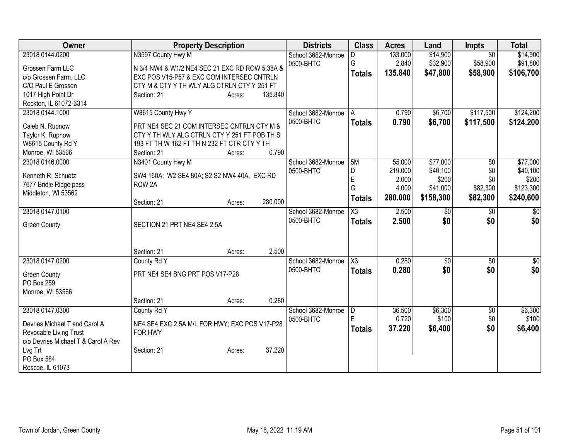| Owner                               |                                                | <b>Property Description</b> |         | <b>Districts</b>   | <b>Class</b>           | <b>Acres</b> | Land                 | <b>Impts</b>    | <b>Total</b>      |
|-------------------------------------|------------------------------------------------|-----------------------------|---------|--------------------|------------------------|--------------|----------------------|-----------------|-------------------|
| 23018 0144.0200                     | N3597 County Hwy M                             |                             |         | School 3682-Monroe |                        | 133,000      | \$14,900             | $\overline{30}$ | \$14,900          |
| Grossen Farm LLC                    | N 3/4 NW4 & W1/2 NE4 SEC 21 EXC RD ROW 5.38A & |                             |         | 0500-BHTC          | G                      | 2.840        | \$32,900             | \$58,900        | \$91,800          |
| c/o Grossen Farm, LLC               | EXC POS V15-P57 & EXC COM INTERSEC CNTRLN      |                             |         |                    | <b>Totals</b>          | 135.840      | \$47,800             | \$58,900        | \$106,700         |
| C/O Paul E Grossen                  | CTY M & CTY Y TH WLY ALG CTRLN CTY Y 251 FT    |                             |         |                    |                        |              |                      |                 |                   |
| 1017 High Point Dr                  | Section: 21                                    | Acres:                      | 135.840 |                    |                        |              |                      |                 |                   |
| Rockton, IL 61072-3314              |                                                |                             |         |                    |                        |              |                      |                 |                   |
| 23018 0144.1000                     | W8615 County Hwy Y                             |                             |         | School 3682-Monroe | A                      | 0.790        | \$6,700              | \$117,500       | \$124,200         |
|                                     |                                                |                             |         | 0500-BHTC          | <b>Totals</b>          | 0.790        | \$6,700              | \$117,500       | \$124,200         |
| Caleb N. Rupnow                     | PRT NE4 SEC 21 COM INTERSEC CNTRLN CTY M &     |                             |         |                    |                        |              |                      |                 |                   |
| Taylor K. Rupnow                    | CTY Y TH WLY ALG CTRLN CTY Y 251 FT POB TH S   |                             |         |                    |                        |              |                      |                 |                   |
| W8615 County Rd Y                   | 193 FT TH W 162 FT TH N 232 FT CTR CTY Y TH    |                             | 0.790   |                    |                        |              |                      |                 |                   |
| Monroe, WI 53566                    | Section: 21                                    | Acres:                      |         |                    |                        | 55,000       |                      |                 |                   |
| 23018 0146.0000                     | N3401 County Hwy M                             |                             |         | School 3682-Monroe | 5M                     | 219.000      | \$77,000<br>\$40,100 | $\overline{50}$ | \$77,000          |
| Kenneth R. Schuetz                  | SW4 160A; W2 SE4 80A; S2 S2 NW4 40A, EXC RD    |                             |         | 0500-BHTC          | D<br>E                 | 2.000        | \$200                | \$0<br>\$0      | \$40,100<br>\$200 |
| 7677 Bridle Ridge pass              | ROW <sub>2A</sub>                              |                             |         |                    | G                      | 4.000        | \$41,000             | \$82,300        | \$123,300         |
| Middleton, WI 53562                 |                                                |                             |         |                    |                        | 280.000      | \$158,300            | \$82,300        | \$240,600         |
|                                     | Section: 21                                    | Acres:                      | 280.000 |                    | <b>Totals</b>          |              |                      |                 |                   |
| 23018 0147.0100                     |                                                |                             |         | School 3682-Monroe | $\overline{\chi_3}$    | 2.500        | \$0                  | \$0             | \$0               |
| <b>Green County</b>                 | SECTION 21 PRT NE4 SE4 2.5A                    |                             |         | 0500-BHTC          | <b>Totals</b>          | 2.500        | \$0                  | \$0             | \$0               |
|                                     |                                                |                             |         |                    |                        |              |                      |                 |                   |
|                                     |                                                |                             |         |                    |                        |              |                      |                 |                   |
|                                     | Section: 21                                    | Acres:                      | 2.500   |                    |                        |              |                      |                 |                   |
| 23018 0147.0200                     | County Rd Y                                    |                             |         | School 3682-Monroe | $\overline{\text{X3}}$ | 0.280        | \$0                  | $\overline{50}$ | $\overline{\$0}$  |
| <b>Green County</b>                 | PRT NE4 SE4 BNG PRT POS V17-P28                |                             |         | 0500-BHTC          | <b>Totals</b>          | 0.280        | \$0                  | \$0             | \$0               |
| PO Box 259                          |                                                |                             |         |                    |                        |              |                      |                 |                   |
| Monroe, WI 53566                    |                                                |                             |         |                    |                        |              |                      |                 |                   |
|                                     | Section: 21                                    | Acres:                      | 0.280   |                    |                        |              |                      |                 |                   |
| 23018 0147.0300                     | County Rd Y                                    |                             |         | School 3682-Monroe | D                      | 36.500       | \$6,300              | $\overline{60}$ | \$6,300           |
|                                     |                                                |                             |         | 0500-BHTC          | E                      | 0.720        | \$100                | \$0             | \$100             |
| Devries Michael T and Carol A       | NE4 SE4 EXC 2.5A M/L FOR HWY; EXC POS V17-P28  |                             |         |                    | <b>Totals</b>          | 37.220       | \$6,400              | \$0             | \$6,400           |
| Revocable Living Trust              | FOR HWY                                        |                             |         |                    |                        |              |                      |                 |                   |
| c/o Devries Michael T & Carol A Rev |                                                |                             |         |                    |                        |              |                      |                 |                   |
| Lvg Trt                             | Section: 21                                    | Acres:                      | 37.220  |                    |                        |              |                      |                 |                   |
| PO Box 584                          |                                                |                             |         |                    |                        |              |                      |                 |                   |
| Roscoe, IL 61073                    |                                                |                             |         |                    |                        |              |                      |                 |                   |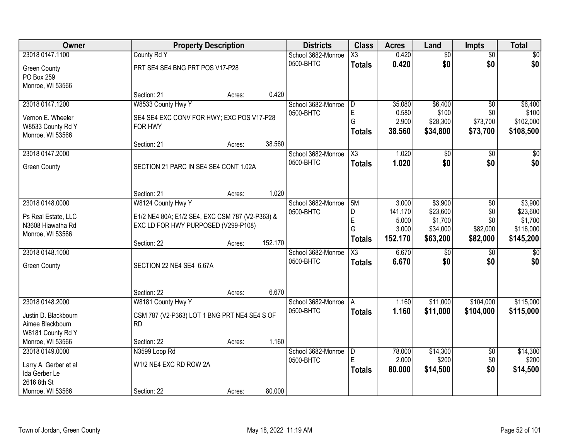| Owner                 | <b>Property Description</b>                     |                   | <b>Districts</b>   | <b>Class</b>           | <b>Acres</b> | Land            | Impts           | <b>Total</b>    |
|-----------------------|-------------------------------------------------|-------------------|--------------------|------------------------|--------------|-----------------|-----------------|-----------------|
| 23018 0147.1100       | County Rd Y                                     |                   | School 3682-Monroe | X3                     | 0.420        | $\overline{60}$ | $\overline{50}$ | \$0             |
| <b>Green County</b>   | PRT SE4 SE4 BNG PRT POS V17-P28                 |                   | 0500-BHTC          | <b>Totals</b>          | 0.420        | \$0             | \$0             | \$0             |
| PO Box 259            |                                                 |                   |                    |                        |              |                 |                 |                 |
| Monroe, WI 53566      |                                                 |                   |                    |                        |              |                 |                 |                 |
|                       | Section: 21                                     | 0.420<br>Acres:   |                    |                        |              |                 |                 |                 |
| 23018 0147.1200       | W8533 County Hwy Y                              |                   | School 3682-Monroe | D                      | 35.080       | \$6,400         | $\overline{30}$ | \$6,400         |
| Vernon E. Wheeler     | SE4 SE4 EXC CONV FOR HWY; EXC POS V17-P28       |                   | 0500-BHTC          | E                      | 0.580        | \$100           | \$0             | \$100           |
| W8533 County Rd Y     | FOR HWY                                         |                   |                    | G                      | 2.900        | \$28,300        | \$73,700        | \$102,000       |
| Monroe, WI 53566      |                                                 |                   |                    | <b>Totals</b>          | 38.560       | \$34,800        | \$73,700        | \$108,500       |
|                       | Section: 21                                     | 38.560<br>Acres:  |                    |                        |              |                 |                 |                 |
| 23018 0147.2000       |                                                 |                   | School 3682-Monroe | X3                     | 1.020        | \$0             | \$0             | \$0             |
| <b>Green County</b>   | SECTION 21 PARC IN SE4 SE4 CONT 1.02A           |                   | 0500-BHTC          | <b>Totals</b>          | 1.020        | \$0             | \$0             | \$0             |
|                       |                                                 |                   |                    |                        |              |                 |                 |                 |
|                       |                                                 |                   |                    |                        |              |                 |                 |                 |
|                       | Section: 21                                     | 1.020<br>Acres:   |                    |                        |              |                 |                 |                 |
| 23018 0148.0000       | W8124 County Hwy Y                              |                   | School 3682-Monroe | 5M                     | 3.000        | \$3,900         | \$0             | \$3,900         |
| Ps Real Estate, LLC   | E1/2 NE4 80A; E1/2 SE4, EXC CSM 787 (V2-P363) & |                   | 0500-BHTC          | D                      | 141.170      | \$23,600        | \$0             | \$23,600        |
| N3608 Hiawatha Rd     | EXC LD FOR HWY PURPOSED (V299-P108)             |                   |                    | E                      | 5.000        | \$1,700         | \$0             | \$1,700         |
| Monroe, WI 53566      |                                                 |                   |                    | G                      | 3.000        | \$34,000        | \$82,000        | \$116,000       |
|                       | Section: 22                                     | 152.170<br>Acres: |                    | <b>Totals</b>          | 152.170      | \$63,200        | \$82,000        | \$145,200       |
| 23018 0148.1000       |                                                 |                   | School 3682-Monroe | $\overline{\text{X3}}$ | 6.670        | \$0             | $\overline{50}$ | $\overline{50}$ |
| <b>Green County</b>   | SECTION 22 NE4 SE4 6.67A                        |                   | 0500-BHTC          | <b>Totals</b>          | 6.670        | \$0             | \$0             | \$0             |
|                       |                                                 |                   |                    |                        |              |                 |                 |                 |
|                       |                                                 |                   |                    |                        |              |                 |                 |                 |
|                       | Section: 22                                     | 6.670<br>Acres:   |                    |                        |              |                 |                 |                 |
| 23018 0148.2000       | W8181 County Hwy Y                              |                   | School 3682-Monroe | ΙA                     | 1.160        | \$11,000        | \$104,000       | \$115,000       |
| Justin D. Blackbourn  | CSM 787 (V2-P363) LOT 1 BNG PRT NE4 SE4 S OF    |                   | 0500-BHTC          | <b>Totals</b>          | 1.160        | \$11,000        | \$104,000       | \$115,000       |
| Aimee Blackbourn      | <b>RD</b>                                       |                   |                    |                        |              |                 |                 |                 |
| W8181 County Rd Y     |                                                 |                   |                    |                        |              |                 |                 |                 |
| Monroe, WI 53566      | Section: 22                                     | 1.160<br>Acres:   |                    |                        |              |                 |                 |                 |
| 23018 0149,0000       | N3599 Loop Rd                                   |                   | School 3682-Monroe | D                      | 78,000       | \$14,300        | $\overline{50}$ | \$14,300        |
| Larry A. Gerber et al | W1/2 NE4 EXC RD ROW 2A                          |                   | 0500-BHTC          | E                      | 2.000        | \$200           | \$0             | \$200           |
| Ida Gerber Le         |                                                 |                   |                    | <b>Totals</b>          | 80.000       | \$14,500        | \$0             | \$14,500        |
| 2616 8th St           |                                                 |                   |                    |                        |              |                 |                 |                 |
| Monroe, WI 53566      | Section: 22                                     | 80.000<br>Acres:  |                    |                        |              |                 |                 |                 |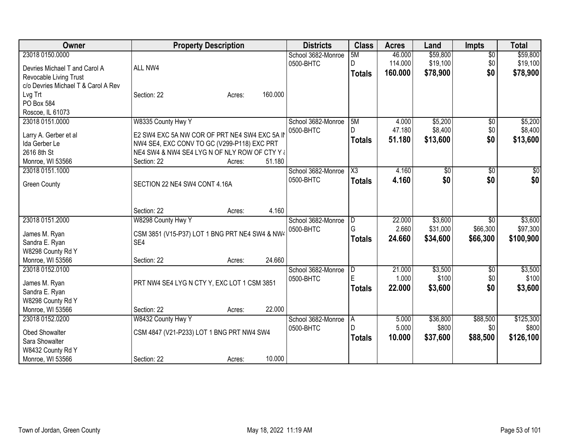| Owner                               | <b>Property Description</b>                    | <b>Districts</b>   | <b>Class</b>        | <b>Acres</b> | Land            | <b>Impts</b>    | <b>Total</b> |
|-------------------------------------|------------------------------------------------|--------------------|---------------------|--------------|-----------------|-----------------|--------------|
| 23018 0150.0000                     |                                                | School 3682-Monroe | 5M                  | 46.000       | \$59,800        | $\overline{50}$ | \$59,800     |
| Devries Michael T and Carol A       | ALL NW4                                        | 0500-BHTC          | D.                  | 114.000      | \$19,100        | \$0             | \$19,100     |
| Revocable Living Trust              |                                                |                    | <b>Totals</b>       | 160.000      | \$78,900        | \$0             | \$78,900     |
| c/o Devries Michael T & Carol A Rev |                                                |                    |                     |              |                 |                 |              |
| Lvg Trt                             | 160.000<br>Section: 22<br>Acres:               |                    |                     |              |                 |                 |              |
| PO Box 584                          |                                                |                    |                     |              |                 |                 |              |
| Roscoe, IL 61073                    |                                                |                    |                     |              |                 |                 |              |
| 23018 0151.0000                     | W8335 County Hwy Y                             | School 3682-Monroe | 5M                  | 4.000        | \$5,200         | $\sqrt{6}$      | \$5,200      |
| Larry A. Gerber et al               | E2 SW4 EXC 5A NW COR OF PRT NE4 SW4 EXC 5A IN  | 0500-BHTC          |                     | 47.180       | \$8,400         | \$0             | \$8,400      |
| Ida Gerber Le                       | NW4 SE4, EXC CONV TO GC (V299-P118) EXC PRT    |                    | <b>Totals</b>       | 51.180       | \$13,600        | \$0             | \$13,600     |
| 2616 8th St                         | NE4 SW4 & NW4 SE4 LYG N OF NLY ROW OF CTY Y &  |                    |                     |              |                 |                 |              |
| Monroe, WI 53566                    | 51.180<br>Section: 22<br>Acres:                |                    |                     |              |                 |                 |              |
| 23018 0151.1000                     |                                                | School 3682-Monroe | $\overline{\chi_3}$ | 4.160        | $\overline{50}$ | \$0             | $\sqrt{50}$  |
|                                     |                                                | 0500-BHTC          | <b>Totals</b>       | 4.160        | \$0             | \$0             | \$0          |
| <b>Green County</b>                 | SECTION 22 NE4 SW4 CONT 4.16A                  |                    |                     |              |                 |                 |              |
|                                     |                                                |                    |                     |              |                 |                 |              |
|                                     |                                                |                    |                     |              |                 |                 |              |
|                                     | 4.160<br>Section: 22<br>Acres:                 |                    |                     |              |                 |                 |              |
| 23018 0151.2000                     | W8298 County Hwy Y                             | School 3682-Monroe | D                   | 22.000       | \$3,600         | \$0             | \$3,600      |
| James M. Ryan                       | CSM 3851 (V15-P37) LOT 1 BNG PRT NE4 SW4 & NW4 | 0500-BHTC          | G                   | 2.660        | \$31,000        | \$66,300        | \$97,300     |
| Sandra E. Ryan                      | SE4                                            |                    | <b>Totals</b>       | 24.660       | \$34,600        | \$66,300        | \$100,900    |
| W8298 County Rd Y                   |                                                |                    |                     |              |                 |                 |              |
| Monroe, WI 53566                    | 24.660<br>Section: 22<br>Acres:                |                    |                     |              |                 |                 |              |
| 23018 0152.0100                     |                                                | School 3682-Monroe | ID.                 | 21.000       | \$3,500         | \$0             | \$3,500      |
| James M. Ryan                       | PRT NW4 SE4 LYG N CTY Y, EXC LOT 1 CSM 3851    | 0500-BHTC          | E                   | 1.000        | \$100           | \$0             | \$100        |
| Sandra E. Ryan                      |                                                |                    | <b>Totals</b>       | 22.000       | \$3,600         | \$0             | \$3,600      |
| W8298 County Rd Y                   |                                                |                    |                     |              |                 |                 |              |
| Monroe, WI 53566                    | 22.000<br>Section: 22<br>Acres:                |                    |                     |              |                 |                 |              |
| 23018 0152.0200                     | W8432 County Hwy Y                             | School 3682-Monroe | l A                 | 5.000        | \$36,800        | \$88,500        | \$125,300    |
|                                     |                                                | 0500-BHTC          | D                   | 5.000        | \$800           | \$0             | \$800        |
| Obed Showalter                      | CSM 4847 (V21-P233) LOT 1 BNG PRT NW4 SW4      |                    | <b>Totals</b>       | 10.000       | \$37,600        | \$88,500        | \$126,100    |
| Sara Showalter                      |                                                |                    |                     |              |                 |                 |              |
| W8432 County Rd Y                   |                                                |                    |                     |              |                 |                 |              |
| Monroe, WI 53566                    | 10.000<br>Section: 22<br>Acres:                |                    |                     |              |                 |                 |              |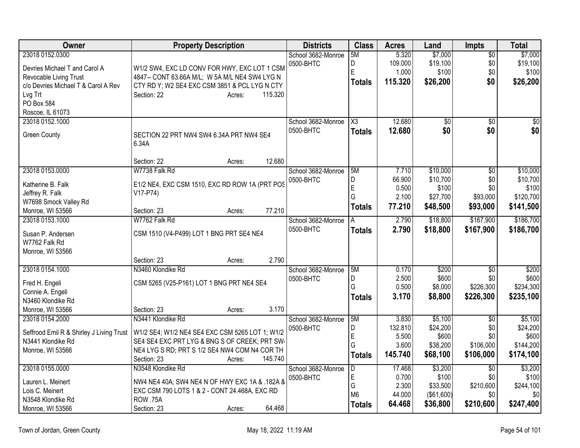| Owner                                    | <b>Property Description</b>                       | <b>Districts</b>   | <b>Class</b>   | <b>Acres</b>     | Land                | Impts                  | <b>Total</b>        |
|------------------------------------------|---------------------------------------------------|--------------------|----------------|------------------|---------------------|------------------------|---------------------|
| 23018 0152.0300                          |                                                   | School 3682-Monroe | 5M             | 5.320            | \$7,000             | $\overline{50}$        | \$7,000             |
| Devries Michael T and Carol A            | W1/2 SW4, EXC LD CONV FOR HWY, EXC LOT 1 CSM      | 0500-BHTC          | D              | 109.000          | \$19,100            | \$0                    | \$19,100            |
| Revocable Living Trust                   | 4847-- CONT 63.66A M/L; W 5A M/L NE4 SW4 LYG N    |                    | E              | 1.000            | \$100               | \$0                    | \$100               |
| c/o Devries Michael T & Carol A Rev      | CTY RD Y; W2 SE4 EXC CSM 3851 & PCL LYG N CTY     |                    | <b>Totals</b>  | 115.320          | \$26,200            | \$0                    | \$26,200            |
| Lvg Trt                                  | Section: 22<br>115.320<br>Acres:                  |                    |                |                  |                     |                        |                     |
| PO Box 584                               |                                                   |                    |                |                  |                     |                        |                     |
| Roscoe, IL 61073                         |                                                   |                    |                |                  |                     |                        |                     |
| 23018 0152.1000                          |                                                   | School 3682-Monroe | X3             | 12.680           | \$0                 | \$0                    | $\overline{50}$     |
|                                          |                                                   | 0500-BHTC          | <b>Totals</b>  | 12.680           | \$0                 | \$0                    | \$0                 |
| <b>Green County</b>                      | SECTION 22 PRT NW4 SW4 6.34A PRT NW4 SE4<br>6.34A |                    |                |                  |                     |                        |                     |
|                                          | 12.680<br>Section: 22<br>Acres:                   |                    |                |                  |                     |                        |                     |
| 23018 0153.0000                          | W7738 Falk Rd                                     | School 3682-Monroe | 5M             | 7.710            | \$10,000            | $\overline{50}$        | \$10,000            |
|                                          |                                                   | 0500-BHTC          | D              | 66.900           | \$10,700            | \$0                    | \$10,700            |
| Katherine B. Falk                        | E1/2 NE4, EXC CSM 1510, EXC RD ROW 1A (PRT POS    |                    | E              | 0.500            | \$100               | \$0                    | \$100               |
| Jeffrey R. Falk                          | $V17-P74)$                                        |                    | G              | 2.100            | \$27,700            | \$93,000               | \$120,700           |
| W7698 Smock Valley Rd                    |                                                   |                    | <b>Totals</b>  | 77.210           | \$48,500            | \$93,000               | \$141,500           |
| Monroe, WI 53566                         | 77.210<br>Section: 23<br>Acres:                   |                    |                |                  |                     |                        |                     |
| 23018 0153.1000                          | W7762 Falk Rd                                     | School 3682-Monroe | l A            | 2.790            | \$18,800            | \$167,900              | \$186,700           |
| Susan P. Andersen                        | CSM 1510 (V4-P499) LOT 1 BNG PRT SE4 NE4          | 0500-BHTC          | <b>Totals</b>  | 2.790            | \$18,800            | \$167,900              | \$186,700           |
| W7762 Falk Rd                            |                                                   |                    |                |                  |                     |                        |                     |
| Monroe, WI 53566                         |                                                   |                    |                |                  |                     |                        |                     |
|                                          | 2.790<br>Section: 23<br>Acres:                    |                    |                |                  |                     |                        |                     |
| 23018 0154.1000                          | N3460 Klondike Rd                                 | School 3682-Monroe | 5M             | 0.170            | \$200               | \$0                    | \$200               |
|                                          |                                                   | 0500-BHTC          | D              | 2.500            | \$600               | \$0                    | \$600               |
| Fred H. Engeli                           | CSM 5265 (V25-P161) LOT 1 BNG PRT NE4 SE4         |                    | G              | 0.500            | \$8,000             | \$226,300              | \$234,300           |
| Connie A. Engeli                         |                                                   |                    | <b>Totals</b>  | 3.170            | \$8,800             | \$226,300              | \$235,100           |
| N3460 Klondike Rd                        |                                                   |                    |                |                  |                     |                        |                     |
| Monroe, WI 53566                         | 3.170<br>Section: 23<br>Acres:                    |                    |                |                  |                     |                        |                     |
| 23018 0154.2000                          | N3441 Klondike Rd                                 | School 3682-Monroe | 5M<br>D        | 3.830<br>132.810 | \$5,100<br>\$24,200 | $\overline{50}$<br>\$0 | \$5,100<br>\$24,200 |
| Seffrood Emil R & Shirley J Living Trust | W1/2 SE4; W1/2 NE4 SE4 EXC CSM 5265 LOT 1; W1/2   | 0500-BHTC          | E              | 5.500            | \$600               | \$0                    | \$600               |
| N3441 Klondike Rd                        | SE4 SE4 EXC PRT LYG & BNG S OF CREEK; PRT SW      |                    | G              | 3.600            | \$38,200            | \$106,000              | \$144,200           |
| Monroe, WI 53566                         | NE4 LYG S RD; PRT S 1/2 SE4 NW4 COM N4 COR TH     |                    |                | 145.740          |                     | \$106,000              |                     |
|                                          | Section: 23<br>145.740<br>Acres:                  |                    | <b>Totals</b>  |                  | \$68,100            |                        | \$174,100           |
| 23018 0155.0000                          | N3548 Klondike Rd                                 | School 3682-Monroe | D              | 17.468           | \$3,200             | $\overline{30}$        | \$3,200             |
| Lauren L. Meinert                        | NW4 NE4 40A; SW4 NE4 N OF HWY EXC 1A & .182A &    | 0500-BHTC          | E              | 0.700            | \$100               | \$0                    | \$100               |
| Lois C. Meinert                          | EXC CSM 790 LOTS 1 & 2 - CONT 24.468A, EXC RD     |                    | G              | 2.300            | \$33,500            | \$210,600              | \$244,100           |
| N3548 Klondike Rd                        | <b>ROW .75A</b>                                   |                    | M <sub>6</sub> | 44.000           | ( \$61,600)         | \$0                    | \$0                 |
| Monroe, WI 53566                         | 64.468<br>Section: 23<br>Acres:                   |                    | <b>Totals</b>  | 64.468           | \$36,800            | \$210,600              | \$247,400           |
|                                          |                                                   |                    |                |                  |                     |                        |                     |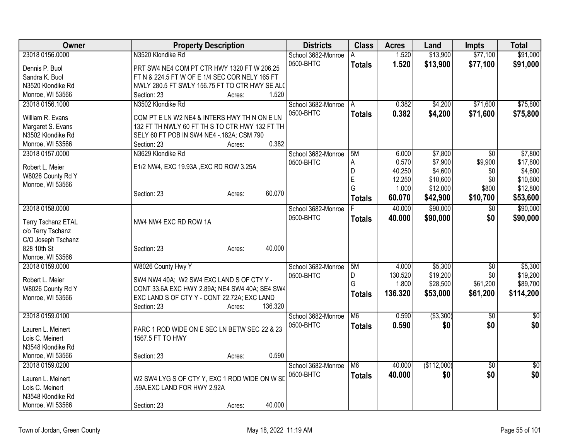| \$77,100<br>\$91,000<br>23018 0156.0000<br>N3520 Klondike Rd<br>1.520<br>\$13,900<br>School 3682-Monroe<br>А<br>0500-BHTC<br>1.520<br>\$13,900<br>\$77,100<br>\$91,000<br><b>Totals</b><br>Dennis P. Buol<br>PRT SW4 NE4 COM PT CTR HWY 1320 FT W 206.25<br>FT N & 224.5 FT W OF E 1/4 SEC COR NELY 165 FT<br>Sandra K. Buol<br>N3520 Klondike Rd<br>NWLY 280.5 FT SWLY 156.75 FT TO CTR HWY SE ALO<br>Monroe, WI 53566<br>Section: 23<br>1.520<br>Acres:<br>\$71,600<br>\$75,800<br>School 3682-Monroe<br>0.382<br>\$4,200<br>23018 0156.1000<br>N3502 Klondike Rd<br>IA.<br>0500-BHTC<br>0.382<br>\$4,200<br>\$71,600<br>\$75,800<br><b>Totals</b><br>William R. Evans<br>COM PT E LN W2 NE4 & INTERS HWY TH N ON E LN<br>132 FT TH NWLY 60 FT TH S TO CTR HWY 132 FT TH<br>Margaret S. Evans |
|-------------------------------------------------------------------------------------------------------------------------------------------------------------------------------------------------------------------------------------------------------------------------------------------------------------------------------------------------------------------------------------------------------------------------------------------------------------------------------------------------------------------------------------------------------------------------------------------------------------------------------------------------------------------------------------------------------------------------------------------------------------------------------------------------|
|                                                                                                                                                                                                                                                                                                                                                                                                                                                                                                                                                                                                                                                                                                                                                                                                 |
|                                                                                                                                                                                                                                                                                                                                                                                                                                                                                                                                                                                                                                                                                                                                                                                                 |
|                                                                                                                                                                                                                                                                                                                                                                                                                                                                                                                                                                                                                                                                                                                                                                                                 |
|                                                                                                                                                                                                                                                                                                                                                                                                                                                                                                                                                                                                                                                                                                                                                                                                 |
|                                                                                                                                                                                                                                                                                                                                                                                                                                                                                                                                                                                                                                                                                                                                                                                                 |
|                                                                                                                                                                                                                                                                                                                                                                                                                                                                                                                                                                                                                                                                                                                                                                                                 |
|                                                                                                                                                                                                                                                                                                                                                                                                                                                                                                                                                                                                                                                                                                                                                                                                 |
|                                                                                                                                                                                                                                                                                                                                                                                                                                                                                                                                                                                                                                                                                                                                                                                                 |
| N3502 Klondike Rd                                                                                                                                                                                                                                                                                                                                                                                                                                                                                                                                                                                                                                                                                                                                                                               |
| SELY 60 FT POB IN SW4 NE4 -. 182A; CSM 790<br>0.382<br>Monroe, WI 53566<br>Section: 23<br>Acres:                                                                                                                                                                                                                                                                                                                                                                                                                                                                                                                                                                                                                                                                                                |
| N3629 Klondike Rd<br>School 3682-Monroe<br>5M<br>\$7,800<br>\$7,800<br>23018 0157.0000<br>6.000<br>$\overline{50}$                                                                                                                                                                                                                                                                                                                                                                                                                                                                                                                                                                                                                                                                              |
| \$7,900<br>\$9,900<br>\$17,800<br>0.570<br>0500-BHTC                                                                                                                                                                                                                                                                                                                                                                                                                                                                                                                                                                                                                                                                                                                                            |
| Α<br>E1/2 NW4, EXC 19.93A , EXC RD ROW 3.25A<br>Robert L. Meier<br>D<br>\$4,600<br>\$4,600<br>40.250<br>\$0                                                                                                                                                                                                                                                                                                                                                                                                                                                                                                                                                                                                                                                                                     |
| W8026 County Rd Y<br>E<br>\$10,600<br>\$0<br>\$10,600<br>12.250                                                                                                                                                                                                                                                                                                                                                                                                                                                                                                                                                                                                                                                                                                                                 |
| Monroe, WI 53566<br>G<br>\$12,000<br>\$12,800<br>1.000<br>\$800                                                                                                                                                                                                                                                                                                                                                                                                                                                                                                                                                                                                                                                                                                                                 |
| 60.070<br>Section: 23<br>Acres:<br>60.070<br>\$42,900<br>\$10,700<br>\$53,600<br><b>Totals</b>                                                                                                                                                                                                                                                                                                                                                                                                                                                                                                                                                                                                                                                                                                  |
|                                                                                                                                                                                                                                                                                                                                                                                                                                                                                                                                                                                                                                                                                                                                                                                                 |
| \$90,000<br>\$90,000<br>40.000<br>23018 0158.0000<br>School 3682-Monroe<br>$\overline{50}$                                                                                                                                                                                                                                                                                                                                                                                                                                                                                                                                                                                                                                                                                                      |
| 0500-BHTC<br>\$90,000<br>\$0<br>40.000<br>\$90,000<br><b>Totals</b><br>NW4 NW4 EXC RD ROW 1A<br>Terry Tschanz ETAL                                                                                                                                                                                                                                                                                                                                                                                                                                                                                                                                                                                                                                                                              |
| c/o Terry Tschanz                                                                                                                                                                                                                                                                                                                                                                                                                                                                                                                                                                                                                                                                                                                                                                               |
| C/O Joseph Tschanz                                                                                                                                                                                                                                                                                                                                                                                                                                                                                                                                                                                                                                                                                                                                                                              |
| 828 10th St<br>40.000<br>Section: 23<br>Acres:                                                                                                                                                                                                                                                                                                                                                                                                                                                                                                                                                                                                                                                                                                                                                  |
| Monroe, WI 53566                                                                                                                                                                                                                                                                                                                                                                                                                                                                                                                                                                                                                                                                                                                                                                                |
| W8026 County Hwy Y<br>School 3682-Monroe<br>\$5,300<br>23018 0159.0000<br>5M<br>4.000<br>\$5,300<br>$\overline{50}$                                                                                                                                                                                                                                                                                                                                                                                                                                                                                                                                                                                                                                                                             |
| D<br>\$19,200<br>130.520<br>\$0<br>\$19,200<br>0500-BHTC<br>Robert L. Meier<br>SW4 NW4 40A; W2 SW4 EXC LAND S OF CTY Y -                                                                                                                                                                                                                                                                                                                                                                                                                                                                                                                                                                                                                                                                        |
| Ġ<br>1.800<br>\$28,500<br>\$61,200<br>\$89,700<br>W8026 County Rd Y<br>CONT 33.6A EXC HWY 2.89A; NE4 SW4 40A; SE4 SW4                                                                                                                                                                                                                                                                                                                                                                                                                                                                                                                                                                                                                                                                           |
| 136.320<br>\$53,000<br>\$61,200<br>\$114,200<br><b>Totals</b><br>Monroe, WI 53566<br>EXC LAND S OF CTY Y - CONT 22.72A; EXC LAND                                                                                                                                                                                                                                                                                                                                                                                                                                                                                                                                                                                                                                                                |
| 136.320<br>Section: 23<br>Acres:                                                                                                                                                                                                                                                                                                                                                                                                                                                                                                                                                                                                                                                                                                                                                                |
| 23018 0159.0100<br>( \$3,300)<br>School 3682-Monroe<br>$\overline{\mathsf{M6}}$<br>0.590<br>$\overline{50}$<br>\$0                                                                                                                                                                                                                                                                                                                                                                                                                                                                                                                                                                                                                                                                              |
| \$0<br>\$0<br>0500-BHTC<br>0.590<br>\$0<br><b>Totals</b>                                                                                                                                                                                                                                                                                                                                                                                                                                                                                                                                                                                                                                                                                                                                        |
| PARC 1 ROD WIDE ON E SEC LN BETW SEC 22 & 23<br>Lauren L. Meinert                                                                                                                                                                                                                                                                                                                                                                                                                                                                                                                                                                                                                                                                                                                               |
| 1567.5 FT TO HWY<br>Lois C. Meinert                                                                                                                                                                                                                                                                                                                                                                                                                                                                                                                                                                                                                                                                                                                                                             |
| N3548 Klondike Rd                                                                                                                                                                                                                                                                                                                                                                                                                                                                                                                                                                                                                                                                                                                                                                               |
| 0.590<br>Section: 23<br>Monroe, WI 53566<br>Acres:                                                                                                                                                                                                                                                                                                                                                                                                                                                                                                                                                                                                                                                                                                                                              |
| 23018 0159.0200<br>School 3682-Monroe<br>M <sub>6</sub><br>40.000<br>(\$112,000)<br>$\overline{30}$<br>$\sqrt{50}$                                                                                                                                                                                                                                                                                                                                                                                                                                                                                                                                                                                                                                                                              |
| \$0<br>0500-BHTC<br>\$0<br>40.000<br>\$0<br><b>Totals</b><br>W2 SW4 LYG S OF CTY Y, EXC 1 ROD WIDE ON W SD<br>Lauren L. Meinert                                                                                                                                                                                                                                                                                                                                                                                                                                                                                                                                                                                                                                                                 |
| .59A.EXC LAND FOR HWY 2.92A<br>Lois C. Meinert                                                                                                                                                                                                                                                                                                                                                                                                                                                                                                                                                                                                                                                                                                                                                  |
| N3548 Klondike Rd                                                                                                                                                                                                                                                                                                                                                                                                                                                                                                                                                                                                                                                                                                                                                                               |
| 40.000<br>Monroe, WI 53566<br>Section: 23<br>Acres:                                                                                                                                                                                                                                                                                                                                                                                                                                                                                                                                                                                                                                                                                                                                             |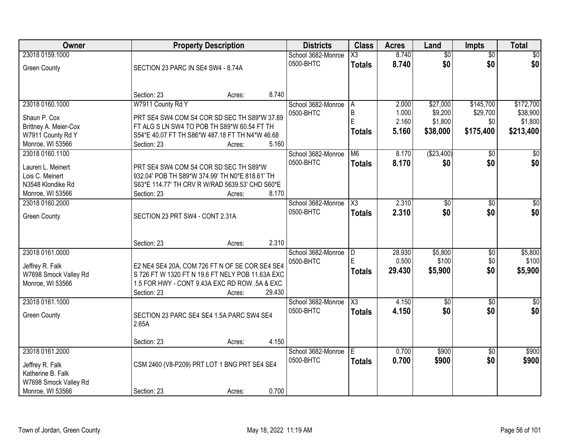| <b>Owner</b>          | <b>Property Description</b>                      | <b>Districts</b>   | <b>Class</b>   | <b>Acres</b>   | Land               | <b>Impts</b>    | <b>Total</b>        |
|-----------------------|--------------------------------------------------|--------------------|----------------|----------------|--------------------|-----------------|---------------------|
| 23018 0159.1000       |                                                  | School 3682-Monroe | X3             | 8.740          | $\overline{50}$    | $\overline{50}$ | $\sqrt{50}$         |
| <b>Green County</b>   | SECTION 23 PARC IN SE4 SW4 - 8.74A               | 0500-BHTC          | <b>Totals</b>  | 8.740          | \$0                | \$0             | \$0                 |
|                       |                                                  |                    |                |                |                    |                 |                     |
|                       |                                                  |                    |                |                |                    |                 |                     |
|                       | 8.740<br>Section: 23<br>Acres:                   |                    |                |                |                    |                 |                     |
| 23018 0160.1000       | W7911 County Rd Y                                | School 3682-Monroe | A              | 2.000          | \$27,000           | \$145,700       | \$172,700           |
| Shaun P. Cox          | PRT SE4 SW4 COM S4 COR SD SEC TH S89*W 37.89     | 0500-BHTC          | $\sf B$<br>Ė   | 1.000<br>2.160 | \$9,200<br>\$1,800 | \$29,700<br>\$0 | \$38,900<br>\$1,800 |
| Brittney A. Meier-Cox | FT ALG S LN SW4 TO POB TH S89*W 60.54 FT TH      |                    |                |                |                    |                 |                     |
| W7911 County Rd Y     | S54*E 40.07 FT TH S86*W 487.18 FT TH N4*W 46.68  |                    | <b>Totals</b>  | 5.160          | \$38,000           | \$175,400       | \$213,400           |
| Monroe, WI 53566      | 5.160<br>Section: 23<br>Acres:                   |                    |                |                |                    |                 |                     |
| 23018 0160.1100       |                                                  | School 3682-Monroe | M <sub>6</sub> | 8.170          | ( \$23,400)        | \$0             | $\overline{\$0}$    |
| Lauren L. Meinert     | PRT SE4 SW4 COM S4 COR SD SEC TH S89*W           | 0500-BHTC          | <b>Totals</b>  | 8.170          | \$0                | \$0             | \$0                 |
| Lois C. Meinert       | 932.04' POB TH S89*W 374.99' TH N0*E 818.61' TH  |                    |                |                |                    |                 |                     |
| N3548 Klondike Rd     | S63*E 114.77' TH CRV R W/RAD 5639.53' CHD S60*E  |                    |                |                |                    |                 |                     |
| Monroe, WI 53566      | 8.170<br>Section: 23<br>Acres:                   |                    |                |                |                    |                 |                     |
| 23018 0160.2000       |                                                  | School 3682-Monroe | X3             | 2.310          | $\overline{30}$    | \$0             | \$0                 |
|                       |                                                  | 0500-BHTC          | <b>Totals</b>  | 2.310          | \$0                | \$0             | \$0                 |
| <b>Green County</b>   | SECTION 23 PRT SW4 - CONT 2.31A                  |                    |                |                |                    |                 |                     |
|                       |                                                  |                    |                |                |                    |                 |                     |
|                       |                                                  |                    |                |                |                    |                 |                     |
|                       | 2.310<br>Section: 23<br>Acres:                   |                    |                |                |                    |                 |                     |
| 23018 0161.0000       |                                                  | School 3682-Monroe | D              | 28.930         | \$5,800            | $\overline{50}$ | \$5,800             |
| Jeffrey R. Falk       | E2 NE4 SE4 20A, COM 726 FT N OF SE COR SE4 SE4   | 0500-BHTC          | E              | 0.500          | \$100              | \$0             | \$100               |
| W7698 Smock Valley Rd | S 726 FT W 1320 FT N 19.6 FT NELY POB 11.63A EXC |                    | <b>Totals</b>  | 29.430         | \$5,900            | \$0             | \$5,900             |
| Monroe, WI 53566      | 1.5 FOR HWY - CONT 9.43A EXC RD ROW .5A & EXC    |                    |                |                |                    |                 |                     |
|                       | 29.430<br>Section: 23<br>Acres:                  |                    |                |                |                    |                 |                     |
| 23018 0161.1000       |                                                  | School 3682-Monroe | X3             | 4.150          | \$0                | \$0             | $\sqrt{50}$         |
|                       |                                                  | 0500-BHTC          | <b>Totals</b>  | 4.150          | \$0                | \$0             | \$0                 |
| <b>Green County</b>   | SECTION 23 PARC SE4 SE4 1.5A PARC SW4 SE4        |                    |                |                |                    |                 |                     |
|                       | 2.65A                                            |                    |                |                |                    |                 |                     |
|                       | 4.150                                            |                    |                |                |                    |                 |                     |
| 23018 0161.2000       | Section: 23<br>Acres:                            |                    | E.             | 0.700          |                    |                 |                     |
|                       |                                                  | School 3682-Monroe |                |                | \$900              | $\overline{50}$ | \$900               |
| Jeffrey R. Falk       | CSM 2460 (V8-P209) PRT LOT 1 BNG PRT SE4 SE4     | 0500-BHTC          | <b>Totals</b>  | 0.700          | \$900              | \$0             | \$900               |
| Katherine B. Falk     |                                                  |                    |                |                |                    |                 |                     |
| W7698 Smock Valley Rd |                                                  |                    |                |                |                    |                 |                     |
| Monroe, WI 53566      | 0.700<br>Section: 23<br>Acres:                   |                    |                |                |                    |                 |                     |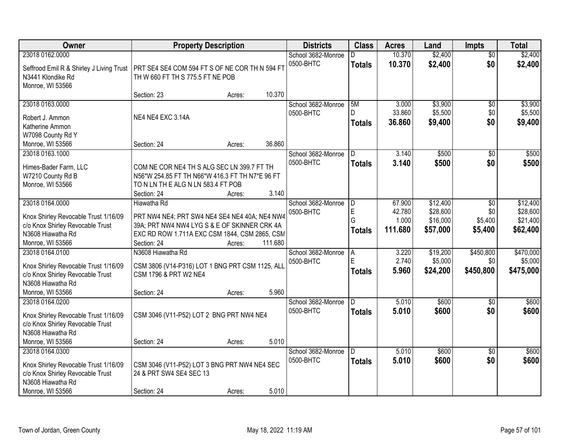| 23018 0162.0000<br>10.370<br>\$2,400<br>$\overline{50}$<br>\$2,400<br>School 3682-Monroe<br>D.<br>10.370<br>\$2,400<br>\$0<br>0500-BHTC<br>\$2,400<br><b>Totals</b><br>Seffrood Emil R & Shirley J Living Trust<br>PRT SE4 SE4 COM 594 FT S OF NE COR TH N 594 FT<br>TH W 660 FT TH S 775.5 FT NE POB<br>N3441 Klondike Rd<br>Monroe, WI 53566<br>10.370<br>Section: 23<br>Acres:<br>\$3,900<br>23018 0163.0000<br>School 3682-Monroe<br>5M<br>3.000<br>\$3,900<br>\$0<br>D.<br>33.860<br>\$5,500<br>\$0<br>0500-BHTC<br>NE4 NE4 EXC 3.14A<br>Robert J. Ammon<br>\$0<br>36.860<br>\$9,400<br><b>Totals</b><br>Katherine Ammon<br>W7098 County Rd Y<br>36.860<br>Monroe, WI 53566<br>Section: 24<br>Acres:<br>23018 0163.1000<br>3.140<br>\$500<br>$\overline{50}$<br>School 3682-Monroe<br>D<br>0500-BHTC<br>3.140<br>\$500<br>\$0<br><b>Totals</b><br>COM NE COR NE4 TH S ALG SEC LN 399.7 FT TH<br>Himes-Bader Farm, LLC<br>N56*W 254.85 FT TH N66*W 416.3 FT TH N7*E 96 FT<br>W7210 County Rd B<br>TO N LN TH E ALG N LN 583.4 FT POB<br>Monroe, WI 53566<br>3.140<br>Section: 24<br>Acres:<br>23018 0164.0000<br>School 3682-Monroe<br>\$12,400<br>\$12,400<br>Hiawatha Rd<br>67.900<br>$\sqrt[6]{3}$<br>D<br>E<br>\$28,600<br>42.780<br>\$0<br>0500-BHTC<br>PRT NW4 NE4; PRT SW4 NE4 SE4 NE4 40A; NE4 NW4<br>Knox Shirley Revocable Trust 1/16/09<br>\$5,400<br>G<br>1.000<br>\$16,000<br>c/o Knox Shirley Revocable Trust<br>39A; PRT NW4 NW4 LYG S & E OF SKINNER CRK 4A<br>111.680<br>\$57,000<br>\$5,400<br><b>Totals</b><br>EXC RD ROW 1.711A EXC CSM 1844, CSM 2865, CSM<br>N3608 Hiawatha Rd<br>Monroe, WI 53566<br>Section: 24<br>111.680<br>Acres:<br>\$450,800<br>23018 0164.0100<br>N3608 Hiawatha Rd<br>School 3682-Monroe<br>3.220<br>\$19,200<br>A<br>E<br>2.740<br>\$5,000<br>\$0<br>0500-BHTC<br>CSM 3806 (V14-P316) LOT 1 BNG PRT CSM 1125, ALL<br>Knox Shirley Revocable Trust 1/16/09<br>\$450,800<br>5.960<br>\$24,200<br><b>Totals</b><br>c/o Knox Shirley Revocable Trust<br>CSM 1796 & PRT W2 NE4<br>N3608 Hiawatha Rd<br>Monroe, WI 53566<br>5.960<br>Section: 24<br>Acres:<br>5.010<br>\$600<br>$\overline{50}$<br>23018 0164.0200<br>School 3682-Monroe<br>D<br>\$600<br>\$0<br>0500-BHTC<br>5.010<br><b>Totals</b><br>CSM 3046 (V11-P52) LOT 2 BNG PRT NW4 NE4<br>Knox Shirley Revocable Trust 1/16/09<br>c/o Knox Shirley Revocable Trust<br>N3608 Hiawatha Rd<br>5.010<br>Monroe, WI 53566<br>Section: 24<br>Acres: | Owner           | <b>Property Description</b> |  | <b>Districts</b>   | <b>Class</b> | <b>Acres</b> | Land  | <b>Impts</b>    | <b>Total</b> |
|-------------------------------------------------------------------------------------------------------------------------------------------------------------------------------------------------------------------------------------------------------------------------------------------------------------------------------------------------------------------------------------------------------------------------------------------------------------------------------------------------------------------------------------------------------------------------------------------------------------------------------------------------------------------------------------------------------------------------------------------------------------------------------------------------------------------------------------------------------------------------------------------------------------------------------------------------------------------------------------------------------------------------------------------------------------------------------------------------------------------------------------------------------------------------------------------------------------------------------------------------------------------------------------------------------------------------------------------------------------------------------------------------------------------------------------------------------------------------------------------------------------------------------------------------------------------------------------------------------------------------------------------------------------------------------------------------------------------------------------------------------------------------------------------------------------------------------------------------------------------------------------------------------------------------------------------------------------------------------------------------------------------------------------------------------------------------------------------------------------------------------------------------------------------------------------------------------------------------------------------------------------------------------------------------------------------------------------------------------------------------------------------------------------------------------------------------------|-----------------|-----------------------------|--|--------------------|--------------|--------------|-------|-----------------|--------------|
|                                                                                                                                                                                                                                                                                                                                                                                                                                                                                                                                                                                                                                                                                                                                                                                                                                                                                                                                                                                                                                                                                                                                                                                                                                                                                                                                                                                                                                                                                                                                                                                                                                                                                                                                                                                                                                                                                                                                                                                                                                                                                                                                                                                                                                                                                                                                                                                                                                                       |                 |                             |  |                    |              |              |       |                 |              |
|                                                                                                                                                                                                                                                                                                                                                                                                                                                                                                                                                                                                                                                                                                                                                                                                                                                                                                                                                                                                                                                                                                                                                                                                                                                                                                                                                                                                                                                                                                                                                                                                                                                                                                                                                                                                                                                                                                                                                                                                                                                                                                                                                                                                                                                                                                                                                                                                                                                       |                 |                             |  |                    |              |              |       |                 |              |
|                                                                                                                                                                                                                                                                                                                                                                                                                                                                                                                                                                                                                                                                                                                                                                                                                                                                                                                                                                                                                                                                                                                                                                                                                                                                                                                                                                                                                                                                                                                                                                                                                                                                                                                                                                                                                                                                                                                                                                                                                                                                                                                                                                                                                                                                                                                                                                                                                                                       |                 |                             |  |                    |              |              |       |                 |              |
| \$5,500<br>\$9,400<br>\$500<br>\$500<br>\$28,600<br>\$21,400<br>\$62,400<br>\$470,000<br>\$5,000<br>\$475,000<br>\$600<br>\$600                                                                                                                                                                                                                                                                                                                                                                                                                                                                                                                                                                                                                                                                                                                                                                                                                                                                                                                                                                                                                                                                                                                                                                                                                                                                                                                                                                                                                                                                                                                                                                                                                                                                                                                                                                                                                                                                                                                                                                                                                                                                                                                                                                                                                                                                                                                       |                 |                             |  |                    |              |              |       |                 |              |
|                                                                                                                                                                                                                                                                                                                                                                                                                                                                                                                                                                                                                                                                                                                                                                                                                                                                                                                                                                                                                                                                                                                                                                                                                                                                                                                                                                                                                                                                                                                                                                                                                                                                                                                                                                                                                                                                                                                                                                                                                                                                                                                                                                                                                                                                                                                                                                                                                                                       |                 |                             |  |                    |              |              |       |                 |              |
|                                                                                                                                                                                                                                                                                                                                                                                                                                                                                                                                                                                                                                                                                                                                                                                                                                                                                                                                                                                                                                                                                                                                                                                                                                                                                                                                                                                                                                                                                                                                                                                                                                                                                                                                                                                                                                                                                                                                                                                                                                                                                                                                                                                                                                                                                                                                                                                                                                                       |                 |                             |  |                    |              |              |       |                 |              |
|                                                                                                                                                                                                                                                                                                                                                                                                                                                                                                                                                                                                                                                                                                                                                                                                                                                                                                                                                                                                                                                                                                                                                                                                                                                                                                                                                                                                                                                                                                                                                                                                                                                                                                                                                                                                                                                                                                                                                                                                                                                                                                                                                                                                                                                                                                                                                                                                                                                       |                 |                             |  |                    |              |              |       |                 |              |
|                                                                                                                                                                                                                                                                                                                                                                                                                                                                                                                                                                                                                                                                                                                                                                                                                                                                                                                                                                                                                                                                                                                                                                                                                                                                                                                                                                                                                                                                                                                                                                                                                                                                                                                                                                                                                                                                                                                                                                                                                                                                                                                                                                                                                                                                                                                                                                                                                                                       |                 |                             |  |                    |              |              |       |                 |              |
|                                                                                                                                                                                                                                                                                                                                                                                                                                                                                                                                                                                                                                                                                                                                                                                                                                                                                                                                                                                                                                                                                                                                                                                                                                                                                                                                                                                                                                                                                                                                                                                                                                                                                                                                                                                                                                                                                                                                                                                                                                                                                                                                                                                                                                                                                                                                                                                                                                                       |                 |                             |  |                    |              |              |       |                 |              |
|                                                                                                                                                                                                                                                                                                                                                                                                                                                                                                                                                                                                                                                                                                                                                                                                                                                                                                                                                                                                                                                                                                                                                                                                                                                                                                                                                                                                                                                                                                                                                                                                                                                                                                                                                                                                                                                                                                                                                                                                                                                                                                                                                                                                                                                                                                                                                                                                                                                       |                 |                             |  |                    |              |              |       |                 |              |
|                                                                                                                                                                                                                                                                                                                                                                                                                                                                                                                                                                                                                                                                                                                                                                                                                                                                                                                                                                                                                                                                                                                                                                                                                                                                                                                                                                                                                                                                                                                                                                                                                                                                                                                                                                                                                                                                                                                                                                                                                                                                                                                                                                                                                                                                                                                                                                                                                                                       |                 |                             |  |                    |              |              |       |                 |              |
|                                                                                                                                                                                                                                                                                                                                                                                                                                                                                                                                                                                                                                                                                                                                                                                                                                                                                                                                                                                                                                                                                                                                                                                                                                                                                                                                                                                                                                                                                                                                                                                                                                                                                                                                                                                                                                                                                                                                                                                                                                                                                                                                                                                                                                                                                                                                                                                                                                                       |                 |                             |  |                    |              |              |       |                 |              |
|                                                                                                                                                                                                                                                                                                                                                                                                                                                                                                                                                                                                                                                                                                                                                                                                                                                                                                                                                                                                                                                                                                                                                                                                                                                                                                                                                                                                                                                                                                                                                                                                                                                                                                                                                                                                                                                                                                                                                                                                                                                                                                                                                                                                                                                                                                                                                                                                                                                       |                 |                             |  |                    |              |              |       |                 |              |
|                                                                                                                                                                                                                                                                                                                                                                                                                                                                                                                                                                                                                                                                                                                                                                                                                                                                                                                                                                                                                                                                                                                                                                                                                                                                                                                                                                                                                                                                                                                                                                                                                                                                                                                                                                                                                                                                                                                                                                                                                                                                                                                                                                                                                                                                                                                                                                                                                                                       |                 |                             |  |                    |              |              |       |                 |              |
|                                                                                                                                                                                                                                                                                                                                                                                                                                                                                                                                                                                                                                                                                                                                                                                                                                                                                                                                                                                                                                                                                                                                                                                                                                                                                                                                                                                                                                                                                                                                                                                                                                                                                                                                                                                                                                                                                                                                                                                                                                                                                                                                                                                                                                                                                                                                                                                                                                                       |                 |                             |  |                    |              |              |       |                 |              |
|                                                                                                                                                                                                                                                                                                                                                                                                                                                                                                                                                                                                                                                                                                                                                                                                                                                                                                                                                                                                                                                                                                                                                                                                                                                                                                                                                                                                                                                                                                                                                                                                                                                                                                                                                                                                                                                                                                                                                                                                                                                                                                                                                                                                                                                                                                                                                                                                                                                       |                 |                             |  |                    |              |              |       |                 |              |
|                                                                                                                                                                                                                                                                                                                                                                                                                                                                                                                                                                                                                                                                                                                                                                                                                                                                                                                                                                                                                                                                                                                                                                                                                                                                                                                                                                                                                                                                                                                                                                                                                                                                                                                                                                                                                                                                                                                                                                                                                                                                                                                                                                                                                                                                                                                                                                                                                                                       |                 |                             |  |                    |              |              |       |                 |              |
|                                                                                                                                                                                                                                                                                                                                                                                                                                                                                                                                                                                                                                                                                                                                                                                                                                                                                                                                                                                                                                                                                                                                                                                                                                                                                                                                                                                                                                                                                                                                                                                                                                                                                                                                                                                                                                                                                                                                                                                                                                                                                                                                                                                                                                                                                                                                                                                                                                                       |                 |                             |  |                    |              |              |       |                 |              |
|                                                                                                                                                                                                                                                                                                                                                                                                                                                                                                                                                                                                                                                                                                                                                                                                                                                                                                                                                                                                                                                                                                                                                                                                                                                                                                                                                                                                                                                                                                                                                                                                                                                                                                                                                                                                                                                                                                                                                                                                                                                                                                                                                                                                                                                                                                                                                                                                                                                       |                 |                             |  |                    |              |              |       |                 |              |
|                                                                                                                                                                                                                                                                                                                                                                                                                                                                                                                                                                                                                                                                                                                                                                                                                                                                                                                                                                                                                                                                                                                                                                                                                                                                                                                                                                                                                                                                                                                                                                                                                                                                                                                                                                                                                                                                                                                                                                                                                                                                                                                                                                                                                                                                                                                                                                                                                                                       |                 |                             |  |                    |              |              |       |                 |              |
|                                                                                                                                                                                                                                                                                                                                                                                                                                                                                                                                                                                                                                                                                                                                                                                                                                                                                                                                                                                                                                                                                                                                                                                                                                                                                                                                                                                                                                                                                                                                                                                                                                                                                                                                                                                                                                                                                                                                                                                                                                                                                                                                                                                                                                                                                                                                                                                                                                                       |                 |                             |  |                    |              |              |       |                 |              |
|                                                                                                                                                                                                                                                                                                                                                                                                                                                                                                                                                                                                                                                                                                                                                                                                                                                                                                                                                                                                                                                                                                                                                                                                                                                                                                                                                                                                                                                                                                                                                                                                                                                                                                                                                                                                                                                                                                                                                                                                                                                                                                                                                                                                                                                                                                                                                                                                                                                       |                 |                             |  |                    |              |              |       |                 |              |
|                                                                                                                                                                                                                                                                                                                                                                                                                                                                                                                                                                                                                                                                                                                                                                                                                                                                                                                                                                                                                                                                                                                                                                                                                                                                                                                                                                                                                                                                                                                                                                                                                                                                                                                                                                                                                                                                                                                                                                                                                                                                                                                                                                                                                                                                                                                                                                                                                                                       |                 |                             |  |                    |              |              |       |                 |              |
|                                                                                                                                                                                                                                                                                                                                                                                                                                                                                                                                                                                                                                                                                                                                                                                                                                                                                                                                                                                                                                                                                                                                                                                                                                                                                                                                                                                                                                                                                                                                                                                                                                                                                                                                                                                                                                                                                                                                                                                                                                                                                                                                                                                                                                                                                                                                                                                                                                                       |                 |                             |  |                    |              |              |       |                 |              |
|                                                                                                                                                                                                                                                                                                                                                                                                                                                                                                                                                                                                                                                                                                                                                                                                                                                                                                                                                                                                                                                                                                                                                                                                                                                                                                                                                                                                                                                                                                                                                                                                                                                                                                                                                                                                                                                                                                                                                                                                                                                                                                                                                                                                                                                                                                                                                                                                                                                       |                 |                             |  |                    |              |              |       |                 |              |
|                                                                                                                                                                                                                                                                                                                                                                                                                                                                                                                                                                                                                                                                                                                                                                                                                                                                                                                                                                                                                                                                                                                                                                                                                                                                                                                                                                                                                                                                                                                                                                                                                                                                                                                                                                                                                                                                                                                                                                                                                                                                                                                                                                                                                                                                                                                                                                                                                                                       |                 |                             |  |                    |              |              |       |                 |              |
|                                                                                                                                                                                                                                                                                                                                                                                                                                                                                                                                                                                                                                                                                                                                                                                                                                                                                                                                                                                                                                                                                                                                                                                                                                                                                                                                                                                                                                                                                                                                                                                                                                                                                                                                                                                                                                                                                                                                                                                                                                                                                                                                                                                                                                                                                                                                                                                                                                                       |                 |                             |  |                    |              |              |       |                 |              |
|                                                                                                                                                                                                                                                                                                                                                                                                                                                                                                                                                                                                                                                                                                                                                                                                                                                                                                                                                                                                                                                                                                                                                                                                                                                                                                                                                                                                                                                                                                                                                                                                                                                                                                                                                                                                                                                                                                                                                                                                                                                                                                                                                                                                                                                                                                                                                                                                                                                       |                 |                             |  |                    |              |              |       |                 |              |
|                                                                                                                                                                                                                                                                                                                                                                                                                                                                                                                                                                                                                                                                                                                                                                                                                                                                                                                                                                                                                                                                                                                                                                                                                                                                                                                                                                                                                                                                                                                                                                                                                                                                                                                                                                                                                                                                                                                                                                                                                                                                                                                                                                                                                                                                                                                                                                                                                                                       |                 |                             |  |                    |              |              |       |                 |              |
|                                                                                                                                                                                                                                                                                                                                                                                                                                                                                                                                                                                                                                                                                                                                                                                                                                                                                                                                                                                                                                                                                                                                                                                                                                                                                                                                                                                                                                                                                                                                                                                                                                                                                                                                                                                                                                                                                                                                                                                                                                                                                                                                                                                                                                                                                                                                                                                                                                                       |                 |                             |  |                    |              |              |       |                 |              |
|                                                                                                                                                                                                                                                                                                                                                                                                                                                                                                                                                                                                                                                                                                                                                                                                                                                                                                                                                                                                                                                                                                                                                                                                                                                                                                                                                                                                                                                                                                                                                                                                                                                                                                                                                                                                                                                                                                                                                                                                                                                                                                                                                                                                                                                                                                                                                                                                                                                       | 23018 0164.0300 |                             |  | School 3682-Monroe | D.           | 5.010        | \$600 | $\overline{30}$ | \$600        |
| 0500-BHTC<br>5.010<br>\$600<br>\$0<br>\$600<br><b>Totals</b>                                                                                                                                                                                                                                                                                                                                                                                                                                                                                                                                                                                                                                                                                                                                                                                                                                                                                                                                                                                                                                                                                                                                                                                                                                                                                                                                                                                                                                                                                                                                                                                                                                                                                                                                                                                                                                                                                                                                                                                                                                                                                                                                                                                                                                                                                                                                                                                          |                 |                             |  |                    |              |              |       |                 |              |
| Knox Shirley Revocable Trust 1/16/09<br>CSM 3046 (V11-P52) LOT 3 BNG PRT NW4 NE4 SEC                                                                                                                                                                                                                                                                                                                                                                                                                                                                                                                                                                                                                                                                                                                                                                                                                                                                                                                                                                                                                                                                                                                                                                                                                                                                                                                                                                                                                                                                                                                                                                                                                                                                                                                                                                                                                                                                                                                                                                                                                                                                                                                                                                                                                                                                                                                                                                  |                 |                             |  |                    |              |              |       |                 |              |
| 24 & PRT SW4 SE4 SEC 13<br>c/o Knox Shirley Revocable Trust<br>N3608 Hiawatha Rd                                                                                                                                                                                                                                                                                                                                                                                                                                                                                                                                                                                                                                                                                                                                                                                                                                                                                                                                                                                                                                                                                                                                                                                                                                                                                                                                                                                                                                                                                                                                                                                                                                                                                                                                                                                                                                                                                                                                                                                                                                                                                                                                                                                                                                                                                                                                                                      |                 |                             |  |                    |              |              |       |                 |              |
| 5.010<br>Monroe, WI 53566<br>Section: 24<br>Acres:                                                                                                                                                                                                                                                                                                                                                                                                                                                                                                                                                                                                                                                                                                                                                                                                                                                                                                                                                                                                                                                                                                                                                                                                                                                                                                                                                                                                                                                                                                                                                                                                                                                                                                                                                                                                                                                                                                                                                                                                                                                                                                                                                                                                                                                                                                                                                                                                    |                 |                             |  |                    |              |              |       |                 |              |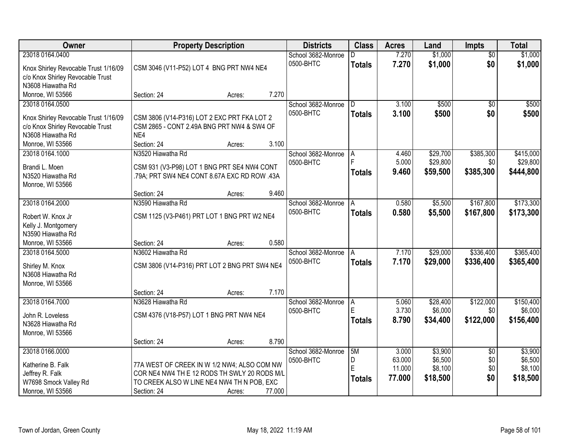| Owner                                                                                                                                | <b>Property Description</b>                                                                                                                                                  | <b>Districts</b>                | <b>Class</b>                  | <b>Acres</b>                        | Land                                      | Impts                                | <b>Total</b>                              |
|--------------------------------------------------------------------------------------------------------------------------------------|------------------------------------------------------------------------------------------------------------------------------------------------------------------------------|---------------------------------|-------------------------------|-------------------------------------|-------------------------------------------|--------------------------------------|-------------------------------------------|
| 23018 0164.0400<br>Knox Shirley Revocable Trust 1/16/09<br>c/o Knox Shirley Revocable Trust<br>N3608 Hiawatha Rd                     | CSM 3046 (V11-P52) LOT 4 BNG PRT NW4 NE4                                                                                                                                     | School 3682-Monroe<br>0500-BHTC | <b>Totals</b>                 | 7.270<br>7.270                      | \$1,000<br>\$1,000                        | $\overline{50}$<br>\$0               | \$1,000<br>\$1,000                        |
| Monroe, WI 53566                                                                                                                     | 7.270<br>Section: 24<br>Acres:                                                                                                                                               |                                 |                               |                                     |                                           |                                      |                                           |
| 23018 0164.0500<br>Knox Shirley Revocable Trust 1/16/09<br>c/o Knox Shirley Revocable Trust<br>N3608 Hiawatha Rd<br>Monroe, WI 53566 | CSM 3806 (V14-P316) LOT 2 EXC PRT FKA LOT 2<br>CSM 2865 - CONT 2.49A BNG PRT NW4 & SW4 OF<br>NE4<br>Section: 24<br>3.100<br>Acres:                                           | School 3682-Monroe<br>0500-BHTC | D.<br><b>Totals</b>           | 3.100<br>3.100                      | \$500<br>\$500                            | $\overline{50}$<br>\$0               | \$500<br>\$500                            |
| 23018 0164.1000<br>Brandi L. Moen<br>N3520 Hiawatha Rd<br>Monroe, WI 53566                                                           | N3520 Hiawatha Rd<br>CSM 931 (V3-P98) LOT 1 BNG PRT SE4 NW4 CONT<br>.79A; PRT SW4 NE4 CONT 8.67A EXC RD ROW .43A<br>9.460<br>Section: 24<br>Acres:                           | School 3682-Monroe<br>0500-BHTC | A<br><b>Totals</b>            | 4.460<br>5.000<br>9.460             | \$29,700<br>\$29,800<br>\$59,500          | \$385,300<br>\$0<br>\$385,300        | \$415,000<br>\$29,800<br>\$444,800        |
| 23018 0164.2000<br>Robert W. Knox Jr<br>Kelly J. Montgomery<br>N3590 Hiawatha Rd<br>Monroe, WI 53566                                 | N3590 Hiawatha Rd<br>CSM 1125 (V3-P461) PRT LOT 1 BNG PRT W2 NE4<br>0.580<br>Section: 24<br>Acres:                                                                           | School 3682-Monroe<br>0500-BHTC | A<br><b>Totals</b>            | 0.580<br>0.580                      | \$5,500<br>\$5,500                        | \$167,800<br>\$167,800               | \$173,300<br>\$173,300                    |
| 23018 0164.5000<br>Shirley M. Knox<br>N3608 Hiawatha Rd<br>Monroe, WI 53566                                                          | N3602 Hiawatha Rd<br>CSM 3806 (V14-P316) PRT LOT 2 BNG PRT SW4 NE4<br>7.170<br>Section: 24<br>Acres:                                                                         | School 3682-Monroe<br>0500-BHTC | A<br><b>Totals</b>            | 7.170<br>7.170                      | \$29,000<br>\$29,000                      | \$336,400<br>\$336,400               | \$365,400<br>\$365,400                    |
| 23018 0164.7000<br>John R. Loveless<br>N3628 Hiawatha Rd<br>Monroe, WI 53566                                                         | N3628 Hiawatha Rd<br>CSM 4376 (V18-P57) LOT 1 BNG PRT NW4 NE4<br>8.790<br>Section: 24<br>Acres:                                                                              | School 3682-Monroe<br>0500-BHTC | A<br>Ė<br><b>Totals</b>       | 5.060<br>3.730<br>8.790             | \$28,400<br>\$6,000<br>\$34,400           | \$122,000<br>\$0<br>\$122,000        | \$150,400<br>\$6,000<br>\$156,400         |
| 23018 0166.0000<br>Katherine B. Falk<br>Jeffrey R. Falk<br>W7698 Smock Valley Rd<br>Monroe, WI 53566                                 | 77A WEST OF CREEK IN W 1/2 NW4; ALSO COM NW<br>COR NE4 NW4 TH E 12 RODS TH SWLY 20 RODS M/L<br>TO CREEK ALSO W LINE NE4 NW4 TH N POB, EXC<br>77.000<br>Section: 24<br>Acres: | School 3682-Monroe<br>0500-BHTC | 5M<br>D<br>E<br><b>Totals</b> | 3.000<br>63.000<br>11.000<br>77.000 | \$3,900<br>\$6,500<br>\$8,100<br>\$18,500 | $\overline{50}$<br>\$0<br>\$0<br>\$0 | \$3,900<br>\$6,500<br>\$8,100<br>\$18,500 |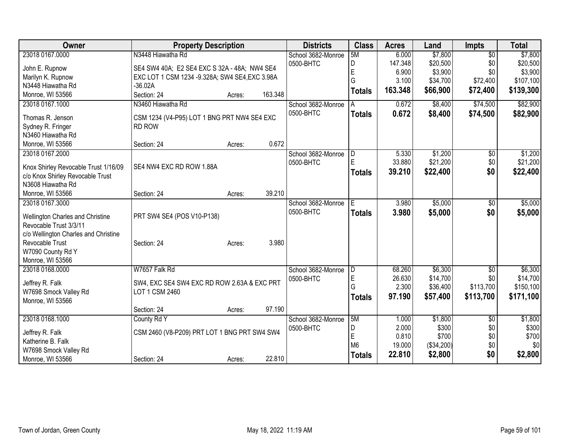| <b>Owner</b>                            | <b>Property Description</b>                    | <b>Districts</b>   | <b>Class</b>   | <b>Acres</b> | Land       | <b>Impts</b>    | <b>Total</b> |
|-----------------------------------------|------------------------------------------------|--------------------|----------------|--------------|------------|-----------------|--------------|
| 23018 0167.0000                         | N3448 Hiawatha Rd                              | School 3682-Monroe | 5M             | 6.000        | \$7,800    | $\overline{50}$ | \$7,800      |
| John E. Rupnow                          | SE4 SW4 40A; E2 SE4 EXC S 32A - 48A; NW4 SE4   | 0500-BHTC          | D              | 147.348      | \$20,500   | \$0             | \$20,500     |
| Marilyn K. Rupnow                       | EXC LOT 1 CSM 1234 -9.328A; SW4 SE4, EXC 3.98A |                    | E              | 6.900        | \$3,900    | \$0             | \$3,900      |
| N3448 Hiawatha Rd                       | $-36.02A$                                      |                    | G              | 3.100        | \$34,700   | \$72,400        | \$107,100    |
| Monroe, WI 53566                        | Section: 24<br>163.348<br>Acres:               |                    | <b>Totals</b>  | 163.348      | \$66,900   | \$72,400        | \$139,300    |
| 23018 0167.1000                         | N3460 Hiawatha Rd                              | School 3682-Monroe |                | 0.672        | \$8,400    | \$74,500        | \$82,900     |
|                                         |                                                | 0500-BHTC          | <b>Totals</b>  | 0.672        | \$8,400    | \$74,500        | \$82,900     |
| Thomas R. Jenson                        | CSM 1234 (V4-P95) LOT 1 BNG PRT NW4 SE4 EXC    |                    |                |              |            |                 |              |
| Sydney R. Fringer                       | <b>RD ROW</b>                                  |                    |                |              |            |                 |              |
| N3460 Hiawatha Rd                       |                                                |                    |                |              |            |                 |              |
| Monroe, WI 53566                        | 0.672<br>Section: 24<br>Acres:                 |                    |                |              |            |                 |              |
| 23018 0167.2000                         |                                                | School 3682-Monroe | D              | 5.330        | \$1,200    | \$0             | \$1,200      |
| Knox Shirley Revocable Trust 1/16/09    | SE4 NW4 EXC RD ROW 1.88A                       | 0500-BHTC          | F.             | 33.880       | \$21,200   | \$0             | \$21,200     |
| c/o Knox Shirley Revocable Trust        |                                                |                    | <b>Totals</b>  | 39.210       | \$22,400   | \$0             | \$22,400     |
| N3608 Hiawatha Rd                       |                                                |                    |                |              |            |                 |              |
| Monroe, WI 53566                        | 39.210<br>Section: 24<br>Acres:                |                    |                |              |            |                 |              |
| 23018 0167.3000                         |                                                | School 3682-Monroe | E              | 3.980        | \$5,000    | \$0             | \$5,000      |
|                                         |                                                | 0500-BHTC          | <b>Totals</b>  | 3.980        | \$5,000    | \$0             | \$5,000      |
| <b>Wellington Charles and Christine</b> | PRT SW4 SE4 (POS V10-P138)                     |                    |                |              |            |                 |              |
| Revocable Trust 3/3/11                  |                                                |                    |                |              |            |                 |              |
| c/o Wellington Charles and Christine    |                                                |                    |                |              |            |                 |              |
| Revocable Trust                         | Section: 24<br>Acres:                          | 3.980              |                |              |            |                 |              |
| W7090 County Rd Y                       |                                                |                    |                |              |            |                 |              |
| Monroe, WI 53566                        |                                                |                    |                |              |            |                 |              |
| 23018 0168.0000                         | W7657 Falk Rd                                  | School 3682-Monroe | D              | 68.260       | \$6,300    | \$0             | \$6,300      |
| Jeffrey R. Falk                         | SW4, EXC SE4 SW4 EXC RD ROW 2.63A & EXC PRT    | 0500-BHTC          | E              | 26.630       | \$14,700   | \$0             | \$14,700     |
| W7698 Smock Valley Rd                   | LOT 1 CSM 2460                                 |                    | G              | 2.300        | \$36,400   | \$113,700       | \$150,100    |
| Monroe, WI 53566                        |                                                |                    | <b>Totals</b>  | 97.190       | \$57,400   | \$113,700       | \$171,100    |
|                                         | 97.190<br>Section: 24<br>Acres:                |                    |                |              |            |                 |              |
| 23018 0168.1000                         | County Rd Y                                    | School 3682-Monroe | 5M             | 1.000        | \$1,800    | $\overline{50}$ | \$1,800      |
|                                         |                                                | 0500-BHTC          | D              | 2.000        | \$300      | \$0             | \$300        |
| Jeffrey R. Falk                         | CSM 2460 (V8-P209) PRT LOT 1 BNG PRT SW4 SW4   |                    | E              | 0.810        | \$700      | \$0             | \$700        |
| Katherine B. Falk                       |                                                |                    | M <sub>6</sub> | 19.000       | (\$34,200) | \$0             | \$0          |
| W7698 Smock Valley Rd                   | 22.810<br>Section: 24                          |                    | <b>Totals</b>  | 22.810       | \$2,800    | \$0             | \$2,800      |
| Monroe, WI 53566                        | Acres:                                         |                    |                |              |            |                 |              |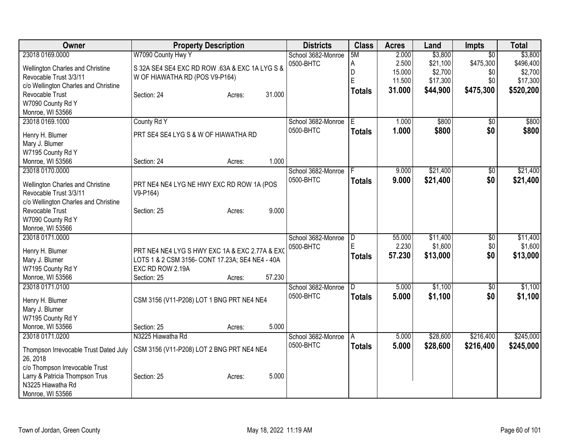| Owner                                 | <b>Property Description</b>                                         | <b>Districts</b>   | <b>Class</b>  | <b>Acres</b> | Land     | <b>Impts</b>    | <b>Total</b> |
|---------------------------------------|---------------------------------------------------------------------|--------------------|---------------|--------------|----------|-----------------|--------------|
| 23018 0169.0000                       | W7090 County Hwy Y                                                  | School 3682-Monroe | 5M            | 2.000        | \$3,800  | $\overline{30}$ | \$3,800      |
| Wellington Charles and Christine      | S 32A SE4 SE4 EXC RD ROW .63A & EXC 1A LYG S &                      | 0500-BHTC          | A             | 2.500        | \$21,100 | \$475,300       | \$496,400    |
| Revocable Trust 3/3/11                | W OF HIAWATHA RD (POS V9-P164)                                      |                    | D             | 15.000       | \$2,700  | \$0             | \$2,700      |
| c/o Wellington Charles and Christine  |                                                                     |                    | $\mathsf E$   | 11.500       | \$17,300 | \$0             | \$17,300     |
| Revocable Trust                       | 31.000<br>Section: 24<br>Acres:                                     |                    | Totals        | 31.000       | \$44,900 | \$475,300       | \$520,200    |
| W7090 County Rd Y                     |                                                                     |                    |               |              |          |                 |              |
| Monroe, WI 53566                      |                                                                     |                    |               |              |          |                 |              |
| 23018 0169.1000                       | County Rd Y                                                         | School 3682-Monroe | IE.           | 1.000        | \$800    | $\overline{50}$ | \$800        |
|                                       |                                                                     | 0500-BHTC          | <b>Totals</b> | 1.000        | \$800    | \$0             | \$800        |
| Henry H. Blumer                       | PRT SE4 SE4 LYG S & W OF HIAWATHA RD                                |                    |               |              |          |                 |              |
| Mary J. Blumer                        |                                                                     |                    |               |              |          |                 |              |
| W7195 County Rd Y                     |                                                                     |                    |               |              |          |                 |              |
| Monroe, WI 53566                      | 1.000<br>Section: 24<br>Acres:                                      |                    |               |              |          |                 |              |
| 23018 0170.0000                       |                                                                     | School 3682-Monroe |               | 9.000        | \$21,400 | \$0             | \$21,400     |
| Wellington Charles and Christine      | PRT NE4 NE4 LYG NE HWY EXC RD ROW 1A (POS                           | 0500-BHTC          | <b>Totals</b> | 9.000        | \$21,400 | \$0             | \$21,400     |
| Revocable Trust 3/3/11                | V9-P164)                                                            |                    |               |              |          |                 |              |
| c/o Wellington Charles and Christine  |                                                                     |                    |               |              |          |                 |              |
| Revocable Trust                       | 9.000<br>Section: 25<br>Acres:                                      |                    |               |              |          |                 |              |
| W7090 County Rd Y                     |                                                                     |                    |               |              |          |                 |              |
| Monroe, WI 53566                      |                                                                     |                    |               |              |          |                 |              |
| 23018 0171.0000                       |                                                                     | School 3682-Monroe | D             | 55.000       | \$11,400 | \$0             | \$11,400     |
|                                       |                                                                     | 0500-BHTC          | E             | 2.230        | \$1,600  | \$0             | \$1,600      |
| Henry H. Blumer                       | PRT NE4 NE4 LYG S HWY EXC 1A & EXC 2.77A & EXC                      |                    | Totals        | 57.230       | \$13,000 | \$0             | \$13,000     |
| Mary J. Blumer<br>W7195 County Rd Y   | LOTS 1 & 2 CSM 3156- CONT 17.23A; SE4 NE4 - 40A<br>EXC RD ROW 2.19A |                    |               |              |          |                 |              |
| Monroe, WI 53566                      | 57.230<br>Section: 25<br>Acres:                                     |                    |               |              |          |                 |              |
| 23018 0171.0100                       |                                                                     | School 3682-Monroe | D             | 5.000        | \$1,100  | \$0             | \$1,100      |
|                                       |                                                                     | 0500-BHTC          |               |              |          |                 |              |
| Henry H. Blumer                       | CSM 3156 (V11-P208) LOT 1 BNG PRT NE4 NE4                           |                    | <b>Totals</b> | 5.000        | \$1,100  | \$0             | \$1,100      |
| Mary J. Blumer                        |                                                                     |                    |               |              |          |                 |              |
| W7195 County Rd Y                     |                                                                     |                    |               |              |          |                 |              |
| Monroe, WI 53566                      | 5.000<br>Section: 25<br>Acres:                                      |                    |               |              |          |                 |              |
| 23018 0171.0200                       | N3225 Hiawatha Rd                                                   | School 3682-Monroe |               | 5.000        | \$28,600 | \$216,400       | \$245,000    |
| Thompson Irrevocable Trust Dated July | CSM 3156 (V11-P208) LOT 2 BNG PRT NE4 NE4                           | 0500-BHTC          | <b>Totals</b> | 5.000        | \$28,600 | \$216,400       | \$245,000    |
| 26, 2018                              |                                                                     |                    |               |              |          |                 |              |
| c/o Thompson Irrevocable Trust        |                                                                     |                    |               |              |          |                 |              |
| Larry & Patricia Thompson Trus        | 5.000<br>Section: 25<br>Acres:                                      |                    |               |              |          |                 |              |
| N3225 Hiawatha Rd                     |                                                                     |                    |               |              |          |                 |              |
| Monroe, WI 53566                      |                                                                     |                    |               |              |          |                 |              |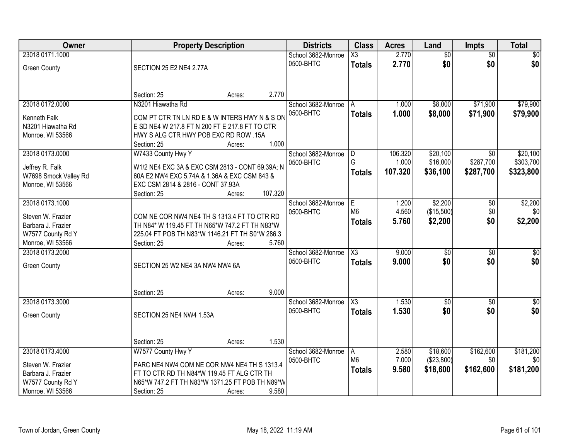| Owner                 | <b>Property Description</b>                     |                   | <b>Districts</b>   | <b>Class</b>           | <b>Acres</b> | Land            | <b>Impts</b>    | <b>Total</b>    |
|-----------------------|-------------------------------------------------|-------------------|--------------------|------------------------|--------------|-----------------|-----------------|-----------------|
| 23018 0171.1000       |                                                 |                   | School 3682-Monroe | $\overline{\text{X3}}$ | 2.770        | $\overline{50}$ | $\overline{50}$ | $\overline{30}$ |
| <b>Green County</b>   | <b>SECTION 25 E2 NE4 2.77A</b>                  |                   | 0500-BHTC          | <b>Totals</b>          | 2.770        | \$0             | \$0             | \$0             |
|                       |                                                 |                   |                    |                        |              |                 |                 |                 |
|                       |                                                 |                   |                    |                        |              |                 |                 |                 |
|                       | Section: 25                                     | 2.770<br>Acres:   |                    |                        |              |                 |                 |                 |
| 23018 0172.0000       | N3201 Hiawatha Rd                               |                   | School 3682-Monroe | A                      | 1.000        | \$8,000         | \$71,900        | \$79,900        |
| Kenneth Falk          | COM PT CTR TN LN RD E & W INTERS HWY N & S ON   |                   | 0500-BHTC          | <b>Totals</b>          | 1.000        | \$8,000         | \$71,900        | \$79,900        |
| N3201 Hiawatha Rd     | E SD NE4 W 217.8 FT N 200 FT E 217.8 FT TO CTR  |                   |                    |                        |              |                 |                 |                 |
| Monroe, WI 53566      | HWY S ALG CTR HWY POB EXC RD ROW .15A           |                   |                    |                        |              |                 |                 |                 |
|                       | Section: 25                                     | 1.000<br>Acres:   |                    |                        |              |                 |                 |                 |
| 23018 0173.0000       | W7433 County Hwy Y                              |                   | School 3682-Monroe | D                      | 106.320      | \$20,100        | $\overline{50}$ | \$20,100        |
| Jeffrey R. Falk       | W1/2 NE4 EXC 3A & EXC CSM 2813 - CONT 69.39A; N |                   | 0500-BHTC          | G                      | 1.000        | \$16,000        | \$287,700       | \$303,700       |
| W7698 Smock Valley Rd | 60A E2 NW4 EXC 5.74A & 1.36A & EXC CSM 843 &    |                   |                    | <b>Totals</b>          | 107.320      | \$36,100        | \$287,700       | \$323,800       |
| Monroe, WI 53566      | EXC CSM 2814 & 2816 - CONT 37.93A               |                   |                    |                        |              |                 |                 |                 |
|                       | Section: 25                                     | 107.320<br>Acres: |                    |                        |              |                 |                 |                 |
| 23018 0173.1000       |                                                 |                   | School 3682-Monroe | E.                     | 1.200        | \$2,200         | $\sqrt{6}$      | \$2,200         |
|                       |                                                 |                   | 0500-BHTC          | M <sub>6</sub>         | 4.560        | (\$15,500)      | \$0             | \$0             |
| Steven W. Frazier     | COM NE COR NW4 NE4 TH S 1313.4 FT TO CTR RD     |                   |                    | <b>Totals</b>          | 5.760        | \$2,200         | \$0             | \$2,200         |
| Barbara J. Frazier    | TH N84* W 119.45 FT TH N65*W 747.2 FT TH N83*W  |                   |                    |                        |              |                 |                 |                 |
| W7577 County Rd Y     | 225.04 FT POB TH N83*W 1146.21 FT TH S0*W 286.3 |                   |                    |                        |              |                 |                 |                 |
| Monroe, WI 53566      | Section: 25                                     | 5.760<br>Acres:   |                    |                        |              |                 |                 |                 |
| 23018 0173.2000       |                                                 |                   | School 3682-Monroe | $\overline{\chi_3}$    | 9.000        | $\overline{30}$ | $\overline{50}$ | \$0             |
| <b>Green County</b>   | SECTION 25 W2 NE4 3A NW4 NW4 6A                 |                   | 0500-BHTC          | <b>Totals</b>          | 9.000        | \$0             | \$0             | \$0             |
|                       |                                                 |                   |                    |                        |              |                 |                 |                 |
|                       |                                                 |                   |                    |                        |              |                 |                 |                 |
|                       | Section: 25                                     | 9.000<br>Acres:   |                    |                        |              |                 |                 |                 |
| 23018 0173.3000       |                                                 |                   | School 3682-Monroe | $\overline{\text{X3}}$ | 1.530        | $\overline{60}$ | $\overline{50}$ | $\sqrt{50}$     |
| <b>Green County</b>   | SECTION 25 NE4 NW4 1.53A                        |                   | 0500-BHTC          | <b>Totals</b>          | 1.530        | \$0             | \$0             | \$0             |
|                       |                                                 |                   |                    |                        |              |                 |                 |                 |
|                       |                                                 |                   |                    |                        |              |                 |                 |                 |
|                       | Section: 25                                     | 1.530<br>Acres:   |                    |                        |              |                 |                 |                 |
| 23018 0173.4000       | W7577 County Hwy Y                              |                   | School 3682-Monroe | A                      | 2.580        | \$18,600        | \$162,600       | \$181,200       |
| Steven W. Frazier     | PARC NE4 NW4 COM NE COR NW4 NE4 TH S 1313.4     |                   | 0500-BHTC          | M <sub>6</sub>         | 7.000        | (\$23,800)      | \$0             | \$0             |
| Barbara J. Frazier    | FT TO CTR RD TH N84*W 119.45 FT ALG CTR TH      |                   |                    | <b>Totals</b>          | 9.580        | \$18,600        | \$162,600       | \$181,200       |
| W7577 County Rd Y     | N65*W 747.2 FT TH N83*W 1371.25 FT POB TH N89*W |                   |                    |                        |              |                 |                 |                 |
| Monroe, WI 53566      | Section: 25                                     | 9.580<br>Acres:   |                    |                        |              |                 |                 |                 |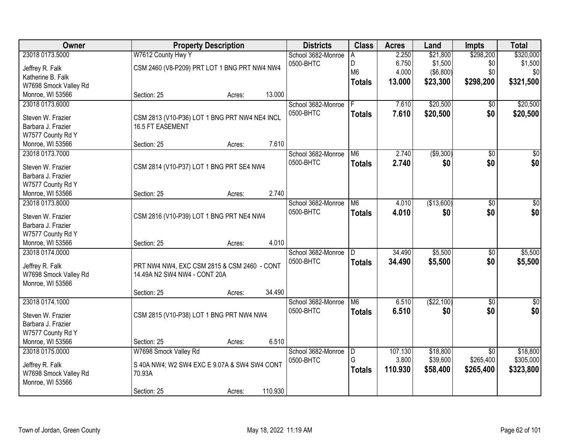| Owner                 | <b>Property Description</b>                   |        |         | <b>Districts</b>   | <b>Class</b>   | <b>Acres</b> | Land             | <b>Impts</b>    | <b>Total</b>    |
|-----------------------|-----------------------------------------------|--------|---------|--------------------|----------------|--------------|------------------|-----------------|-----------------|
| 23018 0173.5000       | W7612 County Hwy Y                            |        |         | School 3682-Monroe | A              | 2.250        | \$21,800         | \$298,200       | \$320,000       |
| Jeffrey R. Falk       | CSM 2460 (V8-P209) PRT LOT 1 BNG PRT NW4 NW4  |        |         | 0500-BHTC          | D              | 6.750        | \$1,500          | \$0             | \$1,500         |
| Katherine B. Falk     |                                               |        |         |                    | M <sub>6</sub> | 4.000        | $($ \$6,800) $ $ | \$0             | \$0             |
| W7698 Smock Valley Rd |                                               |        |         |                    | <b>Totals</b>  | 13.000       | \$23,300         | \$298,200       | \$321,500       |
| Monroe, WI 53566      | Section: 25                                   | Acres: | 13.000  |                    |                |              |                  |                 |                 |
| 23018 0173.6000       |                                               |        |         | School 3682-Monroe |                | 7.610        | \$20,500         | \$0             | \$20,500        |
|                       |                                               |        |         | 0500-BHTC          | <b>Totals</b>  | 7.610        | \$20,500         | \$0             | \$20,500        |
| Steven W. Frazier     | CSM 2813 (V10-P36) LOT 1 BNG PRT NW4 NE4 INCL |        |         |                    |                |              |                  |                 |                 |
| Barbara J. Frazier    | 16.5 FT EASEMENT                              |        |         |                    |                |              |                  |                 |                 |
| W7577 County Rd Y     |                                               |        |         |                    |                |              |                  |                 |                 |
| Monroe, WI 53566      | Section: 25                                   | Acres: | 7.610   |                    |                |              |                  |                 |                 |
| 23018 0173.7000       |                                               |        |         | School 3682-Monroe | M <sub>6</sub> | 2.740        | ( \$9,300)       | \$0             | \$0             |
| Steven W. Frazier     | CSM 2814 (V10-P37) LOT 1 BNG PRT SE4 NW4      |        |         | 0500-BHTC          | <b>Totals</b>  | 2.740        | \$0              | \$0             | \$0             |
| Barbara J. Frazier    |                                               |        |         |                    |                |              |                  |                 |                 |
| W7577 County Rd Y     |                                               |        |         |                    |                |              |                  |                 |                 |
| Monroe, WI 53566      | Section: 25                                   | Acres: | 2.740   |                    |                |              |                  |                 |                 |
| 23018 0173.8000       |                                               |        |         | School 3682-Monroe | M <sub>6</sub> | 4.010        | (\$13,600)       | \$0             | \$0             |
|                       |                                               |        |         | 0500-BHTC          | <b>Totals</b>  | 4.010        | \$0              | \$0             | \$0             |
| Steven W. Frazier     | CSM 2816 (V10-P39) LOT 1 BNG PRT NE4 NW4      |        |         |                    |                |              |                  |                 |                 |
| Barbara J. Frazier    |                                               |        |         |                    |                |              |                  |                 |                 |
| W7577 County Rd Y     |                                               |        |         |                    |                |              |                  |                 |                 |
| Monroe, WI 53566      | Section: 25                                   | Acres: | 4.010   |                    |                |              |                  |                 |                 |
| 23018 0174.0000       |                                               |        |         | School 3682-Monroe | D              | 34.490       | \$5,500          | $\overline{50}$ | \$5,500         |
| Jeffrey R. Falk       | PRT NW4 NW4, EXC CSM 2815 & CSM 2460 - CONT   |        |         | 0500-BHTC          | <b>Totals</b>  | 34.490       | \$5,500          | \$0             | \$5,500         |
| W7698 Smock Valley Rd | 14.49A N2 SW4 NW4 - CONT 20A                  |        |         |                    |                |              |                  |                 |                 |
| Monroe, WI 53566      |                                               |        |         |                    |                |              |                  |                 |                 |
|                       | Section: 25                                   | Acres: | 34.490  |                    |                |              |                  |                 |                 |
| 23018 0174.1000       |                                               |        |         | School 3682-Monroe | M <sub>6</sub> | 6.510        | (\$22,100)       | $\overline{50}$ | $\overline{50}$ |
|                       |                                               |        |         | 0500-BHTC          | <b>Totals</b>  | 6.510        | \$0              | \$0             | \$0             |
| Steven W. Frazier     | CSM 2815 (V10-P38) LOT 1 BNG PRT NW4 NW4      |        |         |                    |                |              |                  |                 |                 |
| Barbara J. Frazier    |                                               |        |         |                    |                |              |                  |                 |                 |
| W7577 County Rd Y     |                                               |        |         |                    |                |              |                  |                 |                 |
| Monroe, WI 53566      | Section: 25                                   | Acres: | 6.510   |                    |                |              |                  |                 |                 |
| 23018 0175,0000       | W7698 Smock Valley Rd                         |        |         | School 3682-Monroe | D              | 107.130      | \$18,800         | $\overline{30}$ | \$18,800        |
| Jeffrey R. Falk       | S 40A NW4; W2 SW4 EXC E 9.07A & SW4 SW4 CONT  |        |         | 0500-BHTC          | G              | 3.800        | \$39,600         | \$265,400       | \$305,000       |
| W7698 Smock Valley Rd | 70.93A                                        |        |         |                    | <b>Totals</b>  | 110.930      | \$58,400         | \$265,400       | \$323,800       |
| Monroe, WI 53566      |                                               |        |         |                    |                |              |                  |                 |                 |
|                       | Section: 25                                   | Acres: | 110.930 |                    |                |              |                  |                 |                 |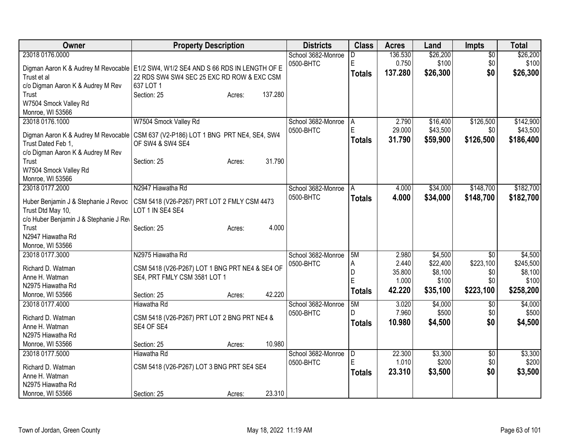| Owner                                  | <b>Property Description</b>                                                          | <b>Districts</b>   | <b>Class</b>  | <b>Acres</b> | Land     | <b>Impts</b>    | <b>Total</b> |
|----------------------------------------|--------------------------------------------------------------------------------------|--------------------|---------------|--------------|----------|-----------------|--------------|
| 23018 0176,0000                        |                                                                                      | School 3682-Monroe | D             | 136.530      | \$26,200 | $\overline{30}$ | \$26,200     |
|                                        | Digman Aaron K & Audrey M Revocable   E1/2 SW4, W1/2 SE4 AND S 66 RDS IN LENGTH OF E | 0500-BHTC          | E             | 0.750        | \$100    | \$0             | \$100        |
| Trust et al                            | 22 RDS SW4 SW4 SEC 25 EXC RD ROW & EXC CSM                                           |                    | <b>Totals</b> | 137.280      | \$26,300 | \$0             | \$26,300     |
| c/o Digman Aaron K & Audrey M Rev      | 637 LOT 1                                                                            |                    |               |              |          |                 |              |
| Trust                                  | 137.280<br>Section: 25<br>Acres:                                                     |                    |               |              |          |                 |              |
| W7504 Smock Valley Rd                  |                                                                                      |                    |               |              |          |                 |              |
| Monroe, WI 53566                       |                                                                                      |                    |               |              |          |                 |              |
| 23018 0176.1000                        | W7504 Smock Valley Rd                                                                | School 3682-Monroe | l A           | 2.790        | \$16,400 | \$126,500       | \$142,900    |
|                                        |                                                                                      | 0500-BHTC          | E             | 29.000       | \$43,500 | \$0             | \$43,500     |
|                                        | Digman Aaron K & Audrey M Revocable   CSM 637 (V2-P186) LOT 1 BNG PRT NE4, SE4, SW4  |                    | <b>Totals</b> | 31.790       | \$59,900 | \$126,500       | \$186,400    |
| Trust Dated Feb 1,                     | OF SW4 & SW4 SE4                                                                     |                    |               |              |          |                 |              |
| c/o Digman Aaron K & Audrey M Rev      |                                                                                      |                    |               |              |          |                 |              |
| Trust                                  | 31.790<br>Section: 25<br>Acres:                                                      |                    |               |              |          |                 |              |
| W7504 Smock Valley Rd                  |                                                                                      |                    |               |              |          |                 |              |
| Monroe, WI 53566                       |                                                                                      |                    |               |              |          | \$148,700       |              |
| 23018 0177.2000                        | N2947 Hiawatha Rd                                                                    | School 3682-Monroe | l A           | 4.000        | \$34,000 |                 | \$182,700    |
| Huber Benjamin J & Stephanie J Revoc   | CSM 5418 (V26-P267) PRT LOT 2 FMLY CSM 4473                                          | 0500-BHTC          | <b>Totals</b> | 4.000        | \$34,000 | \$148,700       | \$182,700    |
| Trust Dtd May 10,                      | LOT 1 IN SE4 SE4                                                                     |                    |               |              |          |                 |              |
| c/o Huber Benjamin J & Stephanie J Rev |                                                                                      |                    |               |              |          |                 |              |
| Trust                                  | 4.000<br>Section: 25<br>Acres:                                                       |                    |               |              |          |                 |              |
| N2947 Hiawatha Rd                      |                                                                                      |                    |               |              |          |                 |              |
| Monroe, WI 53566                       |                                                                                      |                    |               |              |          |                 |              |
| 23018 0177.3000                        | N2975 Hiawatha Rd                                                                    | School 3682-Monroe | 5M            | 2.980        | \$4,500  | $\overline{30}$ | \$4,500      |
| Richard D. Watman                      | CSM 5418 (V26-P267) LOT 1 BNG PRT NE4 & SE4 OF                                       | 0500-BHTC          | Α             | 2.440        | \$22,400 | \$223,100       | \$245,500    |
| Anne H. Watman                         | SE4, PRT FMLY CSM 3581 LOT 1                                                         |                    | D             | 35.800       | \$8,100  | \$0             | \$8,100      |
| N2975 Hiawatha Rd                      |                                                                                      |                    | Ë             | 1.000        | \$100    | \$0             | \$100        |
| Monroe, WI 53566                       | 42.220<br>Section: 25<br>Acres:                                                      |                    | <b>Totals</b> | 42.220       | \$35,100 | \$223,100       | \$258,200    |
| 23018 0177.4000                        | Hiawatha Rd                                                                          | School 3682-Monroe | 5M            | 3.020        | \$4,000  | \$0             | \$4,000      |
|                                        |                                                                                      | 0500-BHTC          | D.            | 7.960        | \$500    | \$0             | \$500        |
| Richard D. Watman                      | CSM 5418 (V26-P267) PRT LOT 2 BNG PRT NE4 &                                          |                    |               | 10.980       | \$4,500  | \$0             | \$4,500      |
| Anne H. Watman                         | SE4 OF SE4                                                                           |                    | <b>Totals</b> |              |          |                 |              |
| N2975 Hiawatha Rd                      |                                                                                      |                    |               |              |          |                 |              |
| Monroe, WI 53566                       | 10.980<br>Section: 25<br>Acres:                                                      |                    |               |              |          |                 |              |
| 23018 0177.5000                        | Hiawatha Rd                                                                          | School 3682-Monroe | D             | 22.300       | \$3,300  | \$0             | \$3,300      |
| Richard D. Watman                      | CSM 5418 (V26-P267) LOT 3 BNG PRT SE4 SE4                                            | 0500-BHTC          | E             | 1.010        | \$200    | \$0             | \$200        |
| Anne H. Watman                         |                                                                                      |                    | <b>Totals</b> | 23.310       | \$3,500  | \$0             | \$3,500      |
| N2975 Hiawatha Rd                      |                                                                                      |                    |               |              |          |                 |              |
| Monroe, WI 53566                       | 23.310<br>Section: 25<br>Acres:                                                      |                    |               |              |          |                 |              |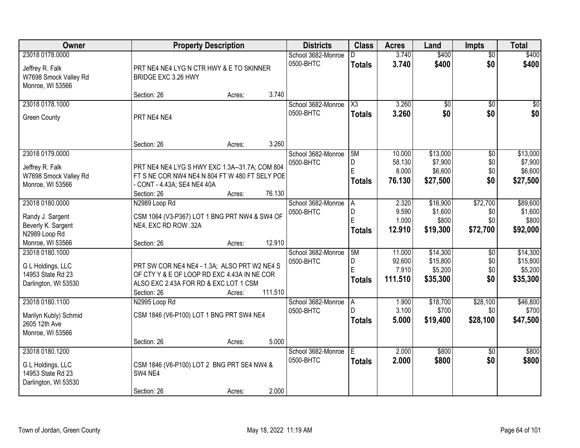| Owner                                                                           | <b>Property Description</b>                                     |        |         | <b>Districts</b>                | <b>Class</b>        | <b>Acres</b>    | Land                | <b>Impts</b>           | <b>Total</b>        |
|---------------------------------------------------------------------------------|-----------------------------------------------------------------|--------|---------|---------------------------------|---------------------|-----------------|---------------------|------------------------|---------------------|
| 23018 0178.0000<br>Jeffrey R. Falk<br>W7698 Smock Valley Rd<br>Monroe, WI 53566 | PRT NE4 NE4 LYG N CTR HWY & E TO SKINNER<br>BRIDGE EXC 3.26 HWY |        |         | School 3682-Monroe<br>0500-BHTC | <b>Totals</b>       | 3.740<br>3.740  | \$400<br>\$400      | $\overline{50}$<br>\$0 | \$400<br>\$400      |
|                                                                                 | Section: 26                                                     | Acres: | 3.740   |                                 |                     |                 |                     |                        |                     |
| 23018 0178.1000                                                                 |                                                                 |        |         | School 3682-Monroe              | $\overline{\chi_3}$ | 3.260           | $\overline{50}$     | \$0                    | \$0                 |
| <b>Green County</b>                                                             | PRT NE4 NE4                                                     |        |         | 0500-BHTC                       | <b>Totals</b>       | 3.260           | \$0                 | \$0                    | \$0                 |
|                                                                                 | Section: 26                                                     | Acres: | 3.260   |                                 |                     |                 |                     |                        |                     |
| 23018 0179.0000                                                                 |                                                                 |        |         | School 3682-Monroe              | 5M                  | 10.000          | \$13,000            | \$0                    | \$13,000            |
| Jeffrey R. Falk                                                                 | PRT NE4 NE4 LYG S HWY EXC 1.3A--31.7A; COM 804                  |        |         | 0500-BHTC                       | D                   | 58.130          | \$7,900             | \$0                    | \$7,900             |
| W7698 Smock Valley Rd                                                           | FT S NE COR NW4 NE4 N 804 FT W 480 FT SELY POE                  |        |         |                                 | E                   | 8.000           | \$6,600             | \$0                    | \$6,600             |
| Monroe, WI 53566                                                                | - CONT - 4.43A; SE4 NE4 40A                                     |        |         |                                 | <b>Totals</b>       | 76.130          | \$27,500            | \$0                    | \$27,500            |
|                                                                                 | Section: 26                                                     | Acres: | 76.130  |                                 |                     |                 |                     |                        |                     |
| 23018 0180.0000                                                                 | N2989 Loop Rd                                                   |        |         | School 3682-Monroe              | A                   | 2.320           | \$16,900            | \$72,700               | \$89,600            |
| Randy J. Sargent                                                                | CSM 1064 (V3-P367) LOT 1 BNG PRT NW4 & SW4 OF                   |        |         | 0500-BHTC                       | D                   | 9.590           | \$1,600             | \$0                    | \$1,600             |
| Beverly K. Sargent                                                              | NE4, EXC RD ROW .32A                                            |        |         |                                 | E                   | 1.000           | \$800               | \$0                    | \$800               |
| N2989 Loop Rd                                                                   |                                                                 |        |         |                                 | <b>Totals</b>       | 12.910          | \$19,300            | \$72,700               | \$92,000            |
| Monroe, WI 53566                                                                | Section: 26                                                     | Acres: | 12.910  |                                 |                     |                 |                     |                        |                     |
| 23018 0180.1000                                                                 |                                                                 |        |         | School 3682-Monroe              | 5M                  | 11.000          | \$14,300            | \$0                    | \$14,300            |
| G L Holdings, LLC                                                               | PRT SW COR NE4 NE4 - 1.3A; ALSO PRT W2 NE4 S                    |        |         | 0500-BHTC                       | D<br>Ė              | 92.600<br>7.910 | \$15,800            | \$0                    | \$15,800            |
| 14953 State Rd 23                                                               | OF CTY Y & E OF LOOP RD EXC 4.43A IN NE COR                     |        |         |                                 |                     | 111.510         | \$5,200<br>\$35,300 | \$0<br>\$0             | \$5,200<br>\$35,300 |
| Darlington, WI 53530                                                            | ALSO EXC 2.43A FOR RD & EXC LOT 1 CSM                           |        |         |                                 | <b>Totals</b>       |                 |                     |                        |                     |
|                                                                                 | Section: 26                                                     | Acres: | 111.510 |                                 |                     |                 |                     |                        |                     |
| 23018 0180.1100                                                                 | N2995 Loop Rd                                                   |        |         | School 3682-Monroe              | l A                 | 1.900           | \$18,700            | \$28,100               | \$46,800            |
| Marilyn Kubly) Schmid                                                           | CSM 1846 (V6-P100) LOT 1 BNG PRT SW4 NE4                        |        |         | 0500-BHTC                       |                     | 3.100           | \$700               | \$0                    | \$700               |
| 2605 12th Ave                                                                   |                                                                 |        |         |                                 | <b>Totals</b>       | 5.000           | \$19,400            | \$28,100               | \$47,500            |
| Monroe, WI 53566                                                                |                                                                 |        |         |                                 |                     |                 |                     |                        |                     |
|                                                                                 | Section: 26                                                     | Acres: | 5.000   |                                 |                     |                 |                     |                        |                     |
| 23018 0180.1200                                                                 |                                                                 |        |         | School 3682-Monroe              | E.                  | 2.000           | \$800               | $\overline{30}$        | \$800               |
| G L Holdings, LLC                                                               | CSM 1846 (V6-P100) LOT 2 BNG PRT SE4 NW4 &                      |        |         | 0500-BHTC                       | <b>Totals</b>       | 2.000           | \$800               | \$0                    | \$800               |
| 14953 State Rd 23                                                               | SW4 NE4                                                         |        |         |                                 |                     |                 |                     |                        |                     |
| Darlington, WI 53530                                                            |                                                                 |        |         |                                 |                     |                 |                     |                        |                     |
|                                                                                 | Section: 26                                                     | Acres: | 2.000   |                                 |                     |                 |                     |                        |                     |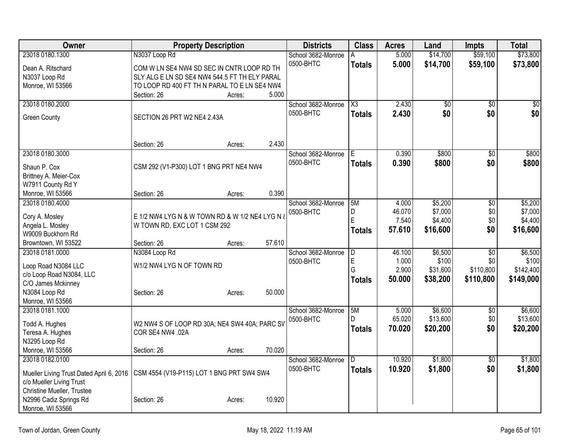| Owner                                    |                                                 | <b>Property Description</b> |        | <b>Districts</b>   | <b>Class</b>           | <b>Acres</b>    | Land                | <b>Impts</b>      | <b>Total</b>        |
|------------------------------------------|-------------------------------------------------|-----------------------------|--------|--------------------|------------------------|-----------------|---------------------|-------------------|---------------------|
| 23018 0180.1300                          | N3037 Loop Rd                                   |                             |        | School 3682-Monroe | A                      | 5.000           | \$14,700            | \$59,100          | \$73,800            |
| Dean A. Ritschard                        | COM W LN SE4 NW4 SD SEC IN CNTR LOOP RD TH      |                             |        | 0500-BHTC          | <b>Totals</b>          | 5.000           | \$14,700            | \$59,100          | \$73,800            |
| N3037 Loop Rd                            | SLY ALG E LN SD SE4 NW4 544.5 FT TH ELY PARAL   |                             |        |                    |                        |                 |                     |                   |                     |
| Monroe, WI 53566                         | TO LOOP RD 400 FT TH N PARAL TO E LN SE4 NW4    |                             |        |                    |                        |                 |                     |                   |                     |
|                                          | Section: 26                                     | Acres:                      | 5.000  |                    |                        |                 |                     |                   |                     |
| 23018 0180.2000                          |                                                 |                             |        | School 3682-Monroe | $\overline{\text{X3}}$ | 2.430           | $\overline{50}$     | \$0               | \$0                 |
| <b>Green County</b>                      | SECTION 26 PRT W2 NE4 2.43A                     |                             |        | 0500-BHTC          | <b>Totals</b>          | 2.430           | \$0                 | \$0               | \$0                 |
|                                          |                                                 |                             |        |                    |                        |                 |                     |                   |                     |
|                                          |                                                 |                             |        |                    |                        |                 |                     |                   |                     |
|                                          | Section: 26                                     | Acres:                      | 2.430  |                    |                        |                 |                     |                   |                     |
| 23018 0180.3000                          |                                                 |                             |        | School 3682-Monroe | Е                      | 0.390           | \$800               | \$0               | \$800               |
| Shaun P. Cox                             | CSM 292 (V1-P300) LOT 1 BNG PRT NE4 NW4         |                             |        | 0500-BHTC          | Totals                 | 0.390           | \$800               | \$0               | \$800               |
| Brittney A. Meier-Cox                    |                                                 |                             |        |                    |                        |                 |                     |                   |                     |
| W7911 County Rd Y                        |                                                 |                             |        |                    |                        |                 |                     |                   |                     |
| Monroe, WI 53566                         | Section: 26                                     | Acres:                      | 0.390  |                    |                        |                 |                     |                   |                     |
| 23018 0180.4000                          |                                                 |                             |        | School 3682-Monroe | 5M                     | 4.000           | \$5,200             | $\overline{50}$   | \$5,200             |
|                                          |                                                 |                             |        | 0500-BHTC          | D                      | 46.070          | \$7,000             | \$0               | \$7,000             |
| Cory A. Mosley                           | E 1/2 NW4 LYG N & W TOWN RD & W 1/2 NE4 LYG N & |                             |        |                    | E                      | 7.540           | \$4,400             | \$0               | \$4,400             |
| Angela L. Mosley                         | W TOWN RD, EXC LOT 1 CSM 292                    |                             |        |                    | Totals                 | 57.610          | \$16,600            | \$0               | \$16,600            |
| W9009 Buckhorn Rd<br>Browntown, WI 53522 | Section: 26                                     |                             | 57.610 |                    |                        |                 |                     |                   |                     |
| 23018 0181.0000                          | N3084 Loop Rd                                   | Acres:                      |        | School 3682-Monroe | D                      | 46.100          | \$6,500             | $\overline{50}$   | \$6,500             |
|                                          |                                                 |                             |        | 0500-BHTC          | $\mathsf E$            | 1.000           | \$100               | \$0               | \$100               |
| Loop Road N3084 LLC                      | W1/2 NW4 LYG N OF TOWN RD                       |                             |        |                    | G                      | 2.900           | \$31,600            | \$110,800         | \$142,400           |
| c/o Loop Road N3084, LLC                 |                                                 |                             |        |                    | Totals                 | 50.000          | \$38,200            | \$110,800         | \$149,000           |
| C/O James Mckinney                       |                                                 |                             |        |                    |                        |                 |                     |                   |                     |
| N3084 Loop Rd                            | Section: 26                                     | Acres:                      | 50.000 |                    |                        |                 |                     |                   |                     |
| Monroe, WI 53566                         |                                                 |                             |        |                    |                        |                 |                     |                   |                     |
| 23018 0181.1000                          |                                                 |                             |        | School 3682-Monroe | 5M<br>D                | 5.000<br>65.020 | \$6,600<br>\$13,600 | $\sqrt{6}$<br>\$0 | \$6,600<br>\$13,600 |
| Todd A. Hughes                           | W2 NW4 S OF LOOP RD 30A; NE4 SW4 40A; PARC SV   |                             |        | 0500-BHTC          |                        | 70.020          | \$20,200            | \$0               | \$20,200            |
| Teresa A. Hughes                         | COR SE4 NW4 .02A                                |                             |        |                    | <b>Totals</b>          |                 |                     |                   |                     |
| N3295 Loop Rd                            |                                                 |                             |        |                    |                        |                 |                     |                   |                     |
| Monroe, WI 53566                         | Section: 26                                     | Acres:                      | 70.020 |                    |                        |                 |                     |                   |                     |
| 23018 0182.0100                          |                                                 |                             |        | School 3682-Monroe | D                      | 10.920          | \$1,800             | \$0               | \$1,800             |
| Mueller Living Trust Dated April 6, 2016 | CSM 4554 (V19-P115) LOT 1 BNG PRT SW4 SW4       |                             |        | 0500-BHTC          | <b>Totals</b>          | 10.920          | \$1,800             | \$0               | \$1,800             |
| c/o Mueller Living Trust                 |                                                 |                             |        |                    |                        |                 |                     |                   |                     |
| Christine Mueller, Trustee               |                                                 |                             |        |                    |                        |                 |                     |                   |                     |
| N2996 Cadiz Springs Rd                   | Section: 26                                     | Acres:                      | 10.920 |                    |                        |                 |                     |                   |                     |
| Monroe, WI 53566                         |                                                 |                             |        |                    |                        |                 |                     |                   |                     |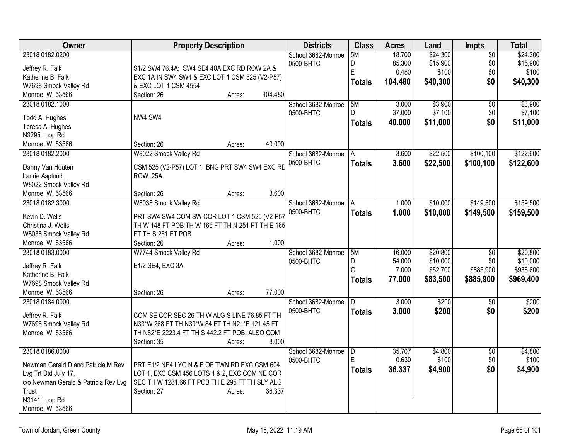| Owner                                | <b>Property Description</b>                      |        |         | <b>Districts</b>   | <b>Class</b>  | <b>Acres</b> | Land     | Impts           | <b>Total</b> |
|--------------------------------------|--------------------------------------------------|--------|---------|--------------------|---------------|--------------|----------|-----------------|--------------|
| 23018 0182.0200                      |                                                  |        |         | School 3682-Monroe | 5M            | 18.700       | \$24,300 | $\overline{50}$ | \$24,300     |
| Jeffrey R. Falk                      | S1/2 SW4 76.4A; SW4 SE4 40A EXC RD ROW 2A &      |        |         | 0500-BHTC          | D             | 85.300       | \$15,900 | \$0             | \$15,900     |
| Katherine B. Falk                    | EXC 1A IN SW4 SW4 & EXC LOT 1 CSM 525 (V2-P57)   |        |         |                    | E             | 0.480        | \$100    | \$0             | \$100        |
| W7698 Smock Valley Rd                | & EXC LOT 1 CSM 4554                             |        |         |                    | <b>Totals</b> | 104.480      | \$40,300 | \$0             | \$40,300     |
| Monroe, WI 53566                     | Section: 26                                      | Acres: | 104.480 |                    |               |              |          |                 |              |
| 23018 0182.1000                      |                                                  |        |         | School 3682-Monroe | 5M            | 3.000        | \$3,900  | $\overline{50}$ | \$3,900      |
|                                      |                                                  |        |         | 0500-BHTC          | D.            | 37.000       | \$7,100  | \$0             | \$7,100      |
| Todd A. Hughes                       | NW4 SW4                                          |        |         |                    | <b>Totals</b> | 40.000       | \$11,000 | \$0             | \$11,000     |
| Teresa A. Hughes                     |                                                  |        |         |                    |               |              |          |                 |              |
| N3295 Loop Rd                        |                                                  |        |         |                    |               |              |          |                 |              |
| Monroe, WI 53566                     | Section: 26                                      | Acres: | 40.000  |                    |               |              |          |                 |              |
| 23018 0182.2000                      | W8022 Smock Valley Rd                            |        |         | School 3682-Monroe | A             | 3.600        | \$22,500 | \$100,100       | \$122,600    |
| Danny Van Houten                     | CSM 525 (V2-P57) LOT 1 BNG PRT SW4 SW4 EXC RD    |        |         | 0500-BHTC          | <b>Totals</b> | 3.600        | \$22,500 | \$100,100       | \$122,600    |
| Laurie Asplund                       | <b>ROW .25A</b>                                  |        |         |                    |               |              |          |                 |              |
| W8022 Smock Valley Rd                |                                                  |        |         |                    |               |              |          |                 |              |
| Monroe, WI 53566                     | Section: 26                                      | Acres: | 3.600   |                    |               |              |          |                 |              |
| 23018 0182.3000                      | W8038 Smock Valley Rd                            |        |         | School 3682-Monroe | A             | 1.000        | \$10,000 | \$149,500       | \$159,500    |
|                                      |                                                  |        |         | 0500-BHTC          | <b>Totals</b> | 1.000        | \$10,000 | \$149,500       | \$159,500    |
| Kevin D. Wells                       | PRT SW4 SW4 COM SW COR LOT 1 CSM 525 (V2-P57     |        |         |                    |               |              |          |                 |              |
| Christina J. Wells                   | TH W 148 FT POB TH W 166 FT TH N 251 FT TH E 165 |        |         |                    |               |              |          |                 |              |
| W8038 Smock Valley Rd                | FT TH S 251 FT POB                               |        |         |                    |               |              |          |                 |              |
| Monroe, WI 53566                     | Section: 26                                      | Acres: | 1.000   |                    |               |              |          |                 |              |
| 23018 0183.0000                      | W7744 Smock Valley Rd                            |        |         | School 3682-Monroe | 5M            | 16.000       | \$20,800 | $\overline{50}$ | \$20,800     |
| Jeffrey R. Falk                      | E1/2 SE4, EXC 3A                                 |        |         | 0500-BHTC          | D             | 54.000       | \$10,000 | \$0             | \$10,000     |
| Katherine B. Falk                    |                                                  |        |         |                    | G             | 7.000        | \$52,700 | \$885,900       | \$938,600    |
| W7698 Smock Valley Rd                |                                                  |        |         |                    | <b>Totals</b> | 77.000       | \$83,500 | \$885,900       | \$969,400    |
| Monroe, WI 53566                     | Section: 26                                      | Acres: | 77.000  |                    |               |              |          |                 |              |
| 23018 0184.0000                      |                                                  |        |         | School 3682-Monroe | D             | 3.000        | \$200    | $\overline{30}$ | \$200        |
|                                      |                                                  |        |         | 0500-BHTC          | <b>Totals</b> | 3.000        | \$200    | \$0             | \$200        |
| Jeffrey R. Falk                      | COM SE COR SEC 26 TH W ALG S LINE 76.85 FT TH    |        |         |                    |               |              |          |                 |              |
| W7698 Smock Valley Rd                | N33*W 268 FT TH N30*W 84 FT TH N21*E 121.45 FT   |        |         |                    |               |              |          |                 |              |
| Monroe, WI 53566                     | TH N82*E 2223.4 FT TH S 442.2 FT POB; ALSO COM   |        |         |                    |               |              |          |                 |              |
|                                      | Section: 35                                      | Acres: | 3.000   |                    |               |              |          |                 |              |
| 23018 0186.0000                      |                                                  |        |         | School 3682-Monroe | D             | 35.707       | \$4,800  | $\overline{50}$ | \$4,800      |
| Newman Gerald D and Patricia M Rev   | PRT E1/2 NE4 LYG N & E OF TWN RD EXC CSM 604     |        |         | 0500-BHTC          | E             | 0.630        | \$100    | \$0             | \$100        |
| Lvg Trt Dtd July 17,                 | LOT 1, EXC CSM 456 LOTS 1 & 2, EXC COM NE COR    |        |         |                    | <b>Totals</b> | 36.337       | \$4,900  | \$0             | \$4,900      |
| c/o Newman Gerald & Patricia Rev Lvg | SEC TH W 1281.66 FT POB TH E 295 FT TH SLY ALG   |        |         |                    |               |              |          |                 |              |
| Trust                                | Section: 27                                      | Acres: | 36.337  |                    |               |              |          |                 |              |
| N3141 Loop Rd                        |                                                  |        |         |                    |               |              |          |                 |              |
| Monroe, WI 53566                     |                                                  |        |         |                    |               |              |          |                 |              |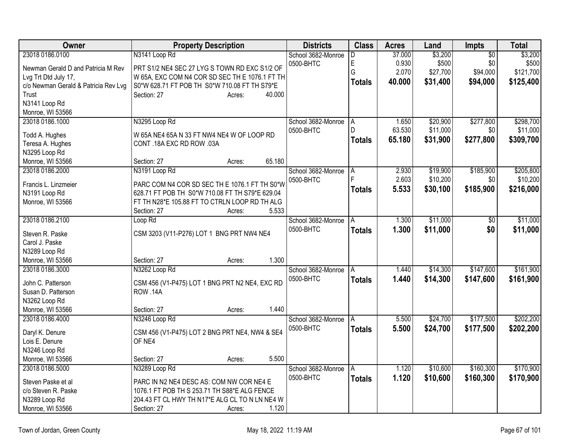| Owner                                | <b>Property Description</b>                     | <b>Districts</b>   | <b>Class</b>  | <b>Acres</b> | Land     | <b>Impts</b>    | <b>Total</b> |
|--------------------------------------|-------------------------------------------------|--------------------|---------------|--------------|----------|-----------------|--------------|
| 23018 0186.0100                      | N3141 Loop Rd                                   | School 3682-Monroe | D             | 37.000       | \$3,200  | $\overline{60}$ | \$3,200      |
| Newman Gerald D and Patricia M Rev   | PRT S1/2 NE4 SEC 27 LYG S TOWN RD EXC S1/2 OF   | 0500-BHTC          | $\mathsf E$   | 0.930        | \$500    | \$0             | \$500        |
| Lvg Trt Dtd July 17,                 | W 65A, EXC COM N4 COR SD SEC TH E 1076.1 FT TH  |                    | G             | 2.070        | \$27,700 | \$94,000        | \$121,700    |
| c/o Newman Gerald & Patricia Rev Lvg | S0*W 628.71 FT POB TH S0*W 710.08 FT TH S79*E   |                    | Totals        | 40.000       | \$31,400 | \$94,000        | \$125,400    |
| Trust                                | 40.000<br>Section: 27<br>Acres:                 |                    |               |              |          |                 |              |
| N3141 Loop Rd                        |                                                 |                    |               |              |          |                 |              |
| Monroe, WI 53566                     |                                                 |                    |               |              |          |                 |              |
| 23018 0186.1000                      | N3295 Loop Rd                                   | School 3682-Monroe | A             | 1.650        | \$20,900 | \$277,800       | \$298,700    |
|                                      | W 65A NE4 65A N 33 FT NW4 NE4 W OF LOOP RD      | 0500-BHTC          | D             | 63.530       | \$11,000 | \$0             | \$11,000     |
| Todd A. Hughes<br>Teresa A. Hughes   | CONT .18A EXC RD ROW .03A                       |                    | <b>Totals</b> | 65.180       | \$31,900 | \$277,800       | \$309,700    |
| N3295 Loop Rd                        |                                                 |                    |               |              |          |                 |              |
| Monroe, WI 53566                     | 65.180<br>Section: 27<br>Acres:                 |                    |               |              |          |                 |              |
| 23018 0186.2000                      | N3191 Loop Rd                                   | School 3682-Monroe | A             | 2.930        | \$19,900 | \$185,900       | \$205,800    |
|                                      |                                                 | 0500-BHTC          |               | 2.603        | \$10,200 | \$0             | \$10,200     |
| Francis L. Linzmeier                 | PARC COM N4 COR SD SEC TH E 1076.1 FT TH S0*W   |                    | <b>Totals</b> | 5.533        | \$30,100 | \$185,900       | \$216,000    |
| N3191 Loop Rd                        | 628.71 FT POB TH S0*W 710.08 FT TH S79*E 629.04 |                    |               |              |          |                 |              |
| Monroe, WI 53566                     | FT TH N28*E 105.88 FT TO CTRLN LOOP RD TH ALG   |                    |               |              |          |                 |              |
|                                      | 5.533<br>Section: 27<br>Acres:                  |                    |               |              |          |                 |              |
| 23018 0186.2100                      | Loop Rd                                         | School 3682-Monroe | ΙA            | 1.300        | \$11,000 | \$0             | \$11,000     |
| Steven R. Paske                      | CSM 3203 (V11-P276) LOT 1 BNG PRT NW4 NE4       | 0500-BHTC          | <b>Totals</b> | 1.300        | \$11,000 | \$0             | \$11,000     |
| Carol J. Paske                       |                                                 |                    |               |              |          |                 |              |
| N3289 Loop Rd                        |                                                 |                    |               |              |          |                 |              |
| Monroe, WI 53566                     | 1.300<br>Section: 27<br>Acres:                  |                    |               |              |          |                 |              |
| 23018 0186.3000                      | N3262 Loop Rd                                   | School 3682-Monroe | A             | 1.440        | \$14,300 | \$147,600       | \$161,900    |
| John C. Patterson                    | CSM 456 (V1-P475) LOT 1 BNG PRT N2 NE4, EXC RD  | 0500-BHTC          | <b>Totals</b> | 1.440        | \$14,300 | \$147,600       | \$161,900    |
| Susan D. Patterson                   | <b>ROW .14A</b>                                 |                    |               |              |          |                 |              |
| N3262 Loop Rd                        |                                                 |                    |               |              |          |                 |              |
| Monroe, WI 53566                     | 1.440<br>Section: 27<br>Acres:                  |                    |               |              |          |                 |              |
| 23018 0186.4000                      | N3246 Loop Rd                                   | School 3682-Monroe | A             | 5.500        | \$24,700 | \$177,500       | \$202,200    |
|                                      |                                                 | 0500-BHTC          | <b>Totals</b> | 5.500        | \$24,700 | \$177,500       | \$202,200    |
| Daryl K. Denure                      | CSM 456 (V1-P475) LOT 2 BNG PRT NE4, NW4 & SE4  |                    |               |              |          |                 |              |
| Lois E. Denure                       | OF NE4                                          |                    |               |              |          |                 |              |
| N3246 Loop Rd                        |                                                 |                    |               |              |          |                 |              |
| Monroe, WI 53566                     | 5.500<br>Section: 27<br>Acres:                  |                    |               |              |          |                 |              |
| 23018 0186.5000                      | N3289 Loop Rd                                   | School 3682-Monroe | A             | 1.120        | \$10,600 | \$160,300       | \$170,900    |
| Steven Paske et al                   | PARC IN N2 NE4 DESC AS: COM NW COR NE4 E        | 0500-BHTC          | <b>Totals</b> | 1.120        | \$10,600 | \$160,300       | \$170,900    |
| c/o Steven R. Paske                  | 1076.1 FT POB TH S 253.71 TH S88*E ALG FENCE    |                    |               |              |          |                 |              |
| N3289 Loop Rd                        | 204.43 FT CL HWY TH N17*E ALG CL TO N LN NE4 W  |                    |               |              |          |                 |              |
| Monroe, WI 53566                     | 1.120<br>Section: 27<br>Acres:                  |                    |               |              |          |                 |              |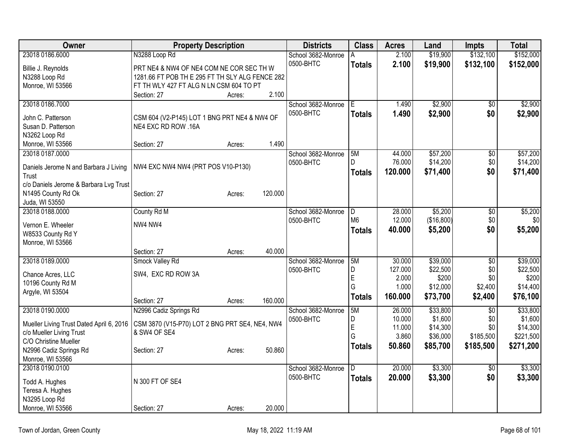| Owner                                    | <b>Property Description</b>                                         |        |         | <b>Districts</b>   | <b>Class</b>   | <b>Acres</b> | Land       | <b>Impts</b>    | <b>Total</b> |
|------------------------------------------|---------------------------------------------------------------------|--------|---------|--------------------|----------------|--------------|------------|-----------------|--------------|
| 23018 0186.6000                          | N3288 Loop Rd                                                       |        |         | School 3682-Monroe | A              | 2.100        | \$19,900   | \$132,100       | \$152,000    |
| Billie J. Reynolds                       | PRT NE4 & NW4 OF NE4 COM NE COR SEC TH W                            |        |         | 0500-BHTC          | <b>Totals</b>  | 2.100        | \$19,900   | \$132,100       | \$152,000    |
| N3288 Loop Rd                            | 1281.66 FT POB TH E 295 FT TH SLY ALG FENCE 282                     |        |         |                    |                |              |            |                 |              |
| Monroe, WI 53566                         | FT TH WLY 427 FT ALG N LN CSM 604 TO PT                             |        |         |                    |                |              |            |                 |              |
|                                          | Section: 27                                                         | Acres: | 2.100   |                    |                |              |            |                 |              |
| 23018 0186.7000                          |                                                                     |        |         | School 3682-Monroe | E.             | 1.490        | \$2,900    | \$0             | \$2,900      |
|                                          |                                                                     |        |         | 0500-BHTC          | <b>Totals</b>  | 1.490        | \$2,900    | \$0             | \$2,900      |
| John C. Patterson<br>Susan D. Patterson  | CSM 604 (V2-P145) LOT 1 BNG PRT NE4 & NW4 OF<br>NE4 EXC RD ROW .16A |        |         |                    |                |              |            |                 |              |
| N3262 Loop Rd                            |                                                                     |        |         |                    |                |              |            |                 |              |
| Monroe, WI 53566                         | Section: 27                                                         | Acres: | 1.490   |                    |                |              |            |                 |              |
| 23018 0187.0000                          |                                                                     |        |         | School 3682-Monroe | 5M             | 44.000       | \$57,200   | $\overline{50}$ | \$57,200     |
|                                          |                                                                     |        |         | 0500-BHTC          | D.             | 76.000       | \$14,200   | \$0             | \$14,200     |
| Daniels Jerome N and Barbara J Living    | NW4 EXC NW4 NW4 (PRT POS V10-P130)                                  |        |         |                    | <b>Totals</b>  | 120.000      | \$71,400   | \$0             | \$71,400     |
| Trust                                    |                                                                     |        |         |                    |                |              |            |                 |              |
| c/o Daniels Jerome & Barbara Lvg Trust   |                                                                     |        |         |                    |                |              |            |                 |              |
| N1495 County Rd Ok                       | Section: 27                                                         | Acres: | 120.000 |                    |                |              |            |                 |              |
| Juda, WI 53550                           |                                                                     |        |         |                    |                |              |            |                 |              |
| 23018 0188.0000                          | County Rd M                                                         |        |         | School 3682-Monroe | D              | 28.000       | \$5,200    | \$0             | \$5,200      |
| Vernon E. Wheeler                        | NW4 NW4                                                             |        |         | 0500-BHTC          | M <sub>6</sub> | 12.000       | (\$16,800) | \$0             | \$0          |
| W8533 County Rd Y                        |                                                                     |        |         |                    | <b>Totals</b>  | 40.000       | \$5,200    | \$0             | \$5,200      |
| Monroe, WI 53566                         |                                                                     |        |         |                    |                |              |            |                 |              |
|                                          | Section: 27                                                         | Acres: | 40.000  |                    |                |              |            |                 |              |
| 23018 0189.0000                          | Smock Valley Rd                                                     |        |         | School 3682-Monroe | 5M             | 30.000       | \$39,000   | $\overline{50}$ | \$39,000     |
| Chance Acres, LLC                        | SW4, EXC RD ROW 3A                                                  |        |         | 0500-BHTC          | D              | 127.000      | \$22,500   | \$0             | \$22,500     |
| 10196 County Rd M                        |                                                                     |        |         |                    | E              | 2.000        | \$200      | \$0             | \$200        |
| Argyle, WI 53504                         |                                                                     |        |         |                    | G              | 1.000        | \$12,000   | \$2,400         | \$14,400     |
|                                          | Section: 27                                                         | Acres: | 160.000 |                    | <b>Totals</b>  | 160.000      | \$73,700   | \$2,400         | \$76,100     |
| 23018 0190.0000                          | N2996 Cadiz Springs Rd                                              |        |         | School 3682-Monroe | 5M             | 26.000       | \$33,800   | $\overline{30}$ | \$33,800     |
|                                          |                                                                     |        |         | 0500-BHTC          | D              | 10.000       | \$1,600    | \$0             | \$1,600      |
| Mueller Living Trust Dated April 6, 2016 | CSM 3870 (V15-P70) LOT 2 BNG PRT SE4, NE4, NW4                      |        |         |                    | E              | 11.000       | \$14,300   | \$0             | \$14,300     |
| c/o Mueller Living Trust                 | & SW4 OF SE4                                                        |        |         |                    | G              | 3.860        | \$36,000   | \$185,500       | \$221,500    |
| C/O Christine Mueller                    |                                                                     |        |         |                    | <b>Totals</b>  | 50.860       | \$85,700   | \$185,500       | \$271,200    |
| N2996 Cadiz Springs Rd                   | Section: 27                                                         | Acres: | 50.860  |                    |                |              |            |                 |              |
| Monroe, WI 53566                         |                                                                     |        |         |                    |                |              |            |                 |              |
| 23018 0190.0100                          |                                                                     |        |         | School 3682-Monroe | D.             | 20.000       | \$3,300    | $\sqrt{6}$      | \$3,300      |
| Todd A. Hughes                           | N 300 FT OF SE4                                                     |        |         | 0500-BHTC          | <b>Totals</b>  | 20.000       | \$3,300    | \$0             | \$3,300      |
| Teresa A. Hughes                         |                                                                     |        |         |                    |                |              |            |                 |              |
| N3295 Loop Rd                            |                                                                     |        |         |                    |                |              |            |                 |              |
| Monroe, WI 53566                         | Section: 27                                                         | Acres: | 20.000  |                    |                |              |            |                 |              |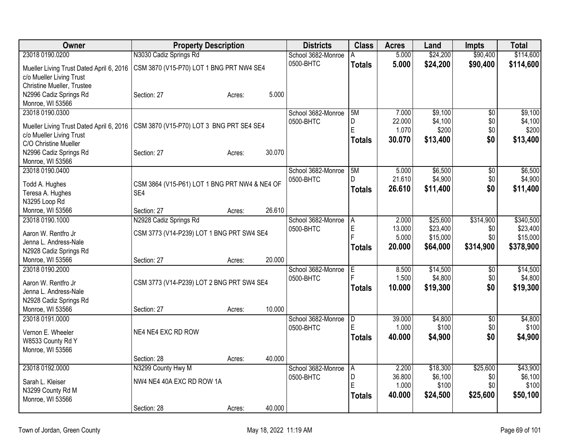| Owner                                    | <b>Property Description</b>                   |        | <b>Districts</b> | <b>Class</b>       | <b>Acres</b>  | Land   | <b>Impts</b> | <b>Total</b>    |           |
|------------------------------------------|-----------------------------------------------|--------|------------------|--------------------|---------------|--------|--------------|-----------------|-----------|
| 23018 0190.0200                          | N3030 Cadiz Springs Rd                        |        |                  | School 3682-Monroe | А             | 5.000  | \$24,200     | \$90,400        | \$114,600 |
| Mueller Living Trust Dated April 6, 2016 | CSM 3870 (V15-P70) LOT 1 BNG PRT NW4 SE4      |        |                  | 0500-BHTC          | <b>Totals</b> | 5.000  | \$24,200     | \$90,400        | \$114,600 |
| c/o Mueller Living Trust                 |                                               |        |                  |                    |               |        |              |                 |           |
| Christine Mueller, Trustee               |                                               |        |                  |                    |               |        |              |                 |           |
| N2996 Cadiz Springs Rd                   | Section: 27                                   | Acres: | 5.000            |                    |               |        |              |                 |           |
| Monroe, WI 53566                         |                                               |        |                  |                    |               |        |              |                 |           |
| 23018 0190.0300                          |                                               |        |                  | School 3682-Monroe | 5M            | 7.000  | \$9,100      | $\overline{50}$ | \$9,100   |
| Mueller Living Trust Dated April 6, 2016 | CSM 3870 (V15-P70) LOT 3 BNG PRT SE4 SE4      |        |                  | 0500-BHTC          | D             | 22.000 | \$4,100      | \$0             | \$4,100   |
| c/o Mueller Living Trust                 |                                               |        |                  |                    | E             | 1.070  | \$200        | \$0             | \$200     |
| C/O Christine Mueller                    |                                               |        |                  |                    | <b>Totals</b> | 30.070 | \$13,400     | \$0             | \$13,400  |
| N2996 Cadiz Springs Rd                   | Section: 27                                   | Acres: | 30.070           |                    |               |        |              |                 |           |
| Monroe, WI 53566                         |                                               |        |                  |                    |               |        |              |                 |           |
| 23018 0190.0400                          |                                               |        |                  | School 3682-Monroe | 5M            | 5.000  | \$6,500      | $\overline{50}$ | \$6,500   |
| Todd A. Hughes                           | CSM 3864 (V15-P61) LOT 1 BNG PRT NW4 & NE4 OF |        |                  | 0500-BHTC          | D.            | 21.610 | \$4,900      | \$0             | \$4,900   |
| Teresa A. Hughes                         | SE4                                           |        |                  |                    | <b>Totals</b> | 26.610 | \$11,400     | \$0             | \$11,400  |
| N3295 Loop Rd                            |                                               |        |                  |                    |               |        |              |                 |           |
| Monroe, WI 53566                         | Section: 27                                   | Acres: | 26.610           |                    |               |        |              |                 |           |
| 23018 0190.1000                          | N2928 Cadiz Springs Rd                        |        |                  | School 3682-Monroe | A             | 2.000  | \$25,600     | \$314,900       | \$340,500 |
| Aaron W. Rentfro Jr                      | CSM 3773 (V14-P239) LOT 1 BNG PRT SW4 SE4     |        |                  | 0500-BHTC          | ΙE            | 13.000 | \$23,400     | \$0             | \$23,400  |
| Jenna L. Andress-Nale                    |                                               |        |                  |                    |               | 5.000  | \$15,000     | \$0             | \$15,000  |
| N2928 Cadiz Springs Rd                   |                                               |        |                  |                    | Totals        | 20.000 | \$64,000     | \$314,900       | \$378,900 |
| Monroe, WI 53566                         | Section: 27                                   | Acres: | 20.000           |                    |               |        |              |                 |           |
| 23018 0190.2000                          |                                               |        |                  | School 3682-Monroe | E.            | 8.500  | \$14,500     | $\overline{50}$ | \$14,500  |
| Aaron W. Rentfro Jr                      | CSM 3773 (V14-P239) LOT 2 BNG PRT SW4 SE4     |        |                  | 0500-BHTC          |               | 1.500  | \$4,800      | \$0             | \$4,800   |
| Jenna L. Andress-Nale                    |                                               |        |                  |                    | <b>Totals</b> | 10.000 | \$19,300     | \$0             | \$19,300  |
| N2928 Cadiz Springs Rd                   |                                               |        |                  |                    |               |        |              |                 |           |
| Monroe, WI 53566                         | Section: 27                                   | Acres: | 10.000           |                    |               |        |              |                 |           |
| 23018 0191.0000                          |                                               |        |                  | School 3682-Monroe | D             | 39.000 | \$4,800      | \$0             | \$4,800   |
|                                          |                                               |        |                  | 0500-BHTC          | E             | 1.000  | \$100        | \$0             | \$100     |
| Vernon E. Wheeler                        | NE4 NE4 EXC RD ROW                            |        |                  |                    | Totals        | 40.000 | \$4,900      | \$0             | \$4,900   |
| W8533 County Rd Y<br>Monroe, WI 53566    |                                               |        |                  |                    |               |        |              |                 |           |
|                                          | Section: 28                                   | Acres: | 40.000           |                    |               |        |              |                 |           |
| 23018 0192.0000                          | N3299 County Hwy M                            |        |                  | School 3682-Monroe | ΙA            | 2.200  | \$18,300     | \$25,600        | \$43,900  |
|                                          |                                               |        |                  | 0500-BHTC          | D             | 36.800 | \$6,100      | \$0             | \$6,100   |
| Sarah L. Kleiser                         | NW4 NE4 40A EXC RD ROW 1A                     |        |                  |                    | E             | 1.000  | \$100        | \$0             | \$100     |
| N3299 County Rd M                        |                                               |        |                  |                    | <b>Totals</b> | 40.000 | \$24,500     | \$25,600        | \$50,100  |
| Monroe, WI 53566                         |                                               |        | 40.000           |                    |               |        |              |                 |           |
|                                          | Section: 28                                   | Acres: |                  |                    |               |        |              |                 |           |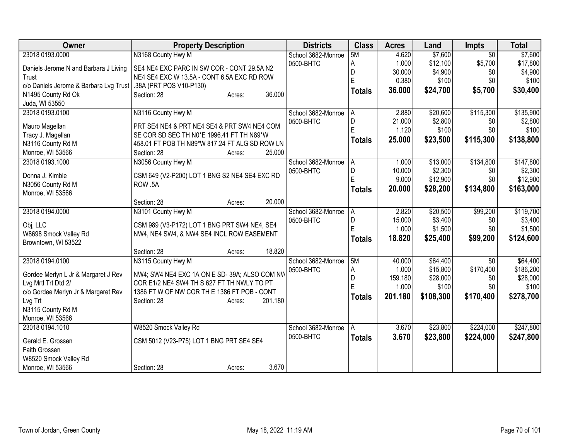| Owner                                  | <b>Property Description</b>                              |        | <b>Districts</b>   | <b>Class</b>  | <b>Acres</b> | Land                | <b>Impts</b>    | <b>Total</b> |
|----------------------------------------|----------------------------------------------------------|--------|--------------------|---------------|--------------|---------------------|-----------------|--------------|
| 23018 0193.0000                        | N3168 County Hwy M                                       |        | School 3682-Monroe | 5M            | 4.620        | \$7,600             | $\overline{30}$ | \$7,600      |
| Daniels Jerome N and Barbara J Living  | SE4 NE4 EXC PARC IN SW COR - CONT 29.5A N2               |        | 0500-BHTC          | A             | 1.000        | \$12,100            | \$5,700         | \$17,800     |
| Trust                                  | NE4 SE4 EXC W 13.5A - CONT 6.5A EXC RD ROW               |        |                    | D             | 30.000       | \$4,900             | \$0             | \$4,900      |
| c/o Daniels Jerome & Barbara Lvg Trust | .38A (PRT POS V10-P130)                                  |        |                    | E             | 0.380        | \$100               | \$0             | \$100        |
| N1495 County Rd Ok                     | Section: 28                                              | Acres: | 36.000             | <b>Totals</b> | 36.000       | \$24,700            | \$5,700         | \$30,400     |
| Juda, WI 53550                         |                                                          |        |                    |               |              |                     |                 |              |
| 23018 0193.0100                        | N3116 County Hwy M                                       |        | School 3682-Monroe | IA.           | 2.880        | \$20,600            | \$115,300       | \$135,900    |
|                                        |                                                          |        | 0500-BHTC          | D             | 21.000       | \$2,800             | \$0             | \$2,800      |
| Mauro Magellan                         | PRT SE4 NE4 & PRT NE4 SE4 & PRT SW4 NE4 COM              |        |                    | Ē             | 1.120        | \$100               | \$0             | \$100        |
| Tracy J. Magellan                      | SE COR SD SEC TH N0*E 1996.41 FT TH N89*W                |        |                    |               | 25.000       | \$23,500            | \$115,300       | \$138,800    |
| N3116 County Rd M                      | 458.01 FT POB TH N89*W 817.24 FT ALG SD ROW LN           |        |                    | <b>Totals</b> |              |                     |                 |              |
| Monroe, WI 53566                       | Section: 28                                              | Acres: | 25.000             |               |              |                     |                 |              |
| 23018 0193.1000                        | N3056 County Hwy M                                       |        | School 3682-Monroe | l A           | 1.000        | \$13,000            | \$134,800       | \$147,800    |
| Donna J. Kimble                        |                                                          |        | 0500-BHTC          | D             | 10.000       | \$2,300             | \$0             | \$2,300      |
|                                        | CSM 649 (V2-P200) LOT 1 BNG S2 NE4 SE4 EXC RD<br>ROW .5A |        |                    | E             | 9.000        | \$12,900            | \$0             | \$12,900     |
| N3056 County Rd M                      |                                                          |        |                    | <b>Totals</b> | 20.000       | \$28,200            | \$134,800       | \$163,000    |
| Monroe, WI 53566                       | Section: 28                                              | Acres: | 20.000             |               |              |                     |                 |              |
| 23018 0194.0000                        | N3101 County Hwy M                                       |        | School 3682-Monroe |               | 2.820        |                     | \$99,200        | \$119,700    |
|                                        |                                                          |        |                    | A<br>D        | 15.000       | \$20,500<br>\$3,400 |                 | \$3,400      |
| Obj, LLC                               | CSM 989 (V3-P172) LOT 1 BNG PRT SW4 NE4, SE4             |        | 0500-BHTC          | Ē             | 1.000        | \$1,500             | \$0<br>\$0      | \$1,500      |
| W8698 Smock Valley Rd                  | NW4, NE4 SW4, & NW4 SE4 INCL ROW EASEMENT                |        |                    |               |              |                     |                 |              |
| Browntown, WI 53522                    |                                                          |        |                    | <b>Totals</b> | 18.820       | \$25,400            | \$99,200        | \$124,600    |
|                                        | Section: 28                                              | Acres: | 18.820             |               |              |                     |                 |              |
| 23018 0194.0100                        | N3115 County Hwy M                                       |        | School 3682-Monroe | 5M            | 40.000       | \$64,400            | $\overline{30}$ | \$64,400     |
| Gordee Merlyn L Jr & Margaret J Rev    | NW4; SW4 NE4 EXC 1A ON E SD-39A; ALSO COM NW             |        | 0500-BHTC          | A             | 1.000        | \$15,800            | \$170,400       | \$186,200    |
| Lvg Mrtl Trt Dtd 2/                    | COR E1/2 NE4 SW4 TH S 627 FT TH NWLY TO PT               |        |                    | D             | 159.180      | \$28,000            | \$0             | \$28,000     |
| c/o Gordee Merlyn Jr & Margaret Rev    | 1386 FT W OF NW COR TH E 1386 FT POB - CONT              |        |                    | F             | 1.000        | \$100               | \$0             | \$100        |
| Lvg Trt                                | Section: 28                                              | Acres: | 201.180            | <b>Totals</b> | 201.180      | \$108,300           | \$170,400       | \$278,700    |
| N3115 County Rd M                      |                                                          |        |                    |               |              |                     |                 |              |
| Monroe, WI 53566                       |                                                          |        |                    |               |              |                     |                 |              |
| 23018 0194.1010                        | W8520 Smock Valley Rd                                    |        | School 3682-Monroe | A             | 3.670        | \$23,800            | \$224,000       | \$247,800    |
|                                        |                                                          |        | 0500-BHTC          |               | 3.670        | \$23,800            | \$224,000       | \$247,800    |
| Gerald E. Grossen                      | CSM 5012 (V23-P75) LOT 1 BNG PRT SE4 SE4                 |        |                    | <b>Totals</b> |              |                     |                 |              |
| Faith Grossen                          |                                                          |        |                    |               |              |                     |                 |              |
| W8520 Smock Valley Rd                  |                                                          |        |                    |               |              |                     |                 |              |
| Monroe, WI 53566                       | Section: 28                                              | Acres: | 3.670              |               |              |                     |                 |              |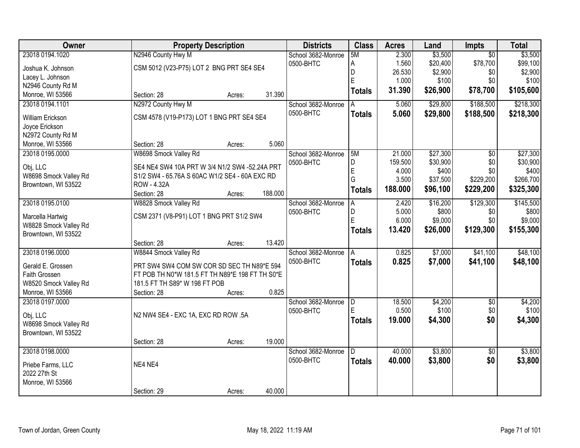| Owner                                        | <b>Property Description</b>                     |        |         | <b>Districts</b>   | <b>Class</b>  | <b>Acres</b> | Land     | Impts           | <b>Total</b> |
|----------------------------------------------|-------------------------------------------------|--------|---------|--------------------|---------------|--------------|----------|-----------------|--------------|
| 23018 0194.1020                              | N2946 County Hwy M                              |        |         | School 3682-Monroe | 5M            | 2.300        | \$3,500  | $\overline{50}$ | \$3,500      |
| Joshua K. Johnson                            | CSM 5012 (V23-P75) LOT 2 BNG PRT SE4 SE4        |        |         | 0500-BHTC          | А             | 1.560        | \$20,400 | \$78,700        | \$99,100     |
| Lacey L. Johnson                             |                                                 |        |         |                    | D             | 26.530       | \$2,900  | \$0             | \$2,900      |
| N2946 County Rd M                            |                                                 |        |         |                    | E             | 1.000        | \$100    | \$0             | \$100        |
| Monroe, WI 53566                             | Section: 28                                     | Acres: | 31.390  |                    | <b>Totals</b> | 31.390       | \$26,900 | \$78,700        | \$105,600    |
| 23018 0194.1101                              | N2972 County Hwy M                              |        |         | School 3682-Monroe |               | 5.060        | \$29,800 | \$188,500       | \$218,300    |
| <b>William Erickson</b>                      | CSM 4578 (V19-P173) LOT 1 BNG PRT SE4 SE4       |        |         | 0500-BHTC          | <b>Totals</b> | 5.060        | \$29,800 | \$188,500       | \$218,300    |
| Joyce Erickson                               |                                                 |        |         |                    |               |              |          |                 |              |
| N2972 County Rd M                            |                                                 |        |         |                    |               |              |          |                 |              |
| Monroe, WI 53566                             | Section: 28                                     | Acres: | 5.060   |                    |               |              |          |                 |              |
| 23018 0195.0000                              | W8698 Smock Valley Rd                           |        |         | School 3682-Monroe | 5M            | 21.000       | \$27,300 | \$0             | \$27,300     |
|                                              |                                                 |        |         | 0500-BHTC          | D             | 159.500      | \$30,900 | \$0             | \$30,900     |
| Obj, LLC                                     | SE4 NE4 SW4 10A PRT W 3/4 N1/2 SW4 -52.24A PRT  |        |         |                    | E             | 4.000        | \$400    | \$0             | \$400        |
| W8698 Smock Valley Rd                        | S1/2 SW4 - 65.76A S 60AC W1/2 SE4 - 60A EXC RD  |        |         |                    | G             | 3.500        | \$37,500 | \$229,200       | \$266,700    |
| Browntown, WI 53522                          | ROW - 4.32A<br>Section: 28                      | Acres: | 188.000 |                    | <b>Totals</b> | 188.000      | \$96,100 | \$229,200       | \$325,300    |
| 23018 0195.0100                              | W8828 Smock Valley Rd                           |        |         | School 3682-Monroe | А             | 2.420        | \$16,200 | \$129,300       | \$145,500    |
|                                              |                                                 |        |         | 0500-BHTC          | D             | 5.000        | \$800    | \$0             | \$800        |
| Marcella Hartwig                             | CSM 2371 (V8-P91) LOT 1 BNG PRT S1/2 SW4        |        |         |                    | E             | 6.000        | \$9,000  | \$0             | \$9,000      |
| W8828 Smock Valley Rd                        |                                                 |        |         |                    | <b>Totals</b> | 13.420       | \$26,000 | \$129,300       | \$155,300    |
| Browntown, WI 53522                          |                                                 |        |         |                    |               |              |          |                 |              |
|                                              | Section: 28                                     | Acres: | 13.420  |                    |               |              |          |                 |              |
| 23018 0196.0000                              | W8844 Smock Valley Rd                           |        |         | School 3682-Monroe |               | 0.825        | \$7,000  | \$41,100        | \$48,100     |
| Gerald E. Grossen                            | PRT SW4 SW4 COM SW COR SD SEC TH N89*E 594      |        |         | 0500-BHTC          | <b>Totals</b> | 0.825        | \$7,000  | \$41,100        | \$48,100     |
| Faith Grossen                                | FT POB TH N0*W 181.5 FT TH N89*E 198 FT TH S0*E |        |         |                    |               |              |          |                 |              |
| W8520 Smock Valley Rd                        | 181.5 FT TH S89* W 198 FT POB                   |        |         |                    |               |              |          |                 |              |
| Monroe, WI 53566                             | Section: 28                                     | Acres: | 0.825   |                    |               |              |          |                 |              |
| 23018 0197.0000                              |                                                 |        |         | School 3682-Monroe | D             | 18.500       | \$4,200  | $\overline{50}$ | \$4,200      |
|                                              |                                                 |        |         | 0500-BHTC          | E             | 0.500        | \$100    | \$0             | \$100        |
| Obj, LLC                                     | N2 NW4 SE4 - EXC 1A, EXC RD ROW .5A             |        |         |                    | <b>Totals</b> | 19,000       | \$4,300  | \$0             | \$4,300      |
| W8698 Smock Valley Rd<br>Browntown, WI 53522 |                                                 |        |         |                    |               |              |          |                 |              |
|                                              | Section: 28                                     | Acres: | 19.000  |                    |               |              |          |                 |              |
| 23018 0198,0000                              |                                                 |        |         | School 3682-Monroe | D.            | 40.000       | \$3,800  | $\overline{50}$ | \$3,800      |
|                                              |                                                 |        |         | 0500-BHTC          | <b>Totals</b> | 40.000       | \$3,800  | \$0             | \$3,800      |
| Priebe Farms, LLC                            | NE4 NE4                                         |        |         |                    |               |              |          |                 |              |
| 2022 27th St                                 |                                                 |        |         |                    |               |              |          |                 |              |
| Monroe, WI 53566                             |                                                 |        |         |                    |               |              |          |                 |              |
|                                              | Section: 29                                     | Acres: | 40.000  |                    |               |              |          |                 |              |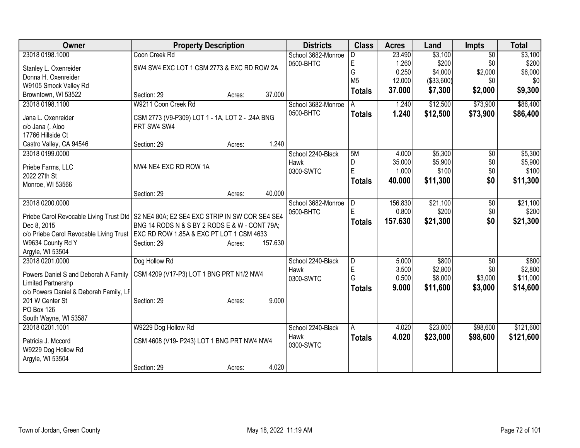| <b>Owner</b>                                                                           | <b>Property Description</b>                     |        |         | <b>Districts</b>   | <b>Class</b>   | <b>Acres</b> | Land        | <b>Impts</b>    | <b>Total</b>     |
|----------------------------------------------------------------------------------------|-------------------------------------------------|--------|---------|--------------------|----------------|--------------|-------------|-----------------|------------------|
| 23018 0198.1000                                                                        | Coon Creek Rd                                   |        |         | School 3682-Monroe | D.             | 23.490       | \$3,100     | $\overline{30}$ | \$3,100          |
| Stanley L. Oxenreider                                                                  | SW4 SW4 EXC LOT 1 CSM 2773 & EXC RD ROW 2A      |        |         | 0500-BHTC          | E              | 1.260        | \$200       | \$0             | \$200            |
| Donna H. Oxenreider                                                                    |                                                 |        |         |                    | G              | 0.250        | \$4,000     | \$2,000         | \$6,000          |
| W9105 Smock Valley Rd                                                                  |                                                 |        |         |                    | M <sub>5</sub> | 12.000       | ( \$33,600) | \$0             | \$0              |
| Browntown, WI 53522                                                                    | Section: 29                                     | Acres: | 37.000  |                    | <b>Totals</b>  | 37.000       | \$7,300     | \$2,000         | \$9,300          |
| 23018 0198.1100                                                                        | W9211 Coon Creek Rd                             |        |         | School 3682-Monroe |                | 1.240        | \$12,500    | \$73,900        | \$86,400         |
|                                                                                        |                                                 |        |         | 0500-BHTC          | <b>Totals</b>  | 1.240        | \$12,500    | \$73,900        | \$86,400         |
| Jana L. Oxenreider                                                                     | CSM 2773 (V9-P309) LOT 1 - 1A, LOT 2 - .24A BNG |        |         |                    |                |              |             |                 |                  |
| c/o Jana (. Aloo                                                                       | PRT SW4 SW4                                     |        |         |                    |                |              |             |                 |                  |
| 17766 Hillside Ct                                                                      |                                                 |        | 1.240   |                    |                |              |             |                 |                  |
| Castro Valley, CA 94546                                                                | Section: 29                                     | Acres: |         |                    |                |              |             |                 |                  |
| 23018 0199.0000                                                                        |                                                 |        |         | School 2240-Black  | 5M             | 4.000        | \$5,300     | $\overline{50}$ | \$5,300          |
| Priebe Farms, LLC                                                                      | NW4 NE4 EXC RD ROW 1A                           |        |         | Hawk               | D<br>E         | 35.000       | \$5,900     | \$0             | \$5,900<br>\$100 |
| 2022 27th St                                                                           |                                                 |        |         | 0300-SWTC          |                | 1.000        | \$100       | \$0             |                  |
| Monroe, WI 53566                                                                       |                                                 |        |         |                    | <b>Totals</b>  | 40.000       | \$11,300    | \$0             | \$11,300         |
|                                                                                        | Section: 29                                     | Acres: | 40.000  |                    |                |              |             |                 |                  |
| 23018 0200.0000                                                                        |                                                 |        |         | School 3682-Monroe | D              | 156.830      | \$21,100    | $\overline{50}$ | \$21,100         |
|                                                                                        |                                                 |        |         | 0500-BHTC          | E              | 0.800        | \$200       | \$0             | \$200            |
| Priebe Carol Revocable Living Trust Dtd S2 NE4 80A; E2 SE4 EXC STRIP IN SW COR SE4 SE4 |                                                 |        |         |                    | <b>Totals</b>  | 157.630      | \$21,300    | \$0             | \$21,300         |
| Dec 8, 2015                                                                            | BNG 14 RODS N & S BY 2 RODS E & W - CONT 79A;   |        |         |                    |                |              |             |                 |                  |
| c/o Priebe Carol Revocable Living Trust   EXC RD ROW 1.85A & EXC PT LOT 1 CSM 4633     |                                                 |        | 157.630 |                    |                |              |             |                 |                  |
| W9634 County Rd Y                                                                      | Section: 29                                     | Acres: |         |                    |                |              |             |                 |                  |
| Argyle, WI 53504<br>23018 0201.0000                                                    | Dog Hollow Rd                                   |        |         | School 2240-Black  | D              | 5.000        | \$800       | $\sqrt[6]{3}$   | \$800            |
|                                                                                        |                                                 |        |         | Hawk               | E              | 3.500        | \$2,800     | \$0             | \$2,800          |
| Powers Daniel S and Deborah A Family                                                   | CSM 4209 (V17-P3) LOT 1 BNG PRT N1/2 NW4        |        |         | 0300-SWTC          | G              | 0.500        | \$8,000     | \$3,000         | \$11,000         |
| Limited Partnershp                                                                     |                                                 |        |         |                    |                | 9.000        |             |                 |                  |
| c/o Powers Daniel & Deborah Family, LF                                                 |                                                 |        |         |                    | <b>Totals</b>  |              | \$11,600    | \$3,000         | \$14,600         |
| 201 W Center St                                                                        | Section: 29                                     | Acres: | 9.000   |                    |                |              |             |                 |                  |
| PO Box 126                                                                             |                                                 |        |         |                    |                |              |             |                 |                  |
| South Wayne, WI 53587                                                                  |                                                 |        |         |                    |                |              |             |                 |                  |
| 23018 0201.1001                                                                        | W9229 Dog Hollow Rd                             |        |         | School 2240-Black  | A              | 4.020        | \$23,000    | \$98,600        | \$121,600        |
| Patricia J. Mccord                                                                     | CSM 4608 (V19- P243) LOT 1 BNG PRT NW4 NW4      |        |         | Hawk               | <b>Totals</b>  | 4.020        | \$23,000    | \$98,600        | \$121,600        |
| W9229 Dog Hollow Rd                                                                    |                                                 |        |         | 0300-SWTC          |                |              |             |                 |                  |
| Argyle, WI 53504                                                                       |                                                 |        |         |                    |                |              |             |                 |                  |
|                                                                                        | Section: 29                                     | Acres: | 4.020   |                    |                |              |             |                 |                  |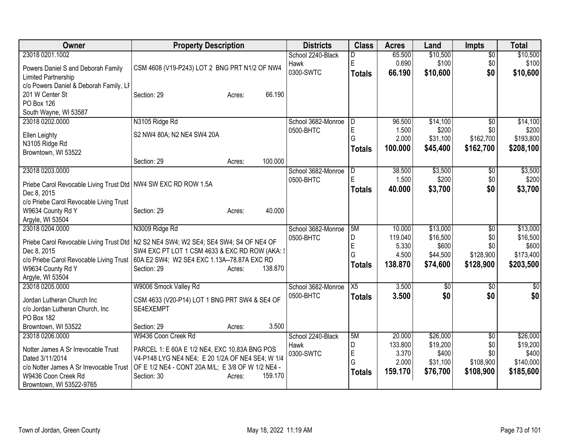| Owner                                                                                  | <b>Property Description</b>                       |                   | <b>Districts</b>   | <b>Class</b>    | <b>Acres</b> | Land     | Impts           | <b>Total</b> |
|----------------------------------------------------------------------------------------|---------------------------------------------------|-------------------|--------------------|-----------------|--------------|----------|-----------------|--------------|
| 23018 0201.1002                                                                        |                                                   |                   | School 2240-Black  | D               | 65.500       | \$10,500 | $\overline{50}$ | \$10,500     |
| Powers Daniel S and Deborah Family                                                     | CSM 4608 (V19-P243) LOT 2 BNG PRT N1/2 OF NW4     |                   | Hawk               | E               | 0.690        | \$100    | \$0             | \$100        |
| Limited Partnership                                                                    |                                                   |                   | 0300-SWTC          | <b>Totals</b>   | 66.190       | \$10,600 | \$0             | \$10,600     |
| c/o Powers Daniel & Deborah Family, LF                                                 |                                                   |                   |                    |                 |              |          |                 |              |
| 201 W Center St                                                                        | Section: 29                                       | 66.190<br>Acres:  |                    |                 |              |          |                 |              |
| <b>PO Box 126</b>                                                                      |                                                   |                   |                    |                 |              |          |                 |              |
| South Wayne, WI 53587                                                                  |                                                   |                   |                    |                 |              |          |                 |              |
| 23018 0202.0000                                                                        | N3105 Ridge Rd                                    |                   | School 3682-Monroe | D               | 96.500       | \$14,100 | $\overline{50}$ | \$14,100     |
| Ellen Leighty                                                                          | S2 NW4 80A; N2 NE4 SW4 20A                        |                   | 0500-BHTC          | $\mathsf E$     | 1.500        | \$200    | \$0             | \$200        |
| N3105 Ridge Rd                                                                         |                                                   |                   |                    | G               | 2.000        | \$31,100 | \$162,700       | \$193,800    |
| Browntown, WI 53522                                                                    |                                                   |                   |                    | <b>Totals</b>   | 100.000      | \$45,400 | \$162,700       | \$208,100    |
|                                                                                        | Section: 29                                       | 100.000<br>Acres: |                    |                 |              |          |                 |              |
| 23018 0203.0000                                                                        |                                                   |                   | School 3682-Monroe | ID.             | 38.500       | \$3,500  | $\overline{50}$ | \$3,500      |
|                                                                                        |                                                   |                   | 0500-BHTC          | E               | 1.500        | \$200    | \$0             | \$200        |
| Priebe Carol Revocable Living Trust Dtd   NW4 SW EXC RD ROW 1.5A                       |                                                   |                   |                    | <b>Totals</b>   | 40.000       | \$3,700  | \$0             | \$3,700      |
| Dec 8, 2015                                                                            |                                                   |                   |                    |                 |              |          |                 |              |
| c/o Priebe Carol Revocable Living Trust<br>W9634 County Rd Y                           | Section: 29                                       | 40.000<br>Acres:  |                    |                 |              |          |                 |              |
| Argyle, WI 53504                                                                       |                                                   |                   |                    |                 |              |          |                 |              |
| 23018 0204.0000                                                                        | N3009 Ridge Rd                                    |                   | School 3682-Monroe | 5M              | 10.000       | \$13,000 | \$0             | \$13,000     |
|                                                                                        |                                                   |                   | 0500-BHTC          | D               | 119.040      | \$16,500 | \$0             | \$16,500     |
| Priebe Carol Revocable Living Trust Dtd   N2 S2 NE4 SW4; W2 SE4; SE4 SW4; S4 OF NE4 OF |                                                   |                   |                    | E               | 5.330        | \$600    | \$0             | \$600        |
| Dec 8, 2015                                                                            | SW4 EXC PT LOT 1 CSM 4633 & EXC RD ROW (AKA: \    |                   |                    | G               | 4.500        | \$44,500 | \$128,900       | \$173,400    |
| c/o Priebe Carol Revocable Living Trust                                                | 60A E2 SW4; W2 SE4 EXC 1.13A--78.87A EXC RD       |                   |                    | Totals          | 138.870      | \$74,600 | \$128,900       | \$203,500    |
| W9634 County Rd Y                                                                      | Section: 29                                       | 138.870<br>Acres: |                    |                 |              |          |                 |              |
| Argyle, WI 53504<br>23018 0205.0000                                                    | W9006 Smock Valley Rd                             |                   | School 3682-Monroe | $\overline{X5}$ | 3.500        | \$0      | \$0             | \$0          |
|                                                                                        |                                                   |                   | 0500-BHTC          |                 | 3.500        | \$0      | \$0             | \$0          |
| Jordan Lutheran Church Inc                                                             | CSM 4633 (V20-P14) LOT 1 BNG PRT SW4 & SE4 OF     |                   |                    | <b>Totals</b>   |              |          |                 |              |
| c/o Jordan Lutheran Church, Inc                                                        | SE4EXEMPT                                         |                   |                    |                 |              |          |                 |              |
| PO Box 182                                                                             |                                                   |                   |                    |                 |              |          |                 |              |
| Browntown, WI 53522                                                                    | Section: 29                                       | Acres:            | 3.500              |                 |              |          |                 |              |
| 23018 0206.0000                                                                        | W9436 Coon Creek Rd                               |                   | School 2240-Black  | 5M              | 20.000       | \$26,000 | $\sqrt{6}$      | \$26,000     |
| Notter James A Sr Irrevocable Trust                                                    | PARCEL 1: E 60A E 1/2 NE4, EXC 10.83A BNG POS     |                   | Hawk               | D               | 133.800      | \$19,200 | \$0             | \$19,200     |
| Dated 3/11/2014                                                                        | V4-P148 LYG NE4 NE4; E 20 1/2A OF NE4 SE4; W 1/4  |                   | 0300-SWTC          | E               | 3.370        | \$400    | \$0             | \$400        |
| c/o Notter James A Sr Irrevocable Trust                                                | OF E 1/2 NE4 - CONT 20A M/L; E 3/8 OF W 1/2 NE4 - |                   |                    | G               | 2.000        | \$31,100 | \$108,900       | \$140,000    |
| W9436 Coon Creek Rd                                                                    | Section: 30                                       | 159.170<br>Acres: |                    | <b>Totals</b>   | 159.170      | \$76,700 | \$108,900       | \$185,600    |
| Browntown, WI 53522-9765                                                               |                                                   |                   |                    |                 |              |          |                 |              |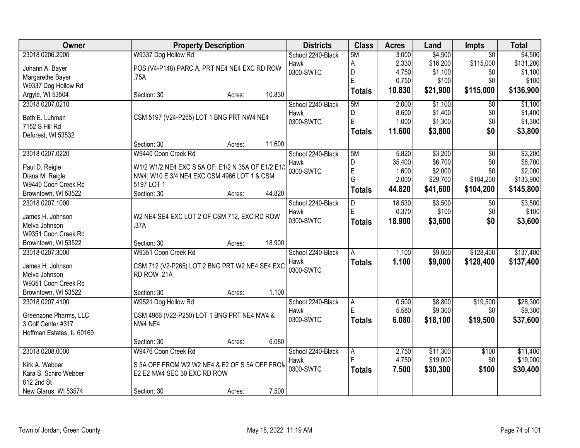| Owner                     | <b>Property Description</b>                       | <b>Districts</b>  | <b>Class</b>   | <b>Acres</b> | Land     | <b>Impts</b>    | <b>Total</b> |
|---------------------------|---------------------------------------------------|-------------------|----------------|--------------|----------|-----------------|--------------|
| 23018 0206.2000           | W9337 Dog Hollow Rd                               | School 2240-Black | 5M             | 3.000        | \$4,500  | $\overline{50}$ | \$4,500      |
| Johann A. Bayer           | POS (V4-P148) PARC A, PRT NE4 NE4 EXC RD ROW      | Hawk              | A              | 2.330        | \$16,200 | \$115,000       | \$131,200    |
| Margarethe Bayer          | .75A                                              | 0300-SWTC         | D              | 4.750        | \$1,100  | \$0             | \$1,100      |
| W9337 Dog Hollow Rd       |                                                   |                   | $\mathsf{E}$   | 0.750        | \$100    | \$0             | \$100        |
| Argyle, WI 53504          | 10.830<br>Section: 30<br>Acres:                   |                   | Totals         | 10.830       | \$21,900 | \$115,000       | \$136,900    |
| 23018 0207.0210           |                                                   | School 2240-Black | 5M             | 2.000        | \$1,100  | $\overline{50}$ | \$1,100      |
|                           |                                                   | Hawk              | D              | 8.600        | \$1,400  | \$0             | \$1,400      |
| Beth E. Luhman            | CSM 5197 (V24-P265) LOT 1 BNG PRT NW4 NE4         | 0300-SWTC         | $\overline{E}$ | 1.000        | \$1,300  | \$0             | \$1,300      |
| 7152 S Hill Rd            |                                                   |                   | <b>Totals</b>  | 11.600       | \$3,800  | \$0             | \$3,800      |
| Deforest, WI 53532        | 11.600<br>Section: 30<br>Acres:                   |                   |                |              |          |                 |              |
| 23018 0207.0220           | W9440 Coon Creek Rd                               | School 2240-Black | 5M             | 5.820        | \$3,200  | $\overline{50}$ | \$3,200      |
|                           |                                                   | Hawk              | D              | 35.400       | \$6,700  | \$0             | \$6,700      |
| Paul D. Reigle            | W1/2 W1/2 NE4 EXC S 5A OF; E1/2 N 35A OF E1/2 E1/ | 0300-SWTC         | $\mathsf E$    | 1.600        | \$2,000  | \$0             | \$2,000      |
| Diana M. Reigle           | NW4; W10 E 3/4 NE4 EXC CSM 4966 LOT 1 & CSM       |                   | G              | 2.000        | \$29,700 | \$104,200       | \$133,900    |
| W9440 Coon Creek Rd       | 5197 LOT 1                                        |                   |                | 44.820       | \$41,600 | \$104,200       | \$145,800    |
| Browntown, WI 53522       | 44.820<br>Section: 30<br>Acres:                   |                   | Totals         |              |          |                 |              |
| 23018 0207.1000           |                                                   | School 2240-Black | D              | 18.530       | \$3,500  | \$0             | \$3,500      |
| James H. Johnson          | W2 NE4 SE4 EXC LOT 2 OF CSM 712, EXC RD ROW       | Hawk              | E              | 0.370        | \$100    | \$0             | \$100        |
| Melva Johnson             | .37A                                              | 0300-SWTC         | <b>Totals</b>  | 18.900       | \$3,600  | \$0             | \$3,600      |
| W9351 Coon Creek Rd       |                                                   |                   |                |              |          |                 |              |
| Browntown, WI 53522       | 18.900<br>Section: 30<br>Acres:                   |                   |                |              |          |                 |              |
| 23018 0207.3000           | W9351 Coon Creek Rd                               | School 2240-Black | A              | 1.100        | \$9,000  | \$128,400       | \$137,400    |
|                           |                                                   | Hawk              |                | 1.100        | \$9,000  |                 |              |
| James H. Johnson          | CSM 712 (V2-P265) LOT 2 BNG PRT W2 NE4 SE4 EXC    | 0300-SWTC         | <b>Totals</b>  |              |          | \$128,400       | \$137,400    |
| Melva Johnson             | RD ROW .21A                                       |                   |                |              |          |                 |              |
| W9351 Coon Creek Rd       |                                                   |                   |                |              |          |                 |              |
| Browntown, WI 53522       | 1.100<br>Section: 30<br>Acres:                    |                   |                |              |          |                 |              |
| 23018 0207.4100           | W9521 Dog Hollow Rd                               | School 2240-Black | A              | 0.500        | \$8,800  | \$19,500        | \$28,300     |
| Greenzone Pharms, LLC     | CSM 4966 (V22-P250) LOT 1 BNG PRT NE4 NW4 &       | Hawk              | E              | 5.580        | \$9,300  | \$0             | \$9,300      |
| 3 Golf Center #317        | NW4 NE4                                           | 0300-SWTC         | <b>Totals</b>  | 6.080        | \$18,100 | \$19,500        | \$37,600     |
| Hoffman Estates, IL 60169 |                                                   |                   |                |              |          |                 |              |
|                           | 6.080<br>Section: 30<br>Acres:                    |                   |                |              |          |                 |              |
| 23018 0208.0000           | W9476 Coon Creek Rd                               | School 2240-Black | A              | 2.750        | \$11,300 | \$100           | \$11,400     |
|                           |                                                   | Hawk              |                | 4.750        | \$19,000 | \$0             | \$19,000     |
| Kirk A. Webber            | S 5A OFF FROM W2 W2 NE4 & E2 OF S 5A OFF FROM     | 0300-SWTC         | <b>Totals</b>  | 7.500        | \$30,300 | \$100           | \$30,400     |
| Kara S. Schiro Webber     | E2 E2 NW4 SEC 30 EXC RD ROW                       |                   |                |              |          |                 |              |
| 812 2nd St                |                                                   |                   |                |              |          |                 |              |
| New Glarus, WI 53574      | 7.500<br>Section: 30<br>Acres:                    |                   |                |              |          |                 |              |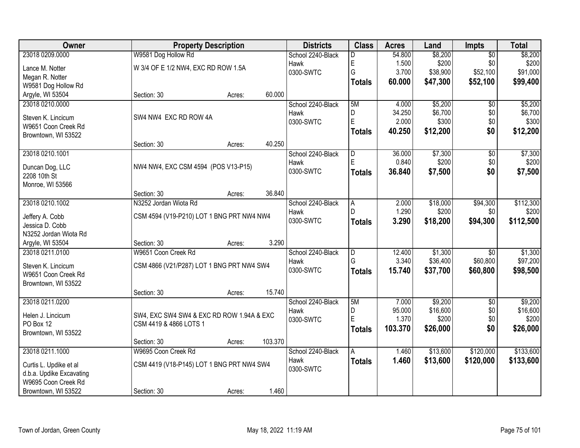| Owner                                     |                                           | <b>Property Description</b> |         | <b>Districts</b>  | <b>Class</b>        | <b>Acres</b>    | Land     | <b>Impts</b>                | <b>Total</b> |
|-------------------------------------------|-------------------------------------------|-----------------------------|---------|-------------------|---------------------|-----------------|----------|-----------------------------|--------------|
| 23018 0209.0000                           | W9581 Dog Hollow Rd                       |                             |         | School 2240-Black | D                   | 54.800          | \$8,200  | $\overline{30}$             | \$8,200      |
| Lance M. Notter                           | W 3/4 OF E 1/2 NW4, EXC RD ROW 1.5A       |                             |         | Hawk              | E                   | 1.500           | \$200    | \$0                         | \$200        |
| Megan R. Notter                           |                                           |                             |         | 0300-SWTC         | G                   | 3.700           | \$38,900 | \$52,100                    | \$91,000     |
| W9581 Dog Hollow Rd                       |                                           |                             |         |                   | <b>Totals</b>       | 60.000          | \$47,300 | \$52,100                    | \$99,400     |
| Argyle, WI 53504                          | Section: 30                               | Acres:                      | 60.000  |                   |                     |                 |          |                             |              |
| 23018 0210.0000                           |                                           |                             |         | School 2240-Black | 5M                  | 4.000           | \$5,200  | $\overline{50}$             | \$5,200      |
|                                           | SW4 NW4 EXC RD ROW 4A                     |                             |         | Hawk              | D                   | 34.250          | \$6,700  | \$0                         | \$6,700      |
| Steven K. Lincicum<br>W9651 Coon Creek Rd |                                           |                             |         | 0300-SWTC         | E                   | 2.000           | \$300    | \$0                         | \$300        |
| Browntown, WI 53522                       |                                           |                             |         |                   | <b>Totals</b>       | 40.250          | \$12,200 | \$0                         | \$12,200     |
|                                           | Section: 30                               | Acres:                      | 40.250  |                   |                     |                 |          |                             |              |
| 23018 0210.1001                           |                                           |                             |         | School 2240-Black | ID.                 | 36.000          | \$7,300  | \$0                         | \$7,300      |
|                                           |                                           |                             |         | Hawk              | E                   | 0.840           | \$200    | \$0                         | \$200        |
| Duncan Dog, LLC                           | NW4 NW4, EXC CSM 4594 (POS V13-P15)       |                             |         | 0300-SWTC         | <b>Totals</b>       | 36.840          | \$7,500  | \$0                         | \$7,500      |
| 2208 10th St<br>Monroe, WI 53566          |                                           |                             |         |                   |                     |                 |          |                             |              |
|                                           | Section: 30                               | Acres:                      | 36.840  |                   |                     |                 |          |                             |              |
| 23018 0210.1002                           | N3252 Jordan Wiota Rd                     |                             |         | School 2240-Black | l A                 | 2.000           | \$18,000 | \$94,300                    | \$112,300    |
|                                           |                                           |                             |         | Hawk              | D                   | 1.290           | \$200    | \$0                         | \$200        |
| Jeffery A. Cobb                           | CSM 4594 (V19-P210) LOT 1 BNG PRT NW4 NW4 |                             |         | 0300-SWTC         | <b>Totals</b>       | 3.290           | \$18,200 | \$94,300                    | \$112,500    |
| Jessica D. Cobb                           |                                           |                             |         |                   |                     |                 |          |                             |              |
| N3252 Jordan Wiota Rd                     |                                           |                             |         |                   |                     |                 |          |                             |              |
| Argyle, WI 53504                          | Section: 30<br>W9651 Coon Creek Rd        | Acres:                      | 3.290   |                   |                     |                 | \$1,300  |                             | \$1,300      |
| 23018 0211.0100                           |                                           |                             |         | School 2240-Black | $\overline{D}$<br>G | 12.400<br>3.340 | \$36,400 | $\overline{30}$<br>\$60,800 | \$97,200     |
| Steven K. Lincicum                        | CSM 4866 (V21/P287) LOT 1 BNG PRT NW4 SW4 |                             |         | Hawk<br>0300-SWTC |                     | 15.740          |          |                             |              |
| W9651 Coon Creek Rd                       |                                           |                             |         |                   | <b>Totals</b>       |                 | \$37,700 | \$60,800                    | \$98,500     |
| Browntown, WI 53522                       |                                           |                             |         |                   |                     |                 |          |                             |              |
|                                           | Section: 30                               | Acres:                      | 15.740  |                   |                     |                 |          |                             |              |
| 23018 0211.0200                           |                                           |                             |         | School 2240-Black | 5M                  | 7.000           | \$9,200  | $\overline{50}$             | \$9,200      |
| Helen J. Lincicum                         | SW4, EXC SW4 SW4 & EXC RD ROW 1.94A & EXC |                             |         | Hawk              | D                   | 95.000          | \$16,600 | \$0                         | \$16,600     |
| PO Box 12                                 | CSM 4419 & 4866 LOTS 1                    |                             |         | 0300-SWTC         | E                   | 1.370           | \$200    | \$0                         | \$200        |
| Browntown, WI 53522                       |                                           |                             |         |                   | <b>Totals</b>       | 103.370         | \$26,000 | \$0                         | \$26,000     |
|                                           | Section: 30                               | Acres:                      | 103.370 |                   |                     |                 |          |                             |              |
| 23018 0211.1000                           | W9695 Coon Creek Rd                       |                             |         | School 2240-Black | A                   | 1.460           | \$13,600 | \$120,000                   | \$133,600    |
| Curtis L. Updike et al                    | CSM 4419 (V18-P145) LOT 1 BNG PRT NW4 SW4 |                             |         | Hawk              | <b>Totals</b>       | 1.460           | \$13,600 | \$120,000                   | \$133,600    |
| d.b.a. Updike Excavating                  |                                           |                             |         | 0300-SWTC         |                     |                 |          |                             |              |
| W9695 Coon Creek Rd                       |                                           |                             |         |                   |                     |                 |          |                             |              |
| Browntown, WI 53522                       | Section: 30                               | Acres:                      | 1.460   |                   |                     |                 |          |                             |              |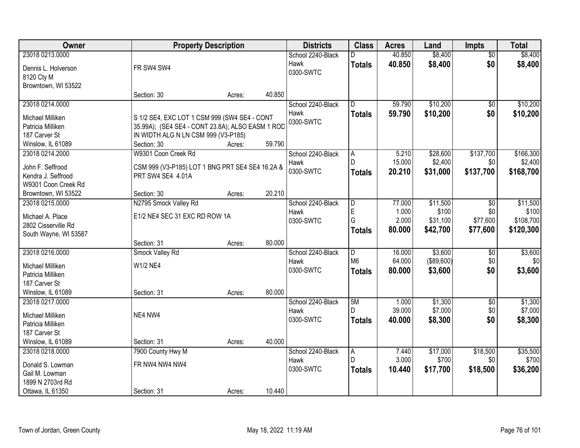| Owner                 |                                                                      | <b>Property Description</b> |        | <b>Districts</b>          | <b>Class</b>            | <b>Acres</b>    | Land               | <b>Impts</b>       | <b>Total</b>       |
|-----------------------|----------------------------------------------------------------------|-----------------------------|--------|---------------------------|-------------------------|-----------------|--------------------|--------------------|--------------------|
| 23018 0213.0000       |                                                                      |                             |        | School 2240-Black         | D                       | 40.850          | \$8,400            | $\overline{50}$    | \$8,400            |
| Dennis L. Holverson   | FR SW4 SW4                                                           |                             |        | Hawk                      | <b>Totals</b>           | 40.850          | \$8,400            | \$0                | \$8,400            |
| 8120 Cty M            |                                                                      |                             |        | 0300-SWTC                 |                         |                 |                    |                    |                    |
| Browntown, WI 53522   |                                                                      |                             |        |                           |                         |                 |                    |                    |                    |
|                       | Section: 30                                                          | Acres:                      | 40.850 |                           |                         |                 |                    |                    |                    |
| 23018 0214.0000       |                                                                      |                             |        | School 2240-Black         | $\overline{D}$          | 59.790          | \$10,200           | \$0                | \$10,200           |
| Michael Milliken      | S 1/2 SE4, EXC LOT 1 CSM 999 (SW4 SE4 - CONT                         |                             |        | Hawk                      | <b>Totals</b>           | 59.790          | \$10,200           | \$0                | \$10,200           |
| Patricia Milliken     | 35.99A); (SE4 SE4 - CONT 23.8A); ALSO EASM 1 ROD                     |                             |        | 0300-SWTC                 |                         |                 |                    |                    |                    |
| 187 Carver St         | IN WIDTH ALG N LN CSM 999 (V3-P185)                                  |                             |        |                           |                         |                 |                    |                    |                    |
| Winslow, IL 61089     | Section: 30                                                          | Acres:                      | 59.790 |                           |                         |                 |                    |                    |                    |
| 23018 0214.2000       | W9301 Coon Creek Rd                                                  |                             |        | School 2240-Black         | A                       | 5.210           | \$28,600           | \$137,700          | \$166,300          |
| John F. Seffrood      |                                                                      |                             |        | Hawk                      | D                       | 15.000          | \$2,400            | \$0                | \$2,400            |
| Kendra J. Seffrood    | CSM 999 (V3-P185) LOT 1 BNG PRT SE4 SE4 16.2A &<br>PRT SW4 SE4 4.01A |                             |        | 0300-SWTC                 | <b>Totals</b>           | 20.210          | \$31,000           | \$137,700          | \$168,700          |
| W9301 Coon Creek Rd   |                                                                      |                             |        |                           |                         |                 |                    |                    |                    |
| Browntown, WI 53522   | Section: 30                                                          | Acres:                      | 20.210 |                           |                         |                 |                    |                    |                    |
| 23018 0215.0000       | N2795 Smock Valley Rd                                                |                             |        | School 2240-Black         | D                       | 77.000          | \$11,500           | \$0                | \$11,500           |
|                       |                                                                      |                             |        | Hawk                      | E                       | 1.000           | \$100              | \$0                | \$100              |
| Michael A. Place      | E1/2 NE4 SEC 31 EXC RD ROW 1A                                        |                             |        | 0300-SWTC                 | G                       | 2.000           | \$31,100           | \$77,600           | \$108,700          |
| 2802 Cisserville Rd   |                                                                      |                             |        |                           | <b>Totals</b>           | 80.000          | \$42,700           | \$77,600           | \$120,300          |
| South Wayne, WI 53587 | Section: 31                                                          | Acres:                      | 80.000 |                           |                         |                 |                    |                    |                    |
| 23018 0216.0000       | Smock Valley Rd                                                      |                             |        | School 2240-Black         | $\overline{\mathsf{D}}$ | 16.000          | \$3,600            | $\overline{50}$    | \$3,600            |
|                       |                                                                      |                             |        | Hawk                      | M <sub>6</sub>          | 64.000          | $($ \$89,600) $ $  | \$0                | \$0                |
| Michael Milliken      | W1/2 NE4                                                             |                             |        | 0300-SWTC                 | <b>Totals</b>           | 80.000          | \$3,600            | \$0                | \$3,600            |
| Patricia Milliken     |                                                                      |                             |        |                           |                         |                 |                    |                    |                    |
| 187 Carver St         |                                                                      |                             |        |                           |                         |                 |                    |                    |                    |
| Winslow, IL 61089     | Section: 31                                                          | Acres:                      | 80.000 |                           |                         |                 |                    |                    |                    |
| 23018 0217.0000       |                                                                      |                             |        | School 2240-Black<br>Hawk | 5M<br>D.                | 1.000<br>39.000 | \$1,300<br>\$7,000 | $\sqrt{$0}$<br>\$0 | \$1,300<br>\$7,000 |
| Michael Milliken      | NE4 NW4                                                              |                             |        | 0300-SWTC                 |                         | 40.000          | \$8,300            | \$0                | \$8,300            |
| Patricia Milliken     |                                                                      |                             |        |                           | <b>Totals</b>           |                 |                    |                    |                    |
| 187 Carver St         |                                                                      |                             |        |                           |                         |                 |                    |                    |                    |
| Winslow, IL 61089     | Section: 31                                                          | Acres:                      | 40.000 |                           |                         |                 |                    |                    |                    |
| 23018 0218.0000       | 7900 County Hwy M                                                    |                             |        | School 2240-Black         | A                       | 7.440           | \$17,000           | \$18,500           | \$35,500           |
| Donald S. Lowman      | FR NW4 NW4 NW4                                                       |                             |        | Hawk                      | D.                      | 3.000           | \$700              | \$0                | \$700              |
| Gail M. Lowman        |                                                                      |                             |        | 0300-SWTC                 | <b>Totals</b>           | 10.440          | \$17,700           | \$18,500           | \$36,200           |
| 1899 N 2703rd Rd      |                                                                      |                             |        |                           |                         |                 |                    |                    |                    |
| Ottawa, IL 61350      | Section: 31                                                          | Acres:                      | 10.440 |                           |                         |                 |                    |                    |                    |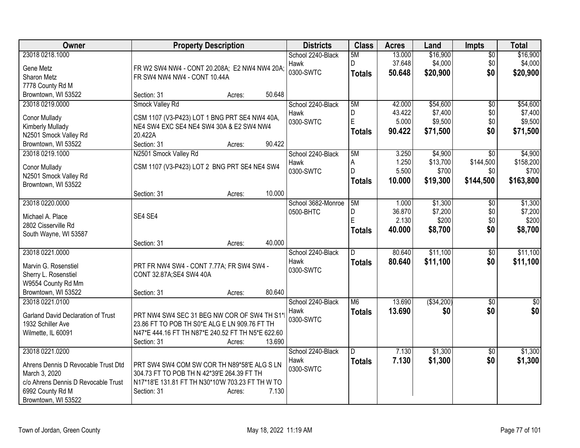| Owner                                      | <b>Property Description</b>                                                               | <b>Districts</b>   | <b>Class</b>  | <b>Acres</b> | Land        | <b>Impts</b>    | <b>Total</b> |
|--------------------------------------------|-------------------------------------------------------------------------------------------|--------------------|---------------|--------------|-------------|-----------------|--------------|
| 23018 0218.1000                            |                                                                                           | School 2240-Black  | 5M            | 13.000       | \$16,900    | $\overline{50}$ | \$16,900     |
| Gene Metz                                  | FR W2 SW4 NW4 - CONT 20.208A; E2 NW4 NW4 20A;                                             | Hawk               | D.            | 37.648       | \$4,000     | \$0             | \$4,000      |
| Sharon Metz                                | FR SW4 NW4 NW4 - CONT 10.44A                                                              | 0300-SWTC          | <b>Totals</b> | 50.648       | \$20,900    | \$0             | \$20,900     |
| 7778 County Rd M                           |                                                                                           |                    |               |              |             |                 |              |
| Browntown, WI 53522                        | 50.648<br>Section: 31<br>Acres:                                                           |                    |               |              |             |                 |              |
| 23018 0219,0000                            | Smock Valley Rd                                                                           | School 2240-Black  | 5M            | 42.000       | \$54,600    | \$0             | \$54,600     |
|                                            |                                                                                           | Hawk               | D             | 43.422       | \$7,400     | \$0             | \$7,400      |
| Conor Mullady<br>Kimberly Mullady          | CSM 1107 (V3-P423) LOT 1 BNG PRT SE4 NW4 40A,<br>NE4 SW4 EXC SE4 NE4 SW4 30A & E2 SW4 NW4 | 0300-SWTC          | E             | 5.000        | \$9,500     | \$0             | \$9,500      |
| N2501 Smock Valley Rd                      | 20.422A                                                                                   |                    | <b>Totals</b> | 90.422       | \$71,500    | \$0             | \$71,500     |
| Browntown, WI 53522                        | 90.422<br>Section: 31<br>Acres:                                                           |                    |               |              |             |                 |              |
| 23018 0219.1000                            | N2501 Smock Valley Rd                                                                     | School 2240-Black  | 5M            | 3.250        | \$4,900     | $\sqrt{6}$      | \$4,900      |
|                                            |                                                                                           | Hawk               | А             | 1.250        | \$13,700    | \$144,500       | \$158,200    |
| Conor Mullady                              | CSM 1107 (V3-P423) LOT 2 BNG PRT SE4 NE4 SW4                                              | 0300-SWTC          | D             | 5.500        | \$700       | \$0             | \$700        |
| N2501 Smock Valley Rd                      |                                                                                           |                    | <b>Totals</b> | 10.000       | \$19,300    | \$144,500       | \$163,800    |
| Browntown, WI 53522                        |                                                                                           |                    |               |              |             |                 |              |
|                                            | 10.000<br>Section: 31<br>Acres:                                                           |                    |               |              |             |                 |              |
| 23018 0220.0000                            |                                                                                           | School 3682-Monroe | 5M            | 1.000        | \$1,300     | \$0             | \$1,300      |
| Michael A. Place                           | SE4 SE4                                                                                   | 0500-BHTC          | D             | 36.870       | \$7,200     | \$0             | \$7,200      |
| 2802 Cisserville Rd                        |                                                                                           |                    | E             | 2.130        | \$200       | \$0             | \$200        |
| South Wayne, WI 53587                      |                                                                                           |                    | <b>Totals</b> | 40.000       | \$8,700     | \$0             | \$8,700      |
|                                            | 40.000<br>Section: 31<br>Acres:                                                           |                    |               |              |             |                 |              |
| 23018 0221.0000                            |                                                                                           | School 2240-Black  | D.            | 80.640       | \$11,100    | \$0             | \$11,100     |
|                                            |                                                                                           | Hawk               | <b>Totals</b> | 80.640       | \$11,100    | \$0             | \$11,100     |
| Marvin G. Rosenstiel                       | PRT FR NW4 SW4 - CONT 7.77A; FR SW4 SW4 -                                                 | 0300-SWTC          |               |              |             |                 |              |
| Sherry L. Rosenstiel<br>W9554 County Rd Mm | CONT 32.87A; SE4 SW4 40A                                                                  |                    |               |              |             |                 |              |
| Browntown, WI 53522                        | 80.640<br>Section: 31<br>Acres:                                                           |                    |               |              |             |                 |              |
| 23018 0221.0100                            |                                                                                           | School 2240-Black  | M6            | 13.690       | ( \$34,200) | $\overline{50}$ | $\sqrt{50}$  |
|                                            |                                                                                           | Hawk               | <b>Totals</b> | 13.690       | \$0         | \$0             | \$0          |
| <b>Garland David Declaration of Trust</b>  | PRT NW4 SW4 SEC 31 BEG NW COR OF SW4 TH S1*                                               | 0300-SWTC          |               |              |             |                 |              |
| 1932 Schiller Ave                          | 23.86 FT TO POB TH S0*E ALG E LN 909.76 FT TH                                             |                    |               |              |             |                 |              |
| Wilmette, IL 60091                         | N47*E 444.16 FT TH N87*E 240.52 FT TH N5*E 622.60                                         |                    |               |              |             |                 |              |
|                                            | Section: 31<br>13.690<br>Acres:                                                           |                    |               |              |             |                 |              |
| 23018 0221.0200                            |                                                                                           | School 2240-Black  | D             | 7.130        | \$1,300     | $\overline{50}$ | \$1,300      |
| Ahrens Dennis D Revocable Trust Dtd        | PRT SW4 SW4 COM SW COR TH N89*58'E ALG S LN                                               | Hawk               | <b>Totals</b> | 7.130        | \$1,300     | \$0             | \$1,300      |
| March 3, 2020                              | 304.73 FT TO POB TH N 42*39'E 264.39 FT TH                                                | 0300-SWTC          |               |              |             |                 |              |
| c/o Ahrens Dennis D Revocable Trust        | N17*18'E 131.81 FT TH N30*10'W 703.23 FT TH W TO                                          |                    |               |              |             |                 |              |
| 6992 County Rd M                           | 7.130<br>Section: 31<br>Acres:                                                            |                    |               |              |             |                 |              |
| Browntown, WI 53522                        |                                                                                           |                    |               |              |             |                 |              |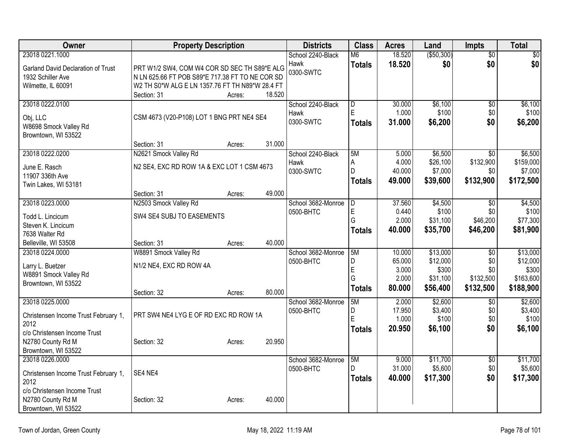| Owner                                | <b>Property Description</b>                     |        |        | <b>Districts</b>   | <b>Class</b>   | <b>Acres</b> | Land         | <b>Impts</b>    | Total           |
|--------------------------------------|-------------------------------------------------|--------|--------|--------------------|----------------|--------------|--------------|-----------------|-----------------|
| 23018 0221.1000                      |                                                 |        |        | School 2240-Black  | M <sub>6</sub> | 18.520       | ( \$50, 300) | $\overline{50}$ | $\overline{50}$ |
| Garland David Declaration of Trust   | PRT W1/2 SW4, COM W4 COR SD SEC TH S89*E ALG    |        |        | Hawk               | <b>Totals</b>  | 18.520       | \$0          | \$0             | \$0             |
| 1932 Schiller Ave                    | N LN 625.66 FT POB S89*E 717.38 FT TO NE COR SD |        |        | 0300-SWTC          |                |              |              |                 |                 |
| Wilmette, IL 60091                   | W2 TH S0*W ALG E LN 1357.76 FT TH N89*W 28.4 FT |        |        |                    |                |              |              |                 |                 |
|                                      | Section: 31                                     | Acres: | 18.520 |                    |                |              |              |                 |                 |
| 23018 0222.0100                      |                                                 |        |        | School 2240-Black  | D              | 30.000       | \$6,100      | \$0             | \$6,100         |
| Obj, LLC                             | CSM 4673 (V20-P108) LOT 1 BNG PRT NE4 SE4       |        |        | Hawk               | E              | 1.000        | \$100        | \$0             | \$100           |
| W8698 Smock Valley Rd                |                                                 |        |        | 0300-SWTC          | Totals         | 31.000       | \$6,200      | \$0             | \$6,200         |
| Browntown, WI 53522                  |                                                 |        |        |                    |                |              |              |                 |                 |
|                                      | Section: 31                                     | Acres: | 31.000 |                    |                |              |              |                 |                 |
| 23018 0222.0200                      | N2621 Smock Valley Rd                           |        |        | School 2240-Black  | 5M             | 5.000        | \$6,500      | $\overline{50}$ | \$6,500         |
| June E. Rasch                        | N2 SE4, EXC RD ROW 1A & EXC LOT 1 CSM 4673      |        |        | Hawk               | A              | 4.000        | \$26,100     | \$132,900       | \$159,000       |
| 11907 336th Ave                      |                                                 |        |        | 0300-SWTC          | D              | 40.000       | \$7,000      | \$0             | \$7,000         |
| Twin Lakes, WI 53181                 |                                                 |        |        |                    | Totals         | 49.000       | \$39,600     | \$132,900       | \$172,500       |
|                                      | Section: 31                                     | Acres: | 49.000 |                    |                |              |              |                 |                 |
| 23018 0223.0000                      | N2503 Smock Valley Rd                           |        |        | School 3682-Monroe | D              | 37.560       | \$4,500      | $\overline{30}$ | \$4,500         |
| Todd L. Lincicum                     | SW4 SE4 SUBJ TO EASEMENTS                       |        |        | 0500-BHTC          | $\mathsf E$    | 0.440        | \$100        | \$0             | \$100           |
| Steven K. Lincicum                   |                                                 |        |        |                    | G              | 2.000        | \$31,100     | \$46,200        | \$77,300        |
| 7638 Walter Rd                       |                                                 |        |        |                    | <b>Totals</b>  | 40.000       | \$35,700     | \$46,200        | \$81,900        |
| Belleville, WI 53508                 | Section: 31                                     | Acres: | 40.000 |                    |                |              |              |                 |                 |
| 23018 0224.0000                      | W8891 Smock Valley Rd                           |        |        | School 3682-Monroe | 5M             | 10.000       | \$13,000     | $\overline{50}$ | \$13,000        |
| Larry L. Buetzer                     | N1/2 NE4, EXC RD ROW 4A                         |        |        | 0500-BHTC          | D              | 65.000       | \$12,000     | \$0             | \$12,000        |
| W8891 Smock Valley Rd                |                                                 |        |        |                    | E              | 3.000        | \$300        | \$0             | \$300           |
| Browntown, WI 53522                  |                                                 |        |        |                    | G              | 2.000        | \$31,100     | \$132,500       | \$163,600       |
|                                      | Section: 32                                     | Acres: | 80.000 |                    | <b>Totals</b>  | 80.000       | \$56,400     | \$132,500       | \$188,900       |
| 23018 0225.0000                      |                                                 |        |        | School 3682-Monroe | 5M             | 2.000        | \$2,600      | $\overline{50}$ | \$2,600         |
| Christensen Income Trust February 1, | PRT SW4 NE4 LYG E OF RD EXC RD ROW 1A           |        |        | 0500-BHTC          | D              | 17.950       | \$3,400      | \$0             | \$3,400         |
| 2012                                 |                                                 |        |        |                    | $\mathsf{E}$   | 1.000        | \$100        | \$0             | \$100           |
| c/o Christensen Income Trust         |                                                 |        |        |                    | <b>Totals</b>  | 20.950       | \$6,100      | \$0             | \$6,100         |
| N2780 County Rd M                    | Section: 32                                     | Acres: | 20.950 |                    |                |              |              |                 |                 |
| Browntown, WI 53522                  |                                                 |        |        |                    |                |              |              |                 |                 |
| 23018 0226.0000                      |                                                 |        |        | School 3682-Monroe | 5M             | 9.000        | \$11,700     | $\overline{60}$ | \$11,700        |
| Christensen Income Trust February 1, | SE4 NE4                                         |        |        | 0500-BHTC          | D.             | 31.000       | \$5,600      | \$0             | \$5,600         |
| 2012                                 |                                                 |        |        |                    | <b>Totals</b>  | 40.000       | \$17,300     | \$0             | \$17,300        |
| c/o Christensen Income Trust         |                                                 |        |        |                    |                |              |              |                 |                 |
| N2780 County Rd M                    | Section: 32                                     | Acres: | 40.000 |                    |                |              |              |                 |                 |
| Browntown, WI 53522                  |                                                 |        |        |                    |                |              |              |                 |                 |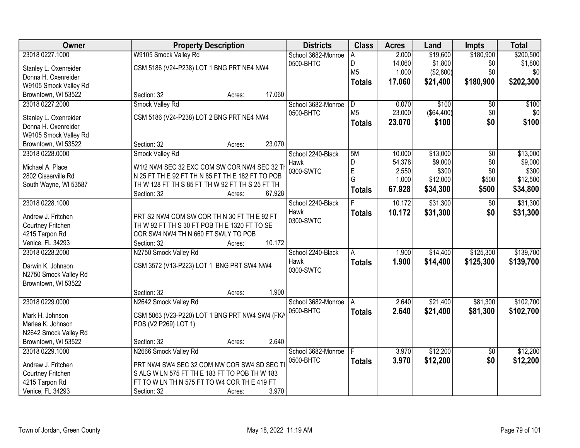| Owner                 | <b>Property Description</b>                      |        | <b>Districts</b>   | <b>Class</b>   | <b>Acres</b> | Land       | <b>Impts</b>    | <b>Total</b> |
|-----------------------|--------------------------------------------------|--------|--------------------|----------------|--------------|------------|-----------------|--------------|
| 23018 0227.1000       | W9105 Smock Valley Rd                            |        | School 3682-Monroe | A              | 2.000        | \$19,600   | \$180,900       | \$200,500    |
| Stanley L. Oxenreider | CSM 5186 (V24-P238) LOT 1 BNG PRT NE4 NW4        |        | 0500-BHTC          | D              | 14.060       | \$1,800    | \$0             | \$1,800      |
| Donna H. Oxenreider   |                                                  |        |                    | M <sub>5</sub> | 1.000        | (\$2,800)  | \$0             | \$0          |
| W9105 Smock Valley Rd |                                                  |        |                    | <b>Totals</b>  | 17.060       | \$21,400   | \$180,900       | \$202,300    |
| Browntown, WI 53522   | Section: 32<br>Acres:                            | 17.060 |                    |                |              |            |                 |              |
| 23018 0227.2000       | Smock Valley Rd                                  |        | School 3682-Monroe | D              | 0.070        | \$100      | \$0             | \$100        |
| Stanley L. Oxenreider | CSM 5186 (V24-P238) LOT 2 BNG PRT NE4 NW4        |        | 0500-BHTC          | M <sub>5</sub> | 23.000       | (\$64,400) | \$0             | \$0          |
| Donna H. Oxenreider   |                                                  |        |                    | <b>Totals</b>  | 23.070       | \$100      | \$0             | \$100        |
| W9105 Smock Valley Rd |                                                  |        |                    |                |              |            |                 |              |
| Browntown, WI 53522   | Section: 32<br>Acres:                            | 23.070 |                    |                |              |            |                 |              |
| 23018 0228.0000       | Smock Valley Rd                                  |        | School 2240-Black  | 5M             | 10.000       | \$13,000   | $\overline{50}$ | \$13,000     |
|                       |                                                  |        | Hawk               | D              | 54.378       | \$9,000    | \$0             | \$9,000      |
| Michael A. Place      | W1/2 NW4 SEC 32 EXC COM SW COR NW4 SEC 32 TI     |        | 0300-SWTC          | E              | 2.550        | \$300      | \$0             | \$300        |
| 2802 Cisserville Rd   | N 25 FT TH E 92 FT TH N 85 FT TH E 182 FT TO POB |        |                    | G              | 1.000        | \$12,000   | \$500           | \$12,500     |
| South Wayne, WI 53587 | TH W 128 FT TH S 85 FT TH W 92 FT TH S 25 FT TH  | 67.928 |                    | <b>Totals</b>  | 67.928       | \$34,300   | \$500           | \$34,800     |
| 23018 0228.1000       | Section: 32<br>Acres:                            |        | School 2240-Black  |                | 10.172       | \$31,300   | \$0             | \$31,300     |
|                       |                                                  |        | Hawk               |                |              |            |                 |              |
| Andrew J. Fritchen    | PRT S2 NW4 COM SW COR TH N 30 FT TH E 92 FT      |        | 0300-SWTC          | <b>Totals</b>  | 10.172       | \$31,300   | \$0             | \$31,300     |
| Courtney Fritchen     | TH W 92 FT TH S 30 FT POB TH E 1320 FT TO SE     |        |                    |                |              |            |                 |              |
| 4215 Tarpon Rd        | COR SW4 NW4 TH N 660 FT SWLY TO POB              |        |                    |                |              |            |                 |              |
| Venice, FL 34293      | Section: 32<br>Acres:                            | 10.172 |                    |                |              |            |                 |              |
| 23018 0228.2000       | N2750 Smock Valley Rd                            |        | School 2240-Black  | A              | 1.900        | \$14,400   | \$125,300       | \$139,700    |
| Darwin K. Johnson     | CSM 3572 (V13-P223) LOT 1 BNG PRT SW4 NW4        |        | Hawk               | <b>Totals</b>  | 1.900        | \$14,400   | \$125,300       | \$139,700    |
| N2750 Smock Valley Rd |                                                  |        | 0300-SWTC          |                |              |            |                 |              |
| Browntown, WI 53522   |                                                  |        |                    |                |              |            |                 |              |
|                       | Section: 32<br>Acres:                            | 1.900  |                    |                |              |            |                 |              |
| 23018 0229.0000       | N2642 Smock Valley Rd                            |        | School 3682-Monroe | IA.            | 2.640        | \$21,400   | \$81,300        | \$102,700    |
| Mark H. Johnson       | CSM 5063 (V23-P220) LOT 1 BNG PRT NW4 SW4 (FKA   |        | 0500-BHTC          | <b>Totals</b>  | 2.640        | \$21,400   | \$81,300        | \$102,700    |
| Marlea K. Johnson     | POS (V2 P269) LOT 1)                             |        |                    |                |              |            |                 |              |
| N2642 Smock Valley Rd |                                                  |        |                    |                |              |            |                 |              |
| Browntown, WI 53522   | Section: 32<br>Acres:                            | 2.640  |                    |                |              |            |                 |              |
| 23018 0229.1000       | N2666 Smock Valley Rd                            |        | School 3682-Monroe |                | 3.970        | \$12,200   | $\overline{30}$ | \$12,200     |
| Andrew J. Fritchen    | PRT NW4 SW4 SEC 32 COM NW COR SW4 SD SEC TI      |        | 0500-BHTC          | <b>Totals</b>  | 3.970        | \$12,200   | \$0             | \$12,200     |
| Courtney Fritchen     | S ALG W LN 575 FT TH E 183 FT TO POB TH W 183    |        |                    |                |              |            |                 |              |
| 4215 Tarpon Rd        | FT TO W LN TH N 575 FT TO W4 COR TH E 419 FT     |        |                    |                |              |            |                 |              |
| Venice, FL 34293      | Section: 32<br>Acres:                            | 3.970  |                    |                |              |            |                 |              |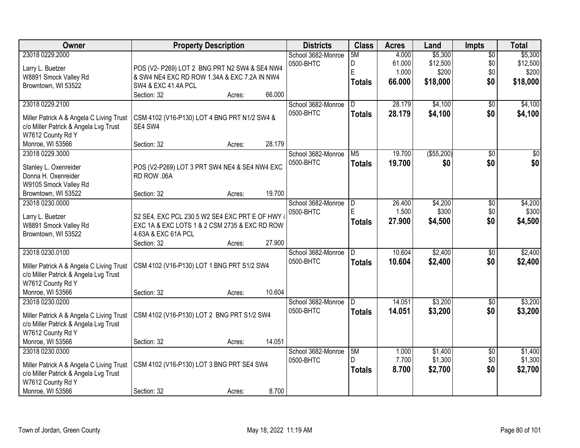| Owner                                    | <b>Property Description</b>                     |        | <b>Districts</b>   | <b>Class</b>   | <b>Acres</b> | Land        | <b>Impts</b>    | <b>Total</b>    |
|------------------------------------------|-------------------------------------------------|--------|--------------------|----------------|--------------|-------------|-----------------|-----------------|
| 23018 0229.2000                          |                                                 |        | School 3682-Monroe | 5M             | 4.000        | \$5,300     | $\overline{50}$ | \$5,300         |
| Larry L. Buetzer                         | POS (V2- P269) LOT 2 BNG PRT N2 SW4 & SE4 NW4   |        | 0500-BHTC          | D              | 61.000       | \$12,500    | \$0             | \$12,500        |
| W8891 Smock Valley Rd                    | & SW4 NE4 EXC RD ROW 1.34A & EXC 7.2A IN NW4    |        |                    | E              | 1.000        | \$200       | \$0             | \$200           |
| Browntown, WI 53522                      | SW4 & EXC 41.4A PCL                             |        |                    | <b>Totals</b>  | 66.000       | \$18,000    | \$0             | \$18,000        |
|                                          | Section: 32<br>Acres:                           | 66.000 |                    |                |              |             |                 |                 |
| 23018 0229.2100                          |                                                 |        | School 3682-Monroe | D.             | 28.179       | \$4,100     | \$0             | \$4,100         |
|                                          |                                                 |        | 0500-BHTC          | <b>Totals</b>  | 28.179       | \$4,100     | \$0             | \$4,100         |
| Miller Patrick A & Angela C Living Trust | CSM 4102 (V16-P130) LOT 4 BNG PRT N1/2 SW4 &    |        |                    |                |              |             |                 |                 |
| c/o Miller Patrick & Angela Lvg Trust    | SE4 SW4                                         |        |                    |                |              |             |                 |                 |
| W7612 County Rd Y                        |                                                 |        |                    |                |              |             |                 |                 |
| Monroe, WI 53566                         | Section: 32<br>Acres:                           | 28.179 |                    |                |              |             |                 |                 |
| 23018 0229.3000                          |                                                 |        | School 3682-Monroe | M <sub>5</sub> | 19.700       | ( \$55,200) | $\overline{50}$ | $\overline{50}$ |
| Stanley L. Oxenreider                    | POS (V2-P269) LOT 3 PRT SW4 NE4 & SE4 NW4 EXC   |        | 0500-BHTC          | <b>Totals</b>  | 19.700       | \$0         | \$0             | \$0             |
| Donna H. Oxenreider                      | RD ROW .06A                                     |        |                    |                |              |             |                 |                 |
| W9105 Smock Valley Rd                    |                                                 |        |                    |                |              |             |                 |                 |
| Browntown, WI 53522                      | Section: 32<br>Acres:                           | 19.700 |                    |                |              |             |                 |                 |
| 23018 0230,0000                          |                                                 |        | School 3682-Monroe | D              | 26.400       | \$4,200     | \$0             | \$4,200         |
|                                          |                                                 |        | 0500-BHTC          | E              | 1.500        | \$300       | \$0             | \$300           |
| Larry L. Buetzer                         | S2 SE4, EXC PCL 230.5 W2 SE4 EXC PRT E OF HWY & |        |                    |                | 27.900       | \$4,500     | \$0             | \$4,500         |
| W8891 Smock Valley Rd                    | EXC 1A & EXC LOTS 1 & 2 CSM 2735 & EXC RD ROW   |        |                    | <b>Totals</b>  |              |             |                 |                 |
| Browntown, WI 53522                      | 4.63A & EXC 61A PCL                             |        |                    |                |              |             |                 |                 |
|                                          | Section: 32<br>Acres:                           | 27.900 |                    |                |              |             |                 |                 |
| 23018 0230.0100                          |                                                 |        | School 3682-Monroe | D.             | 10.604       | \$2,400     | $\overline{50}$ | \$2,400         |
| Miller Patrick A & Angela C Living Trust | CSM 4102 (V16-P130) LOT 1 BNG PRT S1/2 SW4      |        | 0500-BHTC          | <b>Totals</b>  | 10.604       | \$2,400     | \$0             | \$2,400         |
| c/o Miller Patrick & Angela Lvg Trust    |                                                 |        |                    |                |              |             |                 |                 |
| W7612 County Rd Y                        |                                                 |        |                    |                |              |             |                 |                 |
| Monroe, WI 53566                         | Section: 32<br>Acres:                           | 10.604 |                    |                |              |             |                 |                 |
| 23018 0230.0200                          |                                                 |        | School 3682-Monroe | D              | 14.051       | \$3,200     | $\overline{50}$ | \$3,200         |
|                                          |                                                 |        | 0500-BHTC          |                | 14.051       |             | \$0             |                 |
| Miller Patrick A & Angela C Living Trust | CSM 4102 (V16-P130) LOT 2 BNG PRT S1/2 SW4      |        |                    | <b>Totals</b>  |              | \$3,200     |                 | \$3,200         |
| c/o Miller Patrick & Angela Lvg Trust    |                                                 |        |                    |                |              |             |                 |                 |
| W7612 County Rd Y                        |                                                 |        |                    |                |              |             |                 |                 |
| Monroe, WI 53566                         | Section: 32<br>Acres:                           | 14.051 |                    |                |              |             |                 |                 |
| 23018 0230.0300                          |                                                 |        | School 3682-Monroe | 5M             | 1.000        | \$1,400     | $\overline{30}$ | \$1,400         |
| Miller Patrick A & Angela C Living Trust | CSM 4102 (V16-P130) LOT 3 BNG PRT SE4 SW4       |        | 0500-BHTC          | D              | 7.700        | \$1,300     | \$0             | \$1,300         |
| c/o Miller Patrick & Angela Lvg Trust    |                                                 |        |                    | <b>Totals</b>  | 8.700        | \$2,700     | \$0             | \$2,700         |
| W7612 County Rd Y                        |                                                 |        |                    |                |              |             |                 |                 |
| Monroe, WI 53566                         | Section: 32                                     | 8.700  |                    |                |              |             |                 |                 |
|                                          | Acres:                                          |        |                    |                |              |             |                 |                 |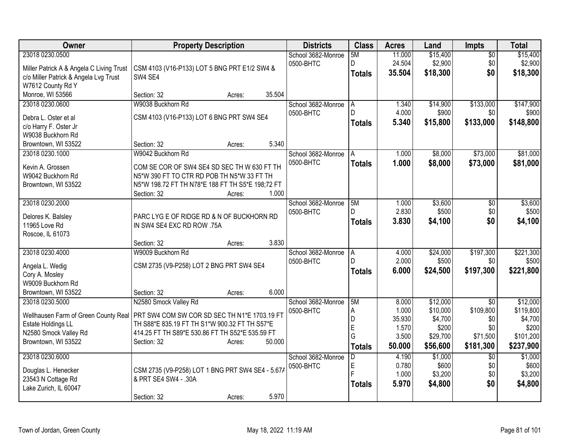| Owner                                    | <b>Property Description</b>                      | <b>Districts</b>   | <b>Class</b>  | <b>Acres</b>   | Land             | <b>Impts</b>    | <b>Total</b>     |
|------------------------------------------|--------------------------------------------------|--------------------|---------------|----------------|------------------|-----------------|------------------|
| 23018 0230.0500                          |                                                  | School 3682-Monroe | 5M            | 11.000         | \$15,400         | $\overline{50}$ | \$15,400         |
| Miller Patrick A & Angela C Living Trust | CSM 4103 (V16-P133) LOT 5 BNG PRT E1/2 SW4 &     | 0500-BHTC          | D             | 24.504         | \$2,900          | \$0             | \$2,900          |
| c/o Miller Patrick & Angela Lvg Trust    | SW4 SE4                                          |                    | <b>Totals</b> | 35.504         | \$18,300         | \$0             | \$18,300         |
| W7612 County Rd Y                        |                                                  |                    |               |                |                  |                 |                  |
| Monroe, WI 53566                         | Section: 32<br>Acres:                            | 35.504             |               |                |                  |                 |                  |
| 23018 0230.0600                          | W9038 Buckhorn Rd                                | School 3682-Monroe | A             | 1.340          | \$14,900         | \$133,000       | \$147,900        |
| Debra L. Oster et al                     | CSM 4103 (V16-P133) LOT 6 BNG PRT SW4 SE4        | 0500-BHTC          | D             | 4.000          | \$900            | \$0             | \$900            |
| c/o Harry F. Oster Jr                    |                                                  |                    | <b>Totals</b> | 5.340          | \$15,800         | \$133,000       | \$148,800        |
| W9038 Buckhorn Rd                        |                                                  |                    |               |                |                  |                 |                  |
| Browntown, WI 53522                      | Section: 32<br>Acres:                            | 5.340              |               |                |                  |                 |                  |
| 23018 0230.1000                          | W9042 Buckhorn Rd                                | School 3682-Monroe | A             | 1.000          | \$8,000          | \$73,000        | \$81,000         |
| Kevin A. Grossen                         | COM SE COR OF SW4 SE4 SD SEC TH W 630 FT TH      | 0500-BHTC          | <b>Totals</b> | 1.000          | \$8,000          | \$73,000        | \$81,000         |
| W9042 Buckhorn Rd                        | N5*W 390 FT TO CTR RD POB TH N5*W 33 FT TH       |                    |               |                |                  |                 |                  |
| Browntown, WI 53522                      | N5*W 198.72 FT TH N78*E 188 FT TH S5*E 198;72 FT |                    |               |                |                  |                 |                  |
|                                          | Section: 32<br>Acres:                            | 1.000              |               |                |                  |                 |                  |
| 23018 0230.2000                          |                                                  | School 3682-Monroe | 5M            | 1.000          | \$3,600          | \$0             | \$3,600          |
| Delores K. Balsley                       | PARC LYG E OF RIDGE RD & N OF BUCKHORN RD        | 0500-BHTC          | D.            | 2.830          | \$500            | \$0             | \$500            |
| 11965 Love Rd                            | IN SW4 SE4 EXC RD ROW .75A                       |                    | <b>Totals</b> | 3.830          | \$4,100          | \$0             | \$4,100          |
| Roscoe, IL 61073                         |                                                  |                    |               |                |                  |                 |                  |
|                                          | Section: 32<br>Acres:                            | 3.830              |               |                |                  |                 |                  |
| 23018 0230.4000                          | W9009 Buckhorn Rd                                | School 3682-Monroe | A             | 4.000          | \$24,000         | \$197,300       | \$221,300        |
| Angela L. Wedig                          | CSM 2735 (V9-P258) LOT 2 BNG PRT SW4 SE4         | 0500-BHTC          | n             | 2.000          | \$500            | \$0             | \$500            |
| Cory A. Mosley                           |                                                  |                    | <b>Totals</b> | 6.000          | \$24,500         | \$197,300       | \$221,800        |
| W9009 Buckhorn Rd                        |                                                  |                    |               |                |                  |                 |                  |
| Browntown, WI 53522                      | Section: 32<br>Acres:                            | 6.000              |               |                |                  |                 |                  |
| 23018 0230.5000                          | N2580 Smock Valley Rd                            | School 3682-Monroe | 5M            | 8.000          | \$12,000         | $\overline{50}$ | \$12,000         |
| Wellhausen Farm of Green County Real     | PRT SW4 COM SW COR SD SEC TH N1*E 1703.19 FT     | 0500-BHTC          | Α             | 1.000          | \$10,000         | \$109,800       | \$119,800        |
| Estate Holdings LL                       | TH S88*E 835.19 FT TH S1*W 900.32 FT TH S57*E    |                    | D             | 35.930         | \$4,700          | \$0             | \$4,700          |
| N2580 Smock Valley Rd                    | 414.25 FT TH S89*E 530.86 FT TH S52*E 535.59 FT  |                    | E             | 1.570          | \$200            | \$0             | \$200            |
| Browntown, WI 53522                      | Section: 32<br>Acres:                            | 50.000             | G             | 3.500          | \$29,700         | \$71,500        | \$101,200        |
|                                          |                                                  |                    | <b>Totals</b> | 50.000         | \$56,600         | \$181,300       | \$237,900        |
| 23018 0230.6000                          |                                                  | School 3682-Monroe | D             | 4.190          | \$1,000          | $\overline{50}$ | \$1,000          |
| Douglas L. Henecker                      | CSM 2735 (V9-P258) LOT 1 BNG PRT SW4 SE4 - 5.67/ | 0500-BHTC          | E<br>F        | 0.780<br>1.000 | \$600<br>\$3,200 | \$0<br>\$0      | \$600<br>\$3,200 |
| 23543 N Cottage Rd                       | & PRT SE4 SW4 - .30A                             |                    |               | 5.970          | \$4,800          | \$0             | \$4,800          |
| Lake Zurich, IL 60047                    |                                                  |                    | <b>Totals</b> |                |                  |                 |                  |
|                                          | Section: 32<br>Acres:                            | 5.970              |               |                |                  |                 |                  |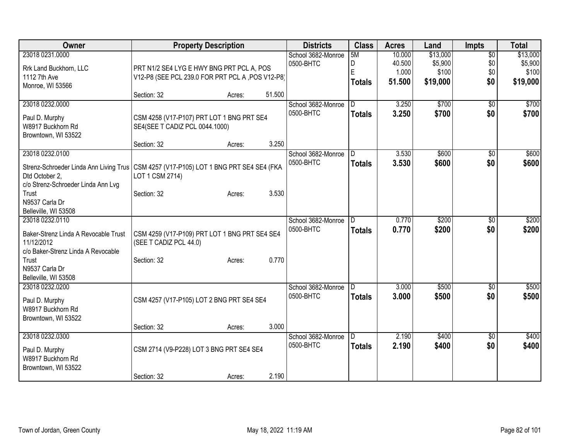| Owner                                            | <b>Property Description</b>                       |        |        | <b>Districts</b>   | <b>Class</b>     | <b>Acres</b>    | Land             | <b>Impts</b>      | <b>Total</b>     |
|--------------------------------------------------|---------------------------------------------------|--------|--------|--------------------|------------------|-----------------|------------------|-------------------|------------------|
| 23018 0231.0000                                  |                                                   |        |        | School 3682-Monroe | 5M               | 10.000          | \$13,000         | $\overline{50}$   | \$13,000         |
| Rrk Land Buckhorn, LLC                           | PRT N1/2 SE4 LYG E HWY BNG PRT PCL A, POS         |        |        | 0500-BHTC          | D<br>$\mathsf E$ | 40.500<br>1.000 | \$5,900<br>\$100 | \$0<br>\$0        | \$5,900<br>\$100 |
| 1112 7th Ave                                     | V12-P8 (SEE PCL 239.0 FOR PRT PCL A , POS V12-P8) |        |        |                    | <b>Totals</b>    | 51.500          | \$19,000         | \$0               | \$19,000         |
| Monroe, WI 53566                                 |                                                   |        |        |                    |                  |                 |                  |                   |                  |
| 23018 0232.0000                                  | Section: 32                                       | Acres: | 51.500 | School 3682-Monroe | D.               | 3.250           | \$700            |                   | \$700            |
|                                                  |                                                   |        |        | 0500-BHTC          | <b>Totals</b>    | 3.250           | \$700            | $\sqrt{6}$<br>\$0 | \$700            |
| Paul D. Murphy                                   | CSM 4258 (V17-P107) PRT LOT 1 BNG PRT SE4         |        |        |                    |                  |                 |                  |                   |                  |
| W8917 Buckhorn Rd                                | SE4(SEE T CADIZ PCL 0044.1000)                    |        |        |                    |                  |                 |                  |                   |                  |
| Browntown, WI 53522                              | Section: 32                                       | Acres: | 3.250  |                    |                  |                 |                  |                   |                  |
| 23018 0232.0100                                  |                                                   |        |        | School 3682-Monroe | D.               | 3.530           | \$600            | \$0               | \$600            |
| Strenz-Schroeder Linda Ann Living Trus           | CSM 4257 (V17-P105) LOT 1 BNG PRT SE4 SE4 (FKA    |        |        | 0500-BHTC          | <b>Totals</b>    | 3.530           | \$600            | \$0               | \$600            |
| Dtd October 2,                                   | LOT 1 CSM 2714)                                   |        |        |                    |                  |                 |                  |                   |                  |
| c/o Strenz-Schroeder Linda Ann Lvg               |                                                   |        |        |                    |                  |                 |                  |                   |                  |
| Trust                                            | Section: 32                                       | Acres: | 3.530  |                    |                  |                 |                  |                   |                  |
| N9537 Carla Dr                                   |                                                   |        |        |                    |                  |                 |                  |                   |                  |
| Belleville, WI 53508<br>23018 0232.0110          |                                                   |        |        | School 3682-Monroe | D.               | 0.770           | \$200            | $\overline{50}$   | \$200            |
|                                                  |                                                   |        |        | 0500-BHTC          | <b>Totals</b>    | 0.770           | \$200            | \$0               | \$200            |
| Baker-Strenz Linda A Revocable Trust             | CSM 4259 (V17-P109) PRT LOT 1 BNG PRT SE4 SE4     |        |        |                    |                  |                 |                  |                   |                  |
| 11/12/2012<br>c/o Baker-Strenz Linda A Revocable | (SEE T CADIZ PCL 44.0)                            |        |        |                    |                  |                 |                  |                   |                  |
| Trust                                            | Section: 32                                       | Acres: | 0.770  |                    |                  |                 |                  |                   |                  |
| N9537 Carla Dr                                   |                                                   |        |        |                    |                  |                 |                  |                   |                  |
| Belleville, WI 53508                             |                                                   |        |        |                    |                  |                 |                  |                   |                  |
| 23018 0232.0200                                  |                                                   |        |        | School 3682-Monroe | D                | 3.000           | \$500            | $\sqrt{6}$        | \$500            |
| Paul D. Murphy                                   | CSM 4257 (V17-P105) LOT 2 BNG PRT SE4 SE4         |        |        | 0500-BHTC          | <b>Totals</b>    | 3.000           | \$500            | \$0               | \$500            |
| W8917 Buckhorn Rd                                |                                                   |        |        |                    |                  |                 |                  |                   |                  |
| Browntown, WI 53522                              |                                                   |        | 3.000  |                    |                  |                 |                  |                   |                  |
| 23018 0232.0300                                  | Section: 32                                       | Acres: |        | School 3682-Monroe |                  | 2.190           | \$400            | $\overline{50}$   | \$400            |
|                                                  |                                                   |        |        | 0500-BHTC          | <b>Totals</b>    | 2.190           | \$400            | \$0               | \$400            |
| Paul D. Murphy<br>W8917 Buckhorn Rd              | CSM 2714 (V9-P228) LOT 3 BNG PRT SE4 SE4          |        |        |                    |                  |                 |                  |                   |                  |
| Browntown, WI 53522                              |                                                   |        |        |                    |                  |                 |                  |                   |                  |
|                                                  | Section: 32                                       | Acres: | 2.190  |                    |                  |                 |                  |                   |                  |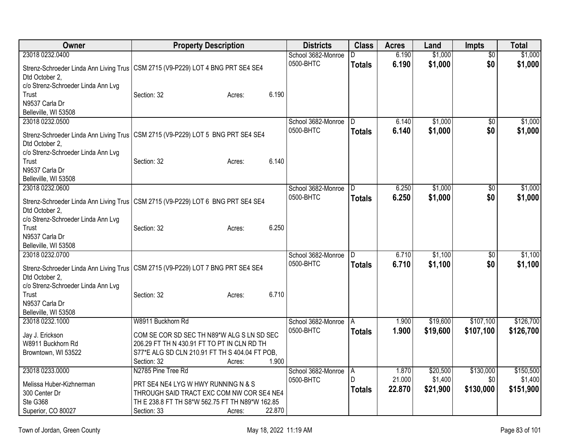| Owner                                                                             | <b>Property Description</b>                     |        | <b>Districts</b>   | <b>Class</b>   | <b>Acres</b> | Land     | Impts           | <b>Total</b> |
|-----------------------------------------------------------------------------------|-------------------------------------------------|--------|--------------------|----------------|--------------|----------|-----------------|--------------|
| 23018 0232.0400                                                                   |                                                 |        | School 3682-Monroe | D.             | 6.190        | \$1,000  | $\overline{50}$ | \$1,000      |
| Strenz-Schroeder Linda Ann Living Trus   CSM 2715 (V9-P229) LOT 4 BNG PRT SE4 SE4 |                                                 |        | 0500-BHTC          | <b>Totals</b>  | 6.190        | \$1,000  | \$0             | \$1,000      |
| Dtd October 2,                                                                    |                                                 |        |                    |                |              |          |                 |              |
| c/o Strenz-Schroeder Linda Ann Lvg                                                |                                                 |        |                    |                |              |          |                 |              |
| Trust                                                                             | Section: 32<br>Acres:                           | 6.190  |                    |                |              |          |                 |              |
| N9537 Carla Dr                                                                    |                                                 |        |                    |                |              |          |                 |              |
| Belleville, WI 53508                                                              |                                                 |        |                    |                |              |          |                 |              |
| 23018 0232.0500                                                                   |                                                 |        | School 3682-Monroe | D              | 6.140        | \$1,000  | \$0             | \$1,000      |
| Strenz-Schroeder Linda Ann Living Trus   CSM 2715 (V9-P229) LOT 5 BNG PRT SE4 SE4 |                                                 |        | 0500-BHTC          | <b>Totals</b>  | 6.140        | \$1,000  | \$0             | \$1,000      |
| Dtd October 2,                                                                    |                                                 |        |                    |                |              |          |                 |              |
| c/o Strenz-Schroeder Linda Ann Lvg                                                |                                                 |        |                    |                |              |          |                 |              |
| Trust                                                                             | Section: 32<br>Acres:                           | 6.140  |                    |                |              |          |                 |              |
| N9537 Carla Dr                                                                    |                                                 |        |                    |                |              |          |                 |              |
| Belleville, WI 53508                                                              |                                                 |        |                    |                |              |          |                 |              |
| 23018 0232.0600                                                                   |                                                 |        | School 3682-Monroe | D.             | 6.250        | \$1,000  | \$0             | \$1,000      |
| Strenz-Schroeder Linda Ann Living Trus   CSM 2715 (V9-P229) LOT 6 BNG PRT SE4 SE4 |                                                 |        | 0500-BHTC          | <b>Totals</b>  | 6.250        | \$1,000  | \$0             | \$1,000      |
| Dtd October 2,                                                                    |                                                 |        |                    |                |              |          |                 |              |
| c/o Strenz-Schroeder Linda Ann Lvg                                                |                                                 |        |                    |                |              |          |                 |              |
| Trust                                                                             | Section: 32<br>Acres:                           | 6.250  |                    |                |              |          |                 |              |
| N9537 Carla Dr                                                                    |                                                 |        |                    |                |              |          |                 |              |
| Belleville, WI 53508                                                              |                                                 |        |                    |                |              |          |                 |              |
| 23018 0232.0700                                                                   |                                                 |        | School 3682-Monroe | D.             | 6.710        | \$1,100  | $\overline{50}$ | \$1,100      |
|                                                                                   |                                                 |        | 0500-BHTC          | <b>Totals</b>  | 6.710        | \$1,100  | \$0             | \$1,100      |
| Strenz-Schroeder Linda Ann Living Trus   CSM 2715 (V9-P229) LOT 7 BNG PRT SE4 SE4 |                                                 |        |                    |                |              |          |                 |              |
| Dtd October 2,                                                                    |                                                 |        |                    |                |              |          |                 |              |
| c/o Strenz-Schroeder Linda Ann Lvg<br>Trust                                       | Section: 32                                     | 6.710  |                    |                |              |          |                 |              |
| N9537 Carla Dr                                                                    | Acres:                                          |        |                    |                |              |          |                 |              |
| Belleville, WI 53508                                                              |                                                 |        |                    |                |              |          |                 |              |
| 23018 0232.1000                                                                   | W8911 Buckhorn Rd                               |        | School 3682-Monroe | IA.            | 1.900        | \$19,600 | \$107,100       | \$126,700    |
|                                                                                   |                                                 |        | 0500-BHTC          | <b>Totals</b>  | 1.900        | \$19,600 | \$107,100       | \$126,700    |
| Jay J. Erickson                                                                   | COM SE COR SD SEC TH N89*W ALG S LN SD SEC      |        |                    |                |              |          |                 |              |
| W8911 Buckhorn Rd                                                                 | 206.29 FT TH N 430.91 FT TO PT IN CLN RD TH     |        |                    |                |              |          |                 |              |
| Browntown, WI 53522                                                               | S77*E ALG SD CLN 210.91 FT TH S 404.04 FT POB,  |        |                    |                |              |          |                 |              |
|                                                                                   | Section: 32<br>Acres:                           | 1.900  |                    |                |              |          |                 |              |
| 23018 0233.0000                                                                   | N2785 Pine Tree Rd                              |        | School 3682-Monroe | $\overline{A}$ | 1.870        | \$20,500 | \$130,000       | \$150,500    |
| Melissa Huber-Kizhnerman                                                          | PRT SE4 NE4 LYG W HWY RUNNING N & S             |        | 0500-BHTC          | D.             | 21.000       | \$1,400  | \$0             | \$1,400      |
| 300 Center Dr                                                                     | THROUGH SAID TRACT EXC COM NW COR SE4 NE4       |        |                    | <b>Totals</b>  | 22.870       | \$21,900 | \$130,000       | \$151,900    |
| Ste G368                                                                          | TH E 238.8 FT TH S8*W 562.75 FT TH N89*W 162.85 |        |                    |                |              |          |                 |              |
| Superior, CO 80027                                                                | Section: 33<br>Acres:                           | 22.870 |                    |                |              |          |                 |              |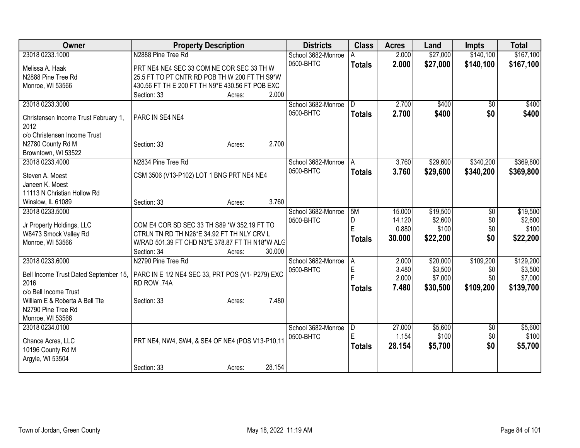| Owner                                        | <b>Property Description</b>                      |                  | <b>Districts</b>   | <b>Class</b>  | <b>Acres</b> | Land     | <b>Impts</b>    | <b>Total</b> |
|----------------------------------------------|--------------------------------------------------|------------------|--------------------|---------------|--------------|----------|-----------------|--------------|
| 23018 0233.1000                              | N2888 Pine Tree Rd                               |                  | School 3682-Monroe |               | 2.000        | \$27,000 | \$140,100       | \$167,100    |
| Melissa A. Haak                              | PRT NE4 NE4 SEC 33 COM NE COR SEC 33 TH W        |                  | 0500-BHTC          | <b>Totals</b> | 2.000        | \$27,000 | \$140,100       | \$167,100    |
| N2888 Pine Tree Rd                           | 25.5 FT TO PT CNTR RD POB TH W 200 FT TH S9*W    |                  |                    |               |              |          |                 |              |
| Monroe, WI 53566                             | 430.56 FT TH E 200 FT TH N9*E 430.56 FT POB EXC  |                  |                    |               |              |          |                 |              |
|                                              | Section: 33                                      | 2.000<br>Acres:  |                    |               |              |          |                 |              |
| 23018 0233.3000                              |                                                  |                  | School 3682-Monroe | D.            | 2.700        | \$400    | $\overline{30}$ | \$400        |
|                                              | PARC IN SE4 NE4                                  |                  | 0500-BHTC          | <b>Totals</b> | 2.700        | \$400    | \$0             | \$400        |
| Christensen Income Trust February 1,<br>2012 |                                                  |                  |                    |               |              |          |                 |              |
| c/o Christensen Income Trust                 |                                                  |                  |                    |               |              |          |                 |              |
| N2780 County Rd M                            | Section: 33                                      | 2.700<br>Acres:  |                    |               |              |          |                 |              |
| Browntown, WI 53522                          |                                                  |                  |                    |               |              |          |                 |              |
| 23018 0233.4000                              | N2834 Pine Tree Rd                               |                  | School 3682-Monroe | A             | 3.760        | \$29,600 | \$340,200       | \$369,800    |
|                                              |                                                  |                  | 0500-BHTC          | <b>Totals</b> | 3.760        | \$29,600 | \$340,200       | \$369,800    |
| Steven A. Moest                              | CSM 3506 (V13-P102) LOT 1 BNG PRT NE4 NE4        |                  |                    |               |              |          |                 |              |
| Janeen K. Moest                              |                                                  |                  |                    |               |              |          |                 |              |
| 11113 N Christian Hollow Rd                  |                                                  |                  |                    |               |              |          |                 |              |
| Winslow, IL 61089                            | Section: 33                                      | 3.760<br>Acres:  |                    |               |              |          |                 |              |
| 23018 0233.5000                              |                                                  |                  | School 3682-Monroe | 5M            | 15.000       | \$19,500 | \$0             | \$19,500     |
| Jr Property Holdings, LLC                    | COM E4 COR SD SEC 33 TH S89 *W 352.19 FT TO      |                  | 0500-BHTC          | D             | 14.120       | \$2,600  | \$0             | \$2,600      |
| W8473 Smock Valley Rd                        | CTRLN TN RD TH N26*E 34.92 FT TH NLY CRV L       |                  |                    | Ė             | 0.880        | \$100    | \$0             | \$100        |
| Monroe, WI 53566                             | W/RAD 501.39 FT CHD N3*E 378.87 FT TH N18*W ALC  |                  |                    | <b>Totals</b> | 30.000       | \$22,200 | \$0             | \$22,200     |
|                                              | Section: 34                                      | 30.000<br>Acres: |                    |               |              |          |                 |              |
| 23018 0233.6000                              | N2790 Pine Tree Rd                               |                  | School 3682-Monroe | l A           | 2.000        | \$20,000 | \$109,200       | \$129,200    |
|                                              |                                                  |                  | 0500-BHTC          | E             | 3.480        | \$3,500  | \$0             | \$3,500      |
| Bell Income Trust Dated September 15,        | PARC IN E 1/2 NE4 SEC 33, PRT POS (V1- P279) EXC |                  |                    |               | 2.000        | \$7,000  | \$0             | \$7,000      |
| 2016                                         | RD ROW .74A                                      |                  |                    | <b>Totals</b> | 7.480        | \$30,500 | \$109,200       | \$139,700    |
| c/o Bell Income Trust                        |                                                  |                  |                    |               |              |          |                 |              |
| William E & Roberta A Bell Tte               | Section: 33                                      | 7.480<br>Acres:  |                    |               |              |          |                 |              |
| N2790 Pine Tree Rd                           |                                                  |                  |                    |               |              |          |                 |              |
| Monroe, WI 53566                             |                                                  |                  |                    |               |              |          |                 |              |
| 23018 0234.0100                              |                                                  |                  | School 3682-Monroe | D             | 27.000       | \$5,600  | $\sqrt[6]{30}$  | \$5,600      |
| Chance Acres, LLC                            | PRT NE4, NW4, SW4, & SE4 OF NE4 (POS V13-P10,11  |                  | 0500-BHTC          | E             | 1.154        | \$100    | \$0             | \$100        |
| 10196 County Rd M                            |                                                  |                  |                    | <b>Totals</b> | 28.154       | \$5,700  | \$0             | \$5,700      |
| Argyle, WI 53504                             |                                                  |                  |                    |               |              |          |                 |              |
|                                              | Section: 33                                      | 28.154<br>Acres: |                    |               |              |          |                 |              |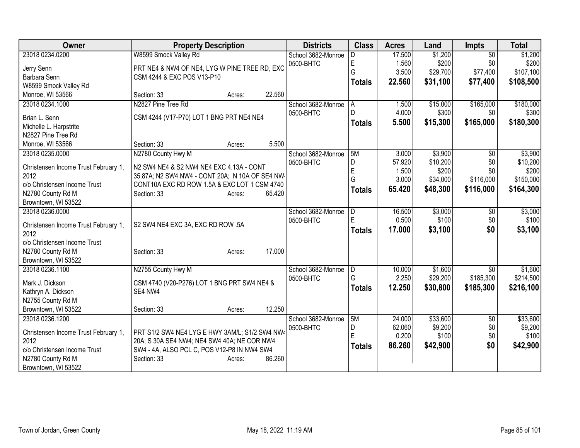| Owner                                             | <b>Property Description</b>                                                                | <b>Districts</b>   | <b>Class</b>  | <b>Acres</b> | Land     | Impts           | <b>Total</b> |
|---------------------------------------------------|--------------------------------------------------------------------------------------------|--------------------|---------------|--------------|----------|-----------------|--------------|
| 23018 0234.0200                                   | W8599 Smock Valley Rd                                                                      | School 3682-Monroe | D.            | 17.500       | \$1,200  | $\overline{50}$ | \$1,200      |
| Jerry Senn                                        | PRT NE4 & NW4 OF NE4, LYG W PINE TREE RD, EXC                                              | 0500-BHTC          | E             | 1.560        | \$200    | \$0             | \$200        |
| Barbara Senn                                      | CSM 4244 & EXC POS V13-P10                                                                 |                    | G             | 3.500        | \$29,700 | \$77,400        | \$107,100    |
| W8599 Smock Valley Rd                             |                                                                                            |                    | <b>Totals</b> | 22.560       | \$31,100 | \$77,400        | \$108,500    |
| Monroe, WI 53566                                  | 22.560<br>Section: 33<br>Acres:                                                            |                    |               |              |          |                 |              |
| 23018 0234.1000                                   | N2827 Pine Tree Rd                                                                         | School 3682-Monroe | A             | 1.500        | \$15,000 | \$165,000       | \$180,000    |
| Brian L. Senn                                     | CSM 4244 (V17-P70) LOT 1 BNG PRT NE4 NE4                                                   | 0500-BHTC          | D.            | 4.000        | \$300    | \$0             | \$300        |
| Michelle L. Harpstrite                            |                                                                                            |                    | <b>Totals</b> | 5.500        | \$15,300 | \$165,000       | \$180,300    |
| N2827 Pine Tree Rd                                |                                                                                            |                    |               |              |          |                 |              |
| Monroe, WI 53566                                  | 5.500<br>Section: 33<br>Acres:                                                             |                    |               |              |          |                 |              |
| 23018 0235.0000                                   | N2780 County Hwy M                                                                         | School 3682-Monroe | 5M            | 3.000        | \$3,900  | $\sqrt{6}$      | \$3,900      |
|                                                   |                                                                                            | 0500-BHTC          | D             | 57.920       | \$10,200 | \$0             | \$10,200     |
| Christensen Income Trust February 1,<br>2012      | N2 SW4 NE4 & S2 NW4 NE4 EXC 4.13A - CONT<br>35.87A; N2 SW4 NW4 - CONT 20A; N 10A OF SE4 NW |                    | E             | 1.500        | \$200    | \$0             | \$200        |
| c/o Christensen Income Trust                      | CONT10A EXC RD ROW 1.5A & EXC LOT 1 CSM 4740                                               |                    | G             | 3.000        | \$34,000 | \$116,000       | \$150,000    |
| N2780 County Rd M                                 | Section: 33<br>65.420<br>Acres:                                                            |                    | <b>Totals</b> | 65.420       | \$48,300 | \$116,000       | \$164,300    |
| Browntown, WI 53522                               |                                                                                            |                    |               |              |          |                 |              |
| 23018 0236.0000                                   |                                                                                            | School 3682-Monroe | D             | 16.500       | \$3,000  | \$0             | \$3,000      |
|                                                   |                                                                                            | 0500-BHTC          | E             | 0.500        | \$100    | \$0             | \$100        |
| Christensen Income Trust February 1,<br>2012      | S2 SW4 NE4 EXC 3A, EXC RD ROW .5A                                                          |                    | <b>Totals</b> | 17.000       | \$3,100  | \$0             | \$3,100      |
| c/o Christensen Income Trust                      |                                                                                            |                    |               |              |          |                 |              |
| N2780 County Rd M                                 | 17.000<br>Section: 33<br>Acres:                                                            |                    |               |              |          |                 |              |
| Browntown, WI 53522                               |                                                                                            |                    |               |              |          |                 |              |
| 23018 0236.1100                                   | N2755 County Hwy M                                                                         | School 3682-Monroe | D             | 10.000       | \$1,600  | \$0             | \$1,600      |
| Mark J. Dickson                                   |                                                                                            | 0500-BHTC          | G             | 2.250        | \$29,200 | \$185,300       | \$214,500    |
| Kathryn A. Dickson                                | CSM 4740 (V20-P276) LOT 1 BNG PRT SW4 NE4 &<br>SE4 NW4                                     |                    | <b>Totals</b> | 12.250       | \$30,800 | \$185,300       | \$216,100    |
| N2755 County Rd M                                 |                                                                                            |                    |               |              |          |                 |              |
| Browntown, WI 53522                               | 12.250<br>Section: 33<br>Acres:                                                            |                    |               |              |          |                 |              |
| 23018 0236.1200                                   |                                                                                            | School 3682-Monroe | 5M            | 24.000       | \$33,600 | $\overline{50}$ | \$33,600     |
|                                                   |                                                                                            | 0500-BHTC          | D             | 62.060       | \$9,200  | \$0             | \$9,200      |
| Christensen Income Trust February 1,              | PRT S1/2 SW4 NE4 LYG E HWY 3AM/L; S1/2 SW4 NW4                                             |                    | Ė             | 0.200        | \$100    | \$0             | \$100        |
| 2012                                              | 20A; S 30A SE4 NW4; NE4 SW4 40A; NE COR NW4                                                |                    | <b>Totals</b> | 86.260       | \$42,900 | \$0             | \$42,900     |
| c/o Christensen Income Trust<br>N2780 County Rd M | SW4 - 4A, ALSO PCL C, POS V12-P8 IN NW4 SW4<br>86.260<br>Section: 33<br>Acres:             |                    |               |              |          |                 |              |
| Browntown, WI 53522                               |                                                                                            |                    |               |              |          |                 |              |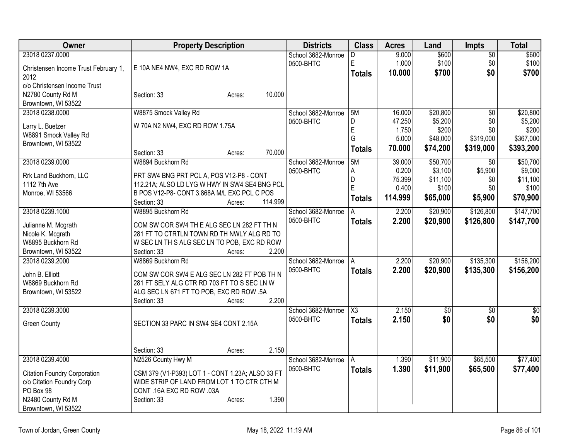| Owner                                  | <b>Property Description</b>                                                                | <b>Districts</b>   | <b>Class</b>  | <b>Acres</b> | Land            | <b>Impts</b>    | <b>Total</b>    |
|----------------------------------------|--------------------------------------------------------------------------------------------|--------------------|---------------|--------------|-----------------|-----------------|-----------------|
| 23018 0237.0000                        |                                                                                            | School 3682-Monroe | D             | 9.000        | \$600           | $\overline{60}$ | \$600           |
| Christensen Income Trust February 1,   | E 10A NE4 NW4, EXC RD ROW 1A                                                               | 0500-BHTC          | E             | 1.000        | \$100           | \$0             | \$100           |
| 2012                                   |                                                                                            |                    | <b>Totals</b> | 10,000       | \$700           | \$0             | \$700           |
| c/o Christensen Income Trust           |                                                                                            |                    |               |              |                 |                 |                 |
| N2780 County Rd M                      | 10.000<br>Section: 33<br>Acres:                                                            |                    |               |              |                 |                 |                 |
| Browntown, WI 53522                    |                                                                                            |                    |               |              |                 |                 |                 |
| 23018 0238.0000                        | W8875 Smock Valley Rd                                                                      | School 3682-Monroe | 5M            | 16.000       | \$20,800        | $\overline{50}$ | \$20,800        |
|                                        |                                                                                            | 0500-BHTC          | D             | 47.250       | \$5,200         | \$0             | \$5,200         |
| Larry L. Buetzer                       | W 70A N2 NW4, EXC RD ROW 1.75A                                                             |                    | E             | 1.750        | \$200           | \$0             | \$200           |
| W8891 Smock Valley Rd                  |                                                                                            |                    | G             | 5.000        | \$48,000        | \$319,000       | \$367,000       |
| Browntown, WI 53522                    |                                                                                            |                    | <b>Totals</b> | 70.000       | \$74,200        | \$319,000       | \$393,200       |
|                                        | 70.000<br>Section: 33<br>Acres:                                                            |                    |               |              |                 |                 |                 |
| 23018 0239.0000                        | W8894 Buckhorn Rd                                                                          | School 3682-Monroe | 5M            | 39.000       | \$50,700        | \$0             | \$50,700        |
|                                        |                                                                                            | 0500-BHTC          | A             | 0.200        | \$3,100         | \$5,900         | \$9,000         |
| Rrk Land Buckhorn, LLC<br>1112 7th Ave | PRT SW4 BNG PRT PCL A, POS V12-P8 - CONT<br>112.21A; ALSO LD LYG W HWY IN SW4 SE4 BNG PCL  |                    | D             | 75.399       | \$11,100        | \$0             | \$11,100        |
| Monroe, WI 53566                       | B POS V12-P8- CONT 3.868A M/L EXC PCL C POS                                                |                    | E             | 0.400        | \$100           | \$0             | \$100           |
|                                        | Section: 33<br>114.999<br>Acres:                                                           |                    | Totals        | 114.999      | \$65,000        | \$5,900         | \$70,900        |
| 23018 0239.1000                        | W8895 Buckhorn Rd                                                                          | School 3682-Monroe |               | 2.200        | \$20,900        | \$126,800       | \$147,700       |
|                                        |                                                                                            | 0500-BHTC          |               |              |                 |                 |                 |
| Julianne M. Mcgrath                    | COM SW COR SW4 TH E ALG SEC LN 282 FT TH N                                                 |                    | <b>Totals</b> | 2.200        | \$20,900        | \$126,800       | \$147,700       |
| Nicole K. Mcgrath                      | 281 FT TO CTRTLN TOWN RD TH NWLY ALG RD TO                                                 |                    |               |              |                 |                 |                 |
| W8895 Buckhorn Rd                      | W SEC LN TH S ALG SEC LN TO POB, EXC RD ROW                                                |                    |               |              |                 |                 |                 |
| Browntown, WI 53522                    | 2.200<br>Section: 33<br>Acres:                                                             |                    |               |              |                 |                 |                 |
| 23018 0239.2000                        | W8869 Buckhorn Rd                                                                          | School 3682-Monroe | A             | 2.200        | \$20,900        | \$135,300       | \$156,200       |
| John B. Elliott                        |                                                                                            | 0500-BHTC          | <b>Totals</b> | 2.200        | \$20,900        | \$135,300       | \$156,200       |
| W8869 Buckhorn Rd                      | COM SW COR SW4 E ALG SEC LN 282 FT POB TH N<br>281 FT SELY ALG CTR RD 703 FT TO S SEC LN W |                    |               |              |                 |                 |                 |
|                                        | ALG SEC LN 671 FT TO POB, EXC RD ROW .5A                                                   |                    |               |              |                 |                 |                 |
| Browntown, WI 53522                    | 2.200<br>Section: 33                                                                       |                    |               |              |                 |                 |                 |
| 23018 0239.3000                        | Acres:                                                                                     |                    |               |              |                 |                 |                 |
|                                        |                                                                                            | School 3682-Monroe | X3            | 2.150        | $\overline{50}$ | \$0             | $\overline{30}$ |
| <b>Green County</b>                    | SECTION 33 PARC IN SW4 SE4 CONT 2.15A                                                      | 0500-BHTC          | <b>Totals</b> | 2.150        | \$0             | \$0             | \$0             |
|                                        |                                                                                            |                    |               |              |                 |                 |                 |
|                                        |                                                                                            |                    |               |              |                 |                 |                 |
|                                        | 2.150<br>Section: 33<br>Acres:                                                             |                    |               |              |                 |                 |                 |
| 23018 0239.4000                        | N2526 County Hwy M                                                                         | School 3682-Monroe | A             | 1.390        | \$11,900        | \$65,500        | \$77,400        |
|                                        |                                                                                            | 0500-BHTC          | <b>Totals</b> | 1.390        | \$11,900        | \$65,500        | \$77,400        |
| <b>Citation Foundry Corporation</b>    | CSM 379 (V1-P393) LOT 1 - CONT 1.23A; ALSO 33 FT                                           |                    |               |              |                 |                 |                 |
| c/o Citation Foundry Corp<br>PO Box 98 | WIDE STRIP OF LAND FROM LOT 1 TO CTR CTH M                                                 |                    |               |              |                 |                 |                 |
|                                        | CONT .16A EXC RD ROW .03A                                                                  |                    |               |              |                 |                 |                 |
| N2480 County Rd M                      | 1.390<br>Section: 33<br>Acres:                                                             |                    |               |              |                 |                 |                 |
| Browntown, WI 53522                    |                                                                                            |                    |               |              |                 |                 |                 |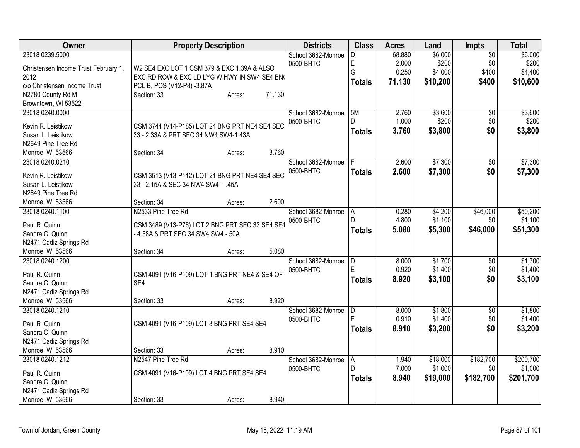| <b>Owner</b>                         | <b>Property Description</b>                                                             |        |        | <b>Districts</b>   | <b>Class</b>  | <b>Acres</b> | Land     | <b>Impts</b>    | <b>Total</b> |
|--------------------------------------|-----------------------------------------------------------------------------------------|--------|--------|--------------------|---------------|--------------|----------|-----------------|--------------|
| 23018 0239.5000                      |                                                                                         |        |        | School 3682-Monroe | D             | 68.880       | \$6,000  | \$0             | \$6,000      |
| Christensen Income Trust February 1, | W2 SE4 EXC LOT 1 CSM 379 & EXC 1.39A & ALSO                                             |        |        | 0500-BHTC          | E             | 2.000        | \$200    | \$0             | \$200        |
| 2012                                 | EXC RD ROW & EXC LD LYG W HWY IN SW4 SE4 BNO                                            |        |        |                    | G             | 0.250        | \$4,000  | \$400           | \$4,400      |
| c/o Christensen Income Trust         | PCL B, POS (V12-P8) -3.87A                                                              |        |        |                    | <b>Totals</b> | 71.130       | \$10,200 | \$400           | \$10,600     |
| N2780 County Rd M                    | Section: 33                                                                             | Acres: | 71.130 |                    |               |              |          |                 |              |
| Browntown, WI 53522                  |                                                                                         |        |        |                    |               |              |          |                 |              |
| 23018 0240.0000                      |                                                                                         |        |        | School 3682-Monroe | 5M            | 2.760        | \$3,600  | \$0             | \$3,600      |
| Kevin R. Leistikow                   |                                                                                         |        |        | 0500-BHTC          |               | 1.000        | \$200    | \$0             | \$200        |
| Susan L. Leistikow                   | CSM 3744 (V14-P185) LOT 24 BNG PRT NE4 SE4 SEC<br>33 - 2.33A & PRT SEC 34 NW4 SW4-1.43A |        |        |                    | <b>Totals</b> | 3.760        | \$3,800  | \$0             | \$3,800      |
| N2649 Pine Tree Rd                   |                                                                                         |        |        |                    |               |              |          |                 |              |
| Monroe, WI 53566                     | Section: 34                                                                             |        | 3.760  |                    |               |              |          |                 |              |
| 23018 0240.0210                      |                                                                                         | Acres: |        | School 3682-Monroe |               | 2.600        | \$7,300  |                 | \$7,300      |
|                                      |                                                                                         |        |        |                    |               |              |          | $\overline{60}$ |              |
| Kevin R. Leistikow                   | CSM 3513 (V13-P112) LOT 21 BNG PRT NE4 SE4 SEC                                          |        |        | 0500-BHTC          | <b>Totals</b> | 2.600        | \$7,300  | \$0             | \$7,300      |
| Susan L. Leistikow                   | 33 - 2.15A & SEC 34 NW4 SW4 - .45A                                                      |        |        |                    |               |              |          |                 |              |
| N2649 Pine Tree Rd                   |                                                                                         |        |        |                    |               |              |          |                 |              |
| Monroe, WI 53566                     | Section: 34                                                                             | Acres: | 2.600  |                    |               |              |          |                 |              |
| 23018 0240.1100                      | N2533 Pine Tree Rd                                                                      |        |        | School 3682-Monroe | l A           | 0.280        | \$4,200  | \$46,000        | \$50,200     |
| Paul R. Quinn                        | CSM 3489 (V13-P76) LOT 2 BNG PRT SEC 33 SE4 SE4                                         |        |        | 0500-BHTC          | D             | 4.800        | \$1,100  | \$0             | \$1,100      |
| Sandra C. Quinn                      | - 4.58A & PRT SEC 34 SW4 SW4 - 50A                                                      |        |        |                    | <b>Totals</b> | 5.080        | \$5,300  | \$46,000        | \$51,300     |
| N2471 Cadiz Springs Rd               |                                                                                         |        |        |                    |               |              |          |                 |              |
| Monroe, WI 53566                     | Section: 34                                                                             | Acres: | 5.080  |                    |               |              |          |                 |              |
| 23018 0240.1200                      |                                                                                         |        |        | School 3682-Monroe | D             | 8.000        | \$1,700  | $\sqrt[6]{3}$   | \$1,700      |
|                                      |                                                                                         |        |        | 0500-BHTC          | E             | 0.920        | \$1,400  | \$0             | \$1,400      |
| Paul R. Quinn                        | CSM 4091 (V16-P109) LOT 1 BNG PRT NE4 & SE4 OF                                          |        |        |                    | <b>Totals</b> | 8.920        | \$3,100  | \$0             | \$3,100      |
| Sandra C. Quinn                      | SE4                                                                                     |        |        |                    |               |              |          |                 |              |
| N2471 Cadiz Springs Rd               |                                                                                         |        |        |                    |               |              |          |                 |              |
| Monroe, WI 53566                     | Section: 33                                                                             | Acres: | 8.920  |                    |               |              |          |                 |              |
| 23018 0240.1210                      |                                                                                         |        |        | School 3682-Monroe | D             | 8.000        | \$1,800  | \$0             | \$1,800      |
| Paul R. Quinn                        | CSM 4091 (V16-P109) LOT 3 BNG PRT SE4 SE4                                               |        |        | 0500-BHTC          | E             | 0.910        | \$1,400  | \$0             | \$1,400      |
| Sandra C. Quinn                      |                                                                                         |        |        |                    | <b>Totals</b> | 8.910        | \$3,200  | \$0             | \$3,200      |
| N2471 Cadiz Springs Rd               |                                                                                         |        |        |                    |               |              |          |                 |              |
| Monroe, WI 53566                     | Section: 33                                                                             | Acres: | 8.910  |                    |               |              |          |                 |              |
| 23018 0240.1212                      | N2547 Pine Tree Rd                                                                      |        |        | School 3682-Monroe | A             | 1.940        | \$18,000 | \$182,700       | \$200,700    |
|                                      |                                                                                         |        |        | 0500-BHTC          | $\Gamma$      | 7.000        | \$1,000  | \$0             | \$1,000      |
| Paul R. Quinn                        | CSM 4091 (V16-P109) LOT 4 BNG PRT SE4 SE4                                               |        |        |                    | <b>Totals</b> | 8.940        | \$19,000 | \$182,700       | \$201,700    |
| Sandra C. Quinn                      |                                                                                         |        |        |                    |               |              |          |                 |              |
| N2471 Cadiz Springs Rd               |                                                                                         |        |        |                    |               |              |          |                 |              |
| Monroe, WI 53566                     | Section: 33                                                                             | Acres: | 8.940  |                    |               |              |          |                 |              |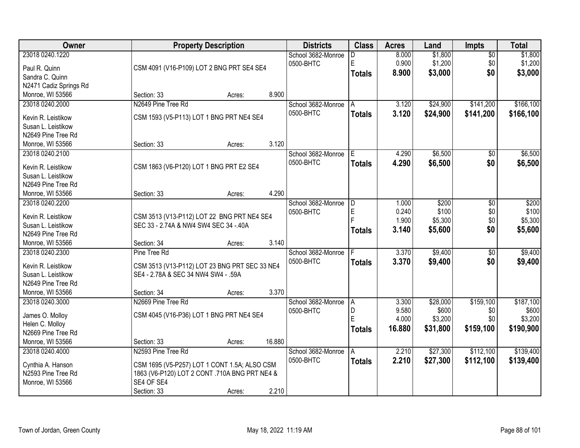| Owner                                 | <b>Property Description</b>                   |        |        | <b>Districts</b>   | <b>Class</b>  | <b>Acres</b> | Land     | <b>Impts</b>    | <b>Total</b> |
|---------------------------------------|-----------------------------------------------|--------|--------|--------------------|---------------|--------------|----------|-----------------|--------------|
| 23018 0240.1220                       |                                               |        |        | School 3682-Monroe | D             | 8.000        | \$1,800  | $\overline{50}$ | \$1,800      |
| Paul R. Quinn                         | CSM 4091 (V16-P109) LOT 2 BNG PRT SE4 SE4     |        |        | 0500-BHTC          | E             | 0.900        | \$1,200  | \$0             | \$1,200      |
| Sandra C. Quinn                       |                                               |        |        |                    | <b>Totals</b> | 8.900        | \$3,000  | \$0             | \$3,000      |
| N2471 Cadiz Springs Rd                |                                               |        |        |                    |               |              |          |                 |              |
| Monroe, WI 53566                      | Section: 33                                   | Acres: | 8.900  |                    |               |              |          |                 |              |
| 23018 0240.2000                       | N2649 Pine Tree Rd                            |        |        | School 3682-Monroe | A             | 3.120        | \$24,900 | \$141,200       | \$166, 100   |
|                                       |                                               |        |        | 0500-BHTC          | <b>Totals</b> | 3.120        | \$24,900 | \$141,200       | \$166,100    |
| Kevin R. Leistikow                    | CSM 1593 (V5-P113) LOT 1 BNG PRT NE4 SE4      |        |        |                    |               |              |          |                 |              |
| Susan L. Leistikow                    |                                               |        |        |                    |               |              |          |                 |              |
| N2649 Pine Tree Rd                    |                                               |        |        |                    |               |              |          |                 |              |
| Monroe, WI 53566                      | Section: 33                                   | Acres: | 3.120  |                    |               |              |          |                 |              |
| 23018 0240.2100                       |                                               |        |        | School 3682-Monroe | IE.           | 4.290        | \$6,500  | \$0             | \$6,500      |
| Kevin R. Leistikow                    | CSM 1863 (V6-P120) LOT 1 BNG PRT E2 SE4       |        |        | 0500-BHTC          | <b>Totals</b> | 4.290        | \$6,500  | \$0             | \$6,500      |
| Susan L. Leistikow                    |                                               |        |        |                    |               |              |          |                 |              |
| N2649 Pine Tree Rd                    |                                               |        |        |                    |               |              |          |                 |              |
| Monroe, WI 53566                      | Section: 33                                   | Acres: | 4.290  |                    |               |              |          |                 |              |
| 23018 0240.2200                       |                                               |        |        | School 3682-Monroe | D             | 1.000        | \$200    | \$0             | \$200        |
|                                       |                                               |        |        | 0500-BHTC          | $\mathsf E$   | 0.240        | \$100    | \$0             | \$100        |
| Kevin R. Leistikow                    | CSM 3513 (V13-P112) LOT 22 BNG PRT NE4 SE4    |        |        |                    |               | 1.900        | \$5,300  | \$0             | \$5,300      |
| Susan L. Leistikow                    | SEC 33 - 2.74A & NW4 SW4 SEC 34 -.40A         |        |        |                    | <b>Totals</b> | 3.140        | \$5,600  | \$0             | \$5,600      |
| N2649 Pine Tree Rd                    |                                               |        |        |                    |               |              |          |                 |              |
| Monroe, WI 53566                      | Section: 34                                   | Acres: | 3.140  |                    |               |              |          |                 |              |
| 23018 0240.2300                       | Pine Tree Rd                                  |        |        | School 3682-Monroe |               | 3.370        | \$9,400  | $\overline{50}$ | \$9,400      |
| Kevin R. Leistikow                    | CSM 3513 (V13-P112) LOT 23 BNG PRT SEC 33 NE4 |        |        | 0500-BHTC          | <b>Totals</b> | 3.370        | \$9,400  | \$0             | \$9,400      |
| Susan L. Leistikow                    | SE4 - 2.78A & SEC 34 NW4 SW4 - .59A           |        |        |                    |               |              |          |                 |              |
| N2649 Pine Tree Rd                    |                                               |        |        |                    |               |              |          |                 |              |
| Monroe, WI 53566                      | Section: 34                                   | Acres: | 3.370  |                    |               |              |          |                 |              |
| 23018 0240.3000                       | N2669 Pine Tree Rd                            |        |        | School 3682-Monroe | ΙA.           | 3.300        | \$28,000 | \$159,100       | \$187,100    |
|                                       | CSM 4045 (V16-P36) LOT 1 BNG PRT NE4 SE4      |        |        | 0500-BHTC          | D             | 9.580        | \$600    | \$0             | \$600        |
| James O. Molloy                       |                                               |        |        |                    | E             | 4.000        | \$3,200  | \$0             | \$3,200      |
| Helen C. Molloy<br>N2669 Pine Tree Rd |                                               |        |        |                    | <b>Totals</b> | 16.880       | \$31,800 | \$159,100       | \$190,900    |
|                                       |                                               |        | 16.880 |                    |               |              |          |                 |              |
| Monroe, WI 53566                      | Section: 33                                   | Acres: |        |                    |               |              |          |                 |              |
| 23018 0240.4000                       | N2593 Pine Tree Rd                            |        |        | School 3682-Monroe | A             | 2.210        | \$27,300 | \$112,100       | \$139,400    |
| Cynthia A. Hanson                     | CSM 1695 (V5-P257) LOT 1 CONT 1.5A; ALSO CSM  |        |        | 0500-BHTC          | <b>Totals</b> | 2.210        | \$27,300 | \$112,100       | \$139,400    |
| N2593 Pine Tree Rd                    | 1863 (V6-P120) LOT 2 CONT .710A BNG PRT NE4 & |        |        |                    |               |              |          |                 |              |
| Monroe, WI 53566                      | SE4 OF SE4                                    |        |        |                    |               |              |          |                 |              |
|                                       | Section: 33                                   | Acres: | 2.210  |                    |               |              |          |                 |              |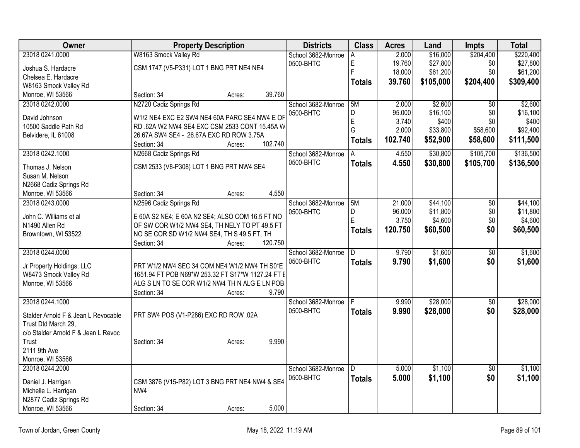| Owner                               |                                                   | <b>Property Description</b> |         | <b>Districts</b>                | <b>Class</b>  | <b>Acres</b> | Land      | <b>Impts</b>    | <b>Total</b> |
|-------------------------------------|---------------------------------------------------|-----------------------------|---------|---------------------------------|---------------|--------------|-----------|-----------------|--------------|
| 23018 0241.0000                     | W8163 Smock Valley Rd                             |                             |         | School 3682-Monroe              | A             | 2.000        | \$16,000  | \$204,400       | \$220,400    |
| Joshua S. Hardacre                  | CSM 1747 (V5-P331) LOT 1 BNG PRT NE4 NE4          |                             |         | 0500-BHTC                       | E             | 19.760       | \$27,800  | \$0             | \$27,800     |
| Chelsea E. Hardacre                 |                                                   |                             |         |                                 | E             | 18.000       | \$61,200  | \$0             | \$61,200     |
| W8163 Smock Valley Rd               |                                                   |                             |         |                                 | <b>Totals</b> | 39.760       | \$105,000 | \$204,400       | \$309,400    |
| Monroe, WI 53566                    | Section: 34                                       | Acres:                      | 39.760  |                                 |               |              |           |                 |              |
| 23018 0242.0000                     | N2720 Cadiz Springs Rd                            |                             |         | School 3682-Monroe              | 5M            | 2.000        | \$2,600   | $\overline{50}$ | \$2,600      |
| David Johnson                       | W1/2 NE4 EXC E2 SW4 NE4 60A PARC SE4 NW4 E OF     |                             |         | 0500-BHTC                       | D             | 95.000       | \$16,100  | \$0             | \$16,100     |
| 10500 Saddle Path Rd                | RD .62A W2 NW4 SE4 EXC CSM 2533 CONT 15.45A W     |                             |         |                                 | E             | 3.740        | \$400     | \$0             | \$400        |
| Belvidere, IL 61008                 | 26.67A SW4 SE4 - 26.67A EXC RD ROW 3.75A          |                             |         |                                 | G             | 2.000        | \$33,800  | \$58,600        | \$92,400     |
|                                     | Section: 34                                       | Acres:                      | 102.740 |                                 | <b>Totals</b> | 102.740      | \$52,900  | \$58,600        | \$111,500    |
| 23018 0242.1000                     | N2668 Cadiz Springs Rd                            |                             |         | School 3682-Monroe              | А             | 4.550        | \$30,800  | \$105,700       | \$136,500    |
|                                     |                                                   |                             |         | 0500-BHTC                       | <b>Totals</b> | 4.550        | \$30,800  | \$105,700       | \$136,500    |
| Thomas J. Nelson                    | CSM 2533 (V8-P308) LOT 1 BNG PRT NW4 SE4          |                             |         |                                 |               |              |           |                 |              |
| Susan M. Nelson                     |                                                   |                             |         |                                 |               |              |           |                 |              |
| N2668 Cadiz Springs Rd              |                                                   |                             |         |                                 |               |              |           |                 |              |
| Monroe, WI 53566                    | Section: 34                                       | Acres:                      | 4.550   |                                 |               |              |           |                 |              |
| 23018 0243.0000                     | N2596 Cadiz Springs Rd                            |                             |         | School 3682-Monroe              | 5M            | 21.000       | \$44,100  | \$0             | \$44,100     |
| John C. Williams et al              | E 60A S2 NE4; E 60A N2 SE4; ALSO COM 16.5 FT NO   |                             |         | 0500-BHTC                       | D<br>E        | 96.000       | \$11,800  | \$0             | \$11,800     |
| N1490 Allen Rd                      | OF SW COR W1/2 NW4 SE4, TH NELY TO PT 49.5 FT     |                             |         |                                 |               | 3.750        | \$4,600   | \$0             | \$4,600      |
| Browntown, WI 53522                 | NO SE COR SD W1/2 NW4 SE4, TH S 49.5 FT, TH       |                             |         |                                 | <b>Totals</b> | 120.750      | \$60,500  | \$0             | \$60,500     |
|                                     | Section: 34                                       | Acres:                      | 120.750 |                                 |               |              |           |                 |              |
| 23018 0244.0000                     |                                                   |                             |         | School 3682-Monroe              | D             | 9.790        | \$1,600   | $\overline{30}$ | \$1,600      |
| Jr Property Holdings, LLC           | PRT W1/2 NW4 SEC 34 COM NE4 W1/2 NW4 TH S0*E      |                             |         | 0500-BHTC                       | <b>Totals</b> | 9.790        | \$1,600   | \$0             | \$1,600      |
| W8473 Smock Valley Rd               | 1651.94 FT POB N69*W 253.32 FT S17*W 1127.24 FT E |                             |         |                                 |               |              |           |                 |              |
| Monroe, WI 53566                    | ALG S LN TO SE COR W1/2 NW4 TH N ALG E LN POB     |                             |         |                                 |               |              |           |                 |              |
|                                     | Section: 34                                       | Acres:                      | 9.790   |                                 |               |              |           |                 |              |
| 23018 0244.1000                     |                                                   |                             |         | School 3682-Monroe              |               | 9.990        | \$28,000  | $\sqrt{6}$      | \$28,000     |
|                                     |                                                   |                             |         | 0500-BHTC                       | <b>Totals</b> | 9.990        | \$28,000  | \$0             | \$28,000     |
| Stalder Arnold F & Jean L Revocable | PRT SW4 POS (V1-P286) EXC RD ROW .02A             |                             |         |                                 |               |              |           |                 |              |
| Trust Dtd March 29,                 |                                                   |                             |         |                                 |               |              |           |                 |              |
| c/o Stalder Arnold F & Jean L Revoc |                                                   |                             |         |                                 |               |              |           |                 |              |
| Trust                               | Section: 34                                       | Acres:                      | 9.990   |                                 |               |              |           |                 |              |
| 2111 9th Ave                        |                                                   |                             |         |                                 |               |              |           |                 |              |
| Monroe, WI 53566                    |                                                   |                             |         |                                 |               |              |           |                 |              |
| 23018 0244.2000                     |                                                   |                             |         | School 3682-Monroe<br>0500-BHTC | D.            | 5.000        | \$1,100   | $\overline{50}$ | \$1,100      |
| Daniel J. Harrigan                  | CSM 3876 (V15-P82) LOT 3 BNG PRT NE4 NW4 & SE4    |                             |         |                                 | <b>Totals</b> | 5.000        | \$1,100   | \$0             | \$1,100      |
| Michelle L. Harrigan                | NW4                                               |                             |         |                                 |               |              |           |                 |              |
| N2877 Cadiz Springs Rd              |                                                   |                             |         |                                 |               |              |           |                 |              |
| Monroe, WI 53566                    | Section: 34                                       | Acres:                      | 5.000   |                                 |               |              |           |                 |              |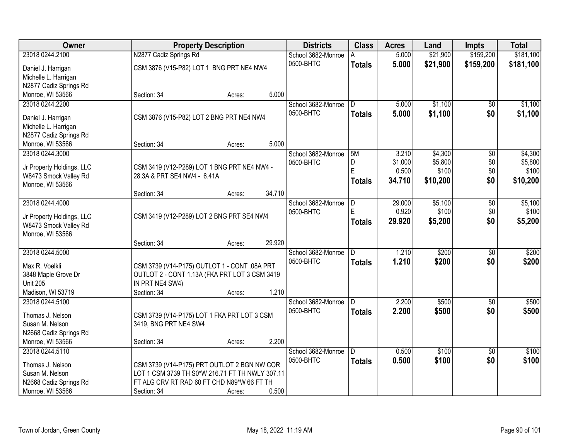| <b>Owner</b>                               |                                                 | <b>Property Description</b> |        | <b>Districts</b>   | <b>Class</b>  | <b>Acres</b> | Land     | <b>Impts</b>    | <b>Total</b> |
|--------------------------------------------|-------------------------------------------------|-----------------------------|--------|--------------------|---------------|--------------|----------|-----------------|--------------|
| 23018 0244.2100                            | N2877 Cadiz Springs Rd                          |                             |        | School 3682-Monroe |               | 5.000        | \$21,900 | \$159,200       | \$181,100    |
| Daniel J. Harrigan                         | CSM 3876 (V15-P82) LOT 1 BNG PRT NE4 NW4        |                             |        | 0500-BHTC          | <b>Totals</b> | 5.000        | \$21,900 | \$159,200       | \$181,100    |
| Michelle L. Harrigan                       |                                                 |                             |        |                    |               |              |          |                 |              |
| N2877 Cadiz Springs Rd                     |                                                 |                             |        |                    |               |              |          |                 |              |
| Monroe, WI 53566                           | Section: 34                                     | Acres:                      | 5.000  |                    |               |              |          |                 |              |
| 23018 0244.2200                            |                                                 |                             |        | School 3682-Monroe | D.            | 5.000        | \$1,100  | \$0             | \$1,100      |
|                                            |                                                 |                             |        | 0500-BHTC          | <b>Totals</b> | 5.000        | \$1,100  | \$0             | \$1,100      |
| Daniel J. Harrigan                         | CSM 3876 (V15-P82) LOT 2 BNG PRT NE4 NW4        |                             |        |                    |               |              |          |                 |              |
| Michelle L. Harrigan                       |                                                 |                             |        |                    |               |              |          |                 |              |
| N2877 Cadiz Springs Rd<br>Monroe, WI 53566 | Section: 34                                     | Acres:                      | 5.000  |                    |               |              |          |                 |              |
| 23018 0244.3000                            |                                                 |                             |        | School 3682-Monroe | 5M            | 3.210        | \$4,300  | \$0             | \$4,300      |
|                                            |                                                 |                             |        | 0500-BHTC          | D             | 31.000       | \$5,800  | \$0             | \$5,800      |
| Jr Property Holdings, LLC                  | CSM 3419 (V12-P289) LOT 1 BNG PRT NE4 NW4 -     |                             |        |                    | F             | 0.500        | \$100    | \$0             | \$100        |
| W8473 Smock Valley Rd                      | 28.3A & PRT SE4 NW4 - 6.41A                     |                             |        |                    | <b>Totals</b> | 34.710       | \$10,200 | \$0             | \$10,200     |
| Monroe, WI 53566                           |                                                 |                             |        |                    |               |              |          |                 |              |
|                                            | Section: 34                                     | Acres:                      | 34.710 |                    |               |              |          |                 |              |
| 23018 0244.4000                            |                                                 |                             |        | School 3682-Monroe | D             | 29.000       | \$5,100  | $\overline{50}$ | \$5,100      |
| Jr Property Holdings, LLC                  | CSM 3419 (V12-P289) LOT 2 BNG PRT SE4 NW4       |                             |        | 0500-BHTC          | F             | 0.920        | \$100    | \$0             | \$100        |
| W8473 Smock Valley Rd                      |                                                 |                             |        |                    | <b>Totals</b> | 29.920       | \$5,200  | \$0             | \$5,200      |
| Monroe, WI 53566                           |                                                 |                             |        |                    |               |              |          |                 |              |
|                                            | Section: 34                                     | Acres:                      | 29.920 |                    |               |              |          |                 |              |
| 23018 0244.5000                            |                                                 |                             |        | School 3682-Monroe | D.            | 1.210        | \$200    | $\overline{50}$ | \$200        |
| Max R. Voelkli                             | CSM 3739 (V14-P175) OUTLOT 1 - CONT .08A PRT    |                             |        | 0500-BHTC          | <b>Totals</b> | 1.210        | \$200    | \$0             | \$200        |
| 3848 Maple Grove Dr                        | OUTLOT 2 - CONT 1.13A (FKA PRT LOT 3 CSM 3419   |                             |        |                    |               |              |          |                 |              |
| <b>Unit 205</b>                            | IN PRT NE4 SW4)                                 |                             |        |                    |               |              |          |                 |              |
| Madison, WI 53719                          | Section: 34                                     | Acres:                      | 1.210  |                    |               |              |          |                 |              |
| 23018 0244.5100                            |                                                 |                             |        | School 3682-Monroe | D             | 2.200        | \$500    | $\overline{60}$ | \$500        |
|                                            |                                                 |                             |        | 0500-BHTC          | <b>Totals</b> | 2.200        | \$500    | \$0             | \$500        |
| Thomas J. Nelson                           | CSM 3739 (V14-P175) LOT 1 FKA PRT LOT 3 CSM     |                             |        |                    |               |              |          |                 |              |
| Susan M. Nelson                            | 3419, BNG PRT NE4 SW4                           |                             |        |                    |               |              |          |                 |              |
| N2668 Cadiz Springs Rd                     |                                                 |                             |        |                    |               |              |          |                 |              |
| Monroe, WI 53566                           | Section: 34                                     | Acres:                      | 2.200  |                    |               |              |          |                 |              |
| 23018 0244.5110                            |                                                 |                             |        | School 3682-Monroe | D.            | 0.500        | \$100    | $\overline{50}$ | \$100        |
| Thomas J. Nelson                           | CSM 3739 (V14-P175) PRT OUTLOT 2 BGN NW COR     |                             |        | 0500-BHTC          | <b>Totals</b> | 0.500        | \$100    | \$0             | \$100        |
| Susan M. Nelson                            | LOT 1 CSM 3739 TH S0*W 216.71 FT TH NWLY 307.11 |                             |        |                    |               |              |          |                 |              |
| N2668 Cadiz Springs Rd                     | FT ALG CRV RT RAD 60 FT CHD N89*W 66 FT TH      |                             |        |                    |               |              |          |                 |              |
| Monroe, WI 53566                           | Section: 34                                     | Acres:                      | 0.500  |                    |               |              |          |                 |              |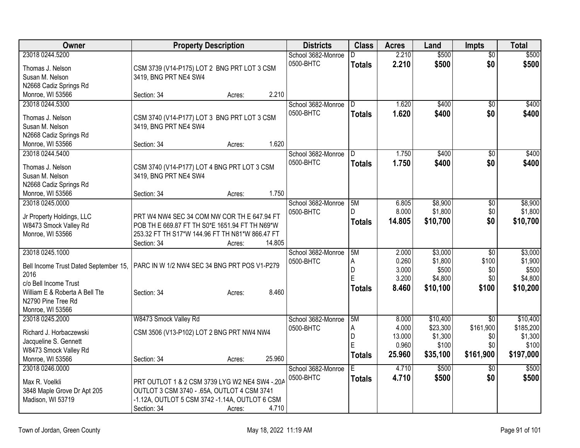| Owner                                 | <b>Property Description</b>                     |        |        | <b>Districts</b>                | <b>Class</b>  | <b>Acres</b> | Land     | <b>Impts</b>    | <b>Total</b> |
|---------------------------------------|-------------------------------------------------|--------|--------|---------------------------------|---------------|--------------|----------|-----------------|--------------|
| 23018 0244.5200                       |                                                 |        |        | School 3682-Monroe              | D.            | 2.210        | \$500    | \$0             | \$500        |
| Thomas J. Nelson                      | CSM 3739 (V14-P175) LOT 2 BNG PRT LOT 3 CSM     |        |        | 0500-BHTC                       | <b>Totals</b> | 2.210        | \$500    | \$0             | \$500        |
| Susan M. Nelson                       | 3419, BNG PRT NE4 SW4                           |        |        |                                 |               |              |          |                 |              |
| N2668 Cadiz Springs Rd                |                                                 |        |        |                                 |               |              |          |                 |              |
| Monroe, WI 53566                      | Section: 34                                     | Acres: | 2.210  |                                 |               |              |          |                 |              |
| 23018 0244.5300                       |                                                 |        |        | School 3682-Monroe              | D.            | 1.620        | \$400    | \$0             | \$400        |
|                                       |                                                 |        |        | 0500-BHTC                       | <b>Totals</b> | 1.620        | \$400    | \$0             | \$400        |
| Thomas J. Nelson                      | CSM 3740 (V14-P177) LOT 3 BNG PRT LOT 3 CSM     |        |        |                                 |               |              |          |                 |              |
| Susan M. Nelson                       | 3419, BNG PRT NE4 SW4                           |        |        |                                 |               |              |          |                 |              |
| N2668 Cadiz Springs Rd                |                                                 |        | 1.620  |                                 |               |              |          |                 |              |
| Monroe, WI 53566                      | Section: 34                                     | Acres: |        |                                 |               |              |          |                 |              |
| 23018 0244.5400                       |                                                 |        |        | School 3682-Monroe<br>0500-BHTC |               | 1.750        | \$400    | \$0             | \$400        |
| Thomas J. Nelson                      | CSM 3740 (V14-P177) LOT 4 BNG PRT LOT 3 CSM     |        |        |                                 | Totals        | 1.750        | \$400    | \$0             | \$400        |
| Susan M. Nelson                       | 3419, BNG PRT NE4 SW4                           |        |        |                                 |               |              |          |                 |              |
| N2668 Cadiz Springs Rd                |                                                 |        |        |                                 |               |              |          |                 |              |
| Monroe, WI 53566                      | Section: 34                                     | Acres: | 1.750  |                                 |               |              |          |                 |              |
| 23018 0245.0000                       |                                                 |        |        | School 3682-Monroe              | 5M            | 6.805        | \$8,900  | $\overline{50}$ | \$8,900      |
| Jr Property Holdings, LLC             | PRT W4 NW4 SEC 34 COM NW COR TH E 647.94 FT     |        |        | 0500-BHTC                       | D.            | 8.000        | \$1,800  | \$0             | \$1,800      |
| W8473 Smock Valley Rd                 | POB TH E 669.87 FT TH S0*E 1651.94 FT TH N69*W  |        |        |                                 | <b>Totals</b> | 14.805       | \$10,700 | \$0             | \$10,700     |
| Monroe, WI 53566                      | 253.32 FT TH S17*W 144.96 FT TH N81*W 866.47 FT |        |        |                                 |               |              |          |                 |              |
|                                       | Section: 34                                     | Acres: | 14.805 |                                 |               |              |          |                 |              |
| 23018 0245.1000                       |                                                 |        |        | School 3682-Monroe              | 5M            | 2.000        | \$3,000  | $\overline{30}$ | \$3,000      |
|                                       |                                                 |        |        | 0500-BHTC                       | A             | 0.260        | \$1,800  | \$100           | \$1,900      |
| Bell Income Trust Dated September 15, | PARC IN W 1/2 NW4 SEC 34 BNG PRT POS V1-P279    |        |        |                                 | D             | 3.000        | \$500    | \$0             | \$500        |
| 2016<br>c/o Bell Income Trust         |                                                 |        |        |                                 | E             | 3.200        | \$4,800  | \$0             | \$4,800      |
| William E & Roberta A Bell Tte        | Section: 34                                     |        | 8.460  |                                 | <b>Totals</b> | 8.460        | \$10,100 | \$100           | \$10,200     |
| N2790 Pine Tree Rd                    |                                                 | Acres: |        |                                 |               |              |          |                 |              |
| Monroe, WI 53566                      |                                                 |        |        |                                 |               |              |          |                 |              |
| 23018 0245.2000                       | W8473 Smock Valley Rd                           |        |        | School 3682-Monroe              | 5M            | 8.000        | \$10,400 | $\overline{50}$ | \$10,400     |
|                                       |                                                 |        |        | 0500-BHTC                       | Α             | 4.000        | \$23,300 | \$161,900       | \$185,200    |
| Richard J. Horbaczewski               | CSM 3506 (V13-P102) LOT 2 BNG PRT NW4 NW4       |        |        |                                 | D             | 13.000       | \$1,300  | \$0             | \$1,300      |
| Jacqueline S. Gennett                 |                                                 |        |        |                                 | E             | 0.960        | \$100    | \$0             | \$100        |
| W8473 Smock Valley Rd                 |                                                 |        |        |                                 | <b>Totals</b> | 25.960       | \$35,100 | \$161,900       | \$197,000    |
| Monroe, WI 53566                      | Section: 34                                     | Acres: | 25.960 |                                 |               |              |          |                 |              |
| 23018 0246.0000                       |                                                 |        |        | School 3682-Monroe              | E             | 4.710        | \$500    | \$0             | \$500        |
| Max R. Voelkli                        | PRT OUTLOT 1 & 2 CSM 3739 LYG W2 NE4 SW4 -. 20A |        |        | 0500-BHTC                       | <b>Totals</b> | 4.710        | \$500    | \$0             | \$500        |
| 3848 Maple Grove Dr Apt 205           | OUTLOT 3 CSM 3740 - .65A, OUTLOT 4 CSM 3741     |        |        |                                 |               |              |          |                 |              |
| Madison, WI 53719                     | -1.12A, OUTLOT 5 CSM 3742 -1.14A, OUTLOT 6 CSM  |        |        |                                 |               |              |          |                 |              |
|                                       | Section: 34                                     | Acres: | 4.710  |                                 |               |              |          |                 |              |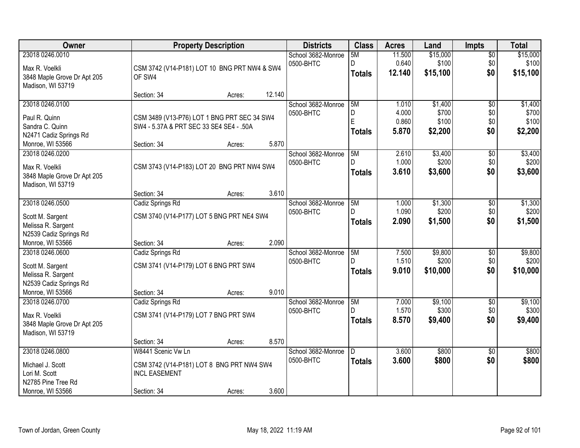| Owner                                                                                                   |                                                                                                        | <b>Property Description</b> |        | <b>Districts</b>                | <b>Class</b>                  | <b>Acres</b>                     | Land                                 | <b>Impts</b>                         | <b>Total</b>                         |
|---------------------------------------------------------------------------------------------------------|--------------------------------------------------------------------------------------------------------|-----------------------------|--------|---------------------------------|-------------------------------|----------------------------------|--------------------------------------|--------------------------------------|--------------------------------------|
| 23018 0246.0010<br>Max R. Voelkli<br>3848 Maple Grove Dr Apt 205<br>Madison, WI 53719                   | CSM 3742 (V14-P181) LOT 10 BNG PRT NW4 & SW4<br>OF SW4                                                 |                             |        | School 3682-Monroe<br>0500-BHTC | 5M<br>D.<br><b>Totals</b>     | 11.500<br>0.640<br>12.140        | \$15,000<br>\$100<br>\$15,100        | $\overline{30}$<br>\$0<br>\$0        | \$15,000<br>\$100<br>\$15,100        |
|                                                                                                         | Section: 34                                                                                            | Acres:                      | 12.140 |                                 |                               |                                  |                                      |                                      |                                      |
| 23018 0246.0100<br>Paul R. Quinn<br>Sandra C. Quinn<br>N2471 Cadiz Springs Rd<br>Monroe, WI 53566       | CSM 3489 (V13-P76) LOT 1 BNG PRT SEC 34 SW4<br>SW4 - 5.37A & PRT SEC 33 SE4 SE4 - .50A<br>Section: 34  | Acres:                      | 5.870  | School 3682-Monroe<br>0500-BHTC | 5M<br>D<br>E<br><b>Totals</b> | 1.010<br>4.000<br>0.860<br>5.870 | \$1,400<br>\$700<br>\$100<br>\$2,200 | $\overline{50}$<br>\$0<br>\$0<br>\$0 | \$1,400<br>\$700<br>\$100<br>\$2,200 |
| 23018 0246.0200<br>Max R. Voelkli<br>3848 Maple Grove Dr Apt 205<br>Madison, WI 53719                   | CSM 3743 (V14-P183) LOT 20 BNG PRT NW4 SW4<br>Section: 34                                              | Acres:                      | 3.610  | School 3682-Monroe<br>0500-BHTC | 5M<br>n<br><b>Totals</b>      | 2.610<br>1.000<br>3.610          | \$3,400<br>\$200<br>\$3,600          | \$0<br>\$0<br>\$0                    | \$3,400<br>\$200<br>\$3,600          |
| 23018 0246.0500<br>Scott M. Sargent<br>Melissa R. Sargent<br>N2539 Cadiz Springs Rd<br>Monroe, WI 53566 | Cadiz Springs Rd<br>CSM 3740 (V14-P177) LOT 5 BNG PRT NE4 SW4<br>Section: 34                           | Acres:                      | 2.090  | School 3682-Monroe<br>0500-BHTC | 5M<br>D.<br><b>Totals</b>     | 1.000<br>1.090<br>2.090          | \$1,300<br>\$200<br>\$1,500          | \$0<br>\$0<br>\$0                    | \$1,300<br>\$200<br>\$1,500          |
| 23018 0246.0600<br>Scott M. Sargent<br>Melissa R. Sargent<br>N2539 Cadiz Springs Rd<br>Monroe, WI 53566 | Cadiz Springs Rd<br>CSM 3741 (V14-P179) LOT 6 BNG PRT SW4<br>Section: 34                               | Acres:                      | 9.010  | School 3682-Monroe<br>0500-BHTC | 5M<br>D.<br><b>Totals</b>     | 7.500<br>1.510<br>9.010          | \$9,800<br>\$200<br>\$10,000         | $\overline{30}$<br>\$0<br>\$0        | \$9,800<br>\$200<br>\$10,000         |
| 23018 0246.0700<br>Max R. Voelkli<br>3848 Maple Grove Dr Apt 205<br>Madison, WI 53719                   | Cadiz Springs Rd<br>CSM 3741 (V14-P179) LOT 7 BNG PRT SW4<br>Section: 34                               | Acres:                      | 8.570  | School 3682-Monroe<br>0500-BHTC | 5M<br><b>Totals</b>           | 7.000<br>1.570<br>8.570          | \$9,100<br>\$300<br>\$9,400          | $\overline{50}$<br>\$0<br>\$0        | \$9,100<br>\$300<br>\$9,400          |
| 23018 0246.0800<br>Michael J. Scott<br>Lori M. Scott<br>N2785 Pine Tree Rd<br>Monroe, WI 53566          | W8441 Scenic Vw Ln<br>CSM 3742 (V14-P181) LOT 8 BNG PRT NW4 SW4<br><b>INCL EASEMENT</b><br>Section: 34 | Acres:                      | 3.600  | School 3682-Monroe<br>0500-BHTC | D.<br><b>Totals</b>           | 3.600<br>3.600                   | \$800<br>\$800                       | $\overline{30}$<br>\$0               | \$800<br>\$800                       |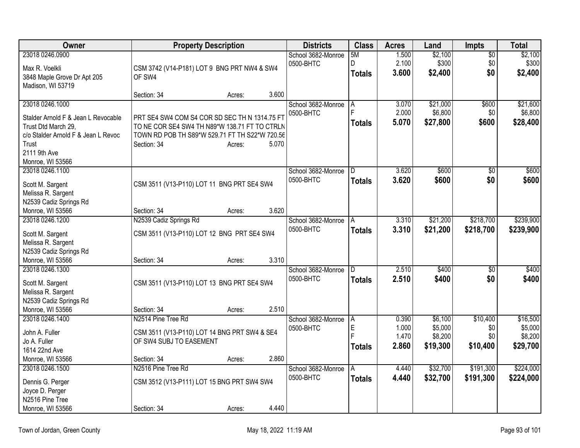| Owner                                  |                                                | <b>Property Description</b> |       | <b>Districts</b>   | <b>Class</b>  | <b>Acres</b> | Land     | <b>Impts</b>    | <b>Total</b> |
|----------------------------------------|------------------------------------------------|-----------------------------|-------|--------------------|---------------|--------------|----------|-----------------|--------------|
| 23018 0246.0900                        |                                                |                             |       | School 3682-Monroe | 5M            | 1.500        | \$2,100  | $\overline{50}$ | \$2,100      |
| Max R. Voelkli                         | CSM 3742 (V14-P181) LOT 9 BNG PRT NW4 & SW4    |                             |       | 0500-BHTC          | D.            | 2.100        | \$300    | \$0             | \$300        |
| 3848 Maple Grove Dr Apt 205            | OF SW4                                         |                             |       |                    | Totals        | 3.600        | \$2,400  | \$0             | \$2,400      |
| Madison, WI 53719                      |                                                |                             |       |                    |               |              |          |                 |              |
|                                        | Section: 34                                    | Acres:                      | 3.600 |                    |               |              |          |                 |              |
| 23018 0246.1000                        |                                                |                             |       | School 3682-Monroe | l A           | 3.070        | \$21,000 | \$600           | \$21,600     |
| Stalder Arnold F & Jean L Revocable    | PRT SE4 SW4 COM S4 COR SD SEC TH N 1314.75 FT  |                             |       | 0500-BHTC          |               | 2.000        | \$6,800  | \$0             | \$6,800      |
| Trust Dtd March 29,                    | TO NE COR SE4 SW4 TH N89*W 138.71 FT TO CTRLN  |                             |       |                    | <b>Totals</b> | 5.070        | \$27,800 | \$600           | \$28,400     |
| c/o Stalder Arnold F & Jean L Revoc    | TOWN RD POB TH S89*W 529.71 FT TH S22*W 720.56 |                             |       |                    |               |              |          |                 |              |
| Trust                                  | Section: 34                                    | Acres:                      | 5.070 |                    |               |              |          |                 |              |
| 2111 9th Ave                           |                                                |                             |       |                    |               |              |          |                 |              |
| Monroe, WI 53566                       |                                                |                             |       |                    |               |              |          |                 |              |
| 23018 0246.1100                        |                                                |                             |       | School 3682-Monroe | D             | 3.620        | \$600    | \$0             | \$600        |
|                                        |                                                |                             |       | 0500-BHTC          | <b>Totals</b> | 3.620        | \$600    | \$0             | \$600        |
| Scott M. Sargent<br>Melissa R. Sargent | CSM 3511 (V13-P110) LOT 11 BNG PRT SE4 SW4     |                             |       |                    |               |              |          |                 |              |
| N2539 Cadiz Springs Rd                 |                                                |                             |       |                    |               |              |          |                 |              |
| Monroe, WI 53566                       | Section: 34                                    | Acres:                      | 3.620 |                    |               |              |          |                 |              |
| 23018 0246.1200                        | N2539 Cadiz Springs Rd                         |                             |       | School 3682-Monroe | A             | 3.310        | \$21,200 | \$218,700       | \$239,900    |
|                                        |                                                |                             |       | 0500-BHTC          | <b>Totals</b> | 3.310        | \$21,200 | \$218,700       | \$239,900    |
| Scott M. Sargent                       | CSM 3511 (V13-P110) LOT 12 BNG PRT SE4 SW4     |                             |       |                    |               |              |          |                 |              |
| Melissa R. Sargent                     |                                                |                             |       |                    |               |              |          |                 |              |
| N2539 Cadiz Springs Rd                 |                                                |                             |       |                    |               |              |          |                 |              |
| Monroe, WI 53566                       | Section: 34                                    | Acres:                      | 3.310 |                    |               |              |          |                 |              |
| 23018 0246.1300                        |                                                |                             |       | School 3682-Monroe | D             | 2.510        | \$400    | \$0             | \$400        |
| Scott M. Sargent                       | CSM 3511 (V13-P110) LOT 13 BNG PRT SE4 SW4     |                             |       | 0500-BHTC          | <b>Totals</b> | 2.510        | \$400    | \$0             | \$400        |
| Melissa R. Sargent                     |                                                |                             |       |                    |               |              |          |                 |              |
| N2539 Cadiz Springs Rd                 |                                                |                             |       |                    |               |              |          |                 |              |
| Monroe, WI 53566                       | Section: 34                                    | Acres:                      | 2.510 |                    |               |              |          |                 |              |
| 23018 0246.1400                        | N2514 Pine Tree Rd                             |                             |       | School 3682-Monroe | A             | 0.390        | \$6,100  | \$10,400        | \$16,500     |
| John A. Fuller                         | CSM 3511 (V13-P110) LOT 14 BNG PRT SW4 & SE4   |                             |       | 0500-BHTC          | $\mathsf E$   | 1.000        | \$5,000  | \$0             | \$5,000      |
| Jo A. Fuller                           | OF SW4 SUBJ TO EASEMENT                        |                             |       |                    |               | 1.470        | \$8,200  | \$0             | \$8,200      |
| 1614 22nd Ave                          |                                                |                             |       |                    | <b>Totals</b> | 2.860        | \$19,300 | \$10,400        | \$29,700     |
| Monroe, WI 53566                       | Section: 34                                    | Acres:                      | 2.860 |                    |               |              |          |                 |              |
| 23018 0246.1500                        | N2516 Pine Tree Rd                             |                             |       | School 3682-Monroe | A             | 4.440        | \$32,700 | \$191,300       | \$224,000    |
| Dennis G. Perger                       | CSM 3512 (V13-P111) LOT 15 BNG PRT SW4 SW4     |                             |       | 0500-BHTC          | <b>Totals</b> | 4.440        | \$32,700 | \$191,300       | \$224,000    |
| Joyce D. Perger                        |                                                |                             |       |                    |               |              |          |                 |              |
| N2516 Pine Tree                        |                                                |                             |       |                    |               |              |          |                 |              |
| Monroe, WI 53566                       | Section: 34                                    | Acres:                      | 4.440 |                    |               |              |          |                 |              |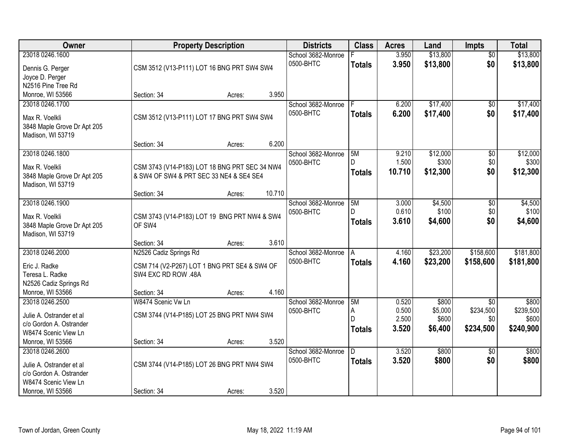| Owner                                                                                           | <b>Property Description</b>                                                                                  |                  | <b>Districts</b>                | <b>Class</b>              | <b>Acres</b>             | Land                          | Impts                        | <b>Total</b>                  |
|-------------------------------------------------------------------------------------------------|--------------------------------------------------------------------------------------------------------------|------------------|---------------------------------|---------------------------|--------------------------|-------------------------------|------------------------------|-------------------------------|
| 23018 0246.1600<br>Dennis G. Perger<br>Joyce D. Perger                                          | CSM 3512 (V13-P111) LOT 16 BNG PRT SW4 SW4                                                                   |                  | School 3682-Monroe<br>0500-BHTC | <b>Totals</b>             | 3.950<br>3.950           | \$13,800<br>\$13,800          | $\overline{50}$<br>\$0       | \$13,800<br>\$13,800          |
| N2516 Pine Tree Rd<br>Monroe, WI 53566                                                          | Section: 34                                                                                                  | 3.950<br>Acres:  |                                 |                           |                          |                               |                              |                               |
| 23018 0246.1700<br>Max R. Voelkli<br>3848 Maple Grove Dr Apt 205<br>Madison, WI 53719           | CSM 3512 (V13-P111) LOT 17 BNG PRT SW4 SW4                                                                   |                  | School 3682-Monroe<br>0500-BHTC | <b>Totals</b>             | 6.200<br>6.200           | \$17,400<br>\$17,400          | $\overline{50}$<br>\$0       | \$17,400<br>\$17,400          |
| 23018 0246.1800<br>Max R. Voelkli<br>3848 Maple Grove Dr Apt 205<br>Madison, WI 53719           | Section: 34<br>CSM 3743 (V14-P183) LOT 18 BNG PRT SEC 34 NW4<br>& SW4 OF SW4 & PRT SEC 33 NE4 & SE4 SE4      | 6.200<br>Acres:  | School 3682-Monroe<br>0500-BHTC | 5M<br>D.<br><b>Totals</b> | 9.210<br>1.500<br>10.710 | \$12,000<br>\$300<br>\$12,300 | \$0<br>\$0<br>\$0            | \$12,000<br>\$300<br>\$12,300 |
| 23018 0246.1900<br>Max R. Voelkli<br>3848 Maple Grove Dr Apt 205<br>Madison, WI 53719           | Section: 34<br>CSM 3743 (V14-P183) LOT 19 BNG PRT NW4 & SW4<br>OF SW4                                        | 10.710<br>Acres: | School 3682-Monroe<br>0500-BHTC | 5M<br>D.<br><b>Totals</b> | 3.000<br>0.610<br>3.610  | \$4,500<br>\$100<br>\$4,600   | \$0<br>\$0<br>\$0            | \$4,500<br>\$100<br>\$4,600   |
| 23018 0246.2000<br>Eric J. Radke<br>Teresa L. Radke                                             | Section: 34<br>N2526 Cadiz Springs Rd<br>CSM 714 (V2-P267) LOT 1 BNG PRT SE4 & SW4 OF<br>SW4 EXC RD ROW .48A | 3.610<br>Acres:  | School 3682-Monroe<br>0500-BHTC | <b>Totals</b>             | 4.160<br>4.160           | \$23,200<br>\$23,200          | \$158,600<br>\$158,600       | \$181,800<br>\$181,800        |
| N2526 Cadiz Springs Rd<br>Monroe, WI 53566<br>23018 0246.2500                                   | Section: 34<br>W8474 Scenic Vw Ln                                                                            | 4.160<br>Acres:  | School 3682-Monroe<br>0500-BHTC | 5M<br>А                   | 0.520<br>0.500           | \$800<br>\$5,000              | $\overline{50}$<br>\$234,500 | \$800<br>\$239,500            |
| Julie A. Ostrander et al<br>c/o Gordon A. Ostrander<br>W8474 Scenic View Ln<br>Monroe, WI 53566 | CSM 3744 (V14-P185) LOT 25 BNG PRT NW4 SW4<br>Section: 34                                                    | 3.520<br>Acres:  |                                 | D<br><b>Totals</b>        | 2.500<br>3.520           | \$600<br>\$6,400              | \$0<br>\$234,500             | \$600<br>\$240,900            |
| 23018 0246.2600<br>Julie A. Ostrander et al<br>c/o Gordon A. Ostrander<br>W8474 Scenic View Ln  | CSM 3744 (V14-P185) LOT 26 BNG PRT NW4 SW4                                                                   |                  | School 3682-Monroe<br>0500-BHTC | D.<br><b>Totals</b>       | 3.520<br>3.520           | \$800<br>\$800                | $\overline{50}$<br>\$0       | \$800<br>\$800                |
| Monroe, WI 53566                                                                                | Section: 34                                                                                                  | 3.520<br>Acres:  |                                 |                           |                          |                               |                              |                               |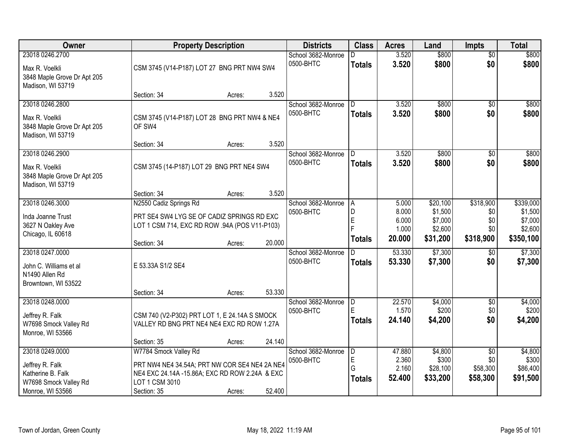| Owner                                                                                                |                                                                                                                                                           | <b>Property Description</b> |        | <b>Districts</b>                | <b>Class</b>                           | <b>Acres</b>                       | Land                                      | <b>Impts</b>                                   | <b>Total</b>                               |
|------------------------------------------------------------------------------------------------------|-----------------------------------------------------------------------------------------------------------------------------------------------------------|-----------------------------|--------|---------------------------------|----------------------------------------|------------------------------------|-------------------------------------------|------------------------------------------------|--------------------------------------------|
| 23018 0246.2700<br>Max R. Voelkli<br>3848 Maple Grove Dr Apt 205<br>Madison, WI 53719                | CSM 3745 (V14-P187) LOT 27 BNG PRT NW4 SW4                                                                                                                |                             |        | School 3682-Monroe<br>0500-BHTC | <b>Totals</b>                          | 3.520<br>3.520                     | \$800<br>\$800                            | $\overline{50}$<br>\$0                         | \$800<br>\$800                             |
|                                                                                                      | Section: 34                                                                                                                                               | Acres:                      | 3.520  |                                 |                                        |                                    |                                           |                                                |                                            |
| 23018 0246.2800<br>Max R. Voelkli<br>3848 Maple Grove Dr Apt 205<br>Madison, WI 53719                | CSM 3745 (V14-P187) LOT 28 BNG PRT NW4 & NE4<br>OF SW4<br>Section: 34                                                                                     |                             | 3.520  | School 3682-Monroe<br>0500-BHTC | D.<br><b>Totals</b>                    | 3.520<br>3.520                     | \$800<br>\$800                            | $\overline{50}$<br>\$0                         | \$800<br>\$800                             |
| 23018 0246.2900                                                                                      |                                                                                                                                                           | Acres:                      |        | School 3682-Monroe              |                                        | 3.520                              | \$800                                     | $\sqrt[6]{}$                                   | \$800                                      |
| Max R. Voelkli<br>3848 Maple Grove Dr Apt 205<br>Madison, WI 53719                                   | CSM 3745 (14-P187) LOT 29 BNG PRT NE4 SW4                                                                                                                 |                             |        | 0500-BHTC                       | <b>Totals</b>                          | 3.520                              | \$800                                     | \$0                                            | \$800                                      |
| 23018 0246.3000                                                                                      | Section: 34<br>N2550 Cadiz Springs Rd                                                                                                                     | Acres:                      | 3.520  | School 3682-Monroe              |                                        | 5.000                              | \$20,100                                  | \$318,900                                      | \$339,000                                  |
| Inda Joanne Trust<br>3627 N Oakley Ave<br>Chicago, IL 60618                                          | PRT SE4 SW4 LYG SE OF CADIZ SPRINGS RD EXC<br>LOT 1 CSM 714, EXC RD ROW .94A (POS V11-P103)<br>Section: 34                                                | Acres:                      | 20.000 | 0500-BHTC                       | A<br>D<br>E<br><b>Totals</b>           | 8.000<br>6.000<br>1.000<br>20.000  | \$1,500<br>\$7,000<br>\$2,600<br>\$31,200 | \$0<br>\$0<br>\$0<br>\$318,900                 | \$1,500<br>\$7,000<br>\$2,600<br>\$350,100 |
| 23018 0247,0000<br>John C. Williams et al<br>N1490 Allen Rd<br>Browntown, WI 53522                   | E 53.33A S1/2 SE4<br>Section: 34                                                                                                                          | Acres:                      | 53.330 | School 3682-Monroe<br>0500-BHTC | D.<br>Totals                           | 53.330<br>53,330                   | \$7,300<br>\$7,300                        | $\overline{60}$<br>\$0                         | \$7,300<br>\$7,300                         |
| 23018 0248.0000<br>Jeffrey R. Falk<br>W7698 Smock Valley Rd<br>Monroe, WI 53566                      | CSM 740 (V2-P302) PRT LOT 1, E 24.14A S SMOCK<br>VALLEY RD BNG PRT NE4 NE4 EXC RD ROW 1.27A<br>Section: 35                                                | Acres:                      | 24.140 | School 3682-Monroe<br>0500-BHTC | ID.<br><b>Totals</b>                   | 22.570<br>1.570<br>24.140          | \$4,000<br>\$200<br>\$4,200               | $\overline{$0}$<br>\$0<br>\$0                  | \$4,000<br>\$200<br>\$4,200                |
| 23018 0249.0000<br>Jeffrey R. Falk<br>Katherine B. Falk<br>W7698 Smock Valley Rd<br>Monroe, WI 53566 | W7784 Smock Valley Rd<br>PRT NW4 NE4 34.54A; PRT NW COR SE4 NE4 2A NE4<br>NE4 EXC 24.14A -15.86A; EXC RD ROW 2.24A & EXC<br>LOT 1 CSM 3010<br>Section: 35 | Acres:                      | 52.400 | School 3682-Monroe<br>0500-BHTC | D<br>$\mathsf E$<br>G<br><b>Totals</b> | 47.880<br>2.360<br>2.160<br>52.400 | \$4,800<br>\$300<br>\$28,100<br>\$33,200  | $\overline{50}$<br>\$0<br>\$58,300<br>\$58,300 | \$4,800<br>\$300<br>\$86,400<br>\$91,500   |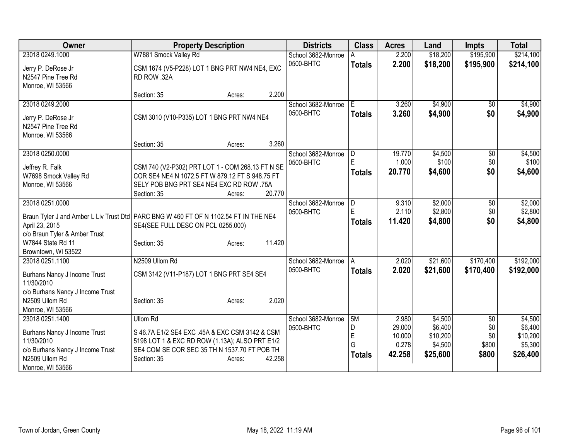| Owner                                                                                                                                   | <b>Property Description</b>                                                                                                                                                                            | <b>Districts</b>                | <b>Class</b>                       | <b>Acres</b>                                 | Land                                                  | <b>Impts</b>                                    | <b>Total</b>                                          |
|-----------------------------------------------------------------------------------------------------------------------------------------|--------------------------------------------------------------------------------------------------------------------------------------------------------------------------------------------------------|---------------------------------|------------------------------------|----------------------------------------------|-------------------------------------------------------|-------------------------------------------------|-------------------------------------------------------|
| 23018 0249.1000                                                                                                                         | W7881 Smock Valley Rd                                                                                                                                                                                  | School 3682-Monroe              |                                    | 2.200                                        | \$18,200                                              | \$195,900                                       | \$214,100                                             |
| Jerry P. DeRose Jr<br>N2547 Pine Tree Rd<br>Monroe, WI 53566                                                                            | CSM 1674 (V5-P228) LOT 1 BNG PRT NW4 NE4, EXC<br>RD ROW .32A                                                                                                                                           | 0500-BHTC                       | <b>Totals</b>                      | 2.200                                        | \$18,200                                              | \$195,900                                       | \$214,100                                             |
|                                                                                                                                         | 2.200<br>Section: 35<br>Acres:                                                                                                                                                                         |                                 |                                    |                                              |                                                       |                                                 |                                                       |
| 23018 0249.2000<br>Jerry P. DeRose Jr<br>N2547 Pine Tree Rd<br>Monroe, WI 53566                                                         | CSM 3010 (V10-P335) LOT 1 BNG PRT NW4 NE4                                                                                                                                                              | School 3682-Monroe<br>0500-BHTC | E.<br><b>Totals</b>                | 3.260<br>3.260                               | \$4,900<br>\$4,900                                    | $\overline{50}$<br>\$0                          | \$4,900<br>\$4,900                                    |
|                                                                                                                                         | 3.260<br>Section: 35<br>Acres:                                                                                                                                                                         |                                 |                                    |                                              |                                                       |                                                 |                                                       |
| 23018 0250.0000<br>Jeffrey R. Falk<br>W7698 Smock Valley Rd<br>Monroe, WI 53566                                                         | CSM 740 (V2-P302) PRT LOT 1 - COM 268.13 FT N SE<br>COR SE4 NE4 N 1072.5 FT W 879.12 FT S 948.75 FT<br>SELY POB BNG PRT SE4 NE4 EXC RD ROW .75A<br>20.770<br>Section: 35<br>Acres:                     | School 3682-Monroe<br>0500-BHTC | D<br>E<br><b>Totals</b>            | 19.770<br>1.000<br>20.770                    | \$4,500<br>\$100<br>\$4,600                           | \$0<br>\$0<br>\$0                               | \$4,500<br>\$100<br>\$4,600                           |
| 23018 0251.0000<br>April 23, 2015<br>c/o Braun Tyler & Amber Trust<br>W7844 State Rd 11<br>Browntown, WI 53522                          | Braun Tyler J and Amber L Liv Trust Dtd   PARC BNG W 460 FT OF N 1102.54 FT IN THE NE4<br>SE4(SEE FULL DESC ON PCL 0255.000)<br>11.420<br>Section: 35<br>Acres:                                        | School 3682-Monroe<br>0500-BHTC | D<br>E<br><b>Totals</b>            | 9.310<br>2.110<br>11.420                     | \$2,000<br>\$2,800<br>\$4,800                         | \$0<br>\$0<br>\$0                               | \$2,000<br>\$2,800<br>\$4,800                         |
| 23018 0251.1100<br>Burhans Nancy J Income Trust<br>11/30/2010<br>c/o Burhans Nancy J Income Trust<br>N2509 Ullom Rd<br>Monroe, WI 53566 | N2509 Ullom Rd<br>CSM 3142 (V11-P187) LOT 1 BNG PRT SE4 SE4<br>2.020<br>Section: 35<br>Acres:                                                                                                          | School 3682-Monroe<br>0500-BHTC | A<br><b>Totals</b>                 | 2.020<br>2.020                               | \$21,600<br>\$21,600                                  | \$170,400<br>\$170,400                          | \$192,000<br>\$192,000                                |
| 23018 0251.1400<br>Burhans Nancy J Income Trust<br>11/30/2010<br>c/o Burhans Nancy J Income Trust<br>N2509 Ullom Rd<br>Monroe, WI 53566 | <b>Ullom Rd</b><br>S 46.7A E1/2 SE4 EXC .45A & EXC CSM 3142 & CSM<br>5198 LOT 1 & EXC RD ROW (1.13A); ALSO PRT E1/2<br>SE4 COM SE COR SEC 35 TH N 1537.70 FT POB TH<br>42.258<br>Section: 35<br>Acres: | School 3682-Monroe<br>0500-BHTC | 5M<br>D<br>E<br>G<br><b>Totals</b> | 2.980<br>29.000<br>10.000<br>0.278<br>42.258 | \$4,500<br>\$6,400<br>\$10,200<br>\$4,500<br>\$25,600 | $\overline{50}$<br>\$0<br>\$0<br>\$800<br>\$800 | \$4,500<br>\$6,400<br>\$10,200<br>\$5,300<br>\$26,400 |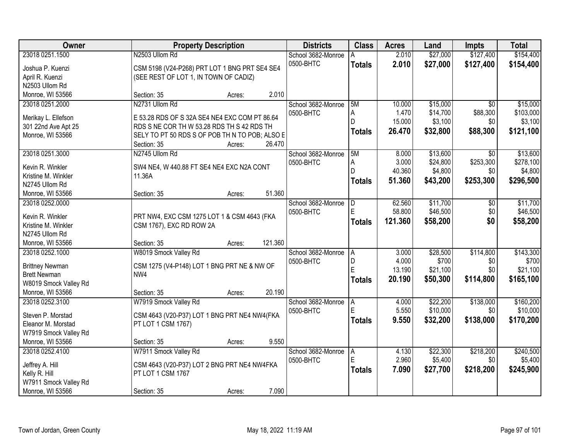| Owner                  | <b>Property Description</b>                    |        |         | <b>Districts</b>   | <b>Class</b>   | <b>Acres</b>    | Land                | Impts            | <b>Total</b>         |
|------------------------|------------------------------------------------|--------|---------|--------------------|----------------|-----------------|---------------------|------------------|----------------------|
| 23018 0251.1500        | N2503 Ullom Rd                                 |        |         | School 3682-Monroe | А              | 2.010           | \$27,000            | \$127,400        | \$154,400            |
| Joshua P. Kuenzi       | CSM 5198 (V24-P268) PRT LOT 1 BNG PRT SE4 SE4  |        |         | 0500-BHTC          | <b>Totals</b>  | 2.010           | \$27,000            | \$127,400        | \$154,400            |
| April R. Kuenzi        | (SEE REST OF LOT 1, IN TOWN OF CADIZ)          |        |         |                    |                |                 |                     |                  |                      |
| N2503 Ullom Rd         |                                                |        |         |                    |                |                 |                     |                  |                      |
| Monroe, WI 53566       | Section: 35                                    | Acres: | 2.010   |                    |                |                 |                     |                  |                      |
| 23018 0251.2000        | N2731 Ullom Rd                                 |        |         | School 3682-Monroe | 5M             | 10.000          | \$15,000            | $\overline{50}$  | \$15,000             |
|                        |                                                |        |         | 0500-BHTC          | A              | 1.470           | \$14,700            | \$88,300         | \$103,000            |
| Merikay L. Ellefson    | E 53.28 RDS OF S 32A SE4 NE4 EXC COM PT 86.64  |        |         |                    | $\mathsf{D}$   | 15.000          | \$3,100             | \$0              | \$3,100              |
| 301 22nd Ave Apt 25    | RDS S NE COR TH W 53.28 RDS TH S 42 RDS TH     |        |         |                    | <b>Totals</b>  | 26.470          | \$32,800            | \$88,300         | \$121,100            |
| Monroe, WI 53566       | SELY TO PT 50 RDS S OF POB TH N TO POB; ALSO E |        |         |                    |                |                 |                     |                  |                      |
|                        | Section: 35                                    | Acres: | 26.470  |                    |                |                 |                     |                  |                      |
| 23018 0251.3000        | N2745 Ullom Rd                                 |        |         | School 3682-Monroe | 5M             | 8.000           | \$13,600            | \$0              | \$13,600             |
| Kevin R. Winkler       | SW4 NE4, W 440.88 FT SE4 NE4 EXC N2A CONT      |        |         | 0500-BHTC          | Α<br>D         | 3.000<br>40.360 | \$24,800<br>\$4,800 | \$253,300<br>\$0 | \$278,100<br>\$4,800 |
| Kristine M. Winkler    | 11.36A                                         |        |         |                    |                |                 |                     |                  |                      |
| N2745 Ullom Rd         |                                                |        |         |                    | <b>Totals</b>  | 51.360          | \$43,200            | \$253,300        | \$296,500            |
| Monroe, WI 53566       | Section: 35                                    | Acres: | 51.360  |                    |                |                 |                     |                  |                      |
| 23018 0252.0000        |                                                |        |         | School 3682-Monroe | D.             | 62.560          | \$11,700            | \$0              | \$11,700             |
| Kevin R. Winkler       | PRT NW4, EXC CSM 1275 LOT 1 & CSM 4643 (FKA    |        |         | 0500-BHTC          | E              | 58.800          | \$46,500            | \$0              | \$46,500             |
| Kristine M. Winkler    | CSM 1767), EXC RD ROW 2A                       |        |         |                    | <b>Totals</b>  | 121.360         | \$58,200            | \$0              | \$58,200             |
| N2745 Ullom Rd         |                                                |        |         |                    |                |                 |                     |                  |                      |
| Monroe, WI 53566       | Section: 35                                    | Acres: | 121.360 |                    |                |                 |                     |                  |                      |
| 23018 0252.1000        | W8019 Smock Valley Rd                          |        |         | School 3682-Monroe | $\overline{A}$ | 3.000           | \$28,500            | \$114,800        | \$143,300            |
|                        |                                                |        |         | 0500-BHTC          | l D            | 4.000           | \$700               | \$0              | \$700                |
| <b>Brittney Newman</b> | CSM 1275 (V4-P148) LOT 1 BNG PRT NE & NW OF    |        |         |                    | E              | 13.190          | \$21,100            | \$0              | \$21,100             |
| <b>Brett Newman</b>    | NW4                                            |        |         |                    | <b>Totals</b>  | 20.190          | \$50,300            | \$114,800        | \$165,100            |
| W8019 Smock Valley Rd  |                                                |        |         |                    |                |                 |                     |                  |                      |
| Monroe, WI 53566       | Section: 35                                    | Acres: | 20.190  |                    |                |                 |                     |                  |                      |
| 23018 0252.3100        | W7919 Smock Valley Rd                          |        |         | School 3682-Monroe | A              | 4.000           | \$22,200            | \$138,000        | \$160,200            |
| Steven P. Morstad      | CSM 4643 (V20-P37) LOT 1 BNG PRT NE4 NW4(FKA   |        |         | 0500-BHTC          | F              | 5.550           | \$10,000            | \$0              | \$10,000             |
| Eleanor M. Morstad     | PT LOT 1 CSM 1767)                             |        |         |                    | <b>Totals</b>  | 9.550           | \$32,200            | \$138,000        | \$170,200            |
| W7919 Smock Valley Rd  |                                                |        |         |                    |                |                 |                     |                  |                      |
| Monroe, WI 53566       | Section: 35                                    | Acres: | 9.550   |                    |                |                 |                     |                  |                      |
| 23018 0252.4100        | W7911 Smock Valley Rd                          |        |         | School 3682-Monroe | A              | 4.130           | \$22,300            | \$218,200        | \$240,500            |
| Jeffrey A. Hill        | CSM 4643 (V20-P37) LOT 2 BNG PRT NE4 NW4FKA    |        |         | 0500-BHTC          | E              | 2.960           | \$5,400             | \$0              | \$5,400              |
| Kelly R. Hill          | PT LOT 1 CSM 1767                              |        |         |                    | <b>Totals</b>  | 7.090           | \$27,700            | \$218,200        | \$245,900            |
| W7911 Smock Valley Rd  |                                                |        |         |                    |                |                 |                     |                  |                      |
| Monroe, WI 53566       | Section: 35                                    | Acres: | 7.090   |                    |                |                 |                     |                  |                      |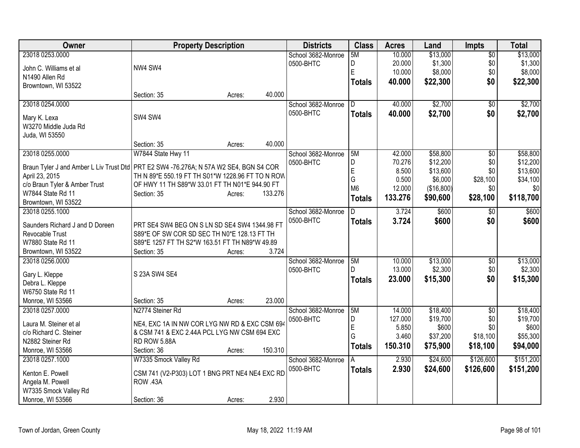| Owner                                                                                                     | <b>Property Description</b>                      |        |         | <b>Districts</b>   | <b>Class</b>   | <b>Acres</b> | Land       | <b>Impts</b>    | <b>Total</b> |
|-----------------------------------------------------------------------------------------------------------|--------------------------------------------------|--------|---------|--------------------|----------------|--------------|------------|-----------------|--------------|
| 23018 0253.0000                                                                                           |                                                  |        |         | School 3682-Monroe | 5M             | 10.000       | \$13,000   | $\overline{50}$ | \$13,000     |
| John C. Williams et al                                                                                    | NW4 SW4                                          |        |         | 0500-BHTC          | D              | 20.000       | \$1,300    | \$0             | \$1,300      |
| N1490 Allen Rd                                                                                            |                                                  |        |         |                    | E              | 10.000       | \$8,000    | \$0             | \$8,000      |
| Browntown, WI 53522                                                                                       |                                                  |        |         |                    | <b>Totals</b>  | 40.000       | \$22,300   | \$0             | \$22,300     |
|                                                                                                           | Section: 35                                      | Acres: | 40.000  |                    |                |              |            |                 |              |
| 23018 0254.0000                                                                                           |                                                  |        |         | School 3682-Monroe | D.             | 40.000       | \$2,700    | $\overline{30}$ | \$2,700      |
|                                                                                                           |                                                  |        |         | 0500-BHTC          | <b>Totals</b>  | 40.000       | \$2,700    | \$0             | \$2,700      |
| Mary K. Lexa                                                                                              | SW4 SW4                                          |        |         |                    |                |              |            |                 |              |
| W3270 Middle Juda Rd                                                                                      |                                                  |        |         |                    |                |              |            |                 |              |
| Juda, WI 53550                                                                                            |                                                  |        |         |                    |                |              |            |                 |              |
|                                                                                                           | Section: 35                                      | Acres: | 40.000  |                    |                |              |            |                 |              |
| 23018 0255.0000                                                                                           | W7844 State Hwy 11                               |        |         | School 3682-Monroe | 5M             | 42.000       | \$58,800   | \$0             | \$58,800     |
|                                                                                                           |                                                  |        |         | 0500-BHTC          | D              | 70.276       | \$12,200   | \$0             | \$12,200     |
| Braun Tyler J and Amber L Liv Trust Dtd   PRT E2 SW4 -76.276A; N 57A W2 SE4, BGN S4 COR<br>April 23, 2015 | TH N 89*E 550.19 FT TH S01*W 1228.96 FT TO N ROW |        |         |                    | $\mathsf E$    | 8.500        | \$13,600   | \$0             | \$13,600     |
| c/o Braun Tyler & Amber Trust                                                                             | OF HWY 11 TH S89*W 33.01 FT TH N01*E 944.90 FT   |        |         |                    | G              | 0.500        | \$6,000    | \$28,100        | \$34,100     |
| W7844 State Rd 11                                                                                         | Section: 35                                      |        | 133.276 |                    | M <sub>6</sub> | 12.000       | (\$16,800) | \$0             | \$0          |
|                                                                                                           |                                                  | Acres: |         |                    | <b>Totals</b>  | 133.276      | \$90,600   | \$28,100        | \$118,700    |
| Browntown, WI 53522<br>23018 0255.1000                                                                    |                                                  |        |         |                    | D              | 3.724        |            |                 | \$600        |
|                                                                                                           |                                                  |        |         | School 3682-Monroe |                |              | \$600      | \$0             |              |
| Saunders Richard J and D Doreen                                                                           | PRT SE4 SW4 BEG ON S LN SD SE4 SW4 1344.98 FT    |        |         | 0500-BHTC          | <b>Totals</b>  | 3.724        | \$600      | \$0             | \$600        |
| Revocable Trust                                                                                           | S89*E OF SW COR SD SEC TH N0*E 128.13 FT TH      |        |         |                    |                |              |            |                 |              |
| W7880 State Rd 11                                                                                         | S89*E 1257 FT TH S2*W 163.51 FT TH N89*W 49.89   |        |         |                    |                |              |            |                 |              |
| Browntown, WI 53522                                                                                       | Section: 35                                      | Acres: | 3.724   |                    |                |              |            |                 |              |
| 23018 0256.0000                                                                                           |                                                  |        |         | School 3682-Monroe | 5M             | 10.000       | \$13,000   | \$0             | \$13,000     |
|                                                                                                           |                                                  |        |         | 0500-BHTC          | D              | 13.000       | \$2,300    | \$0             | \$2,300      |
| Gary L. Kleppe                                                                                            | S 23A SW4 SE4                                    |        |         |                    | <b>Totals</b>  | 23.000       | \$15,300   | \$0             | \$15,300     |
| Debra L. Kleppe                                                                                           |                                                  |        |         |                    |                |              |            |                 |              |
| W6750 State Rd 11                                                                                         |                                                  |        |         |                    |                |              |            |                 |              |
| Monroe, WI 53566                                                                                          | Section: 35                                      | Acres: | 23.000  |                    |                |              |            |                 |              |
| 23018 0257.0000                                                                                           | N2774 Steiner Rd                                 |        |         | School 3682-Monroe | 5M             | 14.000       | \$18,400   | $\overline{50}$ | \$18,400     |
| Laura M. Steiner et al                                                                                    | NE4, EXC 1A IN NW COR LYG NW RD & EXC CSM 694    |        |         | 0500-BHTC          | D              | 127.000      | \$19,700   | \$0             | \$19,700     |
| c/o Richard C. Steiner                                                                                    | & CSM 741 & EXC 2.44A PCL LYG NW CSM 694 EXC     |        |         |                    | E              | 5.850        | \$600      | \$0             | \$600        |
| N2882 Steiner Rd                                                                                          | RD ROW 5.88A                                     |        |         |                    | G              | 3.460        | \$37,200   | \$18,100        | \$55,300     |
| Monroe, WI 53566                                                                                          | Section: 36                                      | Acres: | 150.310 |                    | <b>Totals</b>  | 150.310      | \$75,900   | \$18,100        | \$94,000     |
| 23018 0257.1000                                                                                           | W7335 Smock Valley Rd                            |        |         | School 3682-Monroe | A              | 2.930        | \$24,600   | \$126,600       | \$151,200    |
|                                                                                                           |                                                  |        |         | 0500-BHTC          | <b>Totals</b>  | 2.930        | \$24,600   | \$126,600       | \$151,200    |
| Kenton E. Powell                                                                                          | CSM 741 (V2-P303) LOT 1 BNG PRT NE4 NE4 EXC RD   |        |         |                    |                |              |            |                 |              |
| Angela M. Powell                                                                                          | ROW .43A                                         |        |         |                    |                |              |            |                 |              |
| W7335 Smock Valley Rd                                                                                     |                                                  |        |         |                    |                |              |            |                 |              |
| Monroe, WI 53566                                                                                          | Section: 36                                      | Acres: | 2.930   |                    |                |              |            |                 |              |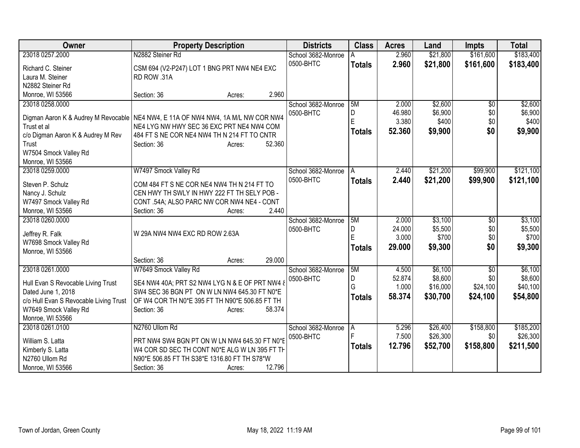| <b>Owner</b>                           | <b>Property Description</b>                                                        | <b>Districts</b>   | <b>Class</b>  | <b>Acres</b> | Land     | <b>Impts</b>    | <b>Total</b> |
|----------------------------------------|------------------------------------------------------------------------------------|--------------------|---------------|--------------|----------|-----------------|--------------|
| 23018 0257.2000                        | N2882 Steiner Rd                                                                   | School 3682-Monroe |               | 2.960        | \$21,800 | \$161,600       | \$183,400    |
| Richard C. Steiner                     | CSM 694 (V2-P247) LOT 1 BNG PRT NW4 NE4 EXC                                        | 0500-BHTC          | <b>Totals</b> | 2.960        | \$21,800 | \$161,600       | \$183,400    |
| Laura M. Steiner                       | RD ROW .31A                                                                        |                    |               |              |          |                 |              |
| N2882 Steiner Rd                       |                                                                                    |                    |               |              |          |                 |              |
| Monroe, WI 53566                       | 2.960<br>Section: 36<br>Acres:                                                     |                    |               |              |          |                 |              |
| 23018 0258.0000                        |                                                                                    | School 3682-Monroe | 5M            | 2.000        | \$2,600  | $\overline{50}$ | \$2,600      |
|                                        | Digman Aaron K & Audrey M Revocable   NE4 NW4, E 11A OF NW4 NW4, 1A M/L NW COR NW4 | 0500-BHTC          | D             | 46.980       | \$6,900  | \$0             | \$6,900      |
| Trust et al                            | NE4 LYG NW HWY SEC 36 EXC PRT NE4 NW4 COM                                          |                    | F             | 3.380        | \$400    | \$0             | \$400        |
| c/o Digman Aaron K & Audrey M Rev      | 484 FT S NE COR NE4 NW4 TH N 214 FT TO CNTR                                        |                    | <b>Totals</b> | 52.360       | \$9,900  | \$0             | \$9,900      |
| Trust                                  | Section: 36<br>52.360<br>Acres:                                                    |                    |               |              |          |                 |              |
| W7504 Smock Valley Rd                  |                                                                                    |                    |               |              |          |                 |              |
| Monroe, WI 53566                       |                                                                                    |                    |               |              |          |                 |              |
| 23018 0259.0000                        | W7497 Smock Valley Rd                                                              | School 3682-Monroe | A             | 2.440        | \$21,200 | \$99,900        | \$121,100    |
|                                        |                                                                                    | 0500-BHTC          | <b>Totals</b> | 2.440        | \$21,200 | \$99,900        | \$121,100    |
| Steven P. Schulz                       | COM 484 FT S NE COR NE4 NW4 TH N 214 FT TO                                         |                    |               |              |          |                 |              |
| Nancy J. Schulz                        | CEN HWY TH SWLY IN HWY 222 FT TH SELY POB -                                        |                    |               |              |          |                 |              |
| W7497 Smock Valley Rd                  | CONT .54A; ALSO PARC NW COR NW4 NE4 - CONT                                         |                    |               |              |          |                 |              |
| Monroe, WI 53566                       | 2.440<br>Section: 36<br>Acres:                                                     |                    |               |              |          |                 |              |
| 23018 0260.0000                        |                                                                                    | School 3682-Monroe | 5M            | 2.000        | \$3,100  | \$0             | \$3,100      |
| Jeffrey R. Falk                        | W 29A NW4 NW4 EXC RD ROW 2.63A                                                     | 0500-BHTC          | D<br>F        | 24.000       | \$5,500  | \$0             | \$5,500      |
| W7698 Smock Valley Rd                  |                                                                                    |                    |               | 3.000        | \$700    | \$0             | \$700        |
| Monroe, WI 53566                       |                                                                                    |                    | <b>Totals</b> | 29.000       | \$9,300  | \$0             | \$9,300      |
|                                        | 29.000<br>Section: 36<br>Acres:                                                    |                    |               |              |          |                 |              |
| 23018 0261.0000                        | W7649 Smock Valley Rd                                                              | School 3682-Monroe | 5M            | 4.500        | \$6,100  | \$0             | \$6,100      |
| Hull Evan S Revocable Living Trust     | SE4 NW4 40A; PRT S2 NW4 LYG N & E OF PRT NW4 &                                     | 0500-BHTC          | D             | 52.874       | \$8,600  | \$0             | \$8,600      |
| Dated June 1, 2018                     | SW4 SEC 36 BGN PT ON W LN NW4 645.30 FT N0*E                                       |                    | G             | 1.000        | \$16,000 | \$24,100        | \$40,100     |
| c/o Hull Evan S Revocable Living Trust | OF W4 COR TH N0*E 395 FT TH N90*E 506.85 FT TH                                     |                    | <b>Totals</b> | 58.374       | \$30,700 | \$24,100        | \$54,800     |
| W7649 Smock Valley Rd                  | 58.374<br>Section: 36<br>Acres:                                                    |                    |               |              |          |                 |              |
| Monroe, WI 53566                       |                                                                                    |                    |               |              |          |                 |              |
| 23018 0261.0100                        | N2760 Ullom Rd                                                                     | School 3682-Monroe | A             | 5.296        | \$26,400 | \$158,800       | \$185,200    |
|                                        |                                                                                    | 0500-BHTC          |               | 7.500        | \$26,300 | \$0             | \$26,300     |
| William S. Latta                       | PRT NW4 SW4 BGN PT ON W LN NW4 645.30 FT N0*E                                      |                    | <b>Totals</b> | 12.796       | \$52,700 | \$158,800       | \$211,500    |
| Kimberly S. Latta                      | W4 COR SD SEC TH CONT N0*E ALG W LN 395 FT TH                                      |                    |               |              |          |                 |              |
| N2760 Ullom Rd                         | N90*E 506.85 FT TH S38*E 1316.80 FT TH S78*W                                       |                    |               |              |          |                 |              |
| Monroe, WI 53566                       | 12.796<br>Section: 36<br>Acres:                                                    |                    |               |              |          |                 |              |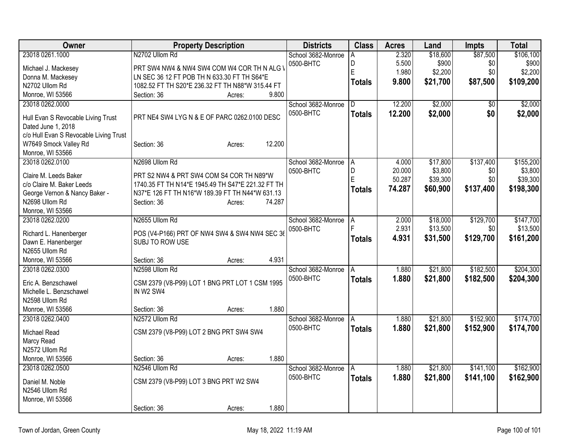| Owner                                  | <b>Property Description</b>                       | <b>Districts</b>   | <b>Class</b>  | <b>Acres</b>     | Land                | <b>Impts</b>    | <b>Total</b>        |
|----------------------------------------|---------------------------------------------------|--------------------|---------------|------------------|---------------------|-----------------|---------------------|
| 23018 0261.1000                        | N2702 Ullom Rd                                    | School 3682-Monroe | A             | 2.320            | \$18,600            | \$87,500        | \$106,100           |
| Michael J. Mackesey                    | PRT SW4 NW4 & NW4 SW4 COM W4 COR TH N ALG \       | 0500-BHTC          | D             | 5.500            | \$900               | \$0             | \$900               |
| Donna M. Mackesey                      | LN SEC 36 12 FT POB TH N 633.30 FT TH S64*E       |                    | Ė             | 1.980            | \$2,200             | \$0             | \$2,200             |
| N2702 Ullom Rd                         | 1082.52 FT TH S20*E 236.32 FT TH N88*W 315.44 FT  |                    | <b>Totals</b> | 9.800            | \$21,700            | \$87,500        | \$109,200           |
| Monroe, WI 53566                       | 9.800<br>Section: 36<br>Acres:                    |                    |               |                  |                     |                 |                     |
| 23018 0262.0000                        |                                                   | School 3682-Monroe |               | 12.200           | \$2,000             | $\overline{50}$ | \$2,000             |
|                                        |                                                   | 0500-BHTC          | <b>Totals</b> | 12.200           | \$2,000             | \$0             | \$2,000             |
| Hull Evan S Revocable Living Trust     | PRT NE4 SW4 LYG N & E OF PARC 0262.0100 DESC      |                    |               |                  |                     |                 |                     |
| Dated June 1, 2018                     |                                                   |                    |               |                  |                     |                 |                     |
| c/o Hull Evan S Revocable Living Trust |                                                   |                    |               |                  |                     |                 |                     |
| W7649 Smock Valley Rd                  | 12.200<br>Section: 36<br>Acres:                   |                    |               |                  |                     |                 |                     |
| Monroe, WI 53566                       |                                                   |                    |               |                  |                     |                 |                     |
| 23018 0262.0100                        | N2698 Ullom Rd                                    | School 3682-Monroe | A             | 4.000            | \$17,800            | \$137,400       | \$155,200           |
| Claire M. Leeds Baker                  | PRT S2 NW4 & PRT SW4 COM S4 COR TH N89*W          | 0500-BHTC          | D<br>E        | 20.000<br>50.287 | \$3,800<br>\$39,300 | \$0<br>\$0      | \$3,800<br>\$39,300 |
| c/o Claire M. Baker Leeds              | 1740.35 FT TH N14*E 1945.49 TH S47*E 221.32 FT TH |                    |               |                  |                     |                 |                     |
| George Vernon & Nancy Baker -          | N37*E 126 FT TH N16*W 189.39 FT TH N44*W 631.13   |                    | <b>Totals</b> | 74.287           | \$60,900            | \$137,400       | \$198,300           |
| N2698 Ullom Rd                         | 74.287<br>Section: 36<br>Acres:                   |                    |               |                  |                     |                 |                     |
| Monroe, WI 53566                       |                                                   |                    |               |                  |                     |                 |                     |
| 23018 0262.0200                        | N2655 Ullom Rd                                    | School 3682-Monroe | l A           | 2.000            | \$18,000            | \$129,700       | \$147,700           |
| Richard L. Hanenberger                 | POS (V4-P166) PRT OF NW4 SW4 & SW4 NW4 SEC 36     | 0500-BHTC          |               | 2.931            | \$13,500            | \$0             | \$13,500            |
| Dawn E. Hanenberger                    | SUBJ TO ROW USE                                   |                    | <b>Totals</b> | 4.931            | \$31,500            | \$129,700       | \$161,200           |
| N2655 Ullom Rd                         |                                                   |                    |               |                  |                     |                 |                     |
| Monroe, WI 53566                       | 4.931<br>Section: 36<br>Acres:                    |                    |               |                  |                     |                 |                     |
| 23018 0262.0300                        | N2598 Ullom Rd                                    | School 3682-Monroe | l A           | 1.880            | \$21,800            | \$182,500       | \$204,300           |
|                                        |                                                   | 0500-BHTC          | <b>Totals</b> | 1.880            | \$21,800            | \$182,500       | \$204,300           |
| Eric A. Benzschawel                    | CSM 2379 (V8-P99) LOT 1 BNG PRT LOT 1 CSM 1995    |                    |               |                  |                     |                 |                     |
| Michelle L. Benzschawel                | IN W2 SW4                                         |                    |               |                  |                     |                 |                     |
| N2598 Ullom Rd                         |                                                   |                    |               |                  |                     |                 |                     |
| Monroe, WI 53566                       | 1.880<br>Section: 36<br>Acres:                    |                    |               |                  |                     |                 |                     |
| 23018 0262.0400                        | N2572 Ullom Rd                                    | School 3682-Monroe | ۱A            | 1.880            | \$21,800            | \$152,900       | \$174,700           |
| Michael Read                           | CSM 2379 (V8-P99) LOT 2 BNG PRT SW4 SW4           | 0500-BHTC          | <b>Totals</b> | 1.880            | \$21,800            | \$152,900       | \$174,700           |
| Marcy Read                             |                                                   |                    |               |                  |                     |                 |                     |
| N2572 Ullom Rd                         |                                                   |                    |               |                  |                     |                 |                     |
| Monroe, WI 53566                       | 1.880<br>Section: 36<br>Acres:                    |                    |               |                  |                     |                 |                     |
| 23018 0262.0500                        | N2546 Ullom Rd                                    | School 3682-Monroe | A             | 1.880            | \$21,800            | \$141,100       | \$162,900           |
|                                        |                                                   | 0500-BHTC          | <b>Totals</b> | 1.880            | \$21,800            | \$141,100       | \$162,900           |
| Daniel M. Noble<br>N2546 Ullom Rd      | CSM 2379 (V8-P99) LOT 3 BNG PRT W2 SW4            |                    |               |                  |                     |                 |                     |
|                                        |                                                   |                    |               |                  |                     |                 |                     |
| Monroe, WI 53566                       | 1.880                                             |                    |               |                  |                     |                 |                     |
|                                        | Section: 36<br>Acres:                             |                    |               |                  |                     |                 |                     |